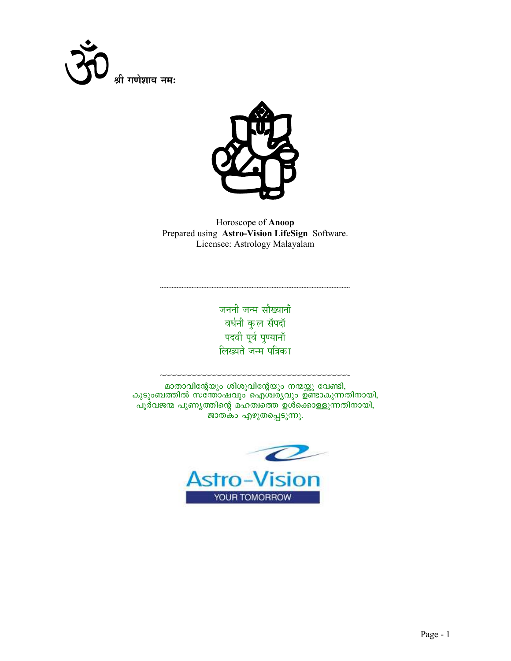



Horoscope of Anoop Prepared using Astro-Vision LifeSign Software. Licensee: Astrology Malayalam

> जननी जन्म सौख्यानाँ वर्धनी कुल सँपदाँ पदवी पूर्व पुण्यानाँ लिख्यते जन्म पत्रिका

മാതാവിന്റേയും ശിശുവിന്റേയും നന്മയ്ക്കു വേണ്ടി, കുടുംബത്തിൽ സത്തോഷവും ഐശിര്യവും ഉണ്ടാകുന്നതിനായി, പൂർവജന്മ പുണ്യത്തിന്റെ മഹത്വ്യൈ ഉശ്ക്കൊള്ളുന്നതിനായി, ജാതകം എഴുതപ്പെടുന്നു.

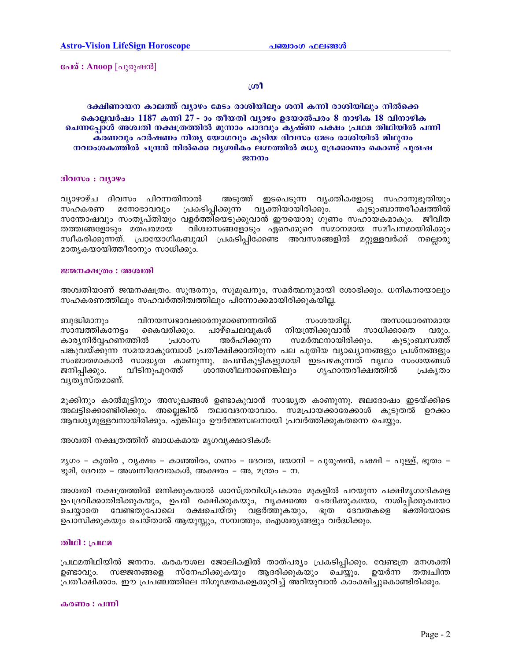പേര് : Anoop [പുരുഷൻ]

### ശ്രീ

### ദക്ഷിണായന കാലത്ത് വ്യാഴം മേടം രാശിയിലും ശനി കന്നി രാശിയിലും നിൽക്കെ കൊല്ലവർഷം 1187 കന്നി 27 - ാം തീയതി വ്യാഴം ഉദയാൽപരം 8 നാഴിക 18 വിനാഴിക ചെന്നപ്പോൾ അശ്വതി നക്ഷത്രത്തിൽ മൂന്നാം പാദവും കൃഷ്ണ പക്ഷം പ്രഥമ തിഥിയിൽ പന്നി ക്രണവും ഹർഷണം നിതൃ യോഗവും കൂടിയ ദിവസം മേടം രാശിയിൽ മിഥുനം നവാംശകത്തിൽ ചന്ദ്രൻ നിൽക്കെ വ്യത്മികം ലഗ്നത്തിൽ മധ്യ ദ്രേക്കാണം കൊണ്ട് പുരുഷ ജനനം

#### ദിവസം : വ്യാഴം

വ്യാഴാഴ്ച ദിവസം പിറന്നതിനാൽ അടുത്ത് ഇടപെടുന്ന വൃക്തികളോടു സഹാനുഭൂതിയും പ്രകടിപ്പിക്കുന്ന സഹകരണ മനോഭാവവും വ്യക്തിയായിരിക്കും. കുടുംബാന്തരീക്ഷത്തിൽ സന്തോഷവും സംതൃപ്തിയും വളർത്തിയെടുക്കുവാൻ ഈയൊരു ഗുണം സഹായകമാകും. ജീവിത വിശ്വാസങ്ങളോടും ഏറെക്കുറെ സമാനമായ സമീപനമായിരിക്കും തത്ത്വങ്ങളോടും മതപരമായ സ്വീകരിക്കുന്നത്. പ്രായോഗികബുദ്ധി പ്രകടിപ്പിക്കേണ്ട അവസരങ്ങളിൽ മറ്റുള്ളവർക്ക് നല്ലൊരു മാതൃകയായിത്തീരാനും സാധിക്കും.

#### ജന്മനക്ഷത്രം : അശ്വതി

അശ്വതിയാണ് ജന്മനക്ഷത്രം. സുന്ദരനും, സുമുഖനും, സമർത്ഥനുമായി ശോഭിക്കും. ധനികനായാലും സഹകരണത്തിലും സഹവർത്തിത്വത്തിലും പിന്നോക്കമായിരിക്കുകയില്ല.

ബുദ്ധിമാനും വിനയസ്വഭാവക്കാരനുമാണെന്നതിൽ സംശയമില്ല. അസാധാരണമായ നിയന്ത്രിക്കുവാൻ സാമ്പത്തികനേട്ടം കൈവരിക്കും. പാഴ്ചെലവുകൾ സാധിക്കാതെ വരും. അർഹിക്കുന്ന സമർത്ഥനായിരിക്കും. കാര്യനിർവ്വഹണത്തിൽ പ്രശാസ കൂടുംബസ്വത്ത് പങ്കുവയ്ക്കുന്ന സമയമാകുമ്പോൾ പ്രതീക്ഷിക്കാതിരുന്ന പല പുതിയ വ്യാഖ്യാനങ്ങളും പ്രശ്നങ്ങളും സംജാതമാകാൻ സാദ്ധ്യത കാണുന്നു. പെൺകുട്ടികളുമായി ഇടപഴകുന്നത് വൃഥാ സംശയങ്ങൾ ജനിപ്പിക്കും. വീടിനുപുറത്ത് ശാന്തശീലനാണെങ്കിലും ഗ്യഹാന്തരീക്ഷത്തിൽ പ്രകൃതം വൃതൃസ്തമാണ്.

മുക്കിനും കാൽമുട്ടിനും അസുഖങ്ങൾ ഉണ്ടാകുവാൻ സാദ്ധ്യത കാണുന്നു. ജലദോഷം ഇടയ്ക്കിടെ അലട്ടിക്കൊണ്ടിരിക്കും. അല്ലെങ്കിൽ തലവേദനയാവാം. സമപ്രായക്കാരേക്കാൾ കുടുതൽ ഉറക്കം ആവശ്യമുള്ളവനായിരിക്കും. എങ്കിലും ഊർജ്ജസ്വലനായി പ്രവർത്തിക്കുകതന്നെ ചെയ്യും.

അശ്വതി നക്ഷത്രത്തിന് ബാധകമായ മൃഗവൃക്ഷാദികൾ:

മൃഗം – കുതിര , വൃക്ഷം – കാഞ്ഞിരം, ഗണം – ദേവത, യോനി – പുരുഷൻ, പക്ഷി – പുള്ള്, ഭൂതം – ഭൂമി, ദേവത – അശ്വനീദേവതകൾ, അക്ഷരം – അ, മന്ത്രം – ന.

അശ്വതി നക്ഷത്രത്തിൽ ജനിക്കുകയാൽ ശാസ്ത്രവിധിപ്രകാരം മുകളിൽ പറയുന്ന പക്ഷിമൃഗാദികളെ ഉപദ്രവിക്കാതിരിക്കുകയും, ഉപരി രക്ഷിക്കുകയും, വൃക്ഷത്തെ ഛേദിക്കുകയോ, നശിപ്പിക്കുകയോ ചെയ്യാതെ വേണ്ടതുപോലെ രക്ഷചെയ്തു വളർത്തുകയും, ഭൂത ദേവതകളെ ഭക്തിയോടെ ഉപാസിക്കുകയും ചെയ്താൽ ആയുസ്ലും, സമ്പത്തും, ഐശ്വര്യങ്ങളും വർദ്ധിക്കും.

#### **லிமி** : பும

പ്രഥമതിഥിയിൽ ജനനം. കരകൗശല ജോലികളിൽ താത്പര്യം പ്രകടിപ്പിക്കും. വേണ്ടത്ര മനശക്തി ഉണ്ടാവും. സജ്ജനങ്ങളെ സ്നേഹിക്കുകയും ആദരിക്കുകയും ചെയ്യും. ഉയർന്ന തത്വചിന്ത പ്രതീക്ഷിക്കാം. ഈ പ്രപഞ്ചത്തിലെ നിഗൂഢതകളെക്കുറിച്ച് അറിയുവാൻ കാംക്ഷിച്ചുകൊണ്ടിരിക്കും.

#### കരണം : പന്നി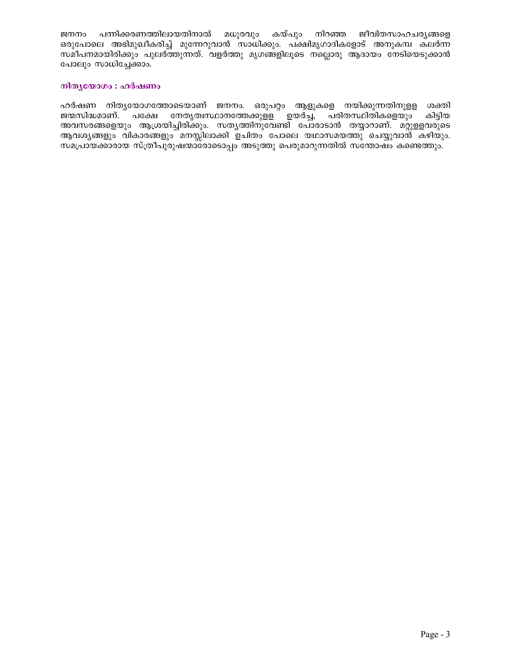ജനനം പന്നിക്കരണത്തിലായതിനാൽ മധുരവും കയ്പും നിറഞ്ഞ ജീവിതസാഹചര്യങ്ങളെ ഒരുപോലെ അഭിമുഖീകരിച്ച് മുന്നേറുവാൻ സാധിക്കും. പക്ഷിമൃഗാദികളോട് അനുകമ്പ കലർന്ന സമീപനമായിരിക്കും പുലർത്തുന്നത്. വളർത്തു മൃഗങ്ങളിലൂടെ നല്ലൊരു ആദായം നേടിയെടുക്കാൻ പോലും സാധിച്ചേക്കാം.

### നിതൃയോഗം : ഹർഷണം

ഹർഷണ നിതൃയോഗത്തോടെയാണ് ജനനം. ഒരുപറ്റം ആളുകളെ നയിക്കുന്നതിനുളള ശക്തി ജന്മസിദ്ധമാണ്. പക്ഷേ നേതൃത്വസ്ഥാനത്തേക്കുള്ള ഉയർച്ച, പരിതസ്ഥിതികളെയും കിടിയ അവസരങ്ങളെയും ആശ്രയിച്ചിരിക്കും. സതൃത്തിനുവേണ്ടി പോരാടാൻ തയ്യാറാണ്. മറ്റുളളവരുടെ ആവശ്യങ്ങളും വികാരങ്ങളും മനസ്സിലാക്കി ഉചിതം പോലെ യഥാസമയത്തു ചെയ്യുവാൻ കഴിയും. സമപ്രായക്കാരായ സ്ത്രീപുരുഷന്മാരോടൊപ്പം അടുത്തു പെരുമാറുന്നതിൽ സന്തോഷം കണ്ടെത്തും.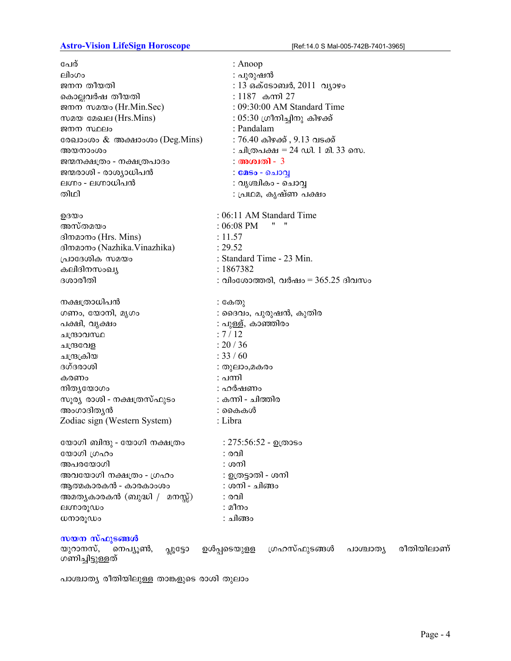## **Astro-Vision LifeSign Horoscope**

| പേര്                                              | : Anoop                                                |
|---------------------------------------------------|--------------------------------------------------------|
| ലിംഗം                                             | : പുരുഷൻ                                               |
| ജനന തീയതി                                         | : 13 ഒക്ടോബർ, 2011 വ്യാഴം                              |
| കൊല്ലവർഷ തീയതി                                    | : 1187 കന്നി 27                                        |
| ജനന സമയം (Hr.Min.Sec)                             | : 09:30:00 AM Standard Time                            |
| സമയ മേഖല (Hrs.Mins)                               | : 05:30 ഗ്രീനിച്ചിനു കിഴക്ക്                           |
| ജനന സ്ഥലം                                         | : Pandalam                                             |
| രേഖാംശം & അക്ഷാംശം (Deg.Mins)                     | : 76.40 കിഴക്ക് , 9.13 വടക്ക്                          |
| അയനാംശം                                           | : ചിത്രപക്ഷ = 24 ഡി. 1 മി. 33 സെ.                      |
| ജന്മനക്ഷത്രം - നക്ഷത്രപാദം                        | : അശ്വതി - 3                                           |
| ജന്മരാശി - രാശ്യാധിപൻ                             | : മേടം - ചൊവ്വ                                         |
| ലഗ്നം - ലഗ്നാധിപൻ                                 | : വൃശ്ചികം - ചൊവ്വ                                     |
| തിഥി                                              | ∶ പ്രഥമ, കൃഷ്ണ പക്ഷം                                   |
| ഉദയം                                              | : 06:11 AM Standard Time                               |
| അസ്തമയം                                           | 11<br>$:06:08$ PM                                      |
| ദിനമാനം (Hrs. Mins)                               | : 11.57                                                |
| ദിനമാനം (Nazhika.Vinazhika)                       | : 29.52                                                |
| പ്രാദേശിക സമയം                                    | : Standard Time - 23 Min.                              |
| കലിദിനസംഖ്യ                                       | : 1867382                                              |
| ദശാരീതി                                           | : വിംശോത്തരി, വർഷം = $365.25$ ദിവസം                    |
| നക്ഷത്രാധിപൻ                                      | : കേതു                                                 |
| ഗണം, യോനി, മൃഗം                                   | : ദൈവം, പുരുഷൻ, കുതിര                                  |
| പക്ഷി, വൃക്ഷം                                     | : പുള്ള്, കാഞ്ഞിരം                                     |
| ചന്ദ്രാവസ്ഥ                                       | : 7/12                                                 |
| ചന്ദ്രവേള                                         | : 20 / 36                                              |
| ചന്ദ്രക്രിയ                                       | : 33 / 60                                              |
| ദഗ്ദരാശി                                          | : തുലാം,മകരം                                           |
| കരണം                                              | : പന്നി                                                |
| നിതൃയോഗം                                          | : ഹർഷണം                                                |
| സൂര്യ രാശി - നക്ഷത്രസ്ഫുടം                        | : കന്നി - ചിത്തിര                                      |
| അംഗാദിത്യൻ                                        | : കൈകൾ                                                 |
| Zodiac sign (Western System)                      | : Libra                                                |
| യോഗി ബിന്ദു - യോഗി നക്ഷത്രം                       | : 275:56:52 - ഉത്രാടം                                  |
| യോഗി ഗ്രഹം                                        | : രവി                                                  |
| അപരയോഗി                                           | : ശനി                                                  |
| അവയോഗി നക്ഷത്രം - ഗ്രഹം                           | : ഉത്രട്ടാതി - ശനി                                     |
| ആത്മകാരകൻ - കാരകാംശം                              | : ശനി - ചിങ്ങം                                         |
| അമതൃകാരകൻ (ബുദ്ധി /  മനസ്സ്)                      | : രവി                                                  |
| ലഗ്നാരൂഡം                                         | : മീനം                                                 |
| ധനാരൂഡം                                           | : ചിങ്ങം                                               |
| സയന സ്ഫുടങ്ങൾ<br>യുറാനസ്,<br>നെപ്യൂൺ,<br>പ്പൂട്ടോ | രീതിയിലാണ്<br>ഉൾപ്പടെയുളള<br>ഗ്രഹസ്ഫുടങ്ങൾ<br>പാശ്ചാതൃ |
| ഗണിച്ചിട്ടുള്ളത്                                  |                                                        |

പാശ്ചാത്യ രീതിയിലുള്ള താങ്കളുടെ രാശി തുലാം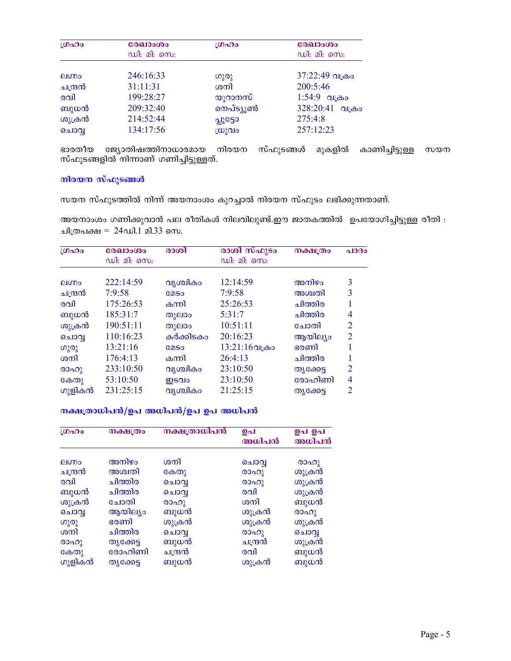| ഗ്രഹം        | രേഖാംശം<br>ഡി: മി: സെ: | ശ്രഹം     | രേഖാംശം<br>ഡി: മി: സെ: |
|--------------|------------------------|-----------|------------------------|
|              |                        |           |                        |
| <b>AluDo</b> | 246:16:33              | ഗുരു      | 37:22:49 വക്രം         |
| ചന്ദ്രൻ      | 31:11:31               | ശനി       | 200:5:46               |
| രവി          | 199:28:27              | യുറാനസ്   | $1:54:9$ വക്രം         |
| ബുധൻ         | 209:32:40              | നെപ്ട്യൂൺ | 328:20:41 വക്രം        |
| ശുക്രൻ       | 214:52:44              | പ്പൂട്ടോ  | 275:4:8                |
| ചൊവൃ         | 134:17:56              | സ്രുവം    | 257:12:23              |

ഭാരതീയ ജ്യോതിഷത്തിനാധാരമായ നിരയന സ്ഫുടങ്ങൾ മുകളിൽ കാണിച്ചിട്ടുള്ള<br>സ്ഫുടങ്ങളിൽ നിന്നാണ് ഗണിച്ചിട്ടുള്ളത്. സയന

### നിരയന സ്ഫുടങ്ങൾ

സയന സ്ഫുടത്തിൽ നിന്ന് അയനാംശം കുറച്ചാൽ നിരയന സ്ഫുടം ലഭിക്കുന്നതാണ്.

അയനാംശം ഗണിക്കുവാൻ പല രീതികൾ നിലവിലുണ്ട്.ഈ ജാതകത്തിൽ ഉപയോഗിച്ചിട്ടുള്ള രീതി : ചിത്രപക്ഷ = 24ഡി.1 മി.33 സെ.

| LOADO        | രേഖാംശം     | രാശി        | രാശി സ്ഫുടം      | നക്ഷത്രം  | $a$ 1030       |
|--------------|-------------|-------------|------------------|-----------|----------------|
|              | ഡി: മി: സെ: |             | ഡി: മി: സെ:      |           |                |
| <b>AIMPO</b> | 222:14:59   | വൃശ്ചികം    | 12:14:59         | അനിഴം     | 3              |
| ചന്ദ്രൻ      | 7:9:58      | <b>COSO</b> | 7:9:58           | അശ്വതി    | 3              |
| രവി          | 175:26:53   | കന്നി       | 25:26:53         | ചിത്തിര   |                |
| ബുധൻ         | 185:31:7    | തുലാം       | 5:31:7           | ചിത്തിര   | 4              |
| ശുക്രൻ       | 190:51:11   | തുലാം       | 10:51:11         | ചോതി      | $\overline{2}$ |
| ചൊവൃ         | 110:16:23   | കർക്കിടകം   | 20:16:23         | ആയില്യം   | $\overline{2}$ |
| ഗുരു         | 13:21:16    | <b>COSO</b> | $13:21:16$ വക്രം | ഭരണി      |                |
| ശനി          | 176:4:13    | കന്നി       | 26:4:13          | ചിത്തിര   | 1              |
| രാഹു         | 233:10:50   | വൃശ്ചികം    | 23:10:50         | തൃക്കേട്ട | $\overline{2}$ |
| കേതു         | 53:10:50    | ഇടവം        | 23:10:50         | രോഹിണി    | 4              |
| ഗുളികൻ       | 231:25:15   | വൃശ്ചികം    | 21:25:15         | തൃക്കേട്ട | 2              |

## നക്ഷത്രാധിപൻ/ഉപ അധിപൻ/ഉപ ഉപ അധിപൻ

| 10000   | നക്ഷത്രം   | നക്ഷത്രാധിപൻ | ഉപ<br>അധിപൻ | ഉപ ഉപ<br>അധിപൻ     |
|---------|------------|--------------|-------------|--------------------|
| eluno   | അനിഴം      | ശനി          |             |                    |
|         |            |              | ചൊവ്        | രാഹു               |
| ചന്ദ്രൻ | അശ്വതി     | കേതു         | (0000)      | ശുക്രൻ             |
| രവി     | ചിത്തിര    | ചൊവൃ         | രാഹു        | ശുക്രൻ             |
| ബുധൻ    | ചിത്തിര    | ചൊവൃ         | രവി         | ശുക്രൻ             |
| ശുക്രൻ  | ചോതി       | (0000)       | ശനി         | ബുധൻ               |
| ചൊവൃ    | ആയില്യം    | ബുധൻ         | ശുക്രൻ      | (00 <sub>0</sub> ) |
| ഗുരു    | ഭരണി       | ശുക്രൻ       | ശുക്രൻ      | ശുക്രൻ             |
| ശനി     | ചിത്തിര    | ചൊവ          | രാഹു        | ചൊവ                |
| രാഹു    | തൃക്കേട്ട  | ബുധൻ         | ചന്ദ്രൻ     | ശുക്രൻ             |
| കേതു    | രോഹിണി     | ചന്ദ്രൻ      | രവി         | ബുധൻ               |
| ഗുളികൻ  | ത്യക്കേട്ട | ബുധൻ         | ശുക്രൻ      | ബുധൻ               |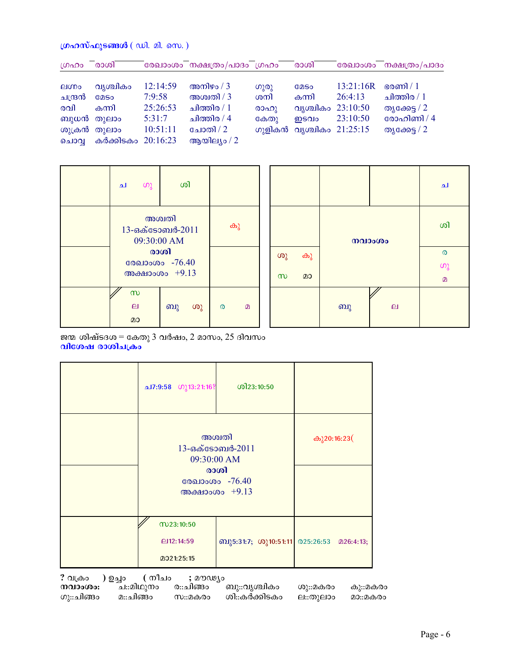### ഗ്രഹസ്ഫുടങ്ങൾ  $(\omega$ ി. മി. സെ.)

| ഗ്രഹം        | രാശി               |          | രേഖാംശം നക്ഷത്രം/പാദം ഗ്രഹം |      | രാശി                     |           | രേഖാംശം നക്ഷത്രം/പാദം |
|--------------|--------------------|----------|-----------------------------|------|--------------------------|-----------|-----------------------|
|              |                    |          |                             |      |                          |           |                       |
| <b>EIODO</b> | വൃശ്ചികം           | 12:14:59 | അനിഴം / $3$                 | (0)  | <b>COSO</b>              | 13:21:16R | ഭരണി / $1$            |
| ചന്ദ്രൻ      | <b>COSO</b>        | 7:9:58   | അശ്വതി / 3                  | ശനി  | കന്നി                    | 26:4:13   | ചിത്തിര / $1$         |
| രവി          | കന്നി              | 25:26:53 | ചിത്തിര / $1$               | രാഹു | വൃശ്ചികം 23:10:50        |           | തൃക്കേട്ട / 2         |
|              | ബുധൻ തുലാം         | 5:31:7   | ചിത്തിര / 4                 | കേതു | ഇടവം                     | 23:10:50  | രോഹിണി / 4            |
|              | ശുക്രൻ തുലാം       | 10:51:11 | ചോതി / 2                    |      | ഗുളികൻ വൃശ്ചികം 21:25:15 |           | തൃക്കേട്ട / 2         |
| ചൊവ          | കർക്കിടകം 20:16:23 |          | ആയില്യം / $2$               |      |                          |           |                       |

| ച                                        | ഗു                                          | ശി |    |   |   |
|------------------------------------------|---------------------------------------------|----|----|---|---|
|                                          | അശ്വതി<br>$13$ -ഒക്ടോബർ-2011<br>09:30:00 AM |    | കു |   |   |
| രാശി<br>രേഖാംശം -76.40<br>അക്ഷാംശം +9.13 |                                             |    |    |   |   |
| $\infty$<br>ല<br>മാ                      |                                             | ബു | ശു | ര | m |

|          |    |    |                | ച        |
|----------|----|----|----------------|----------|
|          |    |    | നവാംശം         | ശി       |
| ശു       | കു |    |                | $\circ$  |
|          |    |    |                | $\omega$ |
| $\infty$ | മാ |    |                | $\Omega$ |
|          |    | ബു | $\overline{a}$ |          |

ജന്മ ശിഷ്ടദശ $=$  കേതു 3 വർഷം, 2 മാസം, 25 ദിവസം വിശേഷ രാശിചക്രം

| ച7:9:58 ഗു13:21:16?                                                                     | ശി23:10:50                               |  |
|-----------------------------------------------------------------------------------------|------------------------------------------|--|
| അശ്വതി<br>13-எக் தேவு 8-2011<br>09:30:00 AM<br>രാശി<br>രേഖാംശം -76.40<br>അക്ഷാംശം +9.13 | കു20:16:23(                              |  |
| M23:10:50<br>$Q$ 12:14:59<br>2021:25:15                                                 | ബു5:31:7; ശു10:51:11 025:26:53 മ26:4:13; |  |

) ഉച്ചം ? വക്രം ( നീചം ; മൗഢ്യം

നവാംശം: ച::മിഥുനം ര::ചിങ്ങം ബു::വൃശ്ചികം ശു::മകരം കു::മകരം ശി::കര്ക്കിടകം ഗു::ചിങ്ങം മ∷ചിങ്ങം സ::മകരം ല∷തുലാം മാ::മകരം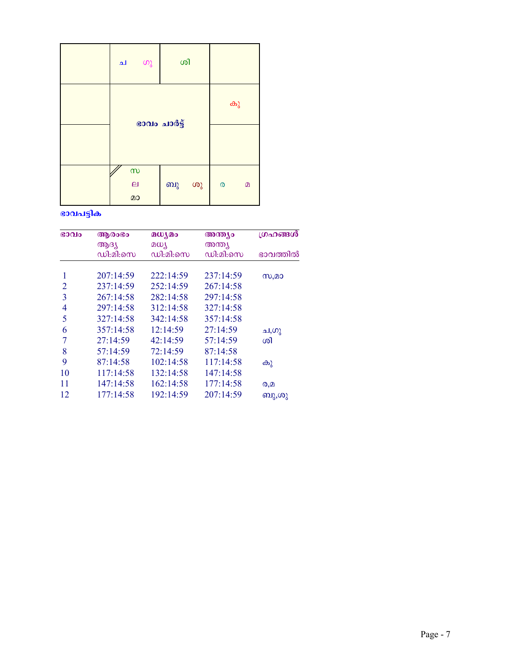| ഗു<br>ച                                     | ശി           |                               |
|---------------------------------------------|--------------|-------------------------------|
|                                             | ഭാവം ചാർട്ട് | കു                            |
|                                             |              |                               |
| $\infty$<br>$\boldsymbol{\mathsf{e}}$<br>മാ | ശു<br>ബു     | $\pmb{\circ}$<br>$\mathbf{D}$ |

## ഭാവപട്ടിക

| G0Q10          | ആരംഭം     | മധ്യമം    | അന്ത്യം   | ഗ്രഹങ്ങൾ |
|----------------|-----------|-----------|-----------|----------|
|                | ആദ്യ      | മധ്യ      | അന്ത്യ    |          |
|                | ഡി:മി:സെ  | ഡി:മി:സെ  | ഡി:മി:സെ  | ഭാവത്തിൽ |
| 1              | 207:14:59 | 222:14:59 | 237:14:59 | സ,മാ     |
| 2              | 237:14:59 | 252:14:59 | 267:14:58 |          |
| 3              | 267:14:58 | 282:14:58 | 297:14:58 |          |
| 4              | 297:14:58 | 312:14:58 | 327:14:58 |          |
| 5              | 327:14:58 | 342:14:58 | 357:14:58 |          |
| 6              | 357:14:58 | 12:14:59  | 27:14:59  | ച,ഗു     |
| $\overline{7}$ | 27:14:59  | 42:14:59  | 57:14:59  | ശി       |
| 8              | 57:14:59  | 72:14:59  | 87:14:58  |          |
| 9              | 87:14:58  | 102:14:58 | 117:14:58 | കു       |
| 10             | 117:14:58 | 132:14:58 | 147:14:58 |          |
| 11             | 147:14:58 | 162:14:58 | 177:14:58 | Q,D      |
| 12             | 177:14:58 | 192:14:59 | 207:14:59 | ബു,ശു    |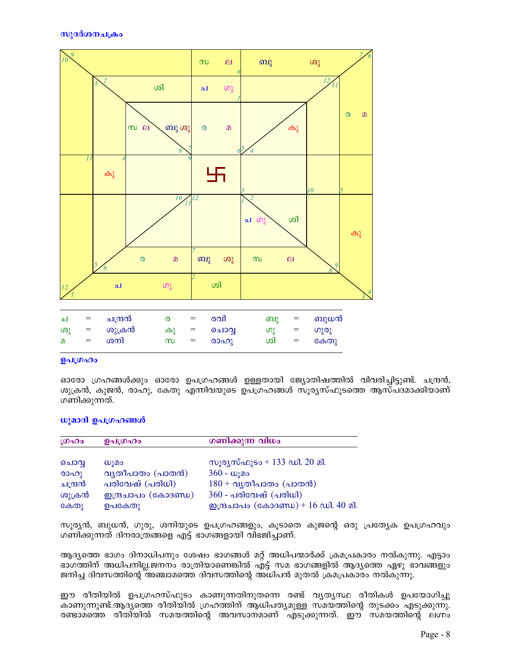

|     |          |       |     |      |          |                   | $\sim$ |
|-----|----------|-------|-----|------|----------|-------------------|--------|
| (0) | = ശുക്രൻ | കൂ    | $=$ | ചൊവ  | ທາ       | $=$               | ഗുരു   |
| Ø.  | = ശനി    | $m =$ |     | രാഹു | <u>s</u> | $\alpha = \alpha$ | കേത;   |

### ഉപഗ്രഹം

ഓരോ ഗ്രഹങ്ങൾക്കും ഓരോ ഉപഗ്രഹങ്ങൾ ഉള്ളതായി ജ്യോതിഷത്തിൽ വിവരിച്ചിട്ടുണ്ട്. ചന്ദ്രൻ, ശുക്രൻ, കുജൻ, രാഹു, കേതു എന്നിവയുടെ ഉപഗ്രഹങ്ങൾ സൂര്യസ്ഫുടത്തെ ആസ്പദമാക്കിയാണ് ഗണിക്കുന്നത്.

### ധൂമാദി ഉപഗ്രഹങ്ങൾ

| ശ്രഹം   | ഉപഗ്രഹം                       | ഗണിക്കുന്ന വിധം                             |
|---------|-------------------------------|---------------------------------------------|
| ചൊവ്വ   | W <sub>1</sub> Q <sub>0</sub> | സൂര്യസ്ഫുടം + 133 ഡി. 20 മി.                |
| രാഹു    | വ്യതീപാതം (പാതൻ)              | $360 - \omega$ ുമം                          |
| ചന്ദ്രൻ | പരിവേഷ് (പരിധി)               | $180 + \alpha$ ൃതീപാതം (പാതൻ)               |
| ശുക്രൻ  | <u>മന്ദ്രചാപം</u> (കോദണ്ഡ)    | $360$ - പരിവേഷ് (പരിധി)                     |
| കേതു    | ഉപകേതു                        | <u> ഇന്ദ്രചാപം</u> (കോദണ്ഡ) + 16 ഡി. 40 മി. |

സൂര്യൻ, ബുധൻ, ഗുരു, ശനിയുടെ ഉപഗ്രഹങ്ങളും, കൂടാതെ കുജന്റെ ഒരു പ്രത്യേക ഉപഗ്രഹവും ഗണിക്കുന്നത് ദിനരാത്രങ്ങളെ എട്ട് ഭാഗങ്ങളായി വിഭജിച്ചാണ്.

ആദ്യത്തെ ഭാഗം ദിനാധിപനും ശേഷം ഭാഗങ്ങൾ മറ്റ് അധിപന്മാർക്ക് ക്രമപ്രകാരം നൽകുന്നു. എട്ടാം ഭാഗത്തിന് അധിപനില്ല.ജനനം രാത്രിയാണെങ്കിൽ എ്ട്ട് സമ ഭാഗങ്ങളിൽ ആദ്യത്തെ ഏഴു ഭാവങ്ങളും ജനിച്ച ദിവസത്തിന്റെ അഞ്ചാമത്തെ ദിവസത്തിന്റെ അധിപൻ മുതൽ ക്രമപ്രകാരം നൽകുന്നു.

ഈ രീതിയിൽ ഉപഗ്രഹസ്ഫുടം കാണുന്നതിനുതന്നെ രണ്ട് വൃത്യസ്ഥ രീതികൾ ഉപയോഗിച്ചു കാണുന്നുണ്ട്.ആദ്യത്തെ രീതിയിൽ ഗ്രഹത്തിന് ആധിപത്യമുള്ള സമയത്തിന്റെ തുടക്കം എടുക്കുന്നു. രണ്ടാമത്തെ രീതിയിൽ സമയത്തിന്റെ അവസാനമാണ് എടുക്കുന്നത്. ഈ സമയത്തിന്റെ ലഗ്നം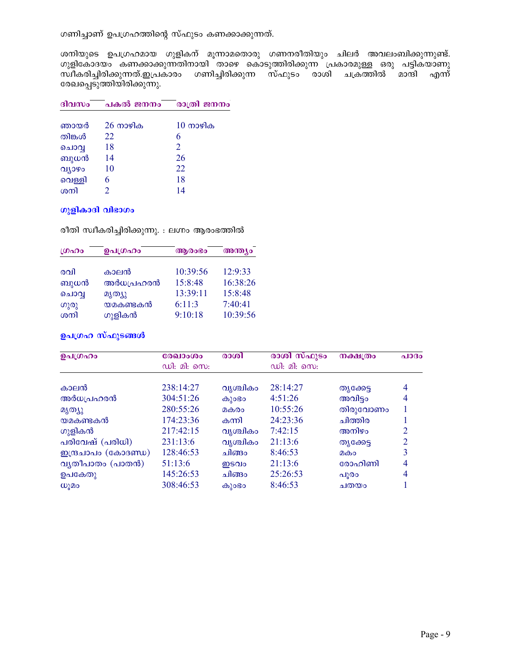ഗണിച്ചാണ് ഉപഗ്രഹത്തിന്റെ സ്ഫുടം കണക്കാക്കുന്നത്.

ശനിയുടെ ഉപഗ്രഹമായ ഗുളികന് മൂന്നാമതൊരു ഗണനരീതിയും ചിലർ അവലംബിക്കുന്നുണ്ട്. ്ഗുളികോദയം കണക്കാക്കുന്നതിനായി താഴെ കൊടുത്തിരിക്കുന്ന**് പ്രകാരമുള്ള ഒരു പട്ടിക്യാണു** സ്ഥീകരിച്ചിരിക്കുന്നത്.ഇപ്രകാരം ഗണിച്ചിരിക്കുന്ന സ്ഫുടം രാശി ചക്രത്തിൽ മാന്ദി എന്ന് രേഖപ്പെടുത്തിയിരിക്കുന്നു.

| ദിവസം  | പകൽ ജനനം           | രാത്രി ജനനം        |
|--------|--------------------|--------------------|
| ഞായർ   | $26 \text{ m}$ ഴിക | $10 \text{ m}$ ഴിക |
| തിങ്കൾ | 22                 | 6                  |
| ചൊവൃ   | 18                 | 2                  |
| ബുധൻ   | 14                 | 26                 |
| വ്യാഴം | 10                 | 22                 |
| വെള്ളി | 6                  | 18                 |
| ശനി    |                    | 14                 |

### ഗുളികാദി വിഭാഗം

രീതി സ്വീകരിച്ചിരിക്കുന്നു. : ലഗ്നം ആരംഭത്തിൽ

| ശ്രഹം | ഉപഗ്രഹം   | ആരാഭാ    | അന്ത്യം  |  |
|-------|-----------|----------|----------|--|
|       |           |          |          |  |
| രവി   | കാലൻ      | 10:39:56 | 12:9:33  |  |
| ബുധൻ  | അർധപ്രഹരൻ | 15:8:48  | 16:38:26 |  |
| ചൊവൃ  | മൃത്യു    | 13:39:11 | 15:8:48  |  |
| ഗുരു  | യമകണ്ടകൻ  | 6:11:3   | 7:40:41  |  |
| ശനി   | ഗുളികൻ    | 9:10:18  | 10:39:56 |  |

### ഉപഗ്രഹ സ്ഫുടങ്ങൾ

| ഉപഗ്രഹം             | രേഖാംശം<br>ഡി: മി: സെ: | രാശി     | രാശി സ്ഫുടം<br>ഡി: മി: സെ: | <b>നക്ഷ</b> ത്രം | പാദം           |
|---------------------|------------------------|----------|----------------------------|------------------|----------------|
|                     | 238:14:27              |          | 28:14:27                   |                  |                |
| കാലൻ                |                        | വൃശ്ചികം |                            | തൃക്കേട്ട        | $\overline{4}$ |
| അർധപ്രഹരൻ           | 304:51:26              | കുാഭാ    | 4:51:26                    | അവിട്ടം          | 4              |
| മൃത്യു              | 280:55:26              | മകരം     | 10:55:26                   | തിരുവോണം         |                |
| യമകണ്ടകൻ            | 174:23:36              | കന്നി    | 24:23:36                   | ചിത്തിര          |                |
| ഗുളികൻ              | 217:42:15              | വൃശ്ചികം | 7:42:15                    | അനിഴം            | 2              |
| പരിവേഷ് (പരിധി)     | 231:13:6               | വൃശ്ചികം | 21:13:6                    | തൃക്കേട്ട        | 2              |
| ഇന്ദ്രചാപം (കോദണ്ഡ) | 128:46:53              | ചിങ്ങം   | 8:46:53                    | മകം              | 3              |
| വ്യതീപാതം (പാതൻ)    | 51:13:6                | ഇടവം     | 21:13:6                    | രോഹിണി           | $\overline{4}$ |
| ഉപകേതു              | 145:26:53              | ചിങ്ങം   | 25:26:53                   | പൂരാ             | 4              |
| W)20                | 308:46:53              | കുാഭാ    | 8:46:53                    | ചതയം             |                |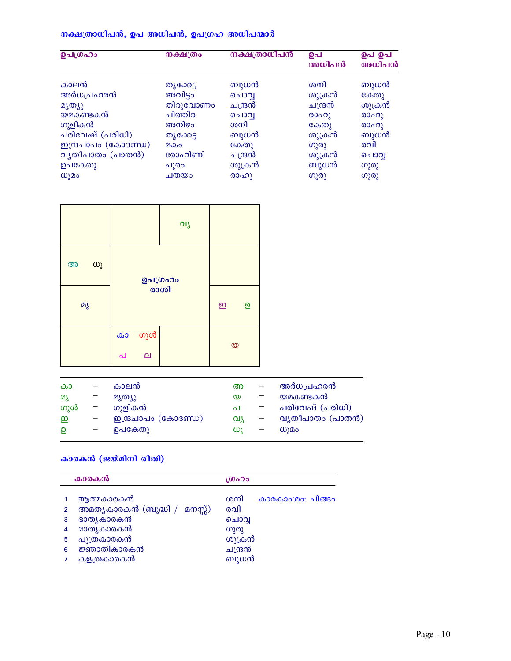## നക്ഷത്രാധിപൻ, ഉപ അധിപൻ, ഉപഗ്രഹ അധിപന്മാർ

| ഉപഗ്രഹം             | നക്ഷത്രം  | നക്ഷത്രാധിപൻ | ഉപ<br>അധിപൻ | ഉപ ഉപ<br>അധിപൻ     |
|---------------------|-----------|--------------|-------------|--------------------|
| കാലൻ                | തൃക്കേട്ട | ബുധൻ         | ശനി         | ബുധൻ               |
|                     |           |              |             |                    |
| അർധപ്രഹരൻ           | അവിട്ടം   | ചൊവ          | ശുക്രൻ      | കേതു               |
| മൃത്യു              | തിരുവോണം  | ചന്ദ്രൻ      | ചന്ദ്രൻ     | ശുക്രൻ             |
| യമകണ്ടകൻ            | ചിത്തിര   | ചൊവൃ         | രാഹു        | (000)              |
| ഗുളികൻ              | അനിഴം     | ശനി          | കേതു        | (00 <sub>0</sub> ) |
| പരിവേഷ് (പരിധി)     | തൃക്കേട്ട | ബുധൻ         | ശുക്രൻ      | ബുധൻ               |
| ഇന്ദ്രചാപം (കോദണ്ഡ) | മകം       | കേതു         | ഗുരു        | രവി                |
| വ്യതീപാതം (പാതൻ)    | രോഹിണി    | ചന്ദ്രൻ      | ശുക്രൻ      | ചൊവ്വ              |
| ഉപകേതു              | പൂരം      | ശുക്രൻ       | ബുധൻ        | ഗുരു               |
| ധൂമം                | ചതയം      | രാഹു         | ഗുരു        | ഗുരു               |

|                      |                                | വു                         |                |  |
|----------------------|--------------------------------|----------------------------|----------------|--|
| $\omega$<br>$\omega$ | ഉപഗ്രഹം                        |                            |                |  |
| മൃ                   | രാശി                           | $\underline{\mathfrak{D}}$ | $\overline{2}$ |  |
|                      | ഗുൾ<br>കാ<br>$\mathbf{p}$<br>പ |                            | $\infty$       |  |

| കാ  | $=$ | കാലൻ                       | അ        | $=$ | അർധപ്രഹരൻ                     |
|-----|-----|----------------------------|----------|-----|-------------------------------|
| മൃ  | $=$ | മൃത്യു                     | $\infty$ | $=$ | യമകണ്ടകൻ                      |
| ഗുൾ | $=$ | ഗുളികൻ                     | പ        |     | പരിവേഷ് (പരിധി)               |
| ஹ   | $=$ | <u>മന്ദ്രചാപം</u> (കോദണ്ഡ) | വ്യ      | $=$ | വ്യതീപാതം (പാതൻ)              |
| ഉ   | $=$ | ഉപകേതു                     | W)       | $=$ | W <sub>1</sub> 2 <sub>0</sub> |
|     |     |                            |          |     |                               |

## കാരകൻ (ജയ്മിനി രീതി)

|                | കാരകൻ                           | ശ്രഹം                   |  |  |  |  |
|----------------|---------------------------------|-------------------------|--|--|--|--|
|                | ആത്മകാരകൻ                       | ശനി<br>കാരകാംശം: ചിങ്ങം |  |  |  |  |
| $\mathfrak{p}$ | അമത്യകാരകൻ (ബുദ്ധി /<br>മനസ്സ്) | രവി                     |  |  |  |  |
| 3              | ഭാതൃകാരകൻ                       | ചൊവ്വ                   |  |  |  |  |
| 4              | മാതൃകാരകൻ                       | ഗുരു                    |  |  |  |  |
| 5              | പുത്രകാരകൻ                      | ശുക്രൻ                  |  |  |  |  |
| 6              | ജ്ഞാതികാരകൻ                     | ചന്ദ്രൻ                 |  |  |  |  |
| 7              | കളത്രകാരകൻ                      | ബുധൻ                    |  |  |  |  |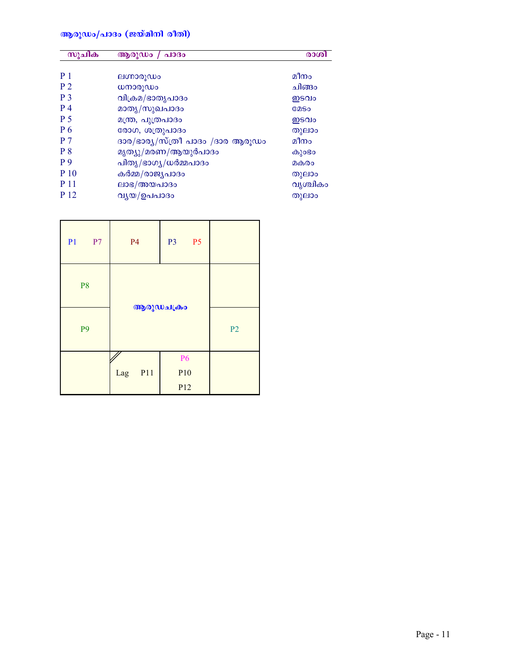## ആരുഡം/പാദം (ജയ്മിനി രീതി)

| സൂചിക          | ആരുഡം /<br>പാദം                  | രാശി        |
|----------------|----------------------------------|-------------|
| P <sub>1</sub> | ലഗ്നാരൂഡം                        | മീനം        |
| P <sub>2</sub> | ധനാരൂഡം                          | ചിങ്ങം      |
| P <sub>3</sub> | വിക്രമ/ഭാതൃപാദം                  | ഇടവം        |
| P 4            | മാതൃ/സുഖപാദം                     | <b>COSO</b> |
| P <sub>5</sub> | മന്ത്ര, പുത്രപാദം                | ഇടവം        |
| P <sub>6</sub> | രോഗ, ശത്രുപാദം                   | തുലാം       |
| <b>P</b> 7     | ദാര/ഭാര്യ/സ്ത്രീ പാദം /ദാര ആരൂഡം | മീനം        |
| P <sub>8</sub> | മൃത്യു/മരണ/ആയുർപാദം              | കുാഭാ       |
| P9             | പിതൃ/ഭാഗൃ/ധർമ്മപാദം              | മകരം        |
| P 10           | കർമ്മ/രാജ്യപാദം                  | തുലാം       |
| <b>P</b> 11    | ലാഭ/അയപാദം                       | വൃശ്ചികം    |
| P 12           | വൃയ/ഉപപാദം                       | തുലാം       |

| P <sub>1</sub><br>P7 | <b>P4</b>  | P <sub>5</sub><br><b>P3</b>                     |                |
|----------------------|------------|-------------------------------------------------|----------------|
| P <sub>8</sub>       |            |                                                 |                |
| P <sub>9</sub>       |            | ആരുഡചക്രം                                       | P <sub>2</sub> |
|                      | P11<br>Lag | <b>P6</b><br>P <sub>10</sub><br>P <sub>12</sub> |                |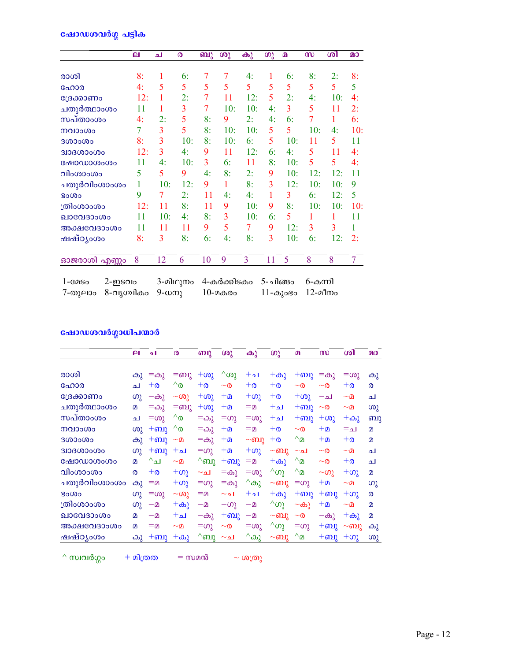## <u>ഷോഡശവർഗ്ഗ</u> പട്ടിക

|                        | ല   | ച   | $\boldsymbol{\omega}$ | ബു | ശു  | കു  | $\omega$ | $\Omega$ | $\boldsymbol{\omega}$ | ശി  | $\Omega$       |
|------------------------|-----|-----|-----------------------|----|-----|-----|----------|----------|-----------------------|-----|----------------|
| രാശി                   | 8:  | 1   | 6:                    | 7  | 7   | 4:  | 1        | 6:       | 8:                    | 2:  | 8:             |
| ഹോര                    | 4:  | 5   | 5                     | 5  | 5   | 5   | 5        | 5        | 5                     | 5   | 5              |
| ക്രോണം                 | 12: | 1   | 2:                    | 7  | 11  | 12: | 5        | 2:       | 4:                    | 10: | 4:             |
| ചതുർത്ഥാംശം            | 11  | 1   | 3                     | 7  | 10: | 10: | 4:       | 3        | 5                     | 11  | 2:             |
| സപ്താംശം               | 4:  | 2:  | 5                     | 8: | 9   | 2:  | 4:       | 6:       | 7                     | 1   | 6:             |
| നവാംശം                 | 7   | 3   | 5                     | 8: | 10: | 10: | 5        | 5        | 10:                   | 4:  | 10:            |
| 0.000000               | 8:  | 3   | 10:                   | 8: | 10: | 6:  | 5        | 10:      | 11                    | 5   | 11             |
| <b>GJOGOOSCIE</b>      | 12: | 3   | 4:                    | 9  | 11  | 12: | 6:       | 4:       | 5                     | 11  | 4:             |
| ഷോഡാശംശം               | 11  | 4:  | 10:                   | 3  | 6:  | 11  | 8:       | 10:      | 5                     | 5   | 4:             |
| വിംശാംശം               | 5   | 5   | 9                     | 4: | 8:  | 2:  | 9        | 10:      | 12:                   | 12: | 11             |
| ചതുർവിംശാംശം           | 1   | 10: | 12:                   | 9  | 1   | 8:  | 3        | 12:      | 10:                   | 10: | 9              |
| <b>Go</b> <sub>O</sub> | 9   | 7   | 2:                    | 11 | 4:  | 4:  | 1        | 3        | 6:                    | 12: | 5              |
| ത്രിംശാംശം             | 12: | 11  | 8:                    | 11 | 9   | 10: | 9        | 8:       | 10:                   | 10: | 10:            |
| ഖാവേദാംശം              | 11  | 10: | 4:                    | 8: | 3   | 10: | 6:       | 5        | 1                     | 1   | 11             |
| അക്ഷവേദാംശം            | 11  | 11  | 11                    | 9  | 5   | 7   | 9        | 12:      | 3                     | 3   | 1              |
| ഷഷ്ഠൃംശം               | 8:  | 3   | 8:                    | 6: | 4:  | 8:  | 3        | 10:      | 6:                    | 12: | 2:             |
| ഓജരാശി എണ്ണം           | 8   | 12  | 6                     | 10 | 9   | 3   | 11       | 5        | 8                     | 8   | $\overline{7}$ |

| $1$ -C $2$ So | 2-ഇടവം                   | 3-മിഥുനം 4-കർക്കിടകം 5-ചിങ്ങം 6-കന്നി |                        |  |
|---------------|--------------------------|---------------------------------------|------------------------|--|
|               | 7-തുലാം 8-വൃശ്ചികം 9-ധനു | $10$ -മകരം                            | $11$ -കുംഭം $12$ -മീനം |  |

# ഷോഡശവർഗ്ഗാധിപന്മാർ

|                  | $\mathbf{p}$ | لم            | ര               | ബു             | ശു              | കു             | ഗു             | $\boldsymbol{p}$                           | m            | ശി          | $\Omega$                   |
|------------------|--------------|---------------|-----------------|----------------|-----------------|----------------|----------------|--------------------------------------------|--------------|-------------|----------------------------|
|                  |              |               |                 |                |                 |                |                |                                            |              |             |                            |
| രാശി             | കു           | $=$ $\omega$  | =ബു             | $+\omega$ ു    | $^{\wedge}$ ശു  | $+$ لە         | $+\omega$ კ    | $+$ ബു                                     | $=$ കു       | $=\infty$   | കു                         |
| ഹോര              | ا م          | $+\infty$     | $^{\wedge}$     | $+o$           | $\sim$ $\infty$ | $+0$           | $+0$           | $\sim$ ര                                   | $\sim$ 0     | $+{\tt o}$  | $\infty$                   |
| ്രേക്കാണം        | ഗു           | $=$ കു        | $~\sim$ ശു      | $+\omega$ ു    | $+2$            | $+\omega$      | $+0$           | $+\omega$                                  | $=$ $\Delta$ | $\sim$ മ    | ച                          |
| ചതുർത്ഥാംശം      | മ            | $=$ കു        | $=$ ബു          | $+\omega$      | $+2$            | $=$ $\Omega$   | $+$ له         | $+$ ബു                                     | $\sim$ 0     | $\sim$ മ    | (0)                        |
| സപ്താംശം         | ا م          | $=\infty$ ു   | $^{\wedge}$     | =കു            | $=\infty$       | $=\infty$      | $+$ له         | $+$ ബു                                     | $+\omega$ ു  | $+\omega$ ു | ബു                         |
| നവാംശം           | ശു           | $+$ ബു        | $^{\wedge}$     | =കു            | $+2$            | $= 2$          | $+o$           | $\sim$ 0                                   | $+2$         | =ച          | $\Omega$                   |
| 0000000          | കു           | $+$ ബു        | $\sim$ മ        | $=$ കു         | $+$ ወ           | $\sim$ ബു      | $+o$           | $^{\wedge}$ $\Omega$                       | $+2$         | $+\infty$   | $\Omega$                   |
| <b>BIOBOOOOO</b> | ഗു           | $+$ ബു        | $+$ له          | $=\omega$      | $+2$            | $+\omega$      | $\sim$ ബു      | ∼ച                                         | $\sim$ 0     | $\sim$ മ    | ച                          |
| ഷോഡാശംശം         | മ            | $^{\wedge}$ ച | $\sim$ $\Omega$ | $^{\wedge}$ ബു | $+$ ബു          | <u>©=</u>      | $+\omega$      | $^{\wedge}$ <sup><math>\Omega</math></sup> | $\sim$ ര     | $+ \infty$  | ا م                        |
| വിംശാംശം         | ര            | $+0$          | $+\omega$       | ∼ച             | $=$ കു          | $=\infty$      | $^{\wedge}$ ഗു | $^{\wedge}$                                | $\sim$ ഗു    | $+\omega$ კ | $\mathbf{D}$               |
| ചതുർവിംശാംശം     | കു           | =മ            | $+\omega$ ു     | $=\infty$      | $=$ കു          | ^കു            | $\sim$ ബു      | $=\omega$                                  | $+2$         | $\sim$ മ    | ഗു                         |
| ഭംശം             | ഗു           | $=\infty$ ു   | $\sim$ ശു       | $=$ $\Omega$   | ∼ച              | $+$ له         | $+\omega$ ു    | $+$ ബു                                     | $+$ ബു       | $+\omega$   | $\boldsymbol{\omega}$      |
| ത്രിംശാംശം       | ഗു           | $=$ $\Omega$  | $+\omega$ ു     | $=$ $\Omega$   | $=\infty$ ു     | =മ             | $^{\wedge}$ ഗു | $\sim$ കു                                  | $+2$         | $\sim$ മ    | $\Omega$                   |
| ഖാവേദാംശം        | മ            | =മ            | $+$ لە          | =കു            | $+$ ബു          | <u>©=</u>      | $\sim$ ബു      | $\sim$ 0                                   | $=$ $\omega$ | $+\omega$ ു | $\boldsymbol{\mathcal{D}}$ |
| അക്ഷവേദാംശം      | മ            | $=$ $\Omega$  | $\sim$ $\Omega$ | $=\infty$      | $\sim$ 0        | $=\infty$      | $^{\wedge}$ ഗു | $=\infty$ ു                                | $+$ ബു       | $\sim$ ബു   | കു                         |
| ഷഷ്ഠൃംശം         | കു           | $+$ ബു        | $+\omega$ კ     | $^{\wedge}$ ബു | ∼ച              | $^{\wedge}$ കു | $\sim$ ബു      | $^{\wedge}$                                | $+$ ബു       | $+\omega$   | ശു                         |

 $\wedge$  സ്വവർഗ്ഗം + മിത്രത = സമൻ ~ ശത്രു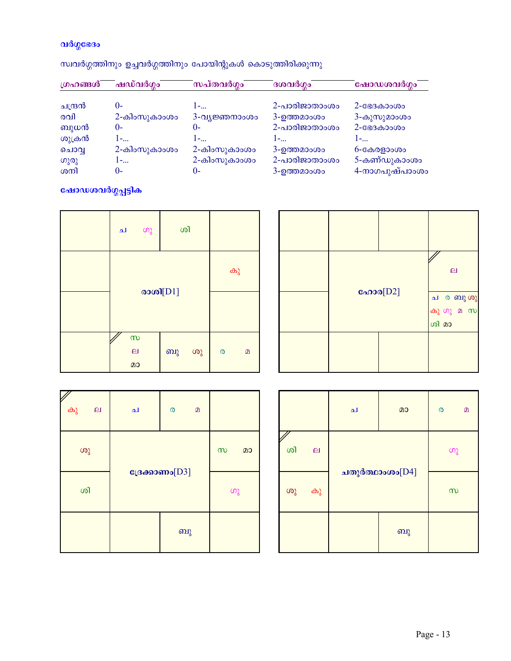## വർഗ്ഗഭേദം

| ഗ്രഹങ്ങൾ | ഷഡ്വർഗ്ഗം    | സപ്തവർഗ്ഗം    | ദശവർഗ്ഗം      | ഷോഡശവർഗ്ഗം          |
|----------|--------------|---------------|---------------|---------------------|
| ചന്ദ്രൻ  | $()$ -       | 1-            | 2-പാരിജാതാംശം | $2 - G = 3.30000$   |
| രവി      | 2-കിംസുകാംശം | 3-വ്യജ്ഞനാംശം | 3-ഉത്തമാംശം   | 3-കുസുമാംശം         |
| ബുധൻ     | $()$ -       | $()$ -        | 2-പാരിജാതാംശം | $2 - $ $883 - 3000$ |
| ശുക്രൻ   | 1-           | 1-            | 1-            | 1-                  |
| ചൊവൃ     | 2-കിംസുകാംശം | 2-കിംസുകാംശം  | 3-ഉത്തമാംശം   | $6 - $ കേരളാംശം     |
| ഗുരു     | 1-           | 2-കിംസുകാംശം  | 2-പാരിജാതാംശം | 5-കണ്ഡുകാംശം        |
| ശനി      | $()$ -       | ()-           | 3-ഉത്തമാംശം   | 4-നാഗപുഷ്പാംശം      |

സ്ഥവർഗ്ഗത്തിനും ഉച്ചവർഗ്ഗത്തിനും പോയിന്റുകൾ കൊടുത്തിരിക്കുന്നു

# ഷോഡശവർഗ്ഗപ്പട്ടിക

| ച | ഗു                                          | ശി       |    |                    |    |
|---|---------------------------------------------|----------|----|--------------------|----|
|   |                                             |          |    |                    | കു |
|   |                                             | രാശി[D1] |    |                    |    |
|   | $\infty$<br>$\boldsymbol{\mathsf{e}}$<br>മാ | ബു       | ശു | $\pmb{\heartsuit}$ | മ  |

| ഹോര $[D2]$ | $\boldsymbol{\mathsf{e}}$<br>ച ര ബു ശു<br>കുഗുമസ<br>ശി മാ |
|------------|-----------------------------------------------------------|
|            |                                                           |

| കു<br>$\mathbf{p}$ | ച                 | ര | $\Omega$ |          |    |
|--------------------|-------------------|---|----------|----------|----|
| ശു                 |                   |   |          | $\infty$ | മാ |
| ശി                 | ദ്രേക്കാണം $[D3]$ |   |          | ഗു       |    |
|                    |                   |   | ബു       |          |    |

|    |        | ച | മാ              | ര        | $\Omega$ |
|----|--------|---|-----------------|----------|----------|
| ശി | $\Box$ |   |                 | $\omega$ |          |
| ശു | കു     |   | ചതുർത്ഥാംശം[D4] |          |          |
|    |        |   | வு              |          |          |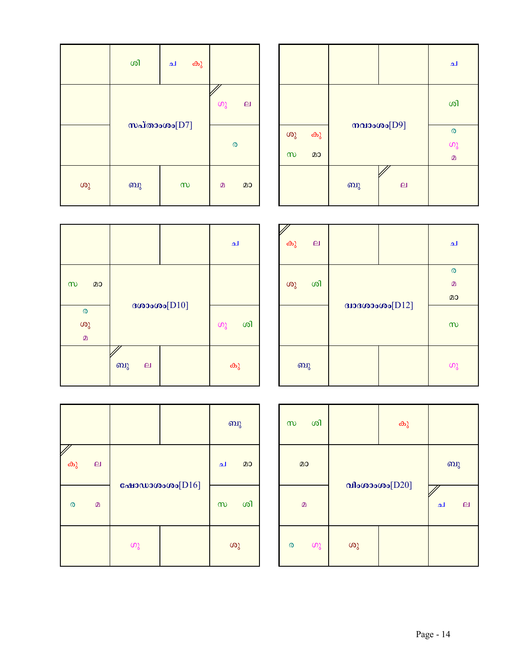|          |    |               |                       | ച        |
|----------|----|---------------|-----------------------|----------|
|          |    |               |                       | ശി       |
| ശു       | കു | നവാംശം $[D9]$ | $\boldsymbol{\omega}$ |          |
|          |    |               |                       |          |
| $\infty$ | മാ |               |                       | $\Omega$ |
|          |    | ബു            | $\overline{a}$        |          |

|    | ശി              | ച        | കു |          |              |
|----|-----------------|----------|----|----------|--------------|
|    |                 |          |    | ഗു       | $\mathbf{p}$ |
|    | സപ്താംശം $[D7]$ |          |    | ര        |              |
| ശു | ബു              | $\infty$ |    | $\Omega$ | മാ           |

|                                         |                                 |  | ച        |
|-----------------------------------------|---------------------------------|--|----------|
| $\infty$<br>മാ                          |                                 |  |          |
| $\boldsymbol{\omega}$<br>ശു<br>$\Omega$ | ദശാംശം $[D10]$                  |  | ശി<br>ഗു |
|                                         | ബു<br>$\boldsymbol{\mathsf{e}}$ |  | കു       |

 $\circ$  a

കു ല

| കു<br>$\Box$ |                      | ച            |
|--------------|----------------------|--------------|
|              |                      | ര            |
| ശി<br>ശു     |                      | $\mathbf{D}$ |
|              |                      | മാ           |
|              | $3136000000$ $[D12]$ | $\infty$     |
| ബു           |                      | ഗു           |

|                  | ബു             | கி<br>$\infty$           |        |
|------------------|----------------|--------------------------|--------|
|                  | മാ<br>ച        | മാ                       |        |
| ഷോഡാശംശം $[D16]$ | ശി<br>$\infty$ | $\Omega$                 | വ      |
| ഗു               | ശു             | ഗു<br>$\pmb{\heartsuit}$ | $\cup$ |

| ശി<br>$\infty$ |                  | കു |                   |
|----------------|------------------|----|-------------------|
| മാ             |                  |    | ബു                |
| $\Omega$       | വിംശാംശം $[D20]$ |    | ച<br>$\mathbf{p}$ |
| ഗു<br>ര        | ശു               |    |                   |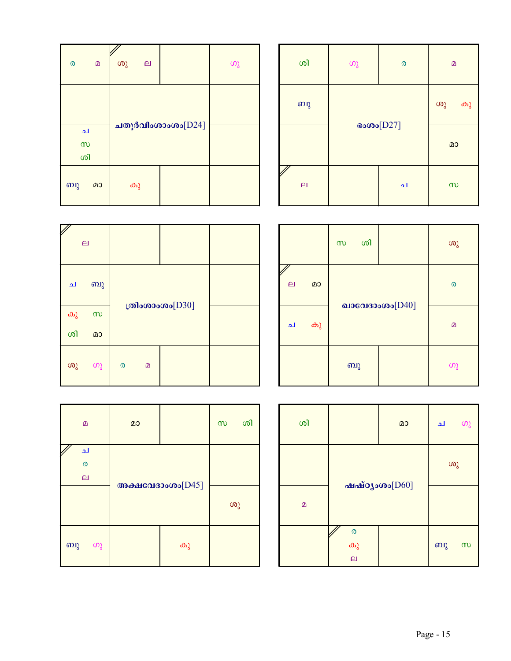| $\boldsymbol{\omega}$ | $\Omega$ | ശു                | $\mathbf{p}$ |  | ဟွ |
|-----------------------|----------|-------------------|--------------|--|----|
| ച<br>$\infty$         |          | ചതുർവിംശാംശം[D24] |              |  |    |
| ശി                    |          |                   |              |  |    |
| ബു                    | മാ       | കു                |              |  |    |

| ശി             | $\omega$    | $\mathbf{D}$ |          |
|----------------|-------------|--------------|----------|
| ബു             |             |              | ശു<br>കു |
|                | $\cos(D27)$ | മാ           |          |
| $\overline{a}$ |             | ച            | $\infty$ |

|    | $\mathbf{p}$ |                       |          |                    |  |
|----|--------------|-----------------------|----------|--------------------|--|
| ച  | ബു           |                       |          | ത്രിംശാംശം $[D30]$ |  |
| കു | $\infty$     |                       |          |                    |  |
| ശി | മാ           |                       |          |                    |  |
| ശു | ഗു           | $\boldsymbol{\omega}$ | $\Omega$ |                    |  |

|                     |    | ശി<br>$\infty$ |                   | ശു |
|---------------------|----|----------------|-------------------|----|
| k<br>$\overline{a}$ | മാ |                |                   | ര  |
| ച                   | കു |                | ഖാവേദാംശം $[D40]$ | മ  |
|                     |    | ബു             |                   | ഗു |

| $\Omega$                                          | മാ |                          | $\infty$ | ശി |
|---------------------------------------------------|----|--------------------------|----------|----|
| ച<br>$\boldsymbol{\mathcal{O}}$<br>$\overline{a}$ |    |                          |          |    |
|                                                   |    | <b>МАНСО ВО ПОЛОВИТЕ</b> | ശു       |    |
| ബു<br>ഗു                                          |    | കു                       |          |    |

| ശി           |                    | മാ                        | ച  | ഗു       |
|--------------|--------------------|---------------------------|----|----------|
|              |                    |                           | ശു |          |
| $\mathbf{D}$ |                    | $m$ айозово $[{\rm D60}]$ |    |          |
|              | $\circ$<br>കു<br>ല |                           | ബു | $\infty$ |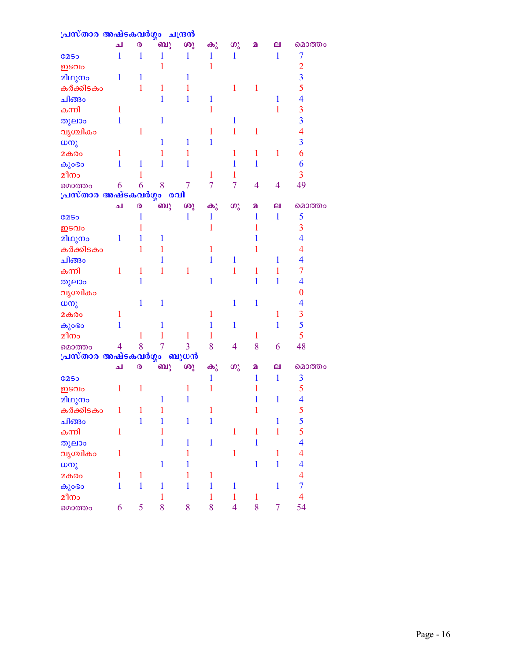| പ്രസ്താര അഷ്ടകവർഗ്ഗം        |                |                       |              | ചന്ദ്രൻ        |                |                |              |                |                         |
|-----------------------------|----------------|-----------------------|--------------|----------------|----------------|----------------|--------------|----------------|-------------------------|
|                             | الم            | $\boldsymbol{\omega}$ | வு           | ശു             | കു             | ശു             | മ            | ല              | മൊത്തം                  |
| <b>COSO</b>                 | 1              | 1                     | 1            | 1              | $\mathbf{1}$   | 1              |              | $\mathbf{1}$   | 7                       |
| ഇടവം                        |                |                       | 1            |                | 1              |                |              |                | $\overline{c}$          |
| മിഥുനം                      | 1              | 1                     |              | 1              |                |                |              |                | $\overline{3}$          |
| കർക്കിടകം                   |                | 1                     | 1            | 1              |                | $\mathbf{1}$   | 1            |                | 5                       |
| ചിങ്ങം                      |                |                       | 1            | 1              | $\mathbf 1$    |                |              | 1              | $\overline{4}$          |
| കന്നി                       | 1              |                       |              |                | 1              |                |              | 1              | $\overline{\mathbf{3}}$ |
| തുലാം                       | 1              |                       | $\mathbf{1}$ |                |                | $\mathbf{1}$   |              |                | $\overline{\mathbf{3}}$ |
| വൃശ്ചികം                    |                | $\mathbf{1}$          |              |                | 1              | 1              | $\mathbf{1}$ |                | $\overline{4}$          |
| ധനു                         |                |                       | 1            | 1              | 1              |                |              |                | $\overline{3}$          |
| മകരം                        | 1              |                       | 1            | 1              |                | 1              | 1            | 1              | 6                       |
| കുംഭാ                       | 1              | 1                     | 1            | 1              |                | 1              | $\mathbf{1}$ |                | 6                       |
| മീനം                        |                | 1                     |              |                | $\mathbf{1}$   | 1              |              |                | $\overline{3}$          |
| മൊത്തം                      | 6              | 6                     | 8            | $\overline{7}$ | $\overline{7}$ | $\overline{7}$ | 4            | $\overline{4}$ | 49                      |
| പ്രസ്താര അഷ്ടകവർഗ്ഗം        |                |                       |              | രവി            |                |                |              |                |                         |
|                             | لم             | $\boldsymbol{\omega}$ | ബു           | ശു             | കു             | ശു             | മ            | ല              | മൊത്തം                  |
| <b>COSO</b>                 |                | 1                     |              | 1              | 1              |                | 1            | 1              | 5                       |
| ഇടവം                        |                | 1                     |              |                | 1              |                | 1            |                | $\overline{3}$          |
| മിഥുനം                      | 1              | 1                     | 1            |                |                |                | 1            |                | $\overline{\mathbf{4}}$ |
| കർക്കിടകം                   |                | 1                     | 1            |                | 1              |                | 1            |                | $\overline{4}$          |
| ചിങ്ങം                      |                |                       | 1            |                | $\mathbf{1}$   | $\mathbf{1}$   |              | 1              | $\overline{\mathbf{4}}$ |
| കന്നി                       | 1              | 1                     | 1            | 1              |                | $\mathbf{1}$   | $\mathbf{1}$ | 1              | $\overline{7}$          |
| തുലാം                       |                | 1                     |              |                | 1              |                | $\mathbf{1}$ | 1              | $\overline{\mathbf{4}}$ |
| വൃശ്ചികം                    |                |                       |              |                |                |                |              |                | $\bf{0}$                |
| ധനു                         |                | 1                     | $\mathbf{1}$ |                |                | $\mathbf{1}$   | $\mathbf{1}$ |                | $\overline{\mathbf{4}}$ |
| മകരം                        | 1              |                       |              |                | 1              |                |              | 1              | $\overline{3}$          |
| കുംഭാ                       | 1              |                       | 1            |                | 1              | $\mathbf{1}$   |              | 1              | 5                       |
| മീനം                        |                | $\mathbf{1}$          | 1            | 1              | 1              |                | 1            |                | 5                       |
| മൊത്തം                      | $\overline{4}$ | 8                     | 7            | 3              | 8              | 4              | 8            | 6              | 48                      |
| <u>പ്രസ്താര അഷ്ടകവർഗ്ഗം</u> |                |                       |              | ബുധൻ           |                |                |              |                |                         |
|                             | الم            | $\boldsymbol{\omega}$ | ബു           | ശു             | കു             | $\omega$       | മ            | ല              | മൊത്തം                  |
| <b>COSO</b>                 |                |                       |              |                | 1              |                | 1            | $\mathbf{1}$   | $\overline{\mathbf{3}}$ |
| ഇടവം                        | $\mathbf{1}$   | $\mathbf{1}$          |              | 1              | 1              |                | 1            |                | 5                       |
| മിഥുനം                      |                |                       | 1            | 1              |                |                | 1            | 1              | $\overline{\mathbf{4}}$ |
| കർക്കിടകം                   | 1              | $\mathbf{1}$          | 1            |                | $\mathbf{1}$   |                | $\mathbf{1}$ |                | 5                       |
| ചിങ്ങം                      |                | $\mathbf{1}$          | $\mathbf{1}$ | $\mathbf{1}$   | $\mathbf{1}$   |                |              | $\mathbf{1}$   | $\frac{5}{5}$           |
| കന്നി                       | 1              |                       | 1            |                |                | $\mathbf{1}$   | $\mathbf{1}$ | $\mathbf{1}$   |                         |
| തുലാം                       |                |                       | $\mathbf{1}$ | $\mathbf{1}$   | $\mathbf{1}$   |                | $\mathbf{1}$ |                | $\overline{4}$          |
| വൃശ്ചികം                    | $\mathbf{1}$   |                       |              | 1              |                | $\mathbf{1}$   |              | $\mathbf{1}$   | $\overline{4}$          |
| ധനു                         |                |                       | $\mathbf{1}$ | 1              |                |                | $\mathbf{1}$ | $\mathbf{1}$   | $\overline{4}$          |
| മകരം                        | $\mathbf{1}$   | $\mathbf{1}$          |              | 1              | $\mathbf{1}$   |                |              |                | $\overline{4}$          |
| കുംഭം                       | $\mathbf{1}$   | $\mathbf{1}$          | $\mathbf{1}$ | $\mathbf{1}$   | $\mathbf{1}$   | $\mathbf{1}$   |              | $\mathbf{1}$   | $\overline{7}$          |
| മീനം                        |                |                       | $\mathbf{1}$ |                | $\mathbf{1}$   | $\mathbf{1}$   | $\mathbf{1}$ |                | $\overline{4}$          |
| മൊത്തം                      | 6              | 5                     | 8            | 8              | 8              | $\overline{4}$ | 8            | $\overline{7}$ | 54                      |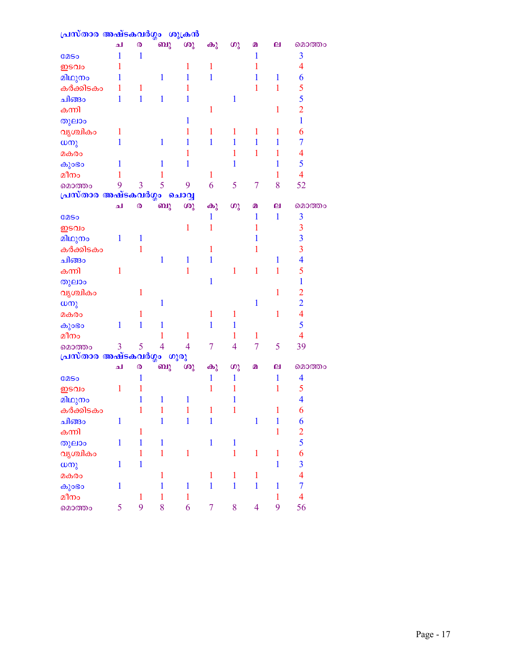| പ്രസ്താര അഷ്ടകവർഗ്ഗം ശുക്രൻ       |              |                       |                |                |                |                |                |              |                          |
|-----------------------------------|--------------|-----------------------|----------------|----------------|----------------|----------------|----------------|--------------|--------------------------|
|                                   | لم           | $\boldsymbol{\omega}$ | ബു             | ശു             | കു             | $\omega$       | മ              | ല            | മൊത്തം                   |
| <b>COSO</b>                       | 1            | $\mathbf{1}$          |                |                |                |                | $\mathbf 1$    |              | $\overline{3}$           |
| ഇടവം                              | 1            |                       |                | 1              | 1              |                | 1              |              | $\overline{4}$           |
| മിഥുനം                            | 1            |                       | 1              | 1              | 1              |                | 1              | 1            | 6                        |
| കർക്കിടകം                         |              | 1                     |                | 1              |                |                | 1              | 1            | 5                        |
| ചിങ്ങം                            | 1            | $\mathbf{1}$          | 1              | 1              |                | 1              |                |              | 5                        |
| കന്നി                             |              |                       |                |                | 1              |                |                | $\mathbf{1}$ | $\overline{2}$           |
| തുലാം                             |              |                       |                | 1              |                |                |                |              | $\mathbf{1}$             |
| വൃശ്ചികം                          | 1            |                       |                | 1              | 1              | 1              | 1              | 1            | 6                        |
| ധനു                               | 1            |                       | 1              | 1              | 1              | 1              | 1              | 1            | $\overline{7}$           |
| മകരം                              |              |                       |                | 1              |                | 1              | 1              | 1            | $\overline{\mathcal{A}}$ |
| കുംഭാ                             | 1            |                       | 1              | 1              |                | 1              |                | 1            | 5                        |
| മീനം                              |              |                       | 1              |                | 1              |                |                | 1            | $\overline{4}$           |
| മൊത്തം                            | 9            | $\overline{3}$        | 5              | 9              | 6              | 5              | 7              | 8            | 52                       |
| പ്രസ്താര അഷ്ടകവർഗ്ഗം              |              |                       |                | ചൊവ്വ          |                |                |                |              |                          |
|                                   | ച            | $\boldsymbol{\omega}$ | ബു             | ശു             | കു             | ശു             | മ              | ല            | മൊത്തം                   |
| <b>COSO</b>                       |              |                       |                |                | 1              |                | $\mathbf 1$    | $\mathbf{1}$ | $\overline{\mathbf{3}}$  |
| ഇടവം                              |              |                       |                | 1              | 1              |                | 1              |              | 3                        |
| മിഥുനം                            | 1            | 1                     |                |                |                |                | 1              |              | $\overline{\mathbf{3}}$  |
| കർക്കിടകം                         |              | 1                     |                |                | 1              |                | 1              |              | $\overline{3}$           |
| ചിങ്ങം                            |              |                       | 1              | 1              | $\mathbf{1}$   |                |                | 1            | $\overline{\mathbf{4}}$  |
| കന്നി                             | 1            |                       |                | 1              |                | 1              | $\mathbf{1}$   | 1            | 5                        |
| തുലാം                             |              |                       |                |                | 1              |                |                |              | $\mathbf{1}$             |
| വൃശ്ചികം                          |              | 1                     |                |                |                |                |                | 1            | $\overline{2}$           |
| $\omega$ നു                       |              |                       | 1              |                |                |                | 1              |              | $\overline{2}$           |
| മകരം                              |              | 1                     |                |                | 1              | 1              |                | $\mathbf{1}$ | $\overline{\mathcal{A}}$ |
| കുംഭം                             | $\mathbf{1}$ | $\mathbf{1}$          | 1              |                | 1              | 1              |                |              | 5                        |
| മീനം                              |              |                       | 1              | 1              |                | 1              | 1              |              | $\overline{4}$           |
| മൊത്തം                            | 3            | 5                     | $\overline{4}$ | $\overline{4}$ | 7              | $\overline{4}$ | $\overline{7}$ | 5            | 39                       |
| <mark>പ്രസ്താര അഷ്ടകവർഗ്ഗം</mark> |              |                       |                | ഗുരു           |                |                |                |              |                          |
|                                   | لم           | $\boldsymbol{\omega}$ | ബു             | ശു             | കു             | $\omega$       | മ              | ല            | മൊത്തം                   |
| <b>COSO</b>                       |              | 1                     |                |                | 1              | 1              |                | 1            | $\overline{\mathcal{A}}$ |
| ഇടവം                              | 1            | 1                     |                |                | 1              | 1              |                | 1            | 5                        |
| മിഥുനം                            |              | $\mathbf{1}$          | $\blacksquare$ | $\mathbf{1}$   |                | $\mathbf{1}$   |                |              | $\overline{\mathbf{4}}$  |
| കർക്കിടകം                         |              | $\mathbf{1}$          | $\mathbf{1}$   | $\mathbf{1}$   | $\mathbf{1}$   | $\mathbf{1}$   |                | $\mathbf{1}$ | 6                        |
| ചിങ്ങം                            | $\mathbf{1}$ |                       | $\mathbf{1}$   | $\mathbf{1}$   | $\mathbf{1}$   |                | $\mathbf{1}$   | $\mathbf{1}$ | 6                        |
| കന്നി                             |              | $\mathbf{1}$          |                |                |                |                |                | $\mathbf{1}$ | $\frac{2}{5}$            |
| തുലാം                             | $\mathbf{1}$ | $\mathbf{1}$          | $\mathbf{1}$   |                | $\mathbf{1}$   | $\mathbf{1}$   |                |              |                          |
| വൃശ്ചികം                          |              | $\mathbf{1}$          | $\mathbf{1}$   | $\mathbf{1}$   |                | $\mathbf{1}$   | $\mathbf{1}$   | $\mathbf{1}$ | 6                        |
| $\omega$ m                        | $\mathbf{1}$ | $\mathbf{1}$          |                |                |                |                |                | $\mathbf{1}$ | $\overline{\mathbf{3}}$  |
| മകരം                              |              |                       | $\mathbf{1}$   |                | $\mathbf{1}$   | $\mathbf{1}$   | $\mathbf{1}$   |              | $\overline{4}$           |
| കുംഭം                             | $\mathbf{1}$ |                       | $\mathbf{1}$   | $\mathbf{1}$   | $\mathbf{1}$   | $\mathbf{1}$   | $\mathbf{1}$   | $\mathbf{1}$ | $\overline{7}$           |
| മീനം                              |              | $\mathbf{1}$          | $\mathbf{1}$   | $\mathbf{1}$   |                |                |                | $\mathbf{1}$ | $\overline{\mathbf{4}}$  |
| മൊത്തം                            | 5            | 9                     | 8              | 6              | $\overline{7}$ | 8              | $\overline{4}$ | 9            | 56                       |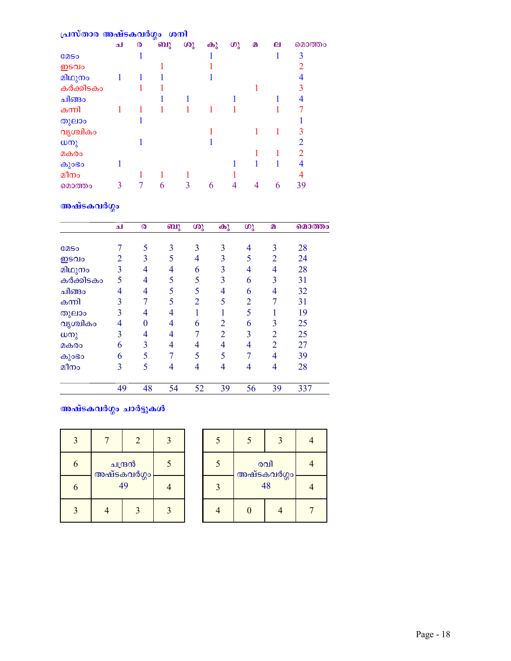| പ്രസ്താര അഷ്ടകവർഗ്ഗം ശനി |     |   |    |    |          |    |   |   |                |
|--------------------------|-----|---|----|----|----------|----|---|---|----------------|
|                          | الم | ര | ബു | ശു | $\omega$ | ഗു | മ | ല | മൊത്തം         |
| <b>COSO</b>              |     |   |    |    |          |    |   |   | 3              |
| ഇടവം                     |     |   |    |    |          |    |   |   | 2              |
| മിഥുനം                   | 1   |   |    |    |          |    |   |   | 4              |
| കർക്കിടകം                |     |   |    |    |          |    |   |   | 3              |
| ചിങ്ങം                   |     |   |    |    |          |    |   |   |                |
| കന്നി                    |     |   |    |    |          |    |   |   |                |
| തുലാം                    |     |   |    |    |          |    |   |   |                |
| വൃശ്ചികം                 |     |   |    |    |          |    |   |   | 3              |
| $\omega$ നു              |     |   |    |    |          |    |   |   | $\mathfrak{D}$ |
| മകരം                     |     |   |    |    |          |    |   |   |                |
| കുംഭാ                    |     |   |    |    |          |    |   |   | 4              |
| മീനം                     |     |   |    |    |          |    |   |   |                |
| മൊത്തം                   |     |   | 6  | 3  | 6        |    |   | 6 | 39             |

## അഷ്ടകവർഗ്ഗം

|             | الم | $\boldsymbol{\omega}$ | ബു | ശു             | കു             | ശു             | മ              | മൊത്തം |
|-------------|-----|-----------------------|----|----------------|----------------|----------------|----------------|--------|
| <b>COSO</b> | 7   | 5                     | 3  | 3              | 3              | 4              | 3              | 28     |
| ഇടവം        | 2   | 3                     | 5  | 4              | 3              | 5              | $\overline{2}$ | 24     |
| മിഥുനം      | 3   | 4                     | 4  | 6              | 3              | 4              | 4              | 28     |
| കർക്കിടകം   | 5   | 4                     | 5  | 5              | 3              | 6              | 3              | 31     |
| ചിങ്ങം      | 4   | $\overline{4}$        | 5  | 5              | 4              | 6              | 4              | 32     |
| കന്നി       | 3   |                       | 5  | $\overline{2}$ | 5              | $\overline{2}$ | 7              | 31     |
| തുലാം       | 3   | 4                     | 4  |                |                | 5              |                | 19     |
| വൃശ്ചികം    | 4   | $\overline{0}$        | 4  | 6              | $\overline{2}$ | 6              | 3              | 25     |
| ധനു         | 3   | 4                     | 4  |                | $\overline{2}$ | $\overline{3}$ | 2              | 25     |
| മകരം        | 6   | 3                     | 4  | 4              | 4              | 4              | 2              | 27     |
| കുാഭാ       | 6   | 5                     |    | 5              | 5              | 7              | 4              | 39     |
| മീനം        | 3   | 5                     | 4  | $\overline{4}$ | 4              | 4              | 4              | 28     |
|             | 49  | 48                    | 54 | 52             | 39             | 56             | 39             | 337    |

## <mark>അഷ്ടകവ</mark>ർഗ്ഗം ചാർട്ടുകൾ

| 3 |                        | $\overline{\mathbf{z}}$ |  |
|---|------------------------|-------------------------|--|
| 6 | ചന്ദ്രൻ<br>അഷ്ടകവർഗ്ഗം |                         |  |
| 6 | 49                     |                         |  |
|   |                        |                         |  |

| $\overline{\mathcal{L}}$ | $\varsigma$        |  |  |
|--------------------------|--------------------|--|--|
| $\overline{\mathcal{L}}$ | രവി<br>അഷ്ടകവർഗ്ഗം |  |  |
| $\mathbf{R}$             | 48                 |  |  |
|                          |                    |  |  |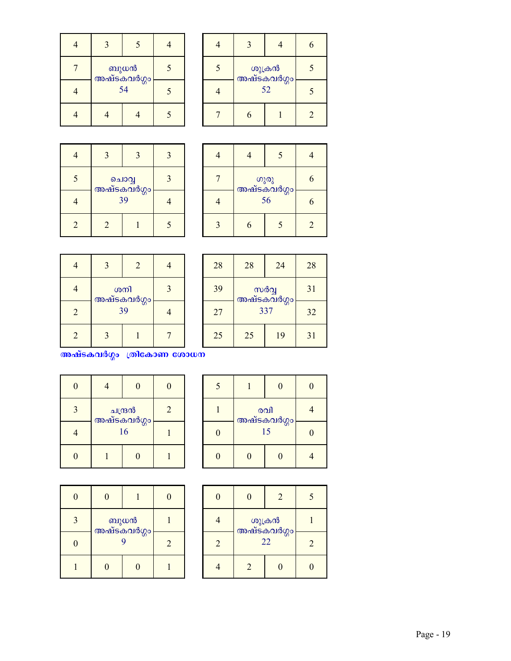| ബുധൻ<br>അഷ്ടകവർഗ്ഗം |  |  |
|---------------------|--|--|
| 54                  |  |  |
|                     |  |  |

| തുക്രൻ<br>അഷ്ടകവർഗ്ഗം |  |  |
|-----------------------|--|--|
| 52                    |  |  |
|                       |  |  |

|                |                      |              | $\mathbf{z}$ |
|----------------|----------------------|--------------|--------------|
| 5              | പൊവ്വ<br>അഷ്ടകവർഗ്ഗം | $\mathbf{a}$ |              |
|                | 39                   |              |              |
| $\overline{2}$ | $\overline{2}$       |              | ς            |

| ഗുരു<br>അഷ്ടകവർഗ്ഗം |  |   |
|---------------------|--|---|
| 56                  |  |   |
|                     |  | 2 |

|                | $\mathbf{R}$      | $\overline{2}$ |  |
|----------------|-------------------|----------------|--|
|                | ശനി               | $\mathbf{a}$   |  |
| $\overline{2}$ | അഷ്ടകവർഗ്ഗം<br>39 |                |  |
| 2              |                   |                |  |

| 28 | 28                 | 24 | 28 |
|----|--------------------|----|----|
| 39 | സർവ്വ              |    | 31 |
| 27 | അഷ്ടകവർഗ്ഗം<br>337 |    | 32 |
| 25 | 25                 | 19 | 31 |

അഷ്ടകവർഗ്ഗം ത്രികോണ ശോധന

| 0 |                        | 0 | $\mathbf{I}$ |
|---|------------------------|---|--------------|
| 3 | ചന്ദ്രൻ<br>അഷ്ടകവർഗ്ഗം | 2 |              |
|   | 16                     |   |              |
|   |                        | 0 |              |

| 5        |                   | $\Omega$ |  |
|----------|-------------------|----------|--|
|          | രവി               |          |  |
| $\Omega$ | അഷ്ടകവർഗ്ഗം<br>15 |          |  |
|          | O                 |          |  |

| Λ            |                       |  |   |
|--------------|-----------------------|--|---|
| $\mathbf{3}$ | ് ബുധൻ<br>അഷ്ടകവർഗ്ഗം |  |   |
|              | q                     |  | 2 |
|              |                       |  |   |

|                |                       | 2 |  |
|----------------|-----------------------|---|--|
|                | ശുക്രൻ<br>അഷ്ടകവർഗ്ഗം |   |  |
| $\mathfrak{D}$ | 22                    |   |  |
|                |                       |   |  |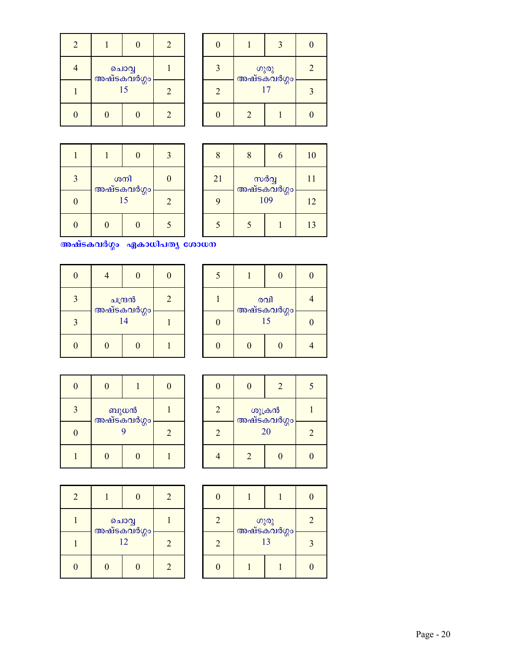| $\overline{2}$ |                            |  | 2              |
|----------------|----------------------------|--|----------------|
|                |                            |  |                |
|                | ചൊവ്വ<br>അഷ്ടകവർഗ്ഗം<br>15 |  | $\overline{2}$ |
|                |                            |  | $\mathfrak{D}$ |

|   | തുരു<br>അഷ്ടകവർഗ്ഗം |  |  |
|---|---------------------|--|--|
| 2 | 17                  |  |  |
|   | $\overline{2}$      |  |  |

| 3 | ശനി               |  |                |
|---|-------------------|--|----------------|
| I | അഷ്ടകവർഗ്ഗം<br>15 |  | $\mathfrak{D}$ |
|   |                   |  |                |

| 8                        | 8   | 6  | 10                   |  |    |
|--------------------------|-----|----|----------------------|--|----|
| 21                       |     |    | സർവ്വ<br>അഷ്ടകവർഗ്ഗം |  | 11 |
| 9                        | 109 | 12 |                      |  |    |
| $\overline{\mathcal{L}}$ | 5   |    | 13                   |  |    |

അഷ്ടകവർഗ്ഗം ഏകാധിപത്യ ശോധന

| 0 | 0                                    |   | $\mathcal{L}$ |
|---|--------------------------------------|---|---------------|
| 3 | ചന്ദ്രൻ<br><mark>അഷ്ടകവർഗ്ഗ</mark> ം | 2 |               |
| 3 | 14                                   |   |               |
|   |                                      | 0 |               |

| 5 |                          |  |  |
|---|--------------------------|--|--|
|   | രവി<br>അഷ്ടകവർഗ്ഗം<br>15 |  |  |
|   |                          |  |  |
|   |                          |  |  |

| 0 |                     |                |  |
|---|---------------------|----------------|--|
|   | ബുധൻ<br>അഷ്ടകവർഗ്ഗം |                |  |
| 0 | Q                   | $\overline{2}$ |  |
|   |                     |                |  |

| በ                           |                       | $\mathfrak{D}$ |  |
|-----------------------------|-----------------------|----------------|--|
| $\overline{2}$              | തുക്രൻ<br>അഷ്ടകവർഗ്ഗം |                |  |
| $\mathcal{D}_{\mathcal{A}}$ | 20                    | $\mathfrak{D}$ |  |
|                             | $\overline{2}$        |                |  |

| 2 | $\mathcal{O}$        |                             | $\mathcal{D}_{\mathcal{A}}$ |
|---|----------------------|-----------------------------|-----------------------------|
|   | ചൊവ്വ<br>അഷ്ടകവർഗ്ഗം |                             |                             |
|   | 12                   | $\mathcal{D}_{\mathcal{A}}$ |                             |
|   |                      |                             | $\mathcal{D}$               |

| $\overline{2}$ | 13 |  |  |  |  |
|----------------|----|--|--|--|--|
| 2              |    |  |  |  |  |
|                |    |  |  |  |  |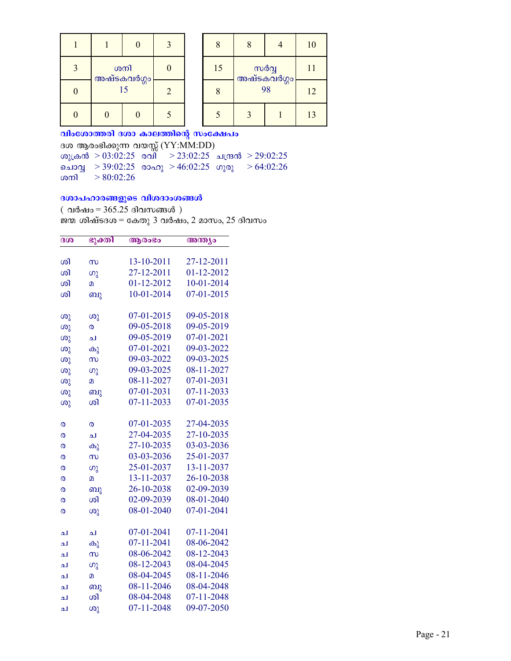|          |                    |                | 3 |
|----------|--------------------|----------------|---|
| 3        | ശനി<br>അഷ്ടകവർഗ്ഗം |                |   |
| $\Omega$ | 15                 | $\overline{2}$ |   |
|          |                    |                |   |

|    | $\overline{\mathsf{R}}$    |  | 10 |
|----|----------------------------|--|----|
| 15 | സർവ്വ<br>അഷ്ടകവർഗ്ഗം<br>98 |  | 11 |
|    |                            |  | 12 |
|    |                            |  | 13 |

വിംശോത്തരി ദശാ കാലത്തിന്റെ സംക്ഷേപം ദശ ആരംഭിക്കുന്ന വയസ്സ് (YY:MM:DD) ശുക്രൻ > 03:02:25 രവ്നെ > 23:02:25 ചന്ദ്രൻ > 29:02:25 ചൊവ്വ > 39:02:25 രാഹു > 46:02:25 ഗുരു > 64:02:26  $> 80:02:26$ ശനി

### ദശാപഹാരങ്ങളുടെ വിശദാംശങ്ങൾ

(വർഷം = 365.25 ദിവസങ്ങൾ) ജന്മ ശിഷ്ടദശ $=$  കേതു 3 വർഷം, 2 മാസം, 25 ദിവസം

| 300    | ഭുക്തി                         | ആരംഭം      | അന്ത്യം    |
|--------|--------------------------------|------------|------------|
| ശി     | $\infty$                       | 13-10-2011 | 27-12-2011 |
| ശി     | ഗു                             | 27-12-2011 | 01-12-2012 |
| ശി     | $\mathbf{D}$                   | 01-12-2012 | 10-01-2014 |
| ശി     | ബു                             | 10-01-2014 | 07-01-2015 |
|        |                                |            |            |
| ശു     | ശു                             | 07-01-2015 | 09-05-2018 |
| ശു     | ര                              | 09-05-2018 | 09-05-2019 |
| ശു     | له                             | 09-05-2019 | 07-01-2021 |
| ശു     | കു                             | 07-01-2021 | 09-03-2022 |
| ശു     | $\infty$                       | 09-03-2022 | 09-03-2025 |
| ശു     | (၈)                            | 09-03-2025 | 08-11-2027 |
| ശു     | മ                              | 08-11-2027 | 07-01-2031 |
| ശു     | ബു                             | 07-01-2031 | 07-11-2033 |
| ശു     | ശി                             | 07-11-2033 | 07-01-2035 |
|        |                                | 07-01-2035 | 27-04-2035 |
| ര      | ര<br>ച                         | 27-04-2035 | 27-10-2035 |
| ര<br>ര |                                | 27-10-2035 | 03-03-2036 |
|        | കു                             | 03-03-2036 | 25-01-2037 |
| ര<br>ര | $\infty$<br>$\omega_{\lambda}$ | 25-01-2037 | 13-11-2037 |
| ര      | $\overline{a}$                 | 13-11-2037 | 26-10-2038 |
| ര      | ബു                             | 26-10-2038 | 02-09-2039 |
| ര      | ശി                             | 02-09-2039 | 08-01-2040 |
| ര      | ശു                             | 08-01-2040 | 07-01-2041 |
|        |                                |            |            |
| ച      | ച                              | 07-01-2041 | 07-11-2041 |
| ച      | കു                             | 07-11-2041 | 08-06-2042 |
| له     | $\infty$                       | 08-06-2042 | 08-12-2043 |
| ച      | ၯ                              | 08-12-2043 | 08-04-2045 |
| ച      | മ                              | 08-04-2045 | 08-11-2046 |
| ച      | ബു                             | 08-11-2046 | 08-04-2048 |
| ച      | ശി                             | 08-04-2048 | 07-11-2048 |
| ച      | ശു                             | 07-11-2048 | 09-07-2050 |
|        |                                |            |            |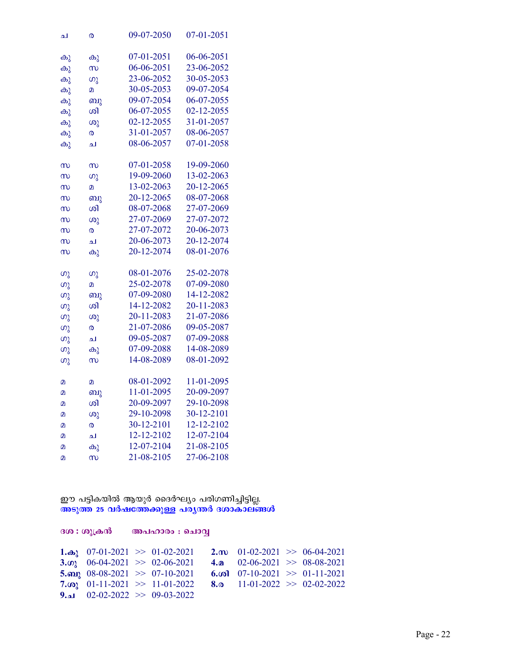| ച                  | ര                  | 09-07-2050 | 07-01-2051 |
|--------------------|--------------------|------------|------------|
|                    |                    |            |            |
| കു                 | കു                 | 07-01-2051 | 06-06-2051 |
| കു                 | $\infty$           | 06-06-2051 | 23-06-2052 |
| കു                 | $\omega_{\lambda}$ | 23-06-2052 | 30-05-2053 |
| കു                 | $\mathbf{D}$       | 30-05-2053 | 09-07-2054 |
| കു                 | ബു                 | 09-07-2054 | 06-07-2055 |
| കു                 | ശി                 | 06-07-2055 | 02-12-2055 |
| കു                 | ശു                 | 02-12-2055 | 31-01-2057 |
| കു                 | 0                  | 31-01-2057 | 08-06-2057 |
| കു                 | ച                  | 08-06-2057 | 07-01-2058 |
|                    |                    |            |            |
| $\infty$           | $\infty$           | 07-01-2058 | 19-09-2060 |
| $\infty$           | (၈)                | 19-09-2060 | 13-02-2063 |
| $\infty$           | മ                  | 13-02-2063 | 20-12-2065 |
| $\infty$           | ബു                 | 20-12-2065 | 08-07-2068 |
| $\infty$           | ശി                 | 08-07-2068 | 27-07-2069 |
| $\infty$           | (0)                | 27-07-2069 | 27-07-2072 |
| $\infty$           | ര                  | 27-07-2072 | 20-06-2073 |
| $\infty$           | ച                  | 20-06-2073 | 20-12-2074 |
| $\infty$           | കു                 | 20-12-2074 | 08-01-2076 |
|                    |                    |            |            |
| ഗു                 | ഗു                 | 08-01-2076 | 25-02-2078 |
| ဖာ္မွ              | $\mathbf D$        | 25-02-2078 | 07-09-2080 |
| $\omega_{\lambda}$ | ബു                 | 07-09-2080 | 14-12-2082 |
| $\omega_{\lambda}$ | ശി                 | 14-12-2082 | 20-11-2083 |
| $\omega$           | ശു                 | 20-11-2083 | 21-07-2086 |
| ഗു                 | ര                  | 21-07-2086 | 09-05-2087 |
| ဖာ္သ               | ച                  | 09-05-2087 | 07-09-2088 |
| ဖာ္မွ              | കു                 | 07-09-2088 | 14-08-2089 |
| ဖာ္ခ               | $\infty$           | 14-08-2089 | 08-01-2092 |
|                    |                    |            |            |
| മ                  | മ                  | 08-01-2092 | 11-01-2095 |
| മ                  | ബു                 | 11-01-2095 | 20-09-2097 |
| മ                  | ശി                 | 20-09-2097 | 29-10-2098 |
| മ                  | ശു                 | 29-10-2098 | 30-12-2101 |
| $\overline{a}$     | ര                  | 30-12-2101 | 12-12-2102 |
| മ                  | لە                 | 12-12-2102 | 12-07-2104 |
| 2                  | കു                 | 12-07-2104 | 21-08-2105 |
| $\overline{a}$     | $\infty$           | 21-08-2105 | 27-06-2108 |

### ഈ പട്ടികയിൽ ആയുർ ദൈർഘ്യം പരിഗണിച്ചിട്ടില്ല. അടുത്ത 25 വർഷത്തേക്കുള്ള പര്യന്തർ ദശാകാലങ്ങൾ

ദശ : ശുക്രൻ അപഹാരം : ചൊവ്വ 1. $\omega_2$  07-01-2021 >> 01-02-2021 **2.** m  $01-02-2021 \implies 06-04-2021$ 3.  $\omega_2$  06-04-2021 >> 02-06-2021  $4.a$  $02-06-2021$  >> 08-08-2021 5. any 08-08-2021 >> 07-10-2021 6.  $\omega$  07-10-2021 >> 01-11-2021  $11-01-2022$  >> 02-02-2022 7. $\omega$  01-11-2021 >> 11-01-2022  $8.0$  $9.21$  02-02-2022 >> 09-03-2022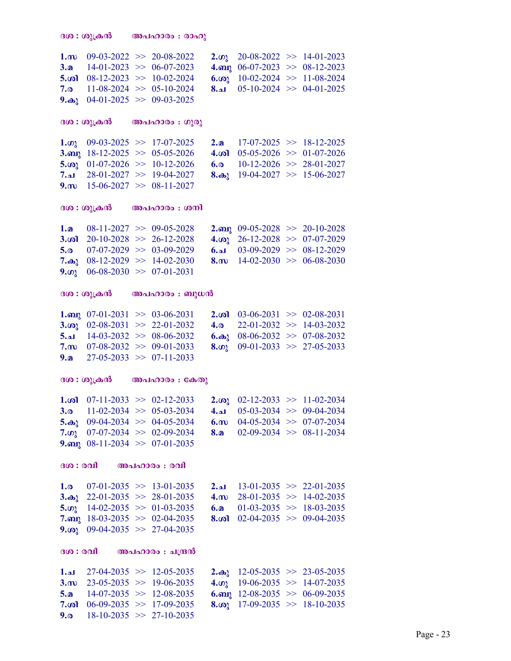```
ദശ : ശുക്രൻ അപഹാരം : രാഹു
1.m 09-03-2022 >> 20-08-2022 2.\omega 20-08-2022 >> 14-01-2023<br>3.a 14-01-2023 >> 06-07-2023 4.\omega 06-07-2023 >> 08-12-2023
3.a 14-01-2023 >> 06-07-2023 4.org 06-07-2023 >> 08-12-2023<br>5.col 08-12-2023 >> 10-02-2024 6.col 10-02-2024 >> 11-08-2024
5.col 08-12-2023 \gg 10-02-2024<br>7.o 11-08-2024 \gg 05-10-2024
7.0 11-08-2024 > 0.5-10-2024 8.al 05-10-2024 > 0.4-01-20259.\omega_1 04-01-2025 \gg 09-03-2025
\mathbf{G}(\mathbf{0}): \mathbf{Q}(\mathbf{0})കൻ അപഹാരം : ഗുരു
1.\omega 09-03-2025 >> 17-07-2025 2.\omega 17-07-2025 >> 18-12-2025
3.org 18-12-2025 \gg 05-05-2026 4.org 05-05-2026 \gg 01-07-2026<br>5.org 01-07-2026 \gg 10-12-2026 6.org 10-12-2026 \gg 28-01-20275.in 01-07-2026 >> 10-12-2026 6.o 10-12-2026 >> 28-01-2027<br>7.a 28-01-2027 >> 19-04-2027 8.a 19-04-2027 >> 15-06-2027
                                                   8.\omega 19-04-2027 >> 15-06-2027
9.m 15-06-2027 \implies 08-11-2027ദശ: \omega_{\lambda}കൻ അപഹാരം: \omegaനി
1.a 08-11-2027 >> 09-05-2028 2.ap 09-05-2028 >> 20-10-2028<br>3.ool 20-10-2028 >> 26-12-2028 4.oo 26-12-2028 >> 07-07-2029
        20-10-2028 \gg 26-12-2028 4.\omega<sup>26-12-2028 \gg 07-07-2029 07-07-2029 \gg 03-09-2029 \gg 08-12-2029</sup>
5.a 07-07-2029 >> 03-09-2029 6.al 03-09-2029 >> 08-12-2029<br>7.a<sub>2</sub> 08-12-2029 >> 14-02-2030 8.m 14-02-2030 >> 06-08-2030
                                                   8.m 14-02-2030 \implies 06-08-20309.\omega 06-08-2030 > 07-01-2031
ദശ: \omega_{\lambda}ക്രൻ അപഹാരം: \omega_{\lambda}സൻ
1. and 07-01-2031 \gg 03-06-2031 2. (a) 03-06-2031 \gg 02-08-2031 3. (a) 02-08-2031 \gg 22-01-2032 4. (a) 22-01-2032 \gg 14-03-2032
3.\omega 02-08-2031 >> 22-01-2032 4.\omega<br>5.\omega 14-03-2032 >> 08-06-2032 6.\omega5.a 14-03-2032 \implies 08-06-2032 6.a 08-06-2032 \implies 07-08-20327.m 07-08-2032 >> 09-01-2033 8.\omega 09-01-2033 >> 27-05-2033<br>9.a 27-05-2033 >> 07-11-2033
        27-05-2033 \gg 07-11-2033
ദശ: \omega_{\lambda}ക്രൻ അപഹാരം: \mathbb{C}കതു
1.\omega1 07-11-2033 >> 02-12-2033 2.\omega<sub>3</sub> 02-12-2033 >> 11-02-2034<br>3.\omega 11-02-2034 >> 05-03-2034 4.a 05-03-2034 >> 09-04-2034
3.<sub>0</sub> 11-02-2034 > 05-03-2034 4.1 05-03-2034 > 09-04-2034
5.\omega_3 09-04-2034 >> 04-05-2034 6.\omega 04-05-2034 >> 07-07-2034<br>7.\omega_1 07-07-2034 >> 02-09-2034 8.\omega 02-09-2034 >> 08-11-2034
7.\omega 07-07-2034 > 02-09-2034 8.
9.org 08-11-2034 \geq 07-01-2035300 : 001 300u<sub>10000</sub> : 0011.0 07-01-2035 > 13-01-2035 13-01-2035 > 22-01-20353. as 22-01-2035 >> 28-01-2035 4. m 28-01-2035 >> 14-02-2035<br>5. on 14-02-2035 >> 01-03-2035 6. a 01-03-2035 >> 18-03-2035
5.\omega 14-02-2035 >> 01-03-2035 6.a 01-03-2035 >> 18-03-2035<br>7.a 18-03-2035 >> 02-04-2035 8.\omega 02-04-2035 >> 09-04-2035
                                                   8.\omega 02-04-2035 > 09-04-20359.\omega_2 09-04-2035 \gg 27-04-2035
300 : 001 000 000 000 000 000 000 0001. 27-04-2035 >> 12-05-2035 2. \omega_{\lambda} 12-05-2035 \lambda 12-05-2035 \lambda 12-05-2035
3.m 23-05-2035 \gg 19-06-2035 4.\omega 19-06-2035 \gg 14-07-2035
5.a 14-07-2035 > 12-08-2035 6.mai 12-08-2035 > 06-09-2035
7.col 06-09-2035 >> 17-09-2035 8.co<sub>l</sub> 17-09-2035 >> 18-10-2035<br>9.o 18-10-2035 >> 27-10-2035
       18-10-2035 \Rightarrow 27-10-2035
```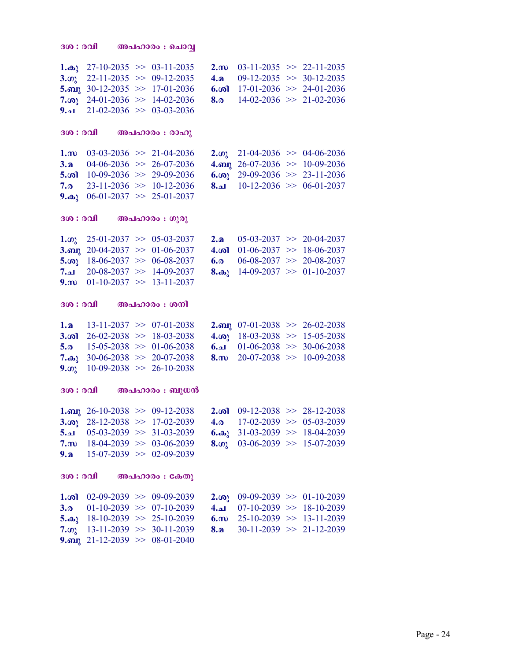```
300 : 001 000 000 000 000 000 0001.\omega 27-10-2035 >> 03-11-2035 2.\omega 03-11-2035 >> 22-11-2035
3.\omega_3 22-11-2035 >> 09-12-2035 4.a 09-12-2035 >> 30-12-2035<br>5.au<sub>1</sub> 30-12-2035 >> 17-01-2036 6.\omegaa 17-01-2036 >> 24-01-2036
                                               6. \omega 3 17-01-2036 \gg 24-01-2036
7.\omega 24-01-2036 > 14-02-2036 8.\omega 14-02-2036 > 21-02-2036<br>9.\omega 21-02-2036 > 03-03-2036
      21-02-2036 \gg 03-03-2036
300 : രവി അപഹാരം : രാഹു
1.m 03-03-2036 >> 21-04-2036 2.\omega 21-04-2036 >> 04-06-2036<br>3.a 04-06-2036 >> 26-07-2036 4.am 26-07-2036 >> 10-09-2036
3.a 04-06-2036 >> 26-07-2036 4.ap 26-07-2036 >> 10-09-2036<br>5.a 10-09-2036 >> 29-09-2036 6.a 29-09-2036 >> 23-11-2036
                                               6.in 29-09-2036 > 23-11-20367.0 23-11-2036 > 10-12-2036 8.a 10-12-2036 > 06-01-2037
9.\omega_1 06-01-2037 >> 25-01-2037
ദശ: \alphaവി അപഹാരം: \alphaുരു
1.\omega_3 25-01-2037 >> 05-03-2037 2.a 05-03-2037 >> 20-04-2037<br>3.an<sub>1</sub> 20-04-2037 >> 01-06-2037 4.\omega_1 01-06-2037 >> 18-06-2037
3.org 20-04-2037 > 01-06-2037 4.col 01-06-2037 > 18-06-2037<br>5.co<sub>2</sub> 18-06-2037 > 06-08-2037 6.o 06-08-2037 > 20-08-20375.in 18-06-2037 > 06-08-2037 6.o
7.م 20-08-2037 >> 14-09-2037 8.\omega_1 14-09-2037 \omega_2 14-09-2037
9.m 01-10-2037 \implies 13-11-2037300 : 001 000 000 000 \ldots 00011.a 13-11-2037 >> 07-01-2038 2.ap 07-01-2038 >> 26-02-2038 3.ap 26-02-2038 > 18-03-2038 4.ap 18-03-2038 >> 15-05-2038
                                               3.001 18-03-2038 \gg 15-05-2038
5.c 15-05-2038 >> 01-06-2038 6.a 01-06-2038 >> 30-06-2038<br>
7.a 30-06-2038 >> 20-07-2038 8.m 20-07-2038 >> 10-09-2038
                                               8.m 20-07-2038 \gg 10-09-2038
9.\omega 10-09-2038 >> 26-10-2038
ദശ: \alphaവി അപഹാരം: \alphaുധൻ
1.<sub>0</sub>p 26-10-2038 > 09-12-2038 2.\omega 09-12-2038 > 28-12-20383.\omega 28-12-2038 > 17-02-2039 4.\omega 17-02-2039 > 05-03-2039<br>5.a 05-03-2039 > 31-03-2039 6.\omega 31-03-2039 > 18-04-2039
                                               6.\omega_1 31-03-2039 \gg 18-04-2039
7.m 18-04-2039 \implies 03-06-2039 8.m 03-06-2039 \implies 15-07-20399.a 15-07-2039 \implies 02-09-2039ദശ: \alphaവി അപഹാരം: \alpha \rightarrow \alpha1. \omega 02-09-2039 >> 09-09-2039 2.\omega<sub>3</sub> 09-09-2039 >> 01-10-2039
3.a 01-10-2039 >> 07-10-2039 4.al 07-10-2039 >> 18-10-2039<br>5.a<sub>2</sub> 18-10-2039 >> 25-10-2039 6.m 25-10-2039 >> 13-11-2039
                                               6.m 25-10-2039 > 13-11-2039
7.\omega 13-11-2039 > 30-11-2039 8.\omega 30-11-2039 > 21-12-2039
9.mg 21-12-2039 \gg 08-01-2040
```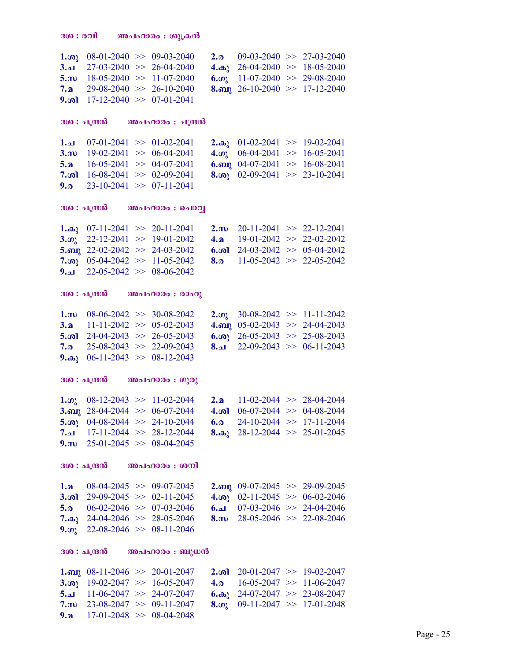| $1.\omega$        | $08-01-2040 \implies 09-03-2040$       |                                     | 2.0          | $09-03-2040 \implies 27-03-2040$      |                                     |
|-------------------|----------------------------------------|-------------------------------------|--------------|---------------------------------------|-------------------------------------|
| 3.21              |                                        | $27-03-2040$ >> 26-04-2040          | $4.\omega_2$ | $26-04-2040 \implies 18-05-2040$      |                                     |
| $5 \dots$         |                                        | $18-05-2040 \geq 11-07-2040$        | 6.02         | $11-07-2040$ >> 29-08-2040            |                                     |
| 7.മ               |                                        | $29-08-2040$ >> 26-10-2040          | $8.$ ബു      | $26-10-2040 \Rightarrow 17-12-2040$   |                                     |
| 9.ശി              | $17-12-2040 \implies 07-01-2041$       |                                     |              |                                       |                                     |
|                   |                                        |                                     |              |                                       |                                     |
|                   | ദശ : ചന്ദ്രൻ                           | അപഹാരം  : ചന്ദ്രൻ                   |              |                                       |                                     |
| 1.21              | $07-01-2041$ >> $01-02-2041$           |                                     | $2.\omega2$  | $01-02-2041$ >> 19-02-2041            |                                     |
| $3 \dots$         | $19-02-2041$ >> 06-04-2041             |                                     | 4.02         | $06-04-2041$ >> 16-05-2041            |                                     |
| 5.a               | $16-05-2041$ >> 04-07-2041             |                                     | $6.$ ബു      | $04-07-2041$ >> 16-08-2041            |                                     |
| $7.\omega$        | $16-08-2041$ >> 02-09-2041             |                                     | $8.$ ശു      | $02-09-2041$ >> 23-10-2041            |                                     |
| 9.0               | $23-10-2041$ >> $07-11-2041$           |                                     |              |                                       |                                     |
|                   | ദശ : ചന്ദ്രൻ                           | അപഹാരം : ചൊവ്വ                      |              |                                       |                                     |
|                   |                                        |                                     |              |                                       |                                     |
| 1.കു              | $07-11-2041$ $\gg$ 20-11-2041          |                                     | $2.\omega$   | $20-11-2041$ >> $22-12-2041$          |                                     |
| 3.02              | $22-12-2041$ >> 19-01-2042             |                                     | 4.a          |                                       | $19-01-2042 \Rightarrow 22-02-2042$ |
|                   | 5. $m_1$ 22-02-2042 >> 24-03-2042      |                                     | 6.           | $24-03-2042$ >> 05-04-2042            |                                     |
| $7.\omega$ ു      | $05-04-2042$ >> 11-05-2042             |                                     | 8.0          | $11-05-2042 \Rightarrow 22-05-2042$   |                                     |
| اله. $9.$         | $22-05-2042$ >> 08-06-2042             |                                     |              |                                       |                                     |
|                   | ദശ : ചന്ദ്രൻ                           | അപഹാരം : രാഹു                       |              |                                       |                                     |
|                   |                                        |                                     |              |                                       |                                     |
| $1 \cdot \omega$  |                                        | $08-06-2042$ >> 30-08-2042          | 2.02         | $30-08-2042$ >> 11-11-2042            |                                     |
| 3.a               |                                        | $11-11-2042 \Rightarrow 05-02-2043$ | $4.$ ബു      | $05-02-2043$ >> 24-04-2043            |                                     |
| $5.\omega$        | $24-04-2043$ >> 26-05-2043             |                                     | 6.001        | $26-05-2043$ >> 25-08-2043            |                                     |
| 7.0               | $25-08-2043$ >> 22-09-2043             |                                     | الھ.8        | $22-09-2043$ >> 06-11-2043            |                                     |
| $9.\omega_1$      | $06-11-2043$ >> 08-12-2043             |                                     |              |                                       |                                     |
|                   | ദശ : ചന്ദ്രൻ                           | അപഹാരം : ഗുരു                       |              |                                       |                                     |
| $1.\omega$        | $08-12-2043$ > 11-02-2044              |                                     | 2.a          |                                       | $11-02-2044$ >> 28-04-2044          |
|                   | 3. my 28-04-2044 $\gg$ 06-07-2044      |                                     | 4.ശി         | $06-07-2044$ >> 04-08-2044            |                                     |
| 5.001             | $04-08-2044$ >> 24-10-2044             |                                     | 6.0          | $24-10-2044$ >> 17-11-2044            |                                     |
| ا له.7            | $17-11-2044$ >> 28-12-2044             |                                     |              | 8. $\omega$ 28-12-2044 >> 25-01-2045  |                                     |
| $9 \text{ m}$     | $25-01-2045$ >> 08-04-2045             |                                     |              |                                       |                                     |
|                   |                                        |                                     |              |                                       |                                     |
|                   | ദശ : ചന്ദ്രൻ                           | അപഹാരം : ശനി                        |              |                                       |                                     |
| 1.a               | $08-04-2045 \implies 09-07-2045$       |                                     |              | 2. any 09-07-2045 $\gg$ 29-09-2045    |                                     |
| $3.$ $\omega$     | $29-09-2045$ >> 02-11-2045             |                                     |              | 4. $\omega_2$ 02-11-2045 > 06-02-2046 |                                     |
| 5.0               | $06-02-2046$ >> 07-03-2046             |                                     | 6.21         | $07-03-2046$ >> 24-04-2046            |                                     |
|                   | 7. $\omega_2$ 24-04-2046 >> 28-05-2046 |                                     | $8 \dots 8$  | $28-05-2046$ >> 22-08-2046            |                                     |
| 9.02              | $22-08-2046$ >> 08-11-2046             |                                     |              |                                       |                                     |
|                   | ദശ : ചന്ദ്രൻ                           | അപഹാരം : ബുധൻ                       |              |                                       |                                     |
|                   |                                        |                                     |              |                                       |                                     |
| $1.$ ்வ           | $08-11-2046$ >> 20-01-2047             |                                     | $2.\omega$   | $20-01-2047$ >> 19-02-2047            |                                     |
| 3.00 <sub>l</sub> |                                        | $19-02-2047$ >> 16-05-2047          | 4.0          | $16-05-2047$ >> 11-06-2047            |                                     |
| 5.21              | $11-06-2047$ >> 24-07-2047             |                                     |              | 6. $\omega$ 24-07-2047 >> 23-08-2047  |                                     |
| $7.\omega$        | $23-08-2047$ >> 09-11-2047             |                                     | 8.02         | $09-11-2047$ >> 17-01-2048            |                                     |
| 9.a               |                                        | $17-01-2048$ >> 08-04-2048          |              |                                       |                                     |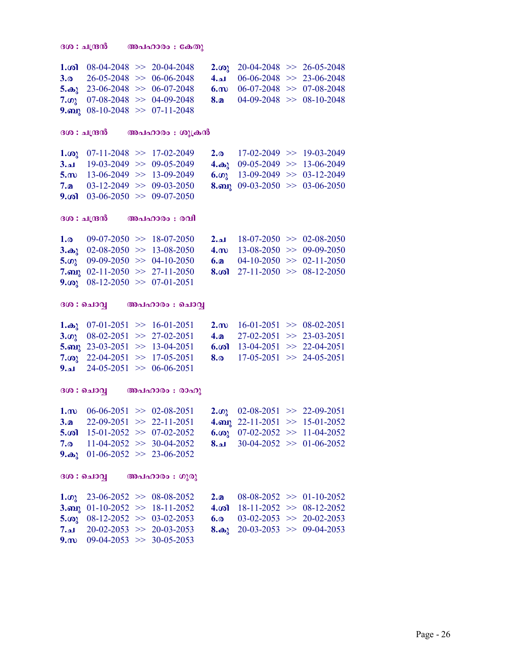```
ദശ : ചന്ദ്രൻ
             അപഹാരം : കേതു
1. \omega 08-04-2048 >> 20-04-2048
                                     2. \omega_1 20-04-2048 >> 26-05-2048
3.026-05-2048 >> 06-06-2048
                                    4.a 06-06-2048 \implies 23-06-20485.\omega 23-06-2048 >> 06-07-2048
                                    6. \omega 06-07-2048 >> 07-08-2048
7.\omega 07-08-2048 >> 04-09-2048
                                    8. \Omega 04-09-2048 >> 08-10-2048
9. map 08-10-2048 >> 07-11-2048ദശ : ചന്ദ്രൻ
                അപഹാരം : ശുക്രൻ
                                           17-02-2049 >> 19-03-2049
1. \omega_2 07-11-2048 >> 17-02-2049
                                     2.04.\omega_2 09-05-2049 >> 13-06-2049
3.al 19-03-2049 \implies 09-05-20495.m 13-06-2049 \geq 13-09-20496. \omega 13-09-2049 > 03-12-2049
                                    8. any 09-03-2050 > 03-06-20507<sub>n</sub>03-12-2049 \ge 09-03-20509. \omega 03-06-2050 > 09-07-2050
ദശ : ചന്ദ്രൻ
                അപഹാരം : രവി
      09-07-2050 \implies 18-07-20502.al 18-07-2050 \implies 02-08-20501.03.\omega_1 02-08-2050 >> 13-08-2050
                                    4.m 13-08-2050 \gg 09-09-2050
                                    6.2<sub>2</sub>5.\omega 09-09-2050 > 04-10-2050
                                           04-10-2050 \implies 02-11-20507.am 02-11-2050 >> 27-11-2050
                                    8. \omega 27-11-2050 > 08-12-2050
9. \omega_2 08-12-2050 > 07-01-2051
ദശ : ചൊവ്വ
                അപഹാരം : ചൊവ്വ
1.\omega<sub>2</sub> 07-01-2051 >> 16-01-2051
                                    2. (a) 16-01-2051 \gg 08-02-20513. \omega_1 08-02-2051 >> 27-02-2051
                                           27-02-2051 >> 23-03-20514.2<sub>2</sub>5. m_1 23-03-2051 >> 13-04-2051
                                    6. \omega 13-04-2051 >> 22-04-2051
7.\omega 22-04-2051 >> 17-05-2051
                                    8.0 17-05-2051 \implies 24-05-20519.24 - 05 - 2051 \implies 06 - 06 - 2051ദശ : ചൊവ്വ
                അപഹാരം : രാഹു
1.m 06-06-2051 \gg 02-08-20512.\omega 02-08-2051 >> 22-09-2051
                                     4. \omega 22-11-2051 >> 15-01-2052
3.a22-09-2051 >> 22-11-20515. \omega 15-01-2052 >> 07-02-2052
                                    6. \omega_2 07-02-2052 >> 11-04-2052
7. a 11-04-2052 >> 30-04-2052
                                    8.21 30-04-2052 >> 01-06-2052
9.\omega_3 01-06-2052 >> 23-06-2052
ദശ : ചൊവ്വ
                അപഹാരം : ഗുരു
1.\omega, 23-06-2052 >> 08-08-2052
                                    2. a 08-08-2052 >> 01-10-2052
3. and 01-10-2052 >> 18-11-2052
                                    4. \omega 18-11-2052 >> 08-12-2052
5.\omega 08-12-2052 >> 03-02-2053
                                     6.0 03-02-2053 >> 20-02-2053
7.al 20-02-2053 \implies 20-03-20538.\omega_1 20-03-2053 >> 09-04-2053
9. m 09-04-2053 \implies 30-05-2053
```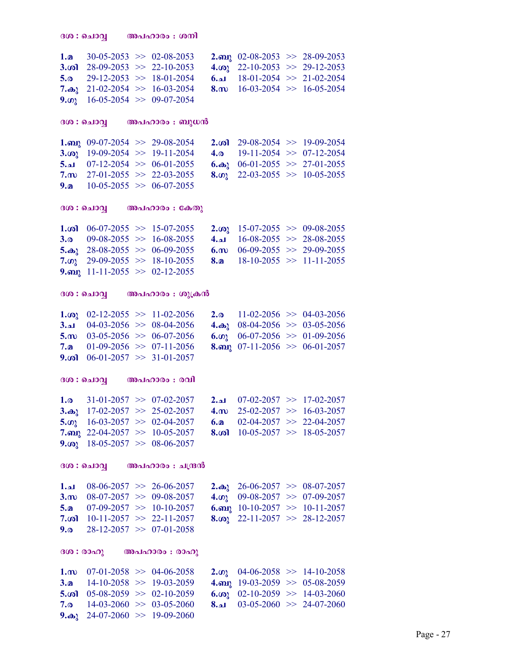| 1. $\mathbf{a}$ 30-05-2053 >> 02-08-2053          |  | 2. and 02-08-2053 $>$ 28-09-2053      |  |
|---------------------------------------------------|--|---------------------------------------|--|
| 3. $\omega$ 28-09-2053 >> 22-10-2053              |  | 4. $\omega$ 22-10-2053 >> 29-12-2053  |  |
| 5.0 29-12-2053 $>$ 18-01-2054                     |  | 6.al $18-01-2054 \implies 21-02-2054$ |  |
| 7. $\omega$ <sub>2</sub> 21-02-2054 >> 16-03-2054 |  | 8. m $16-03-2054 \gg 16-05-2054$      |  |
| 9. $\omega$ 16-05-2054 > 09-07-2054               |  |                                       |  |

#### ദശ $:$  ചൊവ്വ $\qquad \qquad \text{and} \ \ldots$ ാരം : ബുധൻ

**1.** and 09-07-2054  $>$  29-08-2054 2. and 29-08-2054  $>$  19-09-2054 3. and 19-09-2054  $\rightarrow$  19-09-2054 4. a 19-11-2054  $>$  07-12-2054 3. $\omega_0$  19-09-2054  $\gg$  19-11-2054<br>5.a 07-12-2054  $\gg$  06-01-2055 6. $\omega_3$  06-01-2055 >> 27-01-2055<br>8. $\omega_2$  22-03-2055 >> 10-05-2055 7.m 27-01-2055  $\gg$  22-03-2055 9.a  $10-05-2055 \implies 06-07-2055$ 

#### ദശ $:$  ചൊവ്വ $\qquad \qquad \text{and} \quad \text{and} \quad \text{and} \quad \text{and}$

|                                      | <b>1.</b> $\omega$ 06-07-2055 >> 15-07-2055 | 2. $\omega_1$ 15-07-2055 >> 09-08-2055 |  |
|--------------------------------------|---------------------------------------------|----------------------------------------|--|
| 3.0 $09-08-2055 \implies 16-08-2055$ |                                             | $4.21 \t16-08-2055 \t>> 28-08-2055$    |  |
|                                      | 5. $\omega$ 28-08-2055 >> 06-09-2055        | 6. m $06-09-2055 \implies 29-09-2055$  |  |
| 7. $\omega$ 29-09-2055 >> 18-10-2055 |                                             | 8. <b>a</b> 18-10-2055 >> 11-11-2055   |  |
| 9. and 11-11-2055 $\gg$ 02-12-2055   |                                             |                                        |  |

### ദശ $:$  ചൊവ്വ അപഹാരം $: \omega$ ്രുക്രൻ

| 1. $\omega_2$ 02-12-2055 >> 11-02-2056 |  | 2. $\omega$ 11-02-2056 >> 04-03-2056   |  |
|----------------------------------------|--|----------------------------------------|--|
| 3.al $04-03-2056$ $> 08-04-2056$       |  | 4. $\omega_2$ 08-04-2056 >> 03-05-2056 |  |
| 5.m $03-05-2056 \implies 06-07-2056$   |  | 6. $\omega$ 06-07-2056 >> 01-09-2056   |  |
| 7. $\Omega$ 01-09-2056 >> 07-11-2056   |  | 8. and 07-11-2056 $> 06-01-2057$       |  |
| 9. $\omega$ 06-01-2057 >> 31-01-2057   |  |                                        |  |

#### ദശ $:$  ചൊവ്വ $\qquad \qquad \text{and} \quad \text{and} \quad \text{and}$

| 1.0 $31-01-2057 \implies 07-02-2057$    |                                  | 2.al $07-02-2057 \implies 17-02-2057$ |  |
|-----------------------------------------|----------------------------------|---------------------------------------|--|
| 3. $\omega$ , 17-02-2057 >> 25-02-2057  |                                  | 4. $\omega$ 25-02-2057 >> 16-03-2057  |  |
| 5. $\omega$ 16-03-2057 >> 02-04-2057    |                                  | 6. <b>a</b> 02-04-2057 >> 22-04-2057  |  |
|                                         | 7.au 22-04-2057 $\gg$ 10-05-2057 | 8. $\omega$ 10-05-2057 >> 18-05-2057  |  |
| 9. (a) $18-05-2057 \implies 08-06-2057$ |                                  |                                       |  |

### ദശ $: 0.199$  ആപഹാരം $: 1.030$

| $1.41 \t08-06-2057 \t>> 26-06-2057$   |                                      | 2. $\omega$ 26-06-2057 >> 08-07-2057   |  |
|---------------------------------------|--------------------------------------|----------------------------------------|--|
| 3. m $08-07-2057 \implies 09-08-2057$ |                                      | 4. $\omega_2$ 09-08-2057 >> 07-09-2057 |  |
|                                       | 5. $\Omega$ 07-09-2057 >> 10-10-2057 | 6. and 10-10-2057 $\gg$ 10-11-2057     |  |
|                                       | 7. $\omega$ 10-11-2057 > 22-11-2057  | 8. $\omega$ 22-11-2057 >> 28-12-2057   |  |
| 9. $28-12-2057 \gg 07-01-2058$        |                                      |                                        |  |

### $300$  : രാഹു - അപഹാരം : രാഹു

| 1. $\omega$ 07-01-2058 >> 04-06-2058     |  |  | 2. $\omega$ 04-06-2058 >> 14-10-2058   |
|------------------------------------------|--|--|----------------------------------------|
| 3. $\mathbf{a}$ 14-10-2058 >> 19-03-2059 |  |  | 4. any 19-03-2059 >> 05-08-2059        |
| 5. $\omega$ 05-08-2059 >> 02-10-2059     |  |  | 6. $\omega_2$ 02-10-2059 >> 14-03-2060 |
| 7. <sub>0</sub> 14-03-2060 > 03-05-2060  |  |  | $8.21$ 03-05-2060 >> 24-07-2060        |
| 9. $\omega_2$ 24-07-2060 >> 19-09-2060   |  |  |                                        |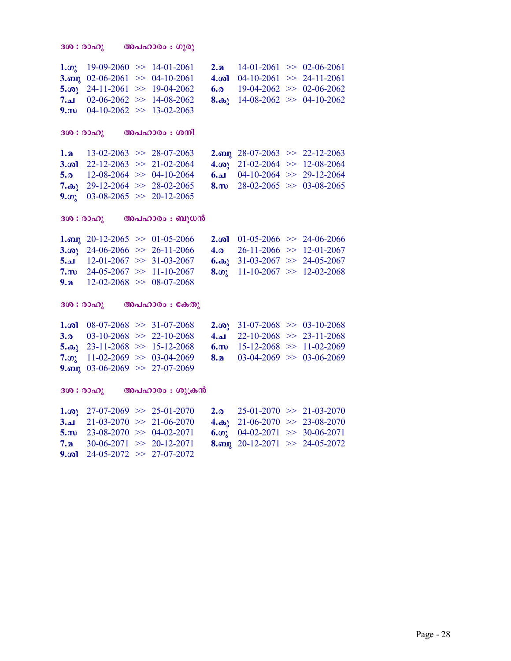```
\partial \mathbf{G}(\mathbf{0}) = \partial \mathbf{G}(\mathbf{0}) and \partial \mathbf{G}(\mathbf{0}) = \partial \mathbf{G}(\mathbf{0})1.\omega_3 19-09-2060 >> 14-01-2061 2.a 14-01-2061 >> 02-06-2061<br>3.a 02-06-2061 >> 04-10-2061 4.\omega 04-10-2061 >> 24-11-2061
3.my 02-06-2061 \gg 04-10-2061<br>5.00 24-11-2061 \gg 19-04-2062
                                                      6.<sup>o</sup> 19-04-2062 > 02-06-2062
7.م 02-06-2062 >> 14-08-2062 8.\omega 14-08-2062 > 04-10-2062
9.m 04-10-2062 \implies 13-02-2063(300: 00<sub>0</sub>) (00<sub>0</sub>)<sub>0</sub> : (000)1.a 13-02-2063 >> 28-07-2063 2. and 28-07-2063 >> 22-12-2063<br>3. and 22-12-2063 >> 21-02-2064 4. and 21-02-2064 >> 12-08-2064
3.\omega 22-12-2063 >> 21-02-2064 4.\omega<sub>3</sub> 21-02-2064 >> 12-08-2064<br>5.\omega 12-08-2064 >> 04-10-2064 6.\omega 04-10-2064 >> 29-12-2064
                                                      6.a  04-10-2064 \gg 29-12-2064<br>8.m 28-02-2065 \gg 03-08-2065
7.\omega_1 29-12-2064 \gg 28-02-2065
9.\omega 03-08-2065 \gg 20-12-2065
300: 0300 \ldots 000 \ldots 000 \ldots 0001. and 20-12-2065 > 01-05-2066 2. and 01-05-2066 > 24-06-2066<br>3. and 24-06-2066 > 26-11-2066 4. a 26-11-2066 > 12-01-2067
3.\omega 24-06-2066 > 26-11-2066 4.\omega 26-11-2066 > 12-01-2067<br>5.a 12-01-2067 > 31-03-2067 6.\omega 31-03-2067 > 24-05-2067
5.\mu 12-01-2067 > 31-03-2067
7.m 24-05-2067 \gg 11-10-2067 8.\omega 11-10-2067 \gg 12-02-2068
9.a 12-02-2068 \implies 08-07-2068(300 : 00<sub>0</sub>) (00<sub>0</sub> + 0<sub>0</sub>)<sub>0</sub>)1.\omega 08-07-2068 >> 31-07-2068 2.\omega<sub>3</sub> 31-07-2068 >> 03-10-2068<br>3.\omega 03-10-2068 >> 22-10-2068 4.\omega 22-10-2068 >> 23-11-2068
3.0 03-10-2068 > 22-10-2068 4.a 22-10-2068 > 23-11-20685. as 23-11-2068 >> 15-12-2068 6. m 15-12-2068 >> 11-02-2069<br>7. on 11-02-2069 >> 03-04-2069 8. a 03-04-2069 >> 03-06-2069
7.\omega 11-02-2069 >> 03-04-2069
9.mg 03-06-2069 \gg 27-07-2069
\partial \Omega: രാഹു അപഹാരം : ശുക്രൻ
1.\omega 27-07-2069 \gg 25-01-2070 2.\omega 25-01-2070 \gg 21-03-2070
3.al 21-03-2070 > 21-06-2070 4.\omega_3 21-06-2070 > 23-08-2070<br>5.m 23-08-2070 > 04-02-2071 6.m 04-02-2071 > 30-06-2071
                                                      6.\omega 04-02-2071 >> 30-06-2071
7.a 30-06-2071 \gg 20-12-2071 8.mai 20-12-2071 \gg 24-05-2072
```
9. $\omega$  24-05-2072  $\gg$  27-07-2072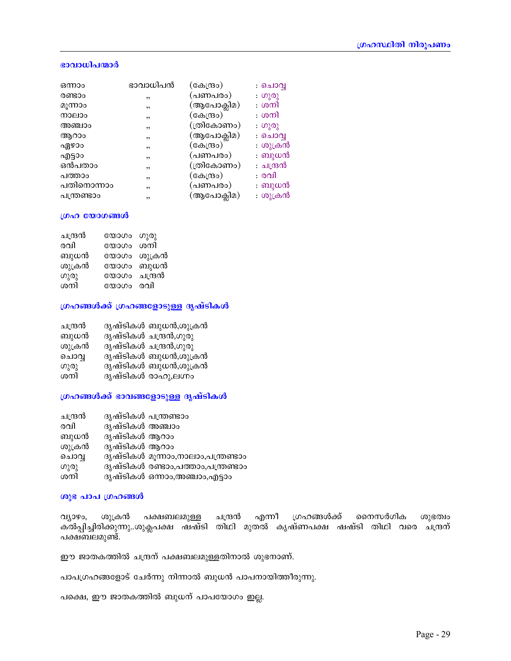### ഭാവാധിപന്മാർ

| ഒന്നാം      | ഭാവാധിപൻ | (കേന്ദ്രം) | : ചൊവ്വ   |
|-------------|----------|------------|-----------|
| രണ്ടാം      | ,        | (പണപരം)    | : ഗുരു    |
| മൂന്നാം     | ,        | (ആപോക്ലിമ) | : ശനി     |
| നാലാം       | ,        | (കേന്ദ്രം) | : ശനി     |
| അഞ്ചാം      | ,        | (ത്രികോണം) | : ഗുരു    |
| ആറാം        | ,        | (ആപോക്ലിമ) | : ചൊവ്വ   |
| ഏഴാം        | ,        | (കേന്ദ്രം) | : ശുക്രൻ  |
| എട്ടാം      | ,        | (പണപരം)    | : ബുധൻ    |
| ഒൻപതാം      | ,        | (ത്രികോണം) | : ചന്ദ്രൻ |
| പത്താം      | ,        | (കേന്ദ്രം) | : രവി     |
| പതിനൊന്നാം  | ,        | (പണപരം)    | : ബുധൻ    |
| പന്ത്രണ്ടാം | ,,       | (ആപോക്ലിമ) | : ശുക്രൻ  |

#### ഗ്രഹ യോഗങ്ങൾ

| ചന്ദ്രൻ | തോരാ രാഗ്    |             |
|---------|--------------|-------------|
| രവി     | യോഗം ശനി     |             |
| ബുധൻ    |              | യോഗം ശുക്രൻ |
| ശുക്രൻ  |              | യോഗം ബുധൻ   |
| ഗുരു    | യോഗം ചന്ദ്രൻ |             |
| ശനി     | യോഗം രവി     |             |

### ഗ്രഹങ്ങൾക്ക് ഗ്രഹങ്ങളോടുള്ള ദൃഷ്ടികൾ

| ചന്ദ്രൻ | ദൃഷ്ടികൾ ബുധൻ,ശുക്രൻ  |
|---------|-----------------------|
| ബുധൻ    | ദൃഷ്ടികൾ ചന്ദ്രൻ,ഗുരു |
| ശുക്രൻ  | ദൃഷ്ടികൾ ചന്ദ്രൻ,ഗുരു |
| ചൊവൃ    | ദൃഷ്ടികൾ ബുധൻ,ശുക്രൻ  |
| ഗുരു    | ദൃഷ്ടികൾ ബുധൻ,ശുക്രൻ  |
| ശനി     | ദൃഷ്ടികൾ രാഹു,ലഗ്നം   |

### ഗ്രഹങ്ങൾക്ക് ഭാവങ്ങളോടുള്ള ദൃഷ്ടികൾ

| ചന്ദ്രൻ | ദൃഷ്ടികൾ പന്ത്രണ്ടാം |                                    |
|---------|----------------------|------------------------------------|
| രവി     | ദൃഷ്ടികൾ അഞ്ചാം      |                                    |
| ബുധൻ    | ദൃഷ്ടികൾ ആറാം        |                                    |
| ശുക്രൻ  | ദൃഷ്ടികൾ ആറാം        |                                    |
| ചൊവൃ    |                      | ദൃഷ്ടികൾ മൂന്നാം,നാലാം,പന്ത്രണ്ടാം |
| ഗുരു    |                      | ദൃഷ്ടികൾ രണ്ടാം,പത്താം,പന്ത്രണ്ടാം |
| ശനി     |                      | ദൃഷ്ടികൾ ഒന്നാം,അഞ്ചാം,എട്ടാം      |

### ശുഭ പാപ ഗ്രഹങ്ങൾ

ചന്ദ്രൻ എന്നീ ഗ്രഹങ്ങൾക്ക് നൈസർഗിക വ്യാഴം, ശുക്രൻ പക്ഷബലമുള്ള ശുഭത്വം ക്ൽപ്പിച്ചിരിക്കുന്നു..ശുക്ലപക്ഷ ഷഷ്ടി തിഥി മുതൽ കൃഷ്ണപക്ഷ ഷഷ്ടി തിഥി വരെ ചനദേന് പക്ഷബലമുണ്ട്.

ഈ ജാതകത്തിൽ ചന്ദ്രന് പക്ഷബലമുള്ളതിനാൽ ശുഭനാണ്.

പാപഗ്രഹങ്ങളോട് ചേർന്നു നിന്നാൽ ബുധൻ പാപനായിത്തീരുന്നു.

പക്ഷെ, ഈ ജാതകത്തിൽ ബുധന് പാപയോഗം ഇല്ല.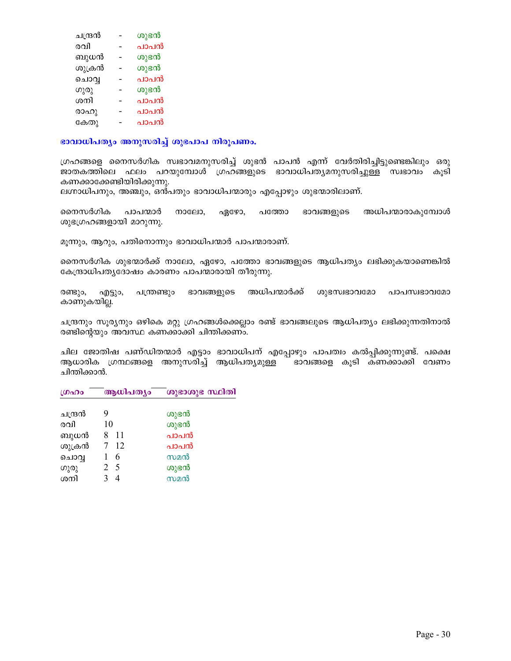| ചന്ദ്രൻ | ശുഭൻ |
|---------|------|
| രവി     | പാപൻ |
| ബുധൻ    | ശുഭൻ |
| ശുക്രൻ  | ശുഭൻ |
| ചൊവൃ    | പാപൻ |
| ഗുരു    | ശുഭൻ |
| ശനി     | പാപൻ |
| രാഹു    | പാപൻ |
| കേതു    | പാപൻ |
|         |      |

 $\mathbf{u}$ ദാവാധിപത്യം അനുസരിച്ച് ശുഭപാപ നിരൂപണം.

 $($ ഗഹങ്ങളെ നൈസർഗിക സ്വഭാവമനുസരിച്ച് ശുഭൻ പാപൻ എന്ന് വേർതിരിച്ചിട്ടുണ്ടെങ്കിലും ഒരു ജാതകത്തിലെ ഫലം പറയുമ്പോൾ ഗ്രഹ്ങ്ങളുടെ ഭാവാധിപ്തൃമനുസരിച്<u>ചുള്</u>ക്് സ്വഭാവം കൂടി കണക്കാക്കേണ്ടിയിരിക്കുന്നു.

ലഗ്നാധിപനും, അഞ്ചും, ഒൻപതും ഭാവാധിപന്മാരും എപ്പോഴും ശുഭന്മാരിലാണ്.

നൈസർഗിക പാപന്മാർ നാലോ, ഏഴോ, പത്തോ ഭാവങ്ങളുടെ അധിപന്മാരാകുമ്പോൾ ശുഭഗ്രഹങ്ങളായി മാറുന്നു.

മൂന്നും, ആറും, പതിനൊന്നും ഭാവാധിപന്മാർ പാപന്മാരാണ്.

നൈസർഗിക ശുഭന്മാർക്ക് നാലോ, ഏഴോ, പത്തോ ഭാവങ്ങളുടെ ആധിപത്യം ലഭിക്കുകയാണെങ്കിൽ കേന്ദ്രാധിപത്യദോഷം കാരണം പാപന്മാരായി തീരുന്നു.

രണ്ടും, എട്ടും, പന്ത്രണ്ടും ഭാവങ്ങളുടെ അധിപന്മാർക്ക് ശുഭസ്വഭാവമോ പാപസ്വഭാവമോ കാണുകയില്ല.

ചന്ദ്രനും സുര്യനും ഒഴികെ മറ്റു ഗ്രഹങ്ങൾക്കെല്ലാം രണ്ട് ഭാവങ്ങലുടെ ആധിപത്യം ലഭിക്കുന്നതിനാൽ രണ്ടിന്റെയും അവസ്ഥ കണക്കാക്കി ചിന്തിക്കണ്ം.

ചില ജോതിഷ പണ്ഡിതന്മാർ എട്ടാം ഭാവാധിപന് എപ്പോഴും പാപത്വം കൽപ്പിക്കുന്നുണ്ട്. പക്ഷെ ആധാരിക ഗ്രന്ഥങ്ങളെ അനുസരിച്ച് ആധിപത്യമുള്ള <sup>—</sup> ഭാവങ്ങളെ കൂടി കണക്കാക്കി വേണം ചിന്തിക്കാൻ.

| ഗ്രഹം   | ആധിപത്യം | ശുഭാശുഭ സ്ഥിതി |
|---------|----------|----------------|
|         |          |                |
| ചന്ദ്രൻ | 9        | ശുഭൻ           |
| രവി     | 10       | ശുഭൻ           |
| ബുധൻ    | 11       | പാപൻ           |
| ശുക്രൻ  | -12      | പാപൻ           |
| ചൊവൃ    | 6        | സമൻ            |
| ഗുരു    | 2 5      | ശുഭൻ           |
| ശനി     | Δ        | സമൻ            |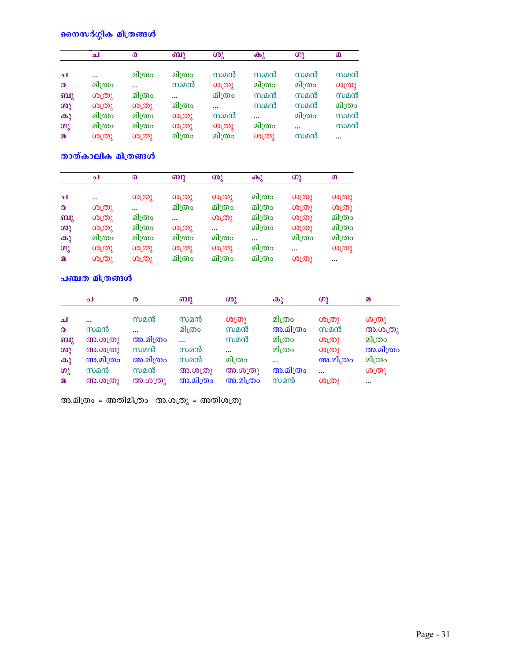## നൈസർഗ്ഗിക മിത്രങ്ങൾ

|                       | ച      | $\boldsymbol{\omega}$ | ബു       | ശു       | കു       | ဖာ္ခ     | $\Omega$ |
|-----------------------|--------|-----------------------|----------|----------|----------|----------|----------|
| ച                     |        | മിത്രം                | മിത്രം   | സമൻ      | സമൻ      | സമൻ      | സമൻ      |
| $\boldsymbol{\omega}$ | മിത്രം | $\ddotsc$             | സമൻ      | ശത്രു    | മിത്രം   | മിത്രം   | ശത്രു    |
| ബു                    | ശത്രു  | മിത്രം                | $\cdots$ | മിത്രം   | സമൻ      | സമൻ      | സമൻ      |
| ശു                    | ശത്രു  | ശത്രു                 | മിത്രം   | $\cdots$ | സമൻ      | സമൻ      | മിത്രം   |
| $\mathbf{\omega}$     | മിത്രം | മിത്രം                | ശത്രു    | സമൻ      | $\cdots$ | മിത്രം   | സമൻ      |
| ဖာ္ခ                  | മിത്രം | മിത്രം                | ശത്രു    | ശത്രു    | മിത്രം   | $\cdots$ | സമൻ      |
| മ                     | ശത്രു  | ശത്രു                 | മിത്രം   | മിത്രം   | ശത്രു    | സമൻ      |          |

താത്കാലിക മിത്രങ്ങൾ

|                       | ച      | ര      | ബു        | ശു     | കു     | ഗു       | മ      |
|-----------------------|--------|--------|-----------|--------|--------|----------|--------|
|                       |        |        |           |        |        |          |        |
| ച                     |        | ശത്രു  | ശത്രു     | ശത്രു  | മിത്രം | ശ്യതു    | ശത്രു  |
| $\boldsymbol{\omega}$ | ശത്രു  |        | മിത്രം    | മിത്രം | മിത്രം | ശത്രു    | ശത്രു  |
| ബു                    | ശത്രു  | മിത്രം | $\ddotsc$ | ശത്രു  | മിത്രം | ശ്യതു    | മിത്രം |
| ശു                    | ശത്രു  | മിത്രം | ശത്രു     |        | മിത്രം | ശത്രു    | മിത്രം |
| കു                    | മിത്രം | മിത്രം | മിത്രം    | മിത്രം |        | മിത്രം   | മിത്രം |
| ഗു                    | ശത്രു  | ശത്രു  | ശശു       | ശത്രു  | മിത്രം | $\cdots$ | ശത്രു  |
| $\Omega$              | ശത്രു  | ശത്രു  | മിത്രം    | മിത്രം | മിത്രം | ശത്രു    |        |

<mark>പഞ്ചത മിത്രങ്ങൾ</mark>

|                       | ച          | $\boldsymbol{\omega}$   | ബു        | ശു       | കു        | ဖား      | $\Omega$ |
|-----------------------|------------|-------------------------|-----------|----------|-----------|----------|----------|
| ച                     | $\ddotsc$  | സമൻ                     | സമൻ       | ശത്രു    | മിത്രം    | O(D)     | O(D)     |
| $\boldsymbol{\omega}$ | സമൻ        | $\ddotsc$               | മിത്രം    | സമൻ      | അ.മിത്രം  | സമൻ      | അ.ശത്രു  |
| ബു                    | (30.00(0)) | അ.മിത്രം                | $\ddotsc$ | സമൻ      | മിത്രം    | O(D)     | മിത്രം   |
| ശു                    | അ.ശത്രു    | സമൻ                     | സമൻ       |          | മിത്രം    | O(D)     | അ.മിത്രം |
| $\mathbf{\Theta}$     | അ.മിത്രം   | അ.മിത്രം                | സമൻ       | മിത്രം   | $\ddotsc$ | അ.മിത്രം | മിത്രം   |
| ഗു                    | സമൻ        | സമൻ                     | അ.ശത്രു   | അ.ശത്രു  | അ.മിത്രം  | $\cdots$ | ശത്രു    |
| മ                     | അ.ശത്രു    | അ.ശ $(\textcircled{n})$ | അ.മിത്രം  | അ.മിത്രം | സമൻ       | ശത്രു    | $\cdots$ |

അ.മിത്രം = അതിമിത്രം അ.ശത്രു = അതിശത്രു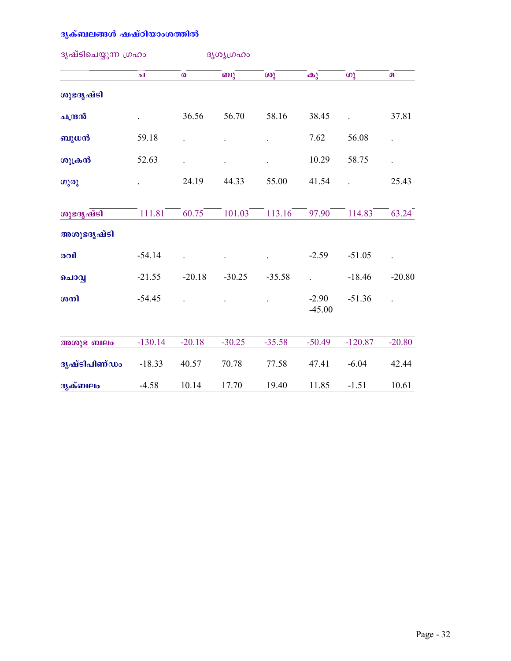## ദൃക്ബലങ്ങൾ ഷഷ്ഠിയാംശത്തിൽ

| ദൃഷ്ടിചെയ്യുന്ന ഗ്രഹം |           |                | ദൃശ്യഗ്രഹം |          |                     |           |          |  |
|-----------------------|-----------|----------------|------------|----------|---------------------|-----------|----------|--|
|                       | لم        | $\pmb{\Omega}$ | ബു         | ശു       | $\bigoplus$         | ഗു        | $\Omega$ |  |
| ശുഭദൃഷ്ടി             |           |                |            |          |                     |           |          |  |
| ചന്ദ്രൻ               |           | 36.56          | 56.70      | 58.16    | 38.45               |           | 37.81    |  |
| ബുധൻ                  | 59.18     |                |            |          | 7.62                | 56.08     |          |  |
| ശുക്രൻ                | 52.63     |                |            |          | 10.29               | 58.75     |          |  |
| ഗുരു                  |           | 24.19          | 44.33      | 55.00    | 41.54               |           | 25.43    |  |
| ശുഭദൃഷ്ടി             | 111.81    | 60.75          | 101.03     | 113.16   | 97.90               | 114.83    | 63.24    |  |
| അശുഭദൃഷ്ടി            |           |                |            |          |                     |           |          |  |
| രവി                   | $-54.14$  |                |            |          | $-2.59$             | $-51.05$  |          |  |
| ചൊവ്വ                 | $-21.55$  | $-20.18$       | $-30.25$   | $-35.58$ |                     | $-18.46$  | $-20.80$ |  |
| ശനി                   | $-54.45$  |                |            |          | $-2.90$<br>$-45.00$ | $-51.36$  |          |  |
| അശുഭ ബലം              | $-130.14$ | $-20.18$       | $-30.25$   | $-35.58$ | $-50.49$            | $-120.87$ | $-20.80$ |  |
| ദൃഷ്ടിപിണ്ഡം          | $-18.33$  | 40.57          | 70.78      | 77.58    | 47.41               | $-6.04$   | 42.44    |  |
| ദൃക്ബലം               | $-4.58$   | 10.14          | 17.70      | 19.40    | 11.85               | $-1.51$   | 10.61    |  |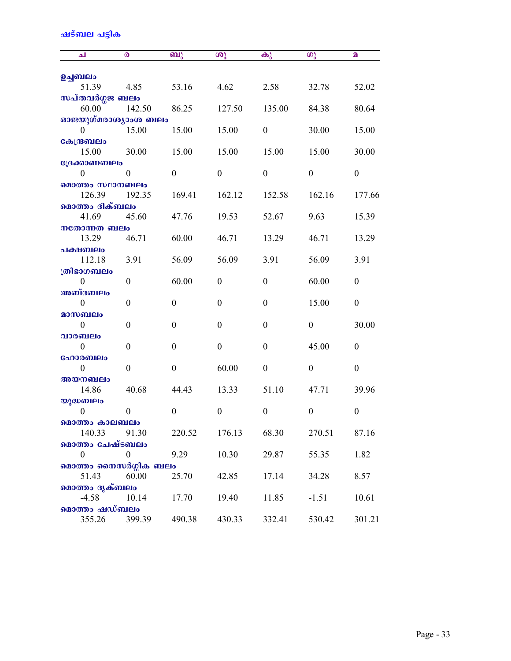## ഷട്ബല പട്ടിക

| الم                       | ര                | ബു               | ശു               | $\mathbf{\Theta}$ | ഗു               | മ                |
|---------------------------|------------------|------------------|------------------|-------------------|------------------|------------------|
| ഉച്ചബലം                   |                  |                  |                  |                   |                  |                  |
| 51.39                     | 4.85             | 53.16            | 4.62             | 2.58              | 32.78            | 52.02            |
| സപ്തവർഗ്ഗജ ബലം            |                  |                  |                  |                   |                  |                  |
| 60.00                     | 142.50           | 86.25            | 127.50           | 135.00            | 84.38            | 80.64            |
| ഓജയുഗ്മരാശ്യാംശ ബലം       |                  |                  |                  |                   |                  |                  |
| $\Omega$                  | 15.00            | 15.00            | 15.00            | $\boldsymbol{0}$  | 30.00            | 15.00            |
| കേന്ദ്രബലം                |                  |                  |                  |                   |                  |                  |
| 15.00                     | 30.00            | 15.00            | 15.00            | 15.00             | 15.00            | 30.00            |
| ്രേക്കാണബലം               |                  |                  |                  |                   |                  |                  |
| 0                         | 0                | $\theta$         | $\theta$         | $\boldsymbol{0}$  | $\theta$         | $\overline{0}$   |
| മൊത്തം സ്ഥാനബലം           |                  |                  |                  |                   |                  |                  |
| 126.39                    | 192.35           | 169.41           | 162.12           | 152.58            | 162.16           | 177.66           |
| മൊത്തം ദിക്ബലം            |                  |                  |                  |                   |                  |                  |
| 41.69                     | 45.60            | 47.76            | 19.53            | 52.67             | 9.63             | 15.39            |
| നതോന്നത ബലം<br>13.29      | 46.71            | 60.00            | 46.71            | 13.29             | 46.71            | 13.29            |
| പക്ഷബലം                   |                  |                  |                  |                   |                  |                  |
| 112.18                    | 3.91             | 56.09            | 56.09            | 3.91              | 56.09            | 3.91             |
| ത്രിഭാഗബലം                |                  |                  |                  |                   |                  |                  |
| 0                         | $\boldsymbol{0}$ | 60.00            | $\mathbf{0}$     | $\theta$          | 60.00            | $\boldsymbol{0}$ |
| അബ്ദബലം                   |                  |                  |                  |                   |                  |                  |
| $\theta$                  | $\boldsymbol{0}$ | $\boldsymbol{0}$ | $\theta$         | $\theta$          | 15.00            | $\overline{0}$   |
| മാസബലം                    |                  |                  |                  |                   |                  |                  |
| $\theta$                  | $\boldsymbol{0}$ | $\boldsymbol{0}$ | $\theta$         | $\boldsymbol{0}$  | $\boldsymbol{0}$ | 30.00            |
| വാരബലം                    |                  |                  |                  |                   |                  |                  |
| $\mathbf{0}$              | $\boldsymbol{0}$ | $\boldsymbol{0}$ | $\boldsymbol{0}$ | $\boldsymbol{0}$  | 45.00            | $\boldsymbol{0}$ |
| ഹോരബലം                    |                  |                  |                  |                   |                  |                  |
| $\mathbf{0}$              | $\boldsymbol{0}$ | $\boldsymbol{0}$ | 60.00            | $\boldsymbol{0}$  | $\boldsymbol{0}$ | $\boldsymbol{0}$ |
| അയനബലം                    |                  |                  |                  |                   |                  |                  |
| 14.86                     | 40.68            | 44.43            | 13.33            | 51.10             | 47.71            | 39.96            |
| യുദ്ധബലം                  |                  |                  |                  |                   |                  |                  |
| $\boldsymbol{0}$          | $\boldsymbol{0}$ | $\boldsymbol{0}$ | $\theta$         | $\boldsymbol{0}$  | $\boldsymbol{0}$ | $\boldsymbol{0}$ |
| മൊത്തം കാലബലം             |                  |                  |                  |                   |                  |                  |
| 140.33<br>മൊത്തം ചേഷ്ടബലം | 91.30            | 220.52           | 176.13           | 68.30             | 270.51           | 87.16            |
| $\boldsymbol{0}$          | $\boldsymbol{0}$ | 9.29             | 10.30            | 29.87             | 55.35            | 1.82             |
| മൊത്തം നൈസർഗ്ഗിക ബലം      |                  |                  |                  |                   |                  |                  |
| 51.43                     | 60.00            | 25.70            | 42.85            | 17.14             | 34.28            | 8.57             |
| മൊത്തം ദൃക്ബലം            |                  |                  |                  |                   |                  |                  |
| $-4.58$                   | 10.14            | 17.70            | 19.40            | 11.85             | $-1.51$          | 10.61            |
| മൊത്തം ഷഡ്ബലം             |                  |                  |                  |                   |                  |                  |
| 355.26                    | 399.39           | 490.38           | 430.33           | 332.41            | 530.42           | 301.21           |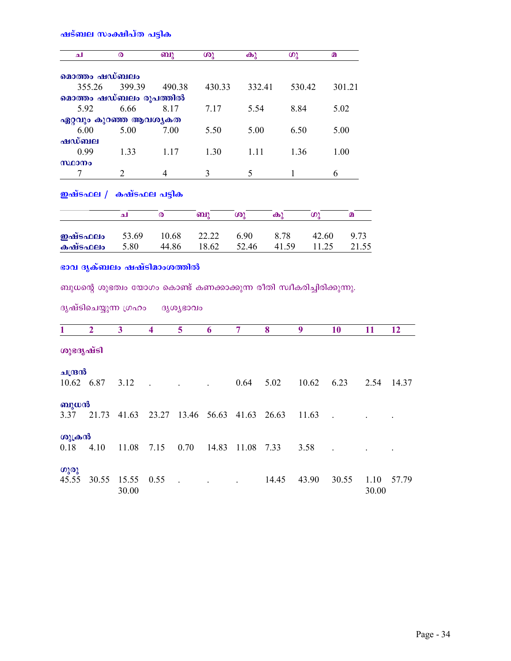ഷട്ബല സ<mark>ംക്ഷിപ്ത പട്ടിക</mark>

| الم                                                                   | $\boldsymbol{\omega}$ | ബു     | ശു     | $\mathbf{\Theta}$ | ഗു                | മ     |          |
|-----------------------------------------------------------------------|-----------------------|--------|--------|-------------------|-------------------|-------|----------|
| മൊത്തം ഷഡ്ബലം                                                         |                       |        |        |                   |                   |       |          |
| 355.26                                                                | 399.39                | 490.38 | 430.33 | 332.41            | 530.42            |       | 301.21   |
| മൊത്തം ഷഡ്ബലം രൂപത്തിൽ                                                |                       |        |        |                   |                   |       |          |
| 5.92                                                                  | 6.66                  | 8.17   | 7.17   | 5.54              | 8.84              |       | 5.02     |
| ഏറ്റവും കുറഞ്ഞ ആവശ്യകത                                                |                       |        |        |                   |                   |       |          |
| 6.00                                                                  | 5.00                  | 7.00   | 5.50   | 5.00              | 6.50              |       | 5.00     |
| ഷഡ്ബല                                                                 |                       |        |        |                   |                   |       |          |
| 0.99                                                                  | 1.33                  | 1.17   | 1.30   | 1.11              | 1.36              |       | 1.00     |
| സ്ഥാനം                                                                |                       |        |        |                   |                   |       |          |
| 7                                                                     | 2                     | 4      | 3      | 5                 | 1                 | 6     |          |
| ഇഷ്ടഫല /  കഷ്ടഫല പട്ടിക                                               | ا م                   | ര      | ബു     | ശു                | $\mathbf{\omega}$ | ဖာ္ခ  | $\Omega$ |
| ഇഷ്ടഫലം                                                               | 53.69                 | 10.68  | 22.22  | 6.90              | 8.78              | 42.60 | 9.73     |
| കഷ്ടഫലം                                                               | 5.80                  | 44.86  | 18.62  | 52.46             | 41.59             | 11.25 | 21.55    |
| ഭാവ ദൃക്ബലം ഷഷ്ടിമാംശത്തിൽ                                            |                       |        |        |                   |                   |       |          |
| ബുധന്റെ ശുഭത്വം യോഗം കൊണ്ട് കണക്കാക്കുന്ന രീതി സ്വീകരിച്ചിരിക്കുന്നു. |                       |        |        |                   |                   |       |          |

ദൃഷ്ടിചെയ്യുന്ന ഗ്രഹം ദൃശ്യഭാവം

| 1                     | $\overline{2}$ | 3              | 4     | 5                 | 6     | 7     | 8     | 9     | 10    | 11            | 12    |
|-----------------------|----------------|----------------|-------|-------------------|-------|-------|-------|-------|-------|---------------|-------|
| ശുഭദൃഷ്ടി             |                |                |       |                   |       |       |       |       |       |               |       |
| ചന്ദ്രൻ<br>10.62 6.87 |                | 3.12           |       |                   |       | 0.64  | 5.02  | 10.62 | 6.23  | 2.54          | 14.37 |
| ബുധൻ<br>3.37          | 21.73          | 41.63          | 23.27 | 13.46 56.63 41.63 |       |       | 26.63 | 11.63 |       |               |       |
| ശുക്രൻ<br>0.18        | 4.10           | 11.08          | 7.15  | 0.70              | 14.83 | 11.08 | 7.33  | 3.58  |       |               |       |
| ഗുരു<br>45.55         | 30.55          | 15.55<br>30.00 | 0.55  |                   |       |       | 14.45 | 43.90 | 30.55 | 1.10<br>30.00 | 57.79 |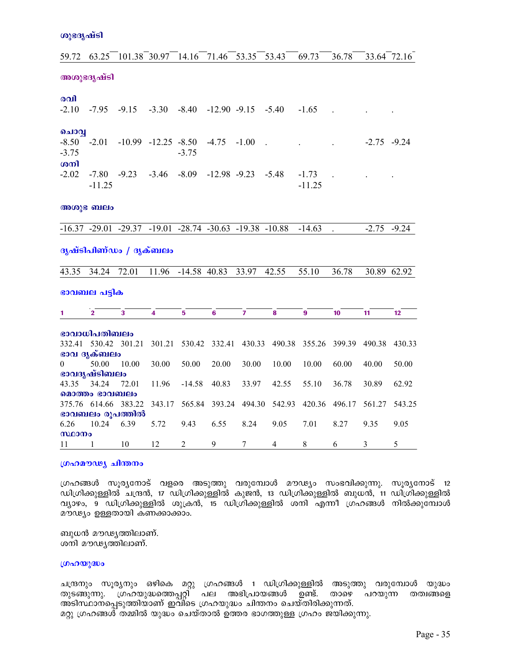|  | ശുഭദൃഷ്ടി |  |
|--|-----------|--|
|  |           |  |

| 59.72                     | 63.25                | 101.38 30.97                                                            |                           | 14.16                   | 71.46            | 53.35            | 53.43          | 69.73               | 36.78  |                | 33.64 72.16 |
|---------------------------|----------------------|-------------------------------------------------------------------------|---------------------------|-------------------------|------------------|------------------|----------------|---------------------|--------|----------------|-------------|
|                           | അശുഭദൃഷ്ടി           |                                                                         |                           |                         |                  |                  |                |                     |        |                |             |
| രവി                       |                      |                                                                         |                           |                         |                  |                  |                |                     |        |                |             |
| $-2.10$                   | $-7.95$              | $-9.15$                                                                 | $-3.30$                   | $-8.40$                 | $-12.90 -9.15$   |                  | $-5.40$        | $-1.65$             |        |                |             |
| ചൊവ്വ                     |                      |                                                                         |                           |                         |                  |                  |                |                     |        |                |             |
| $-8.50$<br>$-3.75$<br>மலி | $-2.01$              |                                                                         | $-10.99$ $-12.25$ $-8.50$ | $-3.75$                 | $-4.75$          | $-1.00$          |                |                     |        | $-2.75 -9.24$  |             |
| $-2.02$                   | $-7.80$<br>$-11.25$  | $-9.23$                                                                 | $-3.46$                   | $-8.09$                 | $-12.98$ $-9.23$ |                  | $-5.48$        | $-1.73$<br>$-11.25$ |        |                |             |
|                           | അശുഭ ബലം             |                                                                         |                           |                         |                  |                  |                |                     |        |                |             |
|                           |                      | $-16.37$ $-29.01$ $-29.37$ $-19.01$ $-28.74$ $-30.63$ $-19.38$ $-10.88$ |                           |                         |                  |                  |                | $-14.63$            |        | $-2.75$        | $-9.24$     |
| ദൃഷ്ടിപിണ്ഡം / ദൃക്ബലം    |                      |                                                                         |                           |                         |                  |                  |                |                     |        |                |             |
|                           | 43.35 34.24 72.01    |                                                                         |                           | $11.96 - 14.58 - 40.83$ |                  | 33.97 42.55      |                | 55.10               | 36.78  |                | 30.89 62.92 |
|                           | ഭാവബല പട്ടിക         |                                                                         |                           |                         |                  |                  |                |                     |        |                |             |
| $\mathbf{1}$              | $\overline{2}$       | 3                                                                       | $\overline{\mathbf{4}}$   | 5                       | $6\phantom{1}$   | $\overline{7}$   | 8              | $\bf{9}$            | 10     | 11             | 12          |
|                           | ഭാവാധിപതിബലം         |                                                                         |                           |                         |                  |                  |                |                     |        |                |             |
|                           | 332.41 530.42 301.21 |                                                                         | 301.21                    | 530.42                  | 332.41           | 430.33           | 490.38         | 355.26              | 399.39 | 490.38         | 430.33      |
|                           | ഭാവ ദൃക്ബലം          |                                                                         |                           |                         |                  |                  |                |                     |        |                |             |
| 0                         | 50.00                | 10.00                                                                   | 30.00                     | 50.00                   | 20.00            | 30.00            | 10.00          | 10.00               | 60.00  | 40.00          | 50.00       |
|                           | ഭാവദൃഷ്ടിബലം         |                                                                         |                           |                         |                  |                  |                |                     |        |                |             |
| 43.35                     | 34.24                | 72.01                                                                   | 11.96                     | $-14.58$                | 40.83            | 33.97            | 42.55          | 55.10               | 36.78  | 30.89          | 62.92       |
|                           | മൊത്തം ഭാവബലം        |                                                                         |                           |                         |                  |                  |                |                     |        |                |             |
|                           |                      | 375.76 614.66 383.22                                                    | 343.17                    | 565.84                  | 393.24           | 494.30           | 542.93         | 420.36              | 496.17 | 561.27         | 543.25      |
|                           |                      | ഭാവബലം രൂപത്തിൽ                                                         |                           |                         |                  |                  |                |                     |        |                |             |
| 6.26                      | 10.24                | 6.39                                                                    | 5.72                      | 9.43                    | 6.55             | 8.24             | 9.05           | 7.01                | 8.27   | 9.35           | 9.05        |
| സ്ഥാനം                    |                      |                                                                         |                           |                         |                  |                  |                |                     |        |                |             |
| 11                        | 1                    | 10                                                                      | 12                        | $\overline{2}$          | 9                | $\boldsymbol{7}$ | $\overline{4}$ | $8\,$               | 6      | $\mathfrak{Z}$ | 5           |

### ശ്രഹമൗഢ്യ ചിന്തനം

ഗ്രഹങ്ങൾ സൂര്യനോട് വളരെ അടുത്തു വരുമ്പോൾ മൗഢ്യം സംഭവിക്കുന്നു. സൂര്യനോട് 12 .<br>ഡിഗ്രിക്കുള്ളിൽ ചന്ദ്രൻ, 17 ഡിഗ്രിക്കുള്ളിൽ കുജൻ, 13 ഡിഗ്രിക്കുള്ളിൽ ബുധൻ, 11 ഡിഗ്രിക്കുള്ളിൽ വ്യാഴം, 9 ഡിഗ്രിക്കുള്ളിൽ ശുക്രൻ, 15 ഡിഗ്രിക്കുള്ളിൽ ശനി എന്നീ ഗ്രഹങ്ങൾ നിൽക്കുമ്പോൾ മൗഢ്യം ഉള്ളതായി കണക്കാക്കാം.

ബുധൻ മൗഢ്യത്തിലാണ്. ശനി മൗഢ്യത്തിലാണ്.

#### ഗ്രഹയുദ്ധം

ചന്ദ്രനും സൂര്യനും ഒഴികെ മറ്റു ഗ്രഹങ്ങൾ 1 ഡിഗ്രിക്കുള്ളിൽ അടുത്തു വരുമ്പോൾ യുദ്ധം തുടങ്ങുന്നു. ഗ്രഹയുദ്ധത്തെപ്പറ്റി പല അഭിപ്രായങ്ങൾ ഉണ്ട്. താഴെ പറയുന്ന തത്വങ്ങളെ അടിസ്ഥാനപ്പെടുത്തിയാണ് ഇവി്ടെ ഗ്രഹയുദ്ധം ചിന്തനം ചെയ്തിരിക്കുന്നത്. മറ്റു ഗ്രഹങ്ങൾ തമ്മിൽ യുദ്ധം ചെയ്താൽ ഉത്തര ഭാഗത്തുള്ള ഗ്രഹം ജയിക്കുന്നു.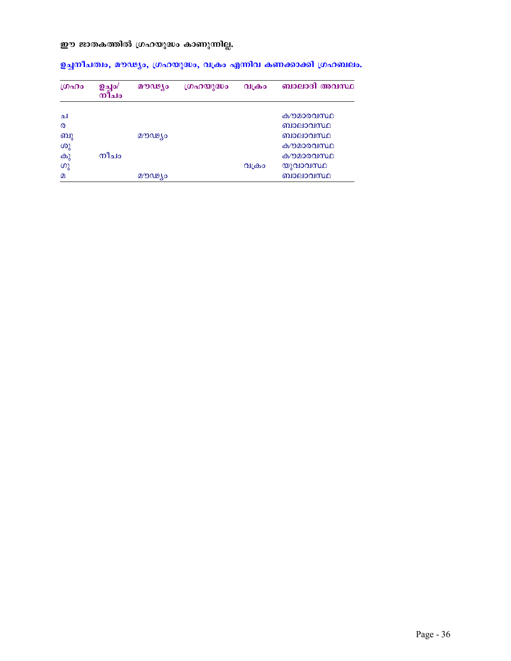## ഈ ജാതകത്തിൽ ഗ്രഹയുദ്ധം കാണുന്നില്ല.

| LOADO                 | <b>ഉച്ചം/</b><br>നിച $\sigma$ | മൗഢ്യം | ഗ്രഹയുദ്ധം | വക്രാ | ബാലാദി അവസ്ഥ |
|-----------------------|-------------------------------|--------|------------|-------|--------------|
|                       |                               |        |            |       |              |
| ച                     |                               |        |            |       | കൗമാരവസ്ഥ    |
| $\boldsymbol{\Omega}$ |                               |        |            |       | ബാലാവസ്ഥ     |
| ബു                    |                               | മൗഢ്യം |            |       | ബാലാവസ്ഥ     |
| ശു                    |                               |        |            |       | കൗമാരവസ്ഥ    |
| കു                    | നീചം                          |        |            |       | കൗമാരവസ്ഥ    |
| ഗു                    |                               |        |            | വക്രം | യുവാവസ്ഥ     |
| $\Omega$              |                               | മൗഢ്യം |            |       | ബാലാവസ്ഥ     |

ഉച്ചനീചത്വം, മൗഢ്യം, ഗ്രഹയുദ്ധം, വക്രം എന്നിവ കണക്കാക്കി ഗ്രഹബലം.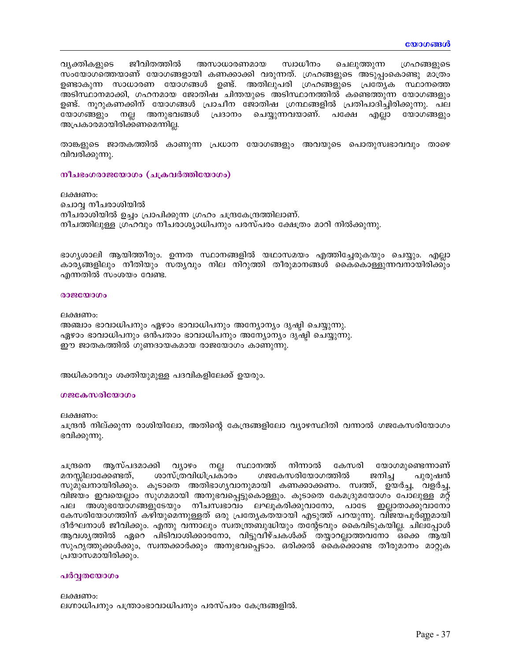വ്യക്തികളുടെ ജീവിതത്തിൽ അസാധാരണമായ സ്വാധീനം ചെലുത്തുന്ന ഗ്രഹങ്ങളുടെ സംയോഗത്തെയാണ് യോഗങ്ങളായി കണക്കാക്കി വരുന്നത്. ഗ്രഹങ്ങളുടെ അടുപ്പംകൊണ്ടു മാത്രം ഉണ്ടാകുന്ന സാധാരണ യോഗങ്ങൾ ഉണ്ട്. അതിലുപരി ഗ്രഹങ്ങളുടെ പ്രത്യേക സ്ഥാനത്തെ അടിസ്ഥാനമാക്കി, ഗഹനമായ ജോതിഷ ചിന്തയുടെ അടിസ്ഥാനത്തിൽ കണ്ടെത്തുന്ന യോഗങ്ങളും ഉണ്ട്. നൂറുകണക്കിന് യോഗങ്ങൾ പ്രാചീന ജോതിഷ ഗ്രന്ഥങ്ങളിൽ പ്രതിപാദിച്ചിരിക്കുന്നു. പല യോഗങ്ങളും നല്ല അനുഭവങ്ങൾ പ്രദാനം ചെയ്യുന്നവയാണ്. പക്ഷേ എല്ലാ യോഗങ്ങളും അപ്രകാരമായിരിക്കണമെന്നില്ല.

താങ്കളുടെ ജാതകത്തിൽ കാണുന്ന പ്രധാന യോഗങ്ങളും അവയുടെ പൊതുസ്വഭാവവും താഴെ വിവരിക്കുന്നു.

നീചഭംഗരാജയോഗം (ചക്രവർത്തിയോഗം)

ലക്ഷണം: ചൊവ്വ നീചരാശിയിൽ നീചരാശിയിൽ ഉച്ചം പ്രാപിക്കുന്ന ഗ്രഹം ചന്ദ്രകേന്ദ്രത്തിലാണ്. നീചത്തിലുള്ള ഗ്രഹവും നീചരാശ്യാധിപനും പരസ്പരം ക്ഷേത്രം മാറി നിൽക്കുന്നു.

ഭാഗൃശാലി ആയിത്തീരും. ഉന്നത സ്ഥാനങ്ങളിൽ യഥാസമയം എത്തിച്ചേരുകയും ചെയ്യും. എല്ലാ കാര്യങ്ങളിലും നീതിയും സത്യവും നില നിറുത്തി തീരുമാനങ്ങൾ കൈകൊള്ളുന്നവനായിരിക്കും എന്നതിൽ സംശയം വേണ്ട.

#### **@OECODOO**

ലക്ഷണം: അഞ്ചാം ഭാവാധിപനും ഏഴാം ഭാവാധിപനും അന്യോന്യം ദൃഷ്ഠി ചെയ്യുന്നു. ഏഴാം ഭാവാധിപനും ഒൻപതാം ഭാവാധിപനും അന്യോന്യം ദൃഷ്ഠി ചെയ്യുന്നു. ഈ ജാതകത്തിൽ ഗുണദായകമായ രാജയോഗം കാണുന്നു.

അധികാരവും ശക്തിയുമുള്ള പദവികളിലേക്ക് ഉയരും.

### ഗജകേസരിയോഗം

ലക്ഷണം:

ചന്ദ്രൻ നില്ക്കുന്ന രാശിയിലോ, അതിന്റെ കേന്ദ്രങ്ങളിലോ വ്യാഴസ്ഥിതി വന്നാൽ ഗജകേസരിയോഗം ഭവിക്കുന്നു.

ആസ്പദമാക്കി വ്യാഴം നല്ല സ്ഥാനത്ത് നിന്നാൽ കേസരി യോഗമുണ്ടെന്നാണ് ചന്ദ്രനെ മനസ്സിലാക്കേണ്ടത്. ശാസ്ത്രവിധിപ്രകാരം ഗജകേസരിയോഗത്തിൽ ജനിച്ച പുരുഷൻ സുമുഖനായിരിക്കും. കൂടാതെ അതിഭാഗൃവാനുമായി കണക്കാക്കണം. സ്വത്ത്, ഉയർച്ച, വളർച്ച, വിജയം ഇവയെല്ലാം സുഗമമായി അനുഭവപ്പെട്ടുകൊള്ളും. കൂടാതെ കേമദ്രുമയോഗം പോലുള്ള മറ്റ് പല അശുഭയോഗങ്ങളുടേയും നീചസ്വഭാവം ലഘുകരിക്കുവാനോ, പാടേ ഇല്ലാതാക്കുവാനോ കേസരിയോഗത്തിന് കഴിയുമെന്നുള്ളത് ഒരു പ്രത്യേകതയായി എടുത്ത് പറയുന്നു. വിജയപൂർണ്ണമായി ദീർഘനാൾ ജീവിക്കും. എന്തു വന്നാലും സ്വതന്ത്രബുദ്ധിയും തന്റേടവും കൈവിടുകയില്ല. ചില്പ്പോൾ ആവശ്യത്തിൽ ഏറെ പിടിവാശിക്കാരനോ, വിട്ടുവീഴ്ചകൾക്ക് തയ്യാറല്ലാത്തവനോ ഒക്കെ ആയി സുഹൃത്തുക്കൾക്കും, സ്വന്തക്കാർക്കും അനുഭവപ്പെടാം. ഒരിക്കൽ കൈക്കാണ്ട തീരുമാനം മാറ്റുക പ്രയാസമായിരിക്കും.

#### പർവ്വതയോഗം

ലക്ഷണം: ലഗ്നാധിപനും പന്ത്രാംഭാവാധിപനും പരസ്പരം കേന്ദ്രങ്ങളിൽ.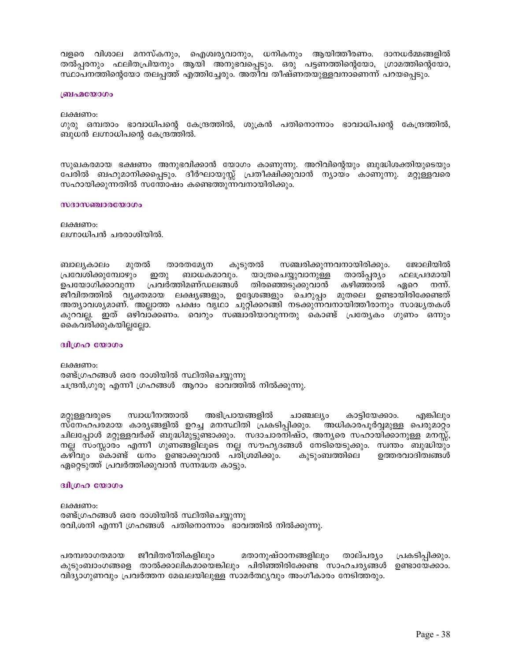വളരെ വിശാല മനസ്കനും, ഐശ്വര്യവാനും, ധനികനും ആയിത്തീരണം. ദാനധർമ്മങ്ങളിൽ തൽപ്പരനും ഫലിതപ്രിയനും ആയി അനുഭവപ്പെടും. ഒരു പട്ടണത്തിന്റെയോ, ഗ്രാമത്തിന്റെയോ, സ്ഥാപനത്തിന്റെയോ തലപ്പത്ത് എത്തിച്ചേരും. അതീവ തീഷ്ണതയുള്ളവനാണെന്ന് പറയപ്പെടും.

#### ബ്രഹ്മയോഗം

ലക്ഷണം:

ഗുരു ഒമ്പതാം ഭാവാധിപന്റെ കേന്ദ്രത്തിൽ, ശുക്രൻ പതിനൊന്നാം ഭാവാധിപന്റെ കേന്ദ്രത്തിൽ, ബുധൻ ലഗ്നാധിപന്റെ കേന്ദ്രത്തിൽ.

സുഖകരമായ ഭക്ഷണം അനുഭവിക്കാൻ യോഗം കാണുന്നു. അറിവിന്റെയും ബുദ്ധിശക്തിയുടെയും പേരിൽ ബഹുമാനിക്കപ്പെടും. ദീർഘായുസ്സ് പ്രതീക്ഷിക്കുവാൻ ന്യായം കാണുന്നു. മറ്റുള്ളവരെ സഹായിക്കുന്നതിൽ സന്തോഷം കണ്ടെത്തുന്നവനായിരിക്കും.

#### സദാസഞ്ചാരയോഗം

ലക്ഷണം: ലഗ്നാധിപൻ ചരരാശിയിൽ.

ബാലൃകാലം മുതൽ താരതമ്യേന കൂടുതൽ സഞ്ചരിക്കുന്നവനായിരിക്കും. ജോലിയിൽ ഇതു ബാധകമാവും. പ്രവേശിക്കുമ്പോഴും യാത്രചെയ്യുവാനുള്ള താൽപ്പര്യം ഫലപ്രദമായി ഉപയോഗിക്കാവുന്ന പ്രവർത്തിമണ്ഡലങ്ങൾ തിരഞ്ഞെടുക്കുവാൻ കഴിഞ്ഞാൽ ഏറെ നന്ന്. ജീവിതത്തിൽ വ്യക്തമായ ലക്ഷ്യങ്ങളും, ഉദ്ദേശങ്ങളും ചെറുപ്പം മുതലെ ഉണ്ടായിരിക്കേണ്ടത് അത്യാവശ്യമാണ്. അല്ലാത്ത പക്ഷം വൃഥാ ചുറ്റിക്കറങ്ങി നടക്കുന്നവനായിത്തീരാനും സാദ്ധ്യതകൾ കുറവല്ല. ഇത് ഒഴിവാക്കണം. വെറും സഞ്ചാരിയാവുന്നതു കൊണ്ട് പ്രത്യേകം ഗുണം ഒന്നും കൈവരിക്കുകയില്ലല്ലോ.

#### ദ്വിഗ്രഹ യോഗം

ലക്ഷണം: രണ്ട്ഗ്രഹങ്ങൾ ഒരേ രാശിയിൽ സ്ഥിതിചെയ്യുന്നു ചന്ദ്രൻ,ഗുരു എന്നീ ഗ്രഹങ്ങൾ ആറാം ഭാവത്തിൽ നിൽക്കുന്നു.

അഭിപ്രായങ്ങളിൽ ചാഞ്ചല്യം മറ്റുള്ളവരുടെ സ്വാധീനത്താൽ കാട്ടിയേക്കാം. എങ്കിലും സ്നേഹപരമായ കാരൃങ്ങളിൽ ഉറച്ച മനസ്ഥിതി പ്രകടിപ്പിക്കും. അധികാരപൂർവ്വമുള്ള പെരുമാറ്റം ചിലപ്പോൾ മറ്റുള്ളവർക്ക് ബുദ്ധിമുട്ടുണ്ടാക്കും. സദാചാരനിഷ്ഠ, അനൃരെ സഹായിക്കാനുള്ള മനസ്സ്, നല്ല സംസ്സാര്ം എന്നീ ഗുണങ്ങളിലൂടെ നല്ല സൗഹൃദങ്ങൾ നേടിയെടുക്കും. സ്വന്തം ബുദ്ധിയും കഴിവും കൊണ്ട് ധനം ഉണ്ടാക്കുവാൻ പരിശ്രമിക്കും. കുടുംബത്തിലെ ഉത്തരവാദിത്വങ്ങൾ ഏറ്റെടുത്ത് പ്രവർത്തിക്കുവാൻ സന്നദ്ധത കാട്ടും.

#### ദ്വിഗ്രഹ യോഗം

ലക്ഷണം: രണ്ട്ഗ്രഹങ്ങൾ ഒരേ രാശിയിൽ സ്ഥിതിചെയ്യുന്നു രവി,ശനി എന്നീ ഗ്രഹങ്ങൾ പതിനൊന്നാം ഭാവത്തിൽ നിൽക്കുന്നു.

പരമ്പരാഗതമായ ജീവിതരീതികളിലും മതാനുഷ്ഠാനങ്ങളിലും താല്പര്യം പ്രകടിപ്പിക്കും. കുടുംബാംഗങ്ങളെ താൽക്കാലികമായെങ്കിലും പിരിഞ്ഞിരിക്കേണ്ട സാഹചര്യങ്ങൾ ഉണ്ടായേക്കാം. വിദ്യാഗുണവും പ്രവർത്തന മേഖലയിലുള്ള സാമർത്ഥ്യവും അംഗീകാരം നേടിത്തരും.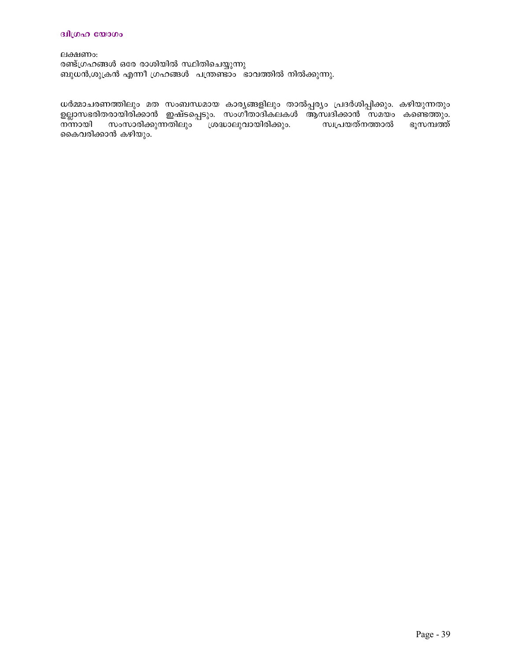#### ദ്വിഗ്രഹ യോഗം

ലക്ഷണം: രണ്ട്ഗ്രഹങ്ങൾ ഒരേ രാശിയിൽ സ്ഥിതിചെയ്യുന്നു ബുധൻ,ശുക്രൻ എന്നീ ഗ്രഹങ്ങൾ പന്ത്രണ്ടാം ഭാവത്തിൽ നിൽക്കുന്നു.

ധർമ്മാചരണത്തിലും മത സംബന്ധമായ കാര്യങ്ങളിലും താൽപ്പര്യം പ്രദർശിപ്പിക്കും. കഴിയുന്നതും ഉല്ലാസഭരിതരായിരിക്കാൻ ഇഷ്ടപ്പെടും. സംഗീതാദികലകൾ ആസ്വദിക്കാൻ സമയം കണ്ടെത്തും. ന്നായി സംസാരിക്കുന്നതിലും ശദ്ധാലുവായിരിക്കും. സ്വപ്രയത്നത്താൽ ഭൂസമ്പത്ത് കൈവരിക്കാൻ കഴിയും.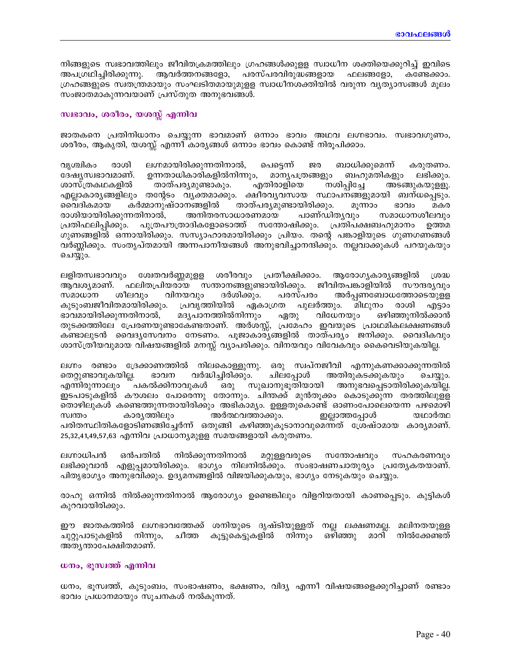നിങ്ങളുടെ സ്വഭാവത്തിലും ജീവിതക്രമത്തിലും ഗ്രഹങ്ങൾക്കുള്ള സ്വാധീന ശക്തിയെക്കുറിച്ച് ഇവിടെ അപഗ്രഥിച്ചിരിക്കുന്നു. ആവർത്തനങ്ങളോ, പരസ്പരവിരുദ്ധങ്ങളായ ഫലങ്ങളോ, കണ്ടേക്കാം. ഗ്രഹങ്ങളുടെ സ്വതന്ത്രമായും സംഘടിതമായുമുളള സ്വാധീനശക്തിയിൽ വരുന്ന വൃത്യാസങ്ങൾ മൂലം സംജാതമാകുന്നവയാണ് പ്രസ്തുത അനുഭവങ്ങൾ.

#### സ്വഭാവം, ശരീരം, യശസ്സ് എന്നിവ

ജാതകനെ പ്രതിനിധാനം ചെയ്യുന്ന ഭാവമാണ് ഒന്നാം ഭാവം അഥവ ലഗ്നഭാവം. സ്വഭാവഗുണം, ശരീരം, ആകൃതി, യശസ്സ് എന്നീ കാര്യങ്ങൾ ഒന്നാം ഭാവം കൊണ്ട് നിരൂപിക്കാം.

വൃശ്ചികം രാശി ലഗ്നമായിരിക്കുന്നതിനാൽ, പെട്ടെന്ന് ജര ബാധിക്കുമെന്ന് കരുതണം. ദേഷ്യസ്വഭാവമാണ്. ഉന്നതാധികാരികളിൽനിന്നും, മാനൃപത്രങ്ങളും ബഹുമതികളും ലഭിക്കും. അടങ്ങുകയുള്ളൂ. ശാസ്ത്രകഥകളിൽ താത്പര്യമുണ്ടാകും. എതിരാളിയെ നശിപ്പിച്ചേ എല്ലാകാര്യങ്ങളിലും തന്റേടം വ്യക്തമാക്കും. ക്ഷീരവ്യവസായ സ്ഥാപനങ്ങളുമായി ബന്ധപ്പെടും. മെവദികമായ കർമ്മാനുഷ്ഠാനങ്ങളിൽ താത്പര്യമുണ്ടായിരിക്കും. മൂന്നാം ഭാവം മകര രാശിയായിരിക്കുന്നതിനാൽ, അനിതരസാധാരണമായ പാണ്ഡിതൃവും സമാധാനശീലവും പ്രതിഫലിപ്പിക്കും. പുത്രപൗത്രാദികളോടൊത്ത് സന്തോഷിക്കും. പ്രതിപക്ഷബഹുമാനം ഉത്തമ ഗുണങ്ങളിൽ ഒന്നായിരിക്കും. സസ്യാഹാരമായിരിക്കും പ്രിയം. തന്റെ പങ്കാളിയുടെ ഗുണഗണങ്ങൾ വർണ്ണിക്കും. സംതൃപ്തമായി അന്നപാനീയങ്ങൾ അനുഭവിച്ചാനന്ദിക്കും. നല്ലവാക്കുകൾ പറയുകയും ചെയ്യും.

ലളിതസ്വഭാവവും ശ്വേതവർണ്ണമുളള ശരീരവും പ്രതീക്ഷിക്കാം. ആരോഗ്യകാര്യങ്ങളിൽ  $LOO$ ആവശ്യമാണ്. ഫലിതപ്രിയരായ സന്താനങ്ങളുണ്ടായിരിക്കും. ജീവിതപങ്കാളിയിൽ സൗന്ദര്യവും ശീലവും വിനയവും ദർശിക്കും. പരസ്പരം അർപ്പണബോധത്തോടെയുളള സമാധാന കുടുംബജീവിതമായിരിക്കും. പ്രവൃത്തിയിൽ പുലർത്തും. മിഥുനം ഏകാഗ്രത രാശി എട്ടാം ഭാവമായിരിക്കുന്നതിനാൽ, മദ്യപാനത്തിൽനിന്നും ഏതു വിധേനയും ഒഴിഞ്ഞുനിൽക്കാൻ തുടക്കത്തിലേ പ്രേരണയുണ്ടാകേണ്ടതാണ്. അർശസ്സ്, പ്രമേഹം ഇവയുടെ പ്രാഥമികലക്ഷണങ്ങൾ കണ്ടാലുടൻ വൈദ്യസേവനം നേടണം. പൂജാകാര്യങ്ങളിൽ താത്പര്യം ജനിക്കും. വൈദികവും ശാസ്ത്രീയവുമായ വിഷയങ്ങളിൽ മനസ്സ് വ്യാപരിക്കും. വിനയവും വിവേകവും കൈവെടിയുകയില്ല.

ലഗ്നം രണ്ടാം ദ്രേക്കാണത്തിൽ നിലകൊള്ളുന്നു. ഒരു സ്വപ്നജീവി എന്നുകണക്കാക്കുന്നതിൽ തെറ്റുണ്ടാവുകയില്ല. ഭാവന വർദ്ധിച്ചിരിക്കും. ചിലപ്പോൾ അതിരുകടക്കുകയും ചെയ്യും. എന്നിരുന്നാലും ്പകൽക്കിനാവുകൾ ഒരു സുഖാനുഭൂതിയായി അനുഭവപ്പെടാതിരിക്കുകയില്ല. ഇടപാടുകളിൽ കൗശലം പോരെന്നു തോന്നും. ചിന്തക്ക് മുൻതുക്കം കൊടുക്കുന്ന തരത്തിലുള്ള തൊഴിലുകൾ കണ്ടെത്തുന്നതായിരിക്കും അഭികാമ്യം. ഉള്ളതുകൊണ്ട് ഓണംപോലെയെന്ന പഴമൊഴി സ്വന്തം കാര്യത്തിലും അർത്ഥവത്താക്കും. ഇല്ലാത്തപ്പോൾ യഥാർത്ഥ പരിതസ്ഥിതികളോടിണങ്ങിച്ചേർന്ന് ഒതുങ്ങി കഴിഞ്ഞുകൂടാനാവുമെന്നത് ശ്രേഷ്ഠമായ കാര്യമാണ്. 25,32,41,49,57,63 എന്നിവ പ്രാധാന്യമുളള സമയങ്ങളായി കരുതണം.

ലഗ്നാധിപൻ നിൽക്കുന്നതിനാൽ ഒൻപതിൽ മറ്റുള്ളവരുടെ സതോഷവും സഹകരണവും ലഭിക്കുവാൻ എളുപ്പമായിരിക്കും. ഭാഗ്യം നിലനിൽക്കും. സംഭാഷണചാതുര്യം പ്രത്യേകതയാണ്. പിതൃഭാഗ്യം അനുഭവിക്കും. ഉദ്യമനങ്ങളിൽ വിജയിക്കുകയും, ഭാഗ്യം നേടുകയും ചെയ്യും.

രാഹു ഒന്നിൽ നിൽക്കുന്നതിനാൽ ആരോഗ്യം ഉണ്ടെങ്കിലും വിളറിയതായി കാണപ്പെടും. കുട്ടികൾ കുറവായിരിക്കും.

ഈ ജാതകത്തിൽ ലഗ്നഭാവത്തേക്ക് ശനിയുടെ ദൃഷ്ടിയുള്ളത് നല്ല ലക്ഷണമല്ല. മലിനതയുള്ള ചുറ്റുപാടുകളിൽ നിന്നും, ചീത്ത കൂട്ടുകെട്ടുകളിൽ നിന്നും ഒഴിഞ്ഞു മാറി നിൽക്കേണ്ടത് അത്യന്താപേക്ഷിതമാണ്.

### ധനം, ഭൂസ്വത്ത് എന്നിവ

ധനം, ഭൂസ്വത്ത്, കുടുംബം, സംഭാഷണം, ഭക്ഷണം, വിദ്യ എന്നീ വിഷയങ്ങളെക്കുറിച്ചാണ് രണ്ടാം ഭാവം പ്രധാനമായും സൂചനകൾ നൽകുന്നത്.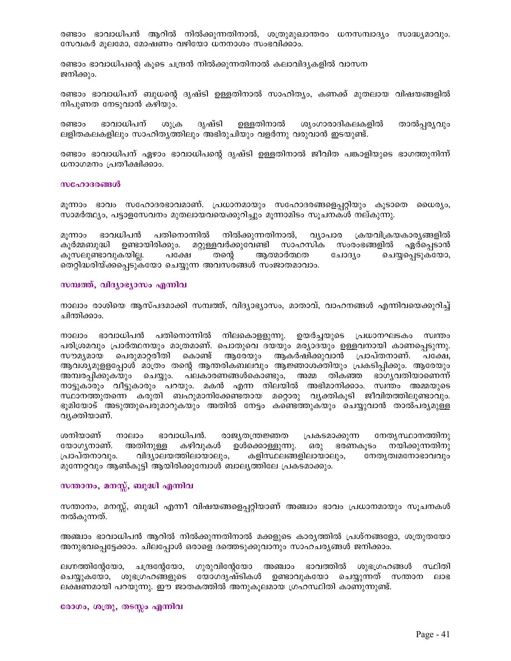രണ്ടാം ഭാവാധിപൻ ആറിൽ നിൽക്കുന്നതിനാൽ, ശത്രുമുഖാന്തരം ധനസമ്പാദ്യം സാദ്ധ്യമാവും. സേവകർ മുലമോ, മോഷണം വഴിയോ ധനനാശം സംഭവിക്കാം.

രണ്ടാം ഭാവാധിപന്റെ കൂടെ ചന്ദ്രൻ നിൽക്കുന്നതിനാൽ കലാവിദ്യകളിൽ വാസന ജനിക്കും.

രണ്ടാം ഭാവാധിപന് ബുധന്റെ ദൃഷ്ടി ഉള്ളതിനാൽ സാഹിത്യം, കണക്ക് മുതലായ വിഷയങ്ങളിൽ നിപുണത നേടുവാൻ കഴിയും.

ഭാവാധിപന് ദൃഷ്ടി ഉള്ളതിനാൽ രണ്ടാം ശുക്ര ശ്യംഗാരാദികലകളിൽ താൽപ്പര്യവും ലളിതകലകളിലും സാഹിതൃത്തിലും അഭിരുചിയും വളർന്നു വരുവാൻ ഇടയുണ്ട്.

രണ്ടാം ഭാവാധിപന് ഏഴാം ഭാവാധിപന്റെ ദൃഷ്ടി ഉള്ളതിനാൽ ജീവിത പങ്കാളിയുടെ ഭാഗത്തുനിന്ന് ധനാഗമനം പ്രതീക്ഷിക്കാം.

#### സഹോദരങ്ങൾ

മൂന്നാം ഭാവം സഹോദരഭാവമാണ്. പ്രധാനമായും സഹോദരങ്ങളെപ്പറ്റിയും കൂടാതെ ധൈര്യം, സാമർത്ഥ്യം, പട്ടാളസേവനം മുതലായവയെക്കുറിച്ചും മൂന്നാമിടം സൂചനകൾ നല്കുന്നു.

മുന്നാം ഭാവധിപൻ പതിനൊന്നിൽ നിൽക്കുന്നതിനാൽ, വ്യാപാര ക്രയവിക്രയകാര്യങ്ങളിൽ കൂർമ്മബുദ്ധി ഉണ്ടായിരിക്കും. മറ്റുള്ളവർക്കുവേണ്ടി സാഹസിക സംരംഭങ്ങളിൽ ഏർപെടാൻ കുസലുണ്ടാവുകയില്ല. പക്ഷേ തന്റെ ആത്മാർത്ഥത ചോദൃം ചെയ്യപ്പെടുകയോ, തെറ്റിദ്ധരിയ്ക്കപ്പെടുകയോ ചെയ്യുന്ന അവസരങ്ങൾ സംജാതമാവാം.

### സമ്പത്ത്, വിദ്യാഭ്യാസം എന്നിവ

നാലാം രാശിയെ ആസ്പദമാക്കി സമ്പത്ത്, വിദ്യാഭ്യാസം, മാതാവ്, വാഹനങ്ങൾ എന്നിവയെക്കുറിച്ച് ചിന്തിക്കാം.

നാലാം ഭാവാധിപൻ പതിനൊന്നിൽ നിലകൊള്ളുന്നു. ഉയർച്ചയുടെ പ്രധാനഘടകം സ്വന്തം പരിശ്രമവും പ്രാർത്ഥനയും മാത്രമാണ്. പൊതുവെ ദയയും മര്യാദയും ഉള്ളവനായി കാണപ്പെടുന്നു. സൗമൃമായ പെരുമാറ്റരീതി കൊണ്ട് ആരേയും ആകർഷിക്കുവാൻ പ്രാപ്തനാണ്. പക്ഷേ, ആവശ്യമുള്ളപോൾ മാത്രം തന്റെ ആന്തരികബലവും ആജ്ഞാശക്തിയും പ്രകടിപിക്കും. ആരേയും അമ്പരപ്പിക്കുകയും ചെയ്യും. പലകാരണങ്ങൾകൊണ്ടും, അമ്മ തികഞ്ഞ ഭാഗൃവതിയാണെന്ന് നാട്ടുകാരും വീട്ടുകാരും പറയും. മകൻ എന്ന നിലയിൽ അഭിമാനിക്കാം. സ്വന്തം അമ്മയുടെ സ്ഥാനത്തുതന്നെ കരുതി ബഹുമാനിക്കേണ്ടതായ മറ്റൊരു വൃക്തികൂടി ജീവിതത്തിലുണ്ടാവും. ഭൂമിയോട് അടുത്തുപെരുമാറുകയും അതിൽ നേട്ടം കണ്ടെത്തുകയും ചെയ്യുവാൻ താൽപര്യമുള്ള വ്യക്തിയാണ്.

രാജ്യതന്ത്രജ്ഞത പ്രകടമാക്കുന്ന നേതൃസ്ഥാനത്തിനു ശനിയാണ് നാലാം ഭാവാധിപൻ. യോഗ്യനാണ്. അതിനുള്ള കഴിവുകൾ ഉൾക്കൊള്ളുന്നു. ഒരു ഭരണകുടം നയിക്കുന്നതിനു പ്രാപ്തനാവും. വിദ്യാലയത്തിലായാലും. കളിസ്ഥലങ്ങളിലായാലും. നേതൃത്വമനോഭാവവും മുന്നേറ്റവും ആൺകുട്ടി ആയിരിക്കുമ്പോൾ ബാല്യത്തിലേ പ്രകടമാക്കും.

### സന്താനം, മനസ്സ്, ബുദ്ധി എന്നിവ

സന്താനം, മനസ്സ്, ബുദ്ധി എന്നീ വിഷയങ്ങളെപറ്റിയാണ് അഞ്ചാം ഭാവം പ്രധാനമായും സുചനകൾ നൽകുന്നത്.

അഞ്ചാം ഭാവാധിപൻ ആറിൽ നിൽക്കുന്നതിനാൽ മക്കളുടെ കാര്യത്തിൽ പ്രശ്നങ്ങളോ, ശത്രുതയോ അനുഭവപെട്ടേക്കാം. ചിലപ്പോൾ ഒരാളെ ദത്തെടുക്കുവാനും സാഹചര്യങ്ങൾ ജനിക്കാം.

ലഗ്നത്തിന്റേയോ, ചന്ദ്രന്റേയോ, ഗുരുവിന്റേയോ അഞ്ചാം ഭാവത്തിൽ ശുഭഗ്രഹങ്ങൾ സ്ഥിതി ചെയ്യുകയോ, ശുഭഗ്രഹങ്ങളുടെ യോഗദൃഷ്ടികൾ ഉണ്ടാവുകയോ ചെയ്യുന്നത് സന്താന ലാഭ ലക്ഷണമായി പറയുന്നു. ഈ ജാതകത്തിൽ അനുകൂലമായ ഗ്രഹസ്ഥിതി കാണുന്നുണ്ട്.

രോഗം, ശത്രു, തടസ്സം എന്നിവ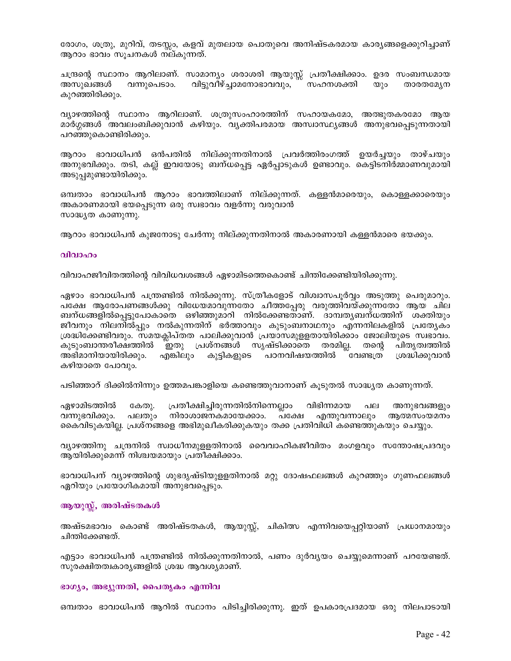രോഗം, ശത്രു, മുറിവ്, തടസ്സം, കളവ് മുതലായ പൊതുവെ അനിഷ്ടകരമായ കാര്യങ്ങളെക്കുറിച്ചാണ് ആറാം ഭാവം സൂചനകൾ നല്കുന്നത്.

ചന്ദ്രന്റെ സ്ഥാനം ആറിലാണ്. സാമാന്യം ശരാശരി ആയുസ്സ് പ്രതീക്ഷിക്കാം. ഉദര സംബന്ധമായ അസുഖങ്ങൾ വന്നുപെടാം. വിട്ടുവീഴ്ച്ചാമനോഭാവവും, ്് സഹനശക്തി താരതമ്യേന  $\omega$ )o കുറഞ്ഞിരിക്കും.

വ്യാഴത്തിന്റെ സ്ഥാനം ആറിലാണ്. ശത്രുസംഹാരത്തിന് സഹായകമോ, അത്ഭുതകരമോ ആയ മാർഗ്ഗങ്ങൾ `അവലംബിക്കുവാൻ കഴിയും. വ്യക്തിപരമായ അസ്വാസ്ഥ്യങ്ങൾ അനുഭവപ്പെടുന്നതായി പറഞ്ഞുകൊണ്ടിരിക്കും.

ആറാം ഭാവാധിപൻ ഒൻപതിൽ നില്ക്കുന്നതിനാൽ പ്രവർത്തിരംഗത്ത് ഉയർച്ചയും താഴ്ചയും അനുഭവിക്കും. തടി, കല്ല് ഇവയോടു ബന്ധപ്പെട്ട ഏർപ്പാടുകൾ ഉണ്ടാവും. കെട്ടിടനിർമ്മാണവുമായി അടുപ്പമുണ്ടായിരിക്കും.

ഒമ്പതാം ഭാവാധിപൻ ആറാം ഭാവത്തിലാണ് നില്ക്കുന്നത്. കള്ളൻമാരെയും, കൊള്ളക്കാരെയും അകാരണമായി ഭയപ്പെടുന്ന ഒരു സ്വഭാവം വളർന്നു വരുവാൻ സാദ്ധ്യത കാണുന്നു.

ആറാം ഭാവാധിപൻ കുജനോടു ചേർന്നു നില്ക്കുന്നതിനാൽ അകാരണായി കള്ളൻമാരെ ഭയക്കും.

#### വിവാഹം

വിവാഹജീവിതത്തിന്റെ വിവിധവശങ്ങൾ ഏഴാമിടത്തെകൊണ്ട് ചിന്തിക്കേണ്ടിയിരിക്കുന്നു.

ഏഴാം ഭാവാധിപൻ പന്ത്രണ്ടിൽ നിൽക്കുന്നു. സ്ത്രീകളോട് വിശ്വാസപൂർവ്വം അടുത്തു പെരുമാറും. പക്ഷേ ആരോപണങ്ങൾക്കു വിധേയമാവുന്നതോ ചീത്തപ്പേരു വരുത്തിവയ്ക്കുന്നതോ ആയ ചില ബന്ധങ്ങളിൽപ്പെട്ടുപോകാതെ ഒഴിഞ്ഞുമാറി നിൽക്കേണ്ടതാണ്. ദാമ്പത്യബന്ധത്തിന് ശക്തിയും ജീവനും നിലനിൽപ്പും നൽകുന്നതിന് ഭർത്താവും കുടുംബനാഥനും എന്നനിലകളിൽ പ്രത്യേകം ശ്രദ്ധിക്കേണ്ടിവരും. സമയക്ലിപ്തത പാലിക്കുവാൻ പ്രയാസമുള്ളതായിരിക്കാം ജോലിയുടെ സ്വഭാവം. കുടുംബാന്തരീക്ഷത്തിൽ `ഇതു പ്രശ്നങ്ങൾ സൃഷ്ടിക്കാതെ തരമില്ല. തന്റെ പിതൃത്വത്തിൽ അഭിമാനിയായിരിക്കും. എങ്കിലും കുട്ടികളുടെ പഠനവിഷയത്തിൽ ്വേണ്ടത്രി ശ്രദ്ധിക്കുവാൻ കഴിയാതെ പോവും.

പടിഞ്ഞാറ് ദിക്കിൽനിന്നും ഉത്തമപങ്കാളിയെ കണ്ടെത്തുവാനാണ് കൂടുതൽ സാദ്ധ്യത കാണുന്നത്.

പല ഏഴാമിടത്തിൽ പ്രതീക്ഷിച്ചിരുന്നതിൽനിന്നെല്ലാം വിഭിന്നമായ കേതു. അനുഭവങ്ങളും നിരാശാജനകമായേക്കാം. പ്ക്ഷേ വന്നുഭവിക്കും. പലതും എന്തുവന്നാലും ആത്മസംയമനം കൈവിടുകയില്ല. പ്രശ്നങ്ങളെ അഭിമുഖീകരിക്കുകയും തക്ക പ്രതിവിധി കണ്ടെത്തുകയും ചെയ്യും.

വ്യാഴത്തിനു ചന്ദ്രനിൽ സ്വാധീനമുള്ളതിനാൽ വൈവാഹികജീവിതം മംഗളവും സന്തോഷപ്രദവും ആയിരിക്കുമെന്ന് നിശ്ചയമായും പ്രതീക്ഷിക്കാം.

ഭാവാധിപന് വ്യാഴത്തിന്റെ ശുഭദൃഷ്ടിയുളളതിനാൽ മറ്റു ദോഷഫലങ്ങൾ കുറഞ്ഞും ഗുണഫലങ്ങൾ ഏറിയും പ്രയോഗികമായി അനുഭവപ്പെടും.

#### ആയുസ്ല്, അരിഷ്ടതകൾ

അഷ്ടമഭാവം കൊണ്ട് അരിഷ്ടതകൾ, ആയുസ്സ്, ചികിത്സ എന്നിവയെപ്പറ്റിയാണ് പ്രധാനമായും ചിന്തിക്കേണ്ടത്.

എട്ടാം ഭാവാധിപൻ പന്ത്രണ്ടിൽ നിൽക്കുന്നതിനാൽ, പണം ദുർവ്യയം ചെയ്യുമെന്നാണ് പറയേണ്ടത്. സുരക്ഷിതത്വകാര്യങ്ങളിൽ ശ്രദ്ധ ആവശ്യമാണ്.

#### ഭാഗ്യം, അഭ്യുന്നതി, പൈതൃകം എന്നിവ

ഒമ്പതാം ഭാവാധിപൻ ആറിൽ സ്ഥാനം പിടിച്ചിരിക്കുന്നു. ഇത് ഉപകാരപ്രദമായ ഒരു നിലപാടായി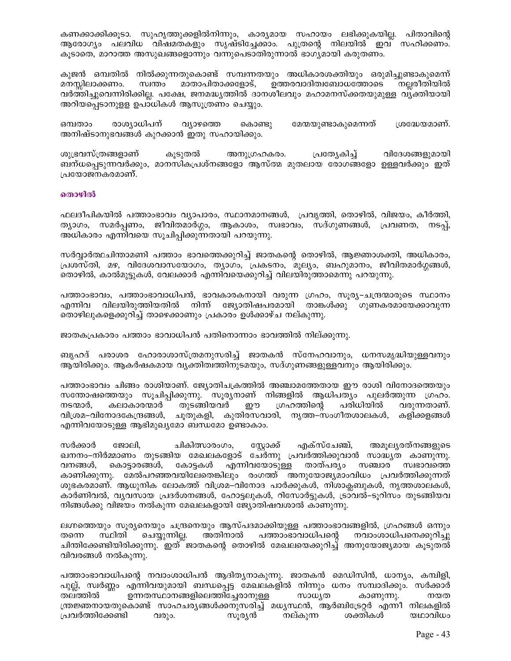കണക്കാക്കിക്കൂടാ. സുഹൃത്തുക്കളിൽനിന്നും, കാര്യമായ സഹായം ലഭിക്കുകയില്ല. പിതാവിന്റെ ആരോഗൃം പലവിധ വിഷമതകളും സൃഷ്ടിച്ചേക്കാം. പുത്രന്റെ നിലയിൽ ഇവ സഹിക്കണം. കൂടാതെ, മാറാത്ത അസുഖങ്ങളൊന്നും വന്നുപെടാതിരുന്നാൽ ഭാഗ്യമായി കരുതണം.

കുജൻ ഒമ്പതിൽ നിൽക്കുന്നതുകൊണ്ട് സമ്പന്നതയും അധികാരശക്തിയും ഒരുമിച്ചുണ്ടാകുമെന്ന് സ്വന്തം മാതാപിതാക്കളോട്, ഉത്തരവാദിത്വബോധത്തോടെ നല്ലരീതിയിൽ മനസ്സിലാക്കണം. വർത്തിച്ചുവെന്നിരിക്കില്ല. പക്ഷേ, ജനമദ്ധ്യത്തിൽ ദാനശീലവും മഹാമനസ്ക്കതയുമുള്ള വൃക്തിയായി അറിയപ്പെടാനുളള ഉപാധികൾ ആസൂത്രണം ചെയ്യും.

ഒമ്പതാം രാശ്യാധിപന് വ്യാഴത്തെ കൊണ്ടു മേന്മയുണ്ടാകുമെന്നത് ശ്രദ്ധേയമാണ്. അനിഷ്ടാനുഭവങ്ങൾ കുറക്കാൻ ഇതു സഹായിക്കും.

ശുഭ്രവസ്ത്രങ്ങളാണ് വിദേശങ്ങളുമായി കൂടുതൽ അനുഗ്രഹകരം. പ്രത്യേകിച്ച് ബന്ധപ്പെടുന്നവർക്കും, മാനസികപ്രശ്നങ്ങളോ ആസ്ത്മ മുതലായ രോഗങ്ങളോ ഉള്ളവർക്കും ഇത് പ്രയോജനകരമാണ്.

#### തൊഴിൽ

ഫലദീപികയിൽ പത്താംഭാവം വ്യാപാരം, സ്ഥാനമാനങ്ങൾ, പ്രവൃത്തി, തൊഴിൽ, വിജയം, കീർത്തി, ത്യാഗം, സമർപ്പണം, ജീവിതമാർഗ്ഗം, ആകാശം, സ്വഭാവം, സദ്ഗുണങ്ങൾ, പ്രവണത, നടപ്പ്, അധികാരം എന്നിവയെ സൂചിപ്പിക്കുന്നതായി പറയുന്നു.

സർവ്വാർത്ഥചിന്താമണി പത്താം ഭാവത്തെക്കുറിച്ച് ജാതകന്റെ തൊഴിൽ, ആജ്ഞാശക്തി, അധികാരം, പ്രശസ്തി, മഴ, വിദേശവാസയോഗം, തൃാഗം, പ്രകടനം, മൂല്യം, ബഹുമാനം, ജീവിതമാർഗ്ഗങ്ങൾ, തൊഴിൽ, കാൽമുട്ടുകൾ, വേലക്കാർ എന്നിവയെക്കുറിച്ച് വിലയിരുത്താമെന്നു പറയുന്നു.

പത്താംഭാവം, പത്താംഭാവാധിപൻ, ഭാവകാരകനായി വരുന്ന ഗ്രഹം, സൂര്യ–ചന്ദ്രന്മാരുടെ സ്ഥാനം വിലയിരുത്തിയതിൽ നിന്ന് ജ്യോതിഷപരമായി താങ്കൾക്കു ഗുണകരമായേക്കാവുന്ന എന്നിവ തൊഴിലുകളെക്കുറിച്ച് താഴെക്കാണും പ്രകാരം ഉൾക്കാഴ്ച നല്കുന്നു.

ജാതകപ്രകാരം പത്താം ഭാവാധിപൻ പതിനൊന്നാം ഭാവത്തിൽ നില്ക്കുന്നു.

ബൃഹദ് പരാശര ഹോരാശാസ്ത്രമനുസരിച്ച് ജാതകൻ സ്നേഹവാനും, ധനസമൃദ്ധിയുള്ളവനും ആയിരിക്കും. ആകർഷകമായ വൃക്തിത്വത്തിനുടമയും, സദ്ഗുണങ്ങളുള്ളവനും ആയിരിക്കും.

പത്താംഭാവം ചിങ്ങം രാശിയാണ്. ജ്യോതിചക്രത്തിൽ അഞ്ചാമത്തേതായ ഈ രാശി വിനോദത്തെയും സന്തോഷത്തെയും സൂചിപ്പിക്കുന്നു. സൂര്യനാണ് നിങ്ങളിൽ ആധിപത്യം പുലർത്തുന്ന ഗ്രഹം. കലാകാരന്മാർ തുടങ്ങിയവർ ഗ്രഹത്തിന്റെ പരിധിയിൽ നടന്മാർ, ഈ വരുന്നതാണ്. വിശ്രമ–വിനോദകേന്ദ്രങ്ങൾ, ചൂതുകളി, കുതിരസവാരി, നൃത്ത–സംഗീതശാലകൾ, കളിക്കളങ്ങൾ എന്നിവയോടുള്ള ആഭിമുഖ്യമോ ബന്ധമോ ഉണ്ടാകാം.

സർക്കാർ ചികിത്സാരംഗം, സ്റ്റോക്ക് എക്സ്ചേഞ്ച്, അമൂല്യരത്നങ്ങളുടെ ജോലി, ഖനനം–നിർമ്മാണം തുടങ്ങിയ മേഖലകളോട് ചേർന്നു പ്രവർത്തിക്കുവാൻ സാദ്ധ്യത കാണുന്നു. വനങ്ങൾ, കൊട്ടാരങ്ങൾ, കോട്ടകൾ എന്നിവയോടുള്ള താത്പര്യം സഞ്ചാര സ്വഭാവത്തെ കാണിക്കുന്നു. മേൽപറഞ്ഞവയിലേതെങ്കിലും രംഗത്ത് അനുയോജ്യമാംവിധം പ്രവർത്തിക്കുന്നത് ശുഭകരമാണ്. ആധുനിക ലോകത്ത് വിശ്രമ–വിനോദ പാർക്കുകൾ, നിശാക്ലബുകൾ, നൃത്തശാലകൾ, കാർണിവൽ, വൃവസായ പ്രദർശനങ്ങൾ, ഹോട്ടലുകൾ, റിസോർട്ടുകൾ, ട്രാവൽ–ടൂറിസം തുടങ്ങിയവ നിങ്ങൾക്കു വിജയം നൽകുന്ന മേഖലകളായി ജ്യോതിഷവശാൽ കാണുന്നു.

ലഗ്നത്തെയും സൂര്യനെയും ചന്ദ്രനെയും ആസ്പദമാക്കിയുള്ള പത്താംഭാവങ്ങളിൽ, ഗ്രഹങ്ങൾ ഒന്നും ചെയ്യുന്നില്ല. തന്നെ സ്ഥിതി അതിനാൽ പത്താംഭാവാധിപന്റെ നവാംശാധിപനെക്കുറിച്ചു ചിന്തിക്കേണ്ടിയിരിക്കുന്നു. ഇത് ജാതകന്റെ തൊഴിൽ മേഖലയെക്കുറിച്ച് അനുയോജ്യമായ കൂടുതൽ വിവരങ്ങൾ നൽകുന്നു.

പത്താംഭാവാധിപന്റെ നവാംശാധിപൻ ആദിതൃനാകുന്നു. ജാതകൻ മെഡിസിൻ, ധാന്യം, കമ്പിളി, പുല്ല്, സ്വർണ്ണം എന്നിവയുമായി ബന്ധപ്പെട്ട മേഖലകളിൽ നിന്നും ധനം സമ്പാദിക്കും. സർക്കാർ തലത്തിൽ ഉന്നതസ്ഥാനങ്ങളിലെത്തിച്ചേരാനുള്ള സാധൃത കാണുന്നു. നയത ന്ത്രജ്ഞനായതുകൊണ്ട് സാഹചരൃങ്ങൾക്കനുസരിച്ച് മധൃസ്ഥൻ, ആർബിട്രേറ്റർ എന്നീ നിലകളിൽ പ്രവർത്തിക്കേണ്ടി വരും. സൂര്യൻ നല്കുന്ന ശക്തികൾ യഥാവിധം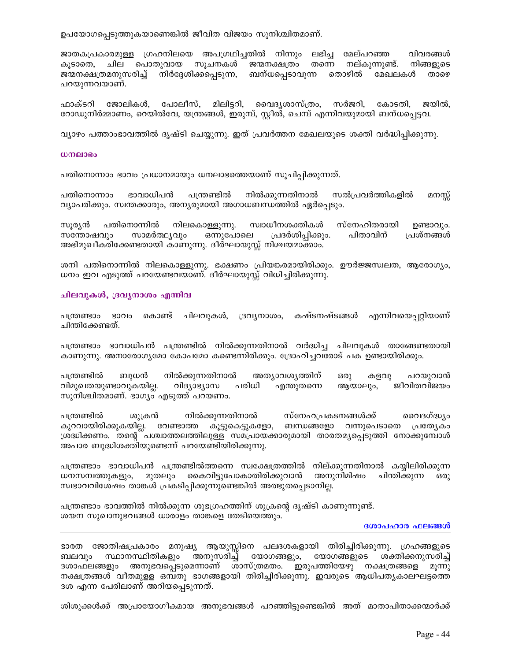ഉപയോഗപ്പെടുത്തുകയാണെങ്കിൽ ജീവിത വിജയം സുനിശ്ചിതമാണ്.

ജാതകപ്രകാരമുള്ള ഗ്രഹനിലയെ അപഗ്രഥിച്ചതിൽ നിന്നും ലഭിച്ച മേല്പറഞ്ഞ വിവരങ്ങൾ കൂടാതെ, ചില പൊതുവായ സൂചനകൾ ജന്മനക്ഷത്രം തന്നെ നല്കുന്നുണ്ട്. നിങ്ങളുടെ ജന്മനക്ഷത്രമനുസരിച്ച് നിർദ്ദേശിക്കപ്പെടുന്ന, ബന്ധപ്പെടാവുന്ന തൊഴിൽ മേഖലകൾ താഴെ പറയുന്നവയാണ്.

ഫാക്ടറി ജോലികൾ, പോലീസ്, മിലിട്ടറി, വൈദൃശാസ്ത്രം, സർജറി, കോടതി, ജയിൽ, റോഡുനിർമ്മാണം, റെയിൽവേ, യന്ത്രങ്ങൾ, ഇരുമ്പ്, സ്റ്റീൽ, ചെമ്പ് എന്നിവയുമായി ബന്ധപ്പെട്ടവ.

വ്യാഴം പത്താംഭാവത്തിൽ ദൃഷ്ടി ചെയ്യുന്നു. ഇത് പ്രവർത്തന മേഖലയുടെ ശക്തി വർദ്ധിപ്പിക്കുന്നു.

#### $w$ നലാഭം

പതിനൊന്നാം ഭാവം പ്രധാനമായും ധനലാഭത്തെയാണ് സൂചിപ്പിക്കുന്നത്.

നിൽക്കുന്നതിനാൽ ഭാവാധിപൻ സൽപ്രവർത്തികളിൽ പതിനൊന്നാം പന്ത്രണ്ടിൽ മനസ്സ് വ്യാപരിക്കും. സ്വന്തക്കാരും, അന്യരുമായി അഗാധബന്ധത്തിൽ ഏർപ്പെടും.

സൂര്യൻ പതിനൊന്നിൽ നിലകൊള്ളുന്നു. സ്വാധീനശക്തികൾ സ്നേഹിതരായി ഉണ്ടാവും. സാമർത്ഥ്യവും ഒന്നുപോലെ പ്രദർശിപ്പിക്കും. പിതാവിന് പ്രശ്നങ്ങൾ സന്തോഷവും അഭിമുഖീകരിക്കേണ്ടതായി കാണുന്നു. ദീർഘായുസ്സ് നിശ്ചയമാക്കാം.

ശനി പതിനൊന്നിൽ നിലകൊള്ളുന്നു. ഭക്ഷണം പ്രിയങ്കരമായിരിക്കും. ഊർജ്ജസ്വലത, ആരോഗ്യം, ധനം ഇവ എടുത്ത് പറയേണ്ടവയാണ്. ദീർഘായുസ്സ് വിധിച്ചിരിക്കുന്നു.

#### ചിലവുകൾ, ദ്രവൃനാശം എന്നിവ

പന്ത്രണ്ടാം ഭാവം കൊണ്ട് ചിലവുകൾ, ദ്രവൃനാശം, കഷ്ടനഷ്ടങ്ങൾ എന്നിവയെപ്പറ്റിയാണ് ചിന്തിക്കേണ്ടത്.

പന്ത്രണ്ടാം ഭാവാധിപൻ പന്ത്രണ്ടിൽ നിൽക്കുന്നതിനാൽ വർദ്ധിച്ച ചിലവുകൾ താങ്ങേണ്ടതായി കാണുന്നു. അനാരോഗ്യമോ കോപമോ കണ്ടെന്നിരിക്കും. ദ്രോഹിച്ചവരോട് പക ഉണ്ടായിരിക്കും.

പന്ത്രണ്ടിൽ ബുധൻ നിൽക്കുന്നതിനാൽ അത്യാവശ്യത്തിന് ഒരു കളവു പറയുവാൻ വിമുഖതയുണ്ടാവുകയില്ല. വിദ്യാഭ്യാസ പരിധി എന്തുതന്നെ ആയാലും, ജീവിതവിജയം സുനിശ്ചിതമാണ്. ഭാഗ്യം എടുത്ത് പറയണം.

പത്രണ്ടിൽ ശുക്രൻ നിൽക്കുന്നതിനാൽ സ്നേഹപ്രകടനങ്ങൾക്ക് വൈദഗ്ദ്ധ\ം കുറവായിരിക്കുകയില്ല. വേണ്ടാത്ത കൂട്ടുകെട്ടുകളോ, ബന്ധങ്ങളോ വന്നുപെടാതെ പ്രത്യേകം ശ്രദ്ധിക്കണം. തന്റെ പശ്ചാത്തലത്തിലുള്ള സമപ്രായക്കാരുമായി താരതമൃപ്പെടുത്തി നോക്കുമ്പോൾ അപാര ബുദ്ധിശക്തിയുണ്ടെന്ന് പറയേണ്ടിയിരിക്കുന്നു.

പന്ത്രണ്ടാം ഭാവാധിപൻ പന്ത്രണ്ടിൽത്തന്നെ സ്വക്ഷേത്രത്തിൽ നില്ക്കുന്നതിനാൽ കയ്യിലിരിക്കുന്ന ധനസമ്പത്തുകളും, മുതലും കൈവിട്ടുപോകാതിരിക്കുവാൻ അനുനിമിഷം ചിന്തിക്കുന്ന ഒരു സ്വഭാവവിശേഷം താങ്കൾ പ്രകടിപ്പിക്കുന്നുണ്ടെങ്കിൽ അത്ഭുതപ്പെടാനില്ല.

പന്ത്രണ്ടാം ഭാവത്തിൽ നിൽക്കുന്ന ശുഭഗ്രഹത്തിന് ശുക്രന്റെ ദൃഷ്ടി കാണുന്നുണ്ട്. ശയന സുഖാനുഭവങ്ങൾ ധാരാളം താങ്കളെ തേടിയെത്തും.

#### ദശാപഹാര ഫലങ്ങൾ

ഭാരത ജോതിഷപ്രകാരം മനുഷ്യ ആയുസ്സിനെ പലദശകളായി തിരിച്ചിരിക്കുന്നു. ഗ്രഹങ്ങളുടെ സ്ഥാനസ്ഥിതികളും യോഗങ്ങളുടെ ബലവും അനുസരിച്ച് യോഗങ്ങളും, ശക്തിക്കനുസരിച്ച് ദശാഫലങ്ങളും അനുഭവപ്പെടുമെന്നാണ് ശാസ്ത്രമതം. ഇരുപത്തിയേഴു നക്ഷത്രങ്ങളെ മൂന്നു നക്ഷത്രങ്ങൾ വീതമുള്ള ഒമ്പതു ഭാഗങ്ങളായി തിരിച്ചിരിക്കുന്നു. ഇവരുടെ ആധിപതൃകാലഘട്ടത്തെ ദശ എന്ന പേരിലാണ് അറിയപ്പെടുന്നത്.

ശിശുക്കൾക്ക് അപ്രായോഗീകമായ അനുഭവങ്ങൾ പറഞ്ഞിട്ടുണ്ടെങ്കിൽ അത് മാതാപിതാക്കന്മാർക്ക്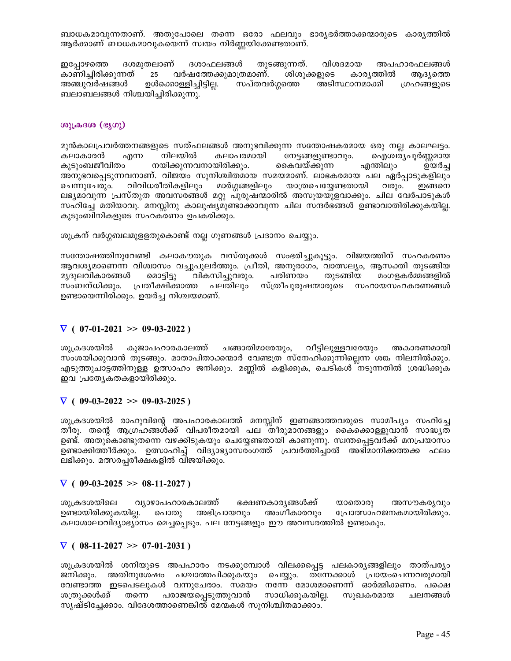ബാധകമാവുന്നതാണ്. അതുപോലെ തന്നെ ഒരോ ഫലവും ഭാര്യഭർത്താക്കന്മാരുടെ കാര്യത്തിൽ ആർക്കാണ് ബാധകമാവുകയെന്ന് സ്വയം നിർണ്ണയിക്കേണ്ടതാണ്.

ദശമുതലാണ് ദശാഫലങ്ങൾ തുടങ്ങുന്നത്. വിശദമായ ഇപ്പോഴത്തെ അപഹാരഫലങ്ങൾ കാണിച്ചിരിക്കുന്നത്. 25 വർഷത്തേക്കുമാത്രമാണ്. ശിശുക്കളുടെ കാര്യത്തിൽ ആദ്യത്തെ അഞ്ചുവർഷങ്ങൾ ഉൾക്കൊള്ളിച്ചിട്ടില്ല. സപ്തവർഗ്ഗത്തെ അടിസ്ഥാനമാക്കി ഗ്രഹങ്ങളുടെ ബലാബലങ്ങൾ നിശ്ചയിച്ചിരിക്കുന്നു.

# ശുക്രദശ (ഭൂഗു)

മുൻകാലപ്രവർത്തനങ്ങളുടെ സത്ഫലങ്ങൾ അനുഭവിക്കുന്ന സന്തോഷകരമായ ഒരു നല്ല കാലഘട്ടം. കലാകാരൻ എന്ന നിലയിൽ കലാപരമായി നേട്ടങ്ങളുണ്ടാവും. ഐശ്വര്യപൂർണ്ണമായ കുടുംബജീവിതം നയിക്കുന്നവനായിരിക്കും. കൈവയ്ക്കുന്ന എന്തിലും ഉയർച്ച അനുഭവപ്പെടുന്നവനാണ്. വിജയം സുനിശ്ചിതമായ സമയമാണ്. ലാഭകരമായ പല ഏർപ്പാടുകളിലും മാർഗ്ഗങ്ങളിലും വിവിധരീതികളിലും യാത്രചെയ്യേണ്ടതായി ചെന്നുചേരും. വരും. ഇങ്ങനെ ലഭ്യമാവുന്ന പ്രസ്തുത അവസരങ്ങൾ മറ്റു പുരുഷന്മാരിൽ അസുയയുളവാക്കും. ചില വേർപാടുകൾ സഹിച്ചേ മതിയാവൂ. മനസ്സിനു കാലുഷ്യമുണ്ടാക്കാവുന്ന ചില സന്ദർഭങ്ങൾ ഉണ്ടാവാതിരിക്കുകയില്ല. കുടുംബിനികളുടെ സഹകരണം ഉപകരിക്കും.

ശുക്രന് വർഗ്ഗബലമുള്ളതുകൊണ്ട് നല്ല ഗുണങ്ങൾ പ്രദാനം ചെയ്യും.

സന്തോഷത്തിനുവേണ്ടി കലാകൗതുക വസ്തുക്കൾ സംഭരിച്ചുകൂട്ടും. വിജയത്തിന് സഹകരണം ആവശ്യമാണെന്ന വിശ്വാസം വച്ചുപുലർത്തും. പ്രീതി, അനുരാഗം, വാത്സല്യം, ആസക്തി തുടങ്ങിയ വികസിച്ചുവരും. പരിണയം മൃദുലവികാരങ്ങൾ മൊട്ടിട്ടു തുടങ്ങിയ മംഗളകർമ്മങ്ങളിൽ സംബന്ധിക്കും. പ്രതീക്ഷിക്കാത്ത പലതിലും സ്ത്രീപുരുഷന്മാരുടെ സഹായസഹകരണങ്ങൾ ഉണ്ടായെന്നിരിക്കും. ഉയർച്ച നിശ്ചയമാണ്.

# $\nabla$  ( 07-01-2021 >> 09-03-2022 )

വീട്ടിലുള്ളവരേയും ശൂക്രദശയിൽ കുജാപഹാരകാലത്ത് ചങ്ങാതിമാരേയും, അകാരണമായി സംശയിക്കുവാൻ തുടങ്ങും. മാതാപിതാക്കന്മാർ വേണ്ടത്ര സ്നേഹിക്കുന്നില്ലെന്ന ശങ്ക നിലനിൽക്കും. എടുത്തുചാട്ടത്തിനുള്ള ഉത്സാഹം ജനിക്കും. മണ്ണിൽ കളിക്കുക, ചെടികൾ നടുന്നതിൽ ശ്രദ്ധിക്കുക ഇവ പ്രത്യേകതകളായിരിക്കും.

# $\nabla$  ( 09-03-2022 >> 09-03-2025)

ശുക്രദശയിൽ രാഹുവിന്റെ അപഹാരകാലത്ത് മനസ്സിന് ഇണങ്ങാത്തവരുടെ സാമീപ്യം സഹിച്ചേ തീരൂ. തന്റെ ആഗ്രഹങ്ങൾക്ക് വിപരീതമായി പല തീരുമാനങ്ങളും കൈക്കൊള്ളുവാൻ സാദ്ധ്യത ഉണ്ട്. അതുകൊണ്ടുതന്നെ വഴക്കിടുകയും ചെയ്യേണ്ടതായി കാണുന്നു. സ്വന്തപ്പെട്ടവർക്ക് മനപ്രയാസം ഉണ്ടാക്കിത്തീർക്കും. ഉത്സാഹിച്ച് വിദ്യാഭ്യാസരംഗത്ത് പ്രവർത്തിച്ചാൽ അഭിമാനിക്കത്തക്ക ഫലം ലഭിക്കും. മത്സരപ്പരീക്ഷകളിൽ വിജയിക്കും.

# $\nabla$  ( 09-03-2025 >> 08-11-2027)

വ്യാഴാപഹാരകാലത്ത് അസൗകര്യവും ശൂക്രദശയിലെ ഭക്ഷണകാര്യങ്ങൾക്ക് യാതൊരു ഉണ്ടായിരിക്കുകയില്ല. പൊതു അഭിപ്രായവും അംഗീകാരവും പ്രോത്സാഹജനകമായിരിക്കും. കലാശാലാവിദ്യാഭ്യാസം മെച്ചപ്പെടും. പല നേട്ടങ്ങളും ഈ അവസരത്തിൽ ഉണ്ടാകും.

# $\nabla$  ( 08-11-2027 >> 07-01-2031)

ശുക്രദശയിൽ ശനിയുടെ അപഹാരം നടക്കുമ്പോൾ വിലക്കപ്പെട്ട പലകാര്യങ്ങളിലും താത്പര്യം ജനിക്കും. അതിനുശേഷം പശ്ചാത്തപിക്കുകയും ചെയ്യും. തന്നേക്കാൾ പ്രായംചെന്നവരുമായി വേണ്ടാത്ത ഇടപെടലുകൾ വന്നുചേരാം. സമയം നന്നേ മോശമാണെന്ന് ഓർമ്മിക്കണം. പക്ഷെ ശത്രുക്കൾക്ക് തന്നെ പരാജയപ്പെടുത്തുവാൻ സാധിക്കുകയില്ല. സുഖകരമായ ചലനങ്ങൾ സൃഷ്ടിച്ചേക്കാം. വിദേശത്താണെങ്കിൽ മേന്മകൾ സുനിശ്ചിതമാക്കാം.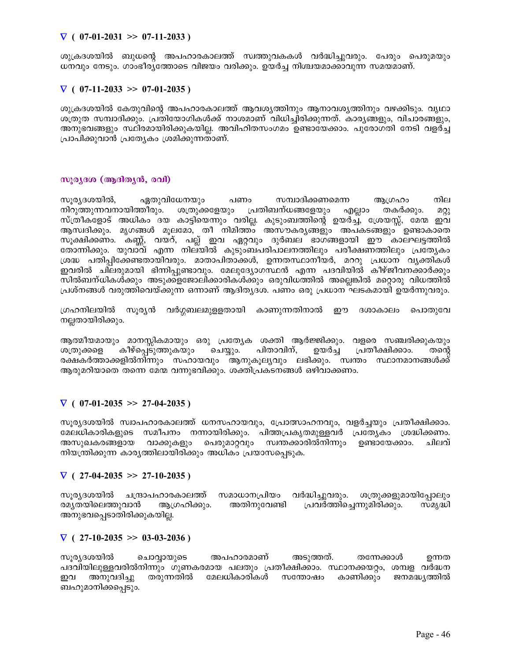# $\nabla$  ( 07-01-2031 >> 07-11-2033 )

ശുക്രദശയിൽ ബുധന്റെ അപഹാരകാലത്ത് സ്വത്തുവകകൾ വർദ്ധിച്ചുവരും. പേരും പെരുമയും ധനവും നേടും. ഗാംഭീര്യത്തോടെ വിജയം വരിക്കും. ഉയർച്ച നിശ്ചയമാക്കാവുന്ന സമയമാണ്.

# $\nabla$  ( 07-11-2033 >> 07-01-2035)

ശുക്രദശയിൽ കേതുവിന്റെ അപഹാരകാലത്ത് ആവശ്യത്തിനും ആനാവശ്യത്തിനും വഴക്കിടും. വൃഥാ ശത്രുത സമ്പാദിക്കും. പ്രതിയോഗികൾക്ക് നാശമാണ് വിധിച്ചിരിക്കുന്നത്. കാര്യങ്ങളും, വിചാരങ്ങളും, അനുഭവങ്ങളും സ്ഥിരമായിരിക്കുകയില്ല. അവിഹിതസംഗമം ഉണ്ടായേക്കാം. പുരോഗതി നേടി വളർച്ച പ്രാപിക്കുവാൻ പ്രത്യേകം ശ്രമിക്കുന്നതാണ്.

# സൂര്യദശ (ആദിത്യൻ, രവി)

സുര്യദശയിൽ, ഏതുവിധേനയും പണം സമ്പാദിക്കണമെന്ന ആഗ്രഹം നില നിറുത്തുന്നവനായിത്തീരും. ശത്രുക്കളേയും പ്രതിബന്ധങ്ങളേയും തകർക്കും. എല്ലാം  $\Omega Q$ സ്ത്രീകളോട് അധികം ദയ കാട്ടിയെന്നും വരില്ല. കുടുംബത്തിന്റെ ഉയർച്ച്, ശ്രേയസ്സ്, മേന്മ ഇവ ആസ്വദിക്കും. മൃഗങ്ങൾ മൂലമോ, തീ നിമിത്ത്ം അസൗകര്യങ്ങളും അപകടങ്ങളും ഉണ്ടാകാതെ സൂക്ഷിക്കണം. കണ്ണ്, വയറ്, പല്ല് ഇവ ഏറ്റവും ദുർബല ഭാഗങ്ങളായി ഈ കാലഘട്ടത്തിൽ തോന്നിക്കും. യുവാവ് എന്ന നില്യിൽ കുടുംബപരിപാലനത്തിലും പരീക്ഷണത്തിലും പ്രത്യേകം ശ്രദ്ധ പതിപ്പിക്കേണ്ടതായിവരും. മാതാപിതാക്കൾ, ഉന്നതസ്ഥാനീയർ, മററു പ്രധാന വൃക്തികൾ ഇവരിൽ ചിലരുമായി ഭിന്നിപ്പുണ്ടാവും. മേലുദ്യോഗസ്ഥൻ എന്ന പദവിയിൽ കീഴ്ജീവനക്കാർക്കും സിൽബന്ധികൾക്കും അടുക്കളജോലിക്കാരികൾക്കും ഒരുവിധത്തിൽ അല്ലെങ്കിൽ മറ്റൊരു വിധത്തിൽ പ്രശ്നങ്ങൾ വരുത്തിവെയ്ക്കുന്ന ഒന്നാണ് ആദിത്യദശ. പണം ഒരു പ്രധാന ഘടകമായി ഉയർന്നുവരും.

ഗ്രഹനിലയിൽ സൂര്യൻ വർഗ്ഗബലമുള്ളതായി കാണുന്നതിനാൽ ഈ ദശാകാലം പൊതുവേ നല്ലതായിരിക്കും.

ആത്മീയമായും മാനസ്സികമായും ഒരു പ്രത്യേക ശക്തി ആർജ്ജിക്കും. വളരെ സഞ്ചരിക്കുകയും കീഴ്പെടുത്തുകയും ചെയ്യും. പിതാവിന്, ഉയർച്ച പ്രതീക്ഷിക്കാം. ശത്രുക്കളെ തന്റെ രക്ഷകർത്താക്കളിൽനിന്നും സഹായവും ആനുകൂല്യവും ലഭിക്കും. സ്വന്തം സ്ഥാനമാനങ്ങൾക്ക് ആരുമറിയാതെ തന്നെ മേന്മ വന്നുഭവിക്കും. ശക്തിപ്രകടനങ്ങൾ ഒഴിവാക്കണം.

# $\nabla$  ( 07-01-2035 >> 27-04-2035)

സുര്യദശയിൽ സ്വാപഹാരകാലത്ത് ധനസഹായവും, പ്രോത്സാഹനവും, വളർച്ചയും പ്രതീക്ഷിക്കാം. മേലധികാരികളുടെ സമീപനം നന്നായിരിക്കും. പിത്തപ്രകൃതമുള്ളവർ പ്രത്യേകം ശ്രദ്ധിക്കണം. സ്വന്തക്കാരിൽനിന്നും അസൂഖകരങ്ങളായ വാക്കുകളും പെരുമാറ്റവും ഉണ്ടായേക്കാം. ചിലവ് നിയന്ത്രിക്കുന്ന കാര്യത്തിലായിരിക്കും അധികം പ്രയാസപ്പെടുക.

# $\nabla$  (27-04-2035 >> 27-10-2035)

സൂര്യദശയിൽ സമാധാനപ്രിയം വർദ്ധിച്ചുവരും. ചന്ദ്രാപഹാരകാലത്ത് ശത്രുക്കളുമായിപ്പോലും രമൃതയിലെത്തുവാൻ അതിനുവേണ്ടി പ്രവർത്തിച്ചെന്നുമിരിക്കും. ആഗ്രഹിക്കും. സമൃദ്ധി അനുഭവപ്പെടാതിരിക്കുകയില്ല.

# $\nabla$  (27-10-2035 >> 03-03-2036)

സ്വര്യദ്ധയിൽ ചൊവ്വായുടെ അപഹാരമാണ് അടുത്തത്. തന്നേക്കാൾ ഉന്നത പദവിയിലുള്ളവരിൽനിന്നും ഗുണകരമായ പലതും പ്രതീക്ഷിക്കാം. സ്ഥാനക്കയറ്റം, ശമ്പള വർദ്ധന അനുവദിച്ചു തരുന്നതിൽ മേലധികാരികൾ സന്തോഷം കാണിക്കും ജനമദ്ധ്യത്തിൽ ഇവ ബഹുമാനിക്കപ്പെടും.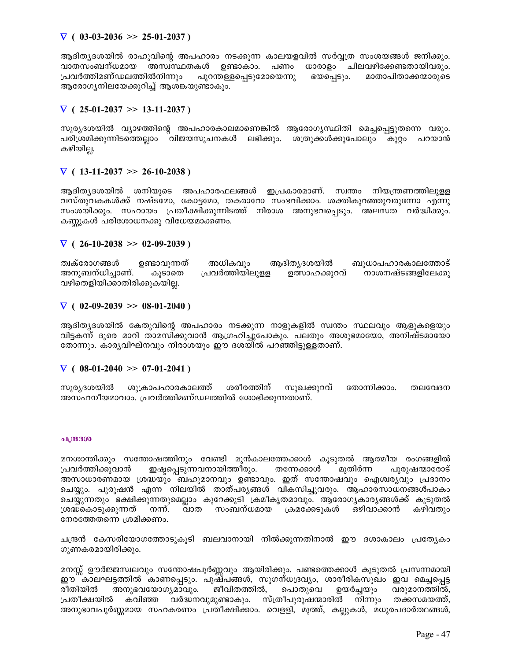# $\nabla$  ( 03-03-2036 >> 25-01-2037)

ആദിത്യദശയിൽ രാഹുവിന്റെ അപഹാരം നടക്കുന്ന കാലയളവിൽ സർവ്വത്ര സംശയങ്ങൾ ജനിക്കും. വാതസംബന്ധമായ അസ്വസ്ഥതകൾ ഉണ്ടാകാം. പണം ധാരാളം ചിലവഴിക്കേണ്ടതായിവരും. പ്രവർത്തിമണ്ഡലത്തിൽനിന്നും പുറന്തള്ളപ്പെടുമോയെന്നു ഭയപ്പെടും. മാതാപിതാക്കന്മാരുടെ ആരോഗ്യനിലയേക്കുറിച്ച് ആശങ്കയുണ്ടാകും.

# $\nabla$  ( 25-01-2037 >> 13-11-2037)

സൂര്യദശയിൽ വ്യാഴത്തിന്റെ അപഹാരകാലമാണെങ്കിൽ ആരോഗ്യസ്ഥിതി മെച്ചപ്പെട്ടുതന്നെ വരും. പരിശ്രമിക്കുന്നിടത്തെല്ലാം വിജയസൂചനകൾ ലഭിക്കും. ശത്രുക്കൾക്കുപോലും കുറ്റം പറയാൻ കഴിയില്ല.

# $\nabla$  ( 13-11-2037 >> 26-10-2038)

ആദിത്യദശയിൽ ശനിയുടെ അപഹാരഫലങ്ങൾ ഇപ്രകാരമാണ്. സ്വന്തം നിയന്ത്രണത്തിലുളള വസ്തുവകകൾക്ക് നഷ്ടമോ, കോട്ടമോ, തകരാറോ സംഭവിക്കാം. ശക്തികുറഞ്ഞുവരുന്നോ എന്നു സംശയിക്കും. സഹായം പ്രതീക്ഷിക്കുന്നിടത്ത് നിരാശ അനുഭവപ്പെടും. അലസത വർദ്ധിക്കും. കണ്ണുകൾ പരിശോധനക്കു വിധേയമാക്കണം.

# $\nabla$  ( 26-10-2038 >> 02-09-2039)

ത്വക്രോഗങ്ങൾ ഉണ്ടാവുന്നത് അധികവും ആദിതൃദശയിൽ ബുധാപഹാരകാലത്തോട്<br>അനുബന്ധിച്ചാണ്. കൂടാതെ പ്രവർത്തിയിലുളള ഉത്സാഹക്കുറവ് നാശനഷ്ടങ്ങളിലേക്കു കൂടാതെ പ്രവർത്തിയിലുളള ഉത്സാഹക്കുറവ് നാശനഷ്ടങ്ങളിലേക്കു വഴിതെളിയിക്കാതിരിക്കുകയില്ല.

### $\nabla$  ( 02-09-2039 >> 08-01-2040)

ആദിത്യദശയിൽ കേതുവിന്റെ അപഹാരം നടക്കുന്ന നാളുകളിൽ സ്വന്തം സ്ഥലവും ആളുകളെയും വിട്ടകന്ന് ദൂരെ മാറി താമസിക്കുവാൻ ആഗ്രഹിച്ചുപോകും. പലതും അശുഭമായോ, അനിഷ്ടമായോ തോന്നും. കാര്യവിഘ്നവും നിരാശയും ഈ ദശയിൽ പറഞ്ഞിട്ടുള്ളതാണ്.

# $\nabla$  ( 08-01-2040 >> 07-01-2041)

സൂരൃദശയിൽ ശുക്രാപഹാരകാലത്ത് ശരീരത്തിന് സുഖക്കുറവ് തോന്നിക്കാം. തലവേദന അസഹനീയമാവാം. പ്രവർത്തിമണ്ഡലത്തിൽ ശോഭിക്കുന്നതാണ്.

### ചന്ദ്ര $30$

മനശാന്തിക്കും സന്തോഷത്തിനും വേണ്ടി മുൻകാലത്തേക്കാൾ കൂടുതൽ ആത്മീയ രംഗങ്ങളിൽ<br>പ്രവർത്തിക്കുവാൻ ഇഷപെടുന്നവനായിത്തീരും. തന്നേക്കാൾ മുതിർന്ന പുരുഷന്മാരോട്  ${1}$ പവർത്തിക്കുവാൻ ഇഷ്ടപ്പെടുന്നവനായിത്തീരും. അസാധാരണമായ ശ്രദ്ധയും ബഹുമാനവും ഉണ്ടാവും. ഇത് സന്തോഷവും ഐശ്വര്യവും പ്രദാനം ചെയ്യും. പുരുഷൻ എന്ന നിലയിൽ താത്പര്യങ്ങൾ വികസിച്ചുവരും. ആഹാരസാധനങ്ങൾപാക<del>ം</del> ചെയ്യുന്നതും ഭക്ഷിക്കുന്നതുമെല്ലാം കുറേക്കൂടി ക്രമീകൃതമാവും. ആരോഗൃകാര്യങ്ങൾക്ക് കൂടുതൽ<br>ശ്രദ്ധകൊടുക്കുന്നത് നന്ന്. വാത സംബന്ധമായ ക്രമക്കേടുകൾ ഒഴിവാക്കാൻ കഴിവതും ക്രമക്കേടുകൾ ഒഴിവാക്കാൻ നേരത്തേതന്നെ ശ്രമിക്കണം.

ചന്ദ്രൻ കേസരിയോഗത്തോടുകൂടി ബലവാനായി നിൽക്കുന്നതിനാൽ ഈ ദശാകാലം പ്രത്യേകം ഗുണകരമായിരിക്കും.

മനസ്സ് ഊർജ്ജസ്വലവും സന്തോഷപൂർണ്ണവും ആയിരിക്കും. പണ്ടത്തെക്കാൾ കൂടുതൽ പ്രസന്നമായി ഈ കാലഘട്ടത്തിൽ കാണപ്പെടും. പുഷ്പങ്ങൾ, സുഗന്ധദ്രവ്യം, ശാരീരികസുഖം ഇവ മെച്ചപ്പെട്ട<br>രീതിയിൽ അനുഭവയോഗ്യമാവും. ജീവിതത്തിൽ, പൊതുവെ ഉയർച്ചയും വരുമാനത്തിൽ, രീതിയിൽ അനുഭവയോഗ്യമാവും. ജീവിതത്തിൽ, പൊതുവെ ഉയർച്ചയും വരുമാനത്തിൽ, പ്രതീക്ഷയിൽ കവിഞ്ഞ വർദ്ധനവുമുണ്ടാകും. സ്ത്രീപുരുഷന്മാരിൽ നിന്നും തക്കസമയത്ത്, അനുഭാവപൂർണ്ണമായ സഹകരണം പ്രതീക്ഷിക്കാം. വെള്ളി, മുത്ത്, കല്ലുകൾ, മധുരപദാർത്ഥങ്ങൾ,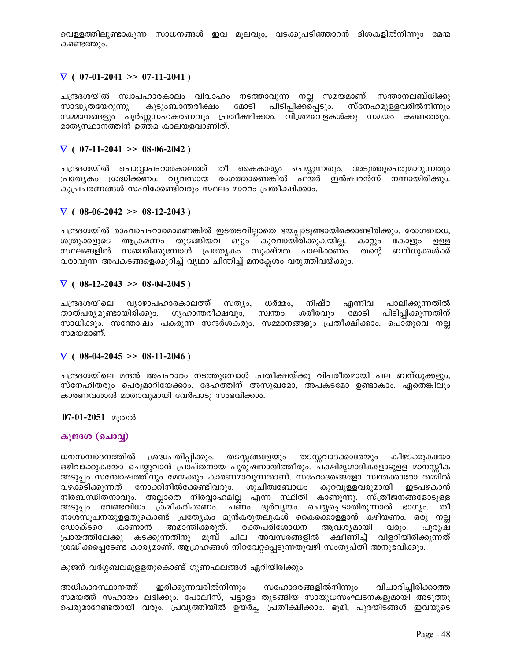വെള്ളത്തിലുണ്ടാകുന്ന സാധനങ്ങൾ ഇവ മൂലവും, വടക്കുപടിഞ്ഞാറൻ ദിശകളിൽനിന്നും മേന്മ കണ്ടെത്തും.

# $\nabla$  ( 07-01-2041 >> 07-11-2041)

ചന്ദ്രദശയിൽ സ്വാപഹാരകാലം വിവാഹം നടത്താവുന്ന നല്ല സമയമാണ്. സന്താനലബ്ധിക്കു സാദ്ധ്യതയേറുന്നു. കുടുംബാന്തരീക്ഷം മോടി പിടിപ്പിക്കപ്പെടും. സ്നേഹമുള്ളവരിൽനിന്നും സമ്മാനങ്ങളും പൂർണ്ണസഹകരണവും പ്രതീക്ഷിക്കാം. വിശ്രമവേളകൾക്കു സമയം കണ്ടെത്തും. മാതൃസ്ഥാനത്തിന് ഉത്തമ കാലയളവാണിത്.

# $\nabla$  ( 07-11-2041 >> 08-06-2042 )

ചന്ദ്രദശയിൽ ചൊവ്വാപഹാരകാലത്ത് തീ കൈകാര്യം ചെയ്യുന്നതും, അടുത്തുപെരുമാറുന്നതും പ്രത്യേകം ശ്രദ്ധിക്കണം. വൃവസായ രംഗത്താണെങ്കിൽ ഫയർ ഇൻഷ്വറൻസ് നന്നായിരിക്കും. കുപ്രചരണങ്ങൾ സഹിക്കേണ്ടിവരും സ്ഥലം മാററം പ്രതീക്ഷിക്കാം.

### $\nabla$  ( 08-06-2042 >> 08-12-2043)

ചന്ദ്രദശയിൽ രാഹ്വാപഹാരമാണെങ്കിൽ ഇടതടവില്ലാതെ ഭയപ്പാടുണ്ടായിക്കൊണ്ടിരിക്കും. രോഗബാധ, ആക്രമണം തുടങ്ങിയവ ഒട്ടും ് കുറവായിരിക്കുകയില്ല. ശത്രുക്കളുടെ കാറ്റും കോളും ഉള്ള സ്ഥലങ്ങളിൽ സഞ്ചരിക്കുമ്പോൾ പ്രത്യേകം സൂക്ഷ്മത പാലിക്കണം. തന്റെ ബന്ധുക്കൾക്ക് വരാവുന്ന അപകടങ്ങളെക്കുറിച്ച് വൃഥാ ചിന്തിച്ച് മനക്ലേശം വരുത്തിവയ്ക്കും.

### $\nabla$  ( 08-12-2043 >> 08-04-2045)

ചന്ദ്രദശയിലെ വ്യാഴാപഹാരകാലത്ത് സത്യം, ധർമ്മം, നിഷ്ഠ എന്നിവ പാലിക്കുന്നതിൽ മോടി താത്പര്യമുണ്ടായിരിക്കും. ഗൃഹാന്തരീക്ഷവും, സ്വന്തം ശരീരവും പിടിപ്പിക്കുന്നതിന് സാധിക്കും. സന്തോഷം പകരുന്ന സന്ദർശകരും, സമ്മാനങ്ങളും പ്രതീക്ഷിക്കാം. പൊതുവെ നല്ല സമയമാണ്.

### $\nabla$  ( 08-04-2045 >> 08-11-2046)

ചന്ദ്രദശയിലെ മന്ദൻ അപഹാരം നടത്തുമ്പോൾ പ്രതീക്ഷയ്ക്കു വിപരീതമായി പല ബന്ധുക്കളും, സ്നേഹിതരും പെരുമാറിയേക്കാം. ദേഹത്തിന് അസുഖമോ, അപകടമോ ഉണ്ടാകാം. ഏതെങ്കിലും കാരണവശാൽ മാതാവുമായി വേർപാടു സംഭവിക്കാം.

07-01-2051 മുതൽ

### കുജദശ (ചൊവ്വ)

ധനസമ്പാദനത്തിൽ ശ്രദ്ധപതിപ്പിക്കും. തടസ്സങ്ങളേയും തടസ്സവാദക്കാരേയും കീഴടക്കുകയോ ഒഴിവാക്കുകയോ ചെയ്യുവാൻ പ്രാപ്തനായ പുരുഷനായിത്തീരും. പക്ഷിമൃഗാദികളോടുളള മാനസ്സീക അടുപ്പം സന്തോഷത്തിനും മേന്മക്കും കാരണമാവുന്നതാണ്. സഹോദരങ്ങളോ സ്വന്തക്കാരോ തമ്മിൽ വഴക്കടിക്കുന്നത് നോക്കിനിൽക്കേണ്ടിവരും. ശുചിത്വബോധം കുറവുള്ളവരുമായി ഇടപഴകാൻ നിർബന്ധിതനാവും. അല്ലാതെ നിർവ്വാഹമില്ല എന്ന സ്ഥിതി കാണുന്നു. സ്ത്രീജനങ്ങളോടുള്ള അടുപ്പം വേണ്ടവിധം ക്രമീകരിക്കണം. പണം ദുർവ്യയം ചെയ്യപ്പെടാതിരുന്നാൽ ഭാഗ്യം. തീ നാശസൂചനയുള്ളതുകൊണ്ട് പ്രത്യേകം മുൻകരുതലുകൾ കൈക്കൊള്ളാൻ കഴിയണം. ഒരു നല്ല ഡോക്ടറെ കാണാൻ അമാന്തിക്കരുത്. രക്തപരിശോധന ആവശ്യമായി വരും. പുരുഷ പ്രായത്തിലേക്കു കടക്കുന്നതിനു മുമ്പ് ചില അവസരങ്ങളിൽ ക്ഷീണിച്ച് വിളറിയിരിക്കുന്നത് ശ്രദ്ധിക്കപ്പെടേണ്ട കാര്യമാണ്. ആഗ്രഹങ്ങൾ നിറവേറ്റപ്പെടുന്നതുവഴി സംതൃപ്തി അനുഭവിക്കും.

കുജന് വർഗ്ഗബലമുളളതുകൊണ്ട് ഗുണഫലങ്ങൾ ഏറിയിരിക്കും.

ഇരിക്കുന്നവരിൽനിന്നും സഹോദരങ്ങളിൽനിന്നും വിചാരിച്ചിരിക്കാത്ത അധികാരസ്ഥാനത്ത് സമയത്ത് സഹായം ലഭിക്കും. പോലീസ്, പട്ടാളം തുടങ്ങിയ സായുധസംഘടനകളുമായി അടുത്തു പെരുമാറേണ്ടതായി വരും. പ്രവൃത്തിയിൽ ഉയർച്ച പ്രതീക്ഷിക്കാം. ഭുമി, പുരയിടങ്ങൾ ഇവയുടെ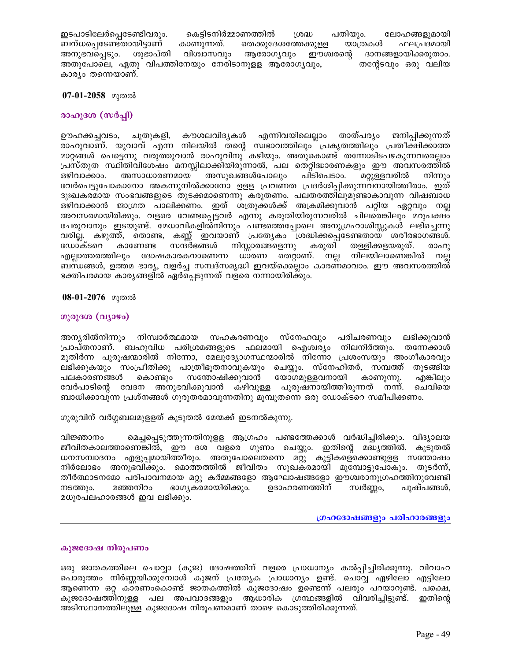ഇടപാടിലേർപ്പെടേണ്ടിവരും. കെട്ടിടനിർമ്മാണത്തിൽ പതിയും. ശ്രദ്ധ ലോഹങ്ങളുമായി തെക്കുദേശത്തേക്കുളള യാത്രകൾ ബന്ധപ്പെടേണ്ടതായിട്ടാണ് കാണുന്നത്. ഫലപ്രദമായി വിശ്വാസവും ആരോഗ്യവും ഈശ്വരന്റെ ദാനങ്ങളായിക്കരുതാം. അനുഭവപ്പെടും. ശുഭാപ്തി അതുപോലെ, ഏതു വിപത്തിനേയും നേരിടാനുളള ആരോഗൃവും, തന്റേടവും ഒരു വലിയ കാര്യം തന്നെയാണ്.

### 07-01-2058 മുതൽ

# രാഹുദശ (സർപ്പി)

കൗശലവിദൃകൾ എന്നിവയിലെല്ലാം താത്പര്യം ജനിപ്പിക്കുന്നത് ഊഹക്കച്ചവടം, ചൂതുകളി, രാഹുവാണ്. യുവാവ് എന്ന നിലയിൽ തന്റെ സ്വഭാവത്തിലും പ്രകൃതത്തിലും പ്രതീക്ഷിക്കാത്ത മാറ്റങ്ങൾ പെട്ടെന്നു വരുത്തുവാൻ രാഹുവിനു് കഴിയും. അതുകൊണ്ട് തന്നോടിടപഴകുന്നവരെല്ലാം പ്രസ്തുത സ്ഥിതിവിശേഷം മനസ്സിലാക്കിയിരുന്നാൽ, പല തെറ്റിദ്ധാരണകളും ഈ അവസരത്തിൽ അസുഖങ്ങൾപോലും അസാധാരണമായ പിടിപെടാം. മറ്റുള്ളവരിൽ ഒഴിവാക്കാം. നിന്നും വേർപെട്ടുപോകാനോ അകന്നുനിൽക്കാനോ ഉളള പ്രവണത പ്രദർശിപ്പിക്കുന്നവനായിത്തീരാം. ഇത് ദുഃഖകരമായ സംഭവങ്ങളുടെ തുടക്കമാണെന്നു കരുതണം. പലതരത്തിലുമുണ്ടാകാവുന്ന വിഷബാധ ഒഴിവാക്കാൻ ജാഗ്രത പാലിക്കണം. ഇത് ശത്രുക്കൾക്ക് അക്രമിക്കുവാൻ പറ്റിയ ഏറ്റവും നല്ല അവസരമായിരിക്കും. വളരെ വേണ്ടപ്പെട്ടവർ എന്നു കരുതിയിരുന്നവരിൽ ചിലരെങ്കിലും മറുപക്ഷം ചേരുവാനും ഇടയുണ്ട്. മേധാവികളിര്ദനിന്നും പണ്ടത്തെപ്പോലെ അനുഗ്രഹാശിസ്സുകൾ ലഭിച്ചെന്നു വരില്ല. കഴുത്ത്, തൊണ്ട, കണ്ണ് ഇവയാണ് പ്രത്യേകം ശ്രദ്ധിക്കപ്പെടേണ്ടതായ ശരീരഭാഗങ്ങൾ. ഡോക്ടറെ നിസ്സാരങ്ങളെന്നു കരുതി കാണേണ്ട സന്ദർഭങ്ങൾ തള്ളിക്കളയരുത്. രാഹു നല്ല എല്ലാത്തരത്തിലും ദോഷകാരകനാണെന്ന ധാരണ തെറ്റാണ്. നിലയിലാണെങ്കിൽ നല്ല ബന്ധങ്ങൾ, ഉത്തമ ഭാര്യ, വളർച്ച സമ്പദ്സമൃദ്ധി ഇവയ്ക്കെല്ലാം കാരണമാവാം. ഈ അവസരത്തിൽ് ഭക്തിപരമായ കാര്യങ്ങളിൽ ഏർപ്പെടുന്നത് വളരെ നന്നായിരിക്കും.

### 08-01-2076 മുതൽ

### ഗുരുദശ (വ്യാഴം)

അനൃരിൽനിന്നും നിസ്വാർത്ഥമായ സഹകരണവും സ്നേഹവും പരിചരണവും ലഭിക്കുവാൻ പ്രാപ്തനാണ്. ബഹുവിധ പരിശ്രമങ്ങളുടെ ഫലമായി ഐശ്വര്യം നിലനിർത്തും. തന്നേക്കാൾ മുതിർന്ന പുരുഷന്മാരിൽ നിന്നോ, മേലുദ്യോഗസ്ഥന്മാരിൽ നിന്നോ പ്രശംസയും അംഗീകാരവും ലഭിക്കുകയും സംപ്രീതിക്കു പാത്രീഭുതനാവുകയും ചെയ്യും. സ്നേഹിതർ, സമ്പത്ത് തുടങ്ങിയ യോഗമുള്ളവനായി കൊണ്ടും സന്തോഷിക്കുവാൻ കാണുന്നു. പലകാരണങ്ങൾ എങ്കിലും വേർപാടിന്റെ വേദന അനുഭവിക്കുവാൻ കഴിവുള്ള പുരുഷനായിത്തീരുന്നത് നന്ന്. ചെവിയെ ബാധിക്കാവുന്ന പ്രശ്നങ്ങൾ ഗുരുതരമാവുന്നതിനു മുമ്പുതന്നെ ഒരു ഡോക്ടറെ സമീപിക്കണം.

ഗുരുവിന് വർഗ്ഗബലമുളളത് കൂടുതൽ മേന്മക്ക് ഇടനൽകുന്നു.

മെച്ചപ്പെടുത്തുന്നതിനുളള ആഗ്രഹം പണ്ടത്തേക്കാൾ വർദ്ധിച്ചിരിക്കും. വിദ്യാലയ വിജ്ഞാനം ജീവിതകാലത്താണെങ്കിൽ, ഈ ദശ വളരെ ഗുണം ചെയ്യും. ഇതിന്റെ മദ്ധ്യത്തിൽ, കൂടുതൽ ധനസമ്പാദനം എളുപ്പമായിത്തീരും. അതുപോലെതന്നെ മറ്റു കുട്ടികളെ്കൊണ്ടുളള സന്തോഷം നിർലോഭം അനുഭവിക്കും. മൊത്തത്തിൽ ജീവിതം സുഖകരമായി മുമ്പോട്ടുപോകും. തുടർന്ന്, തീർത്ഥാടനമോ പരിപാവനമായ മറ്റു കർമ്മങ്ങളോ ആഘോഷങ്ങളോ ഈശ്വരാനുഗ്രഹത്തിനുവേണ്ടി നടത്തും. മഞ്ഞനിറം ഭാഗൃകരമായിരിക്കും. ഉദാഹരണത്തിന് സ്വർണ്ണം, പുഷ്പങ്ങൾ, മധുരപലഹാരങ്ങൾ ഇവ ലഭിക്കും.

### ഗ്രഹദോഷങ്ങളും പരിഹാരങ്ങളും

#### കുജദോഷ നിരൂപണം

ഒരു ജാതകത്തിലെ ചൊവ്വാ (കുജ) ദോഷത്തിന് വളരെ പ്രാധാന്യം കൽപ്പിച്ചിരിക്കുന്നു. വിവാഹ പൊരുത്തം നിർണ്ണയിക്കുമ്പോൾ കുജന് പ്രത്യേക പ്രാധാന്യം ഉണ്ട്. ചൊവ്വ ഏഴിലോ എട്ടിലോ ആണെന്ന ഒറ്റ കാരണംകൊണ്ട് ജാതകത്തിൽ കുജദോഷം ഉണ്ടെന്ന് പലരും പറയാറുണ്ട്. പക്ഷെ, കുജദോഷത്തിനുള്ള പല അപവാദങ്ങളും ആധാരിക ഗ്രന്ഥങ്ങളിൽ വിവരിച്ചിട്ടുണ്ട്. ഇതിന്റെ അടിസ്ഥാനത്തിലുള്ള കുജദോഷ നിരൂപണമാണ് താഴെ കൊടുത്തിരിക്കുന്നത്.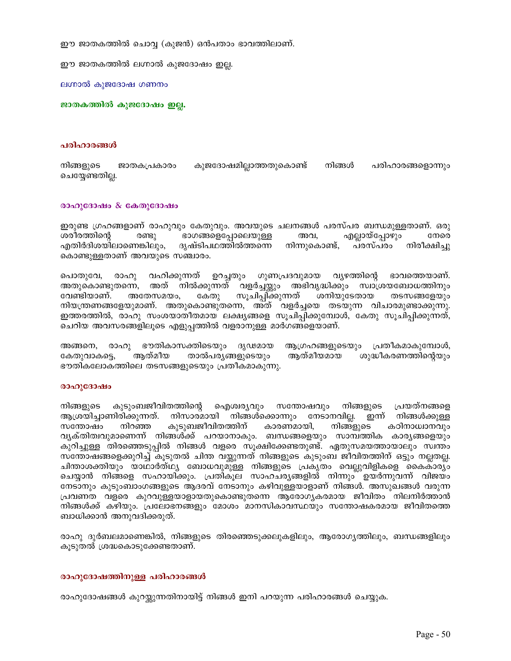ഈ ജാതകത്തിൽ ചൊവ്വ (കുജൻ) ഒൻപതാം ഭാവത്തിലാണ്.

ഈ ജാതകത്തിൽ ലഗ്നാൽ കുജദോഷം ഇല്ല.

ലഗ്നാൽ കുജദോഷ ഗണനം

ജാതകത്തിൽ കുജദോഷം ഇല്ല.

#### പരിഹാരങ്ങൾ

നിങ്ങളുടെ ജാതകപ്രകാരം കുജദോഷമില്ലാത്തതുകൊണ്ട് നിങ്ങൾ പരിഹാരങ്ങളൊന്നും ചെയ്യേണ്ടതില്ല.

#### രാഹുദോഷം  $\&$  കേതുദോഷം

ഇരുണ്ട ഗ്രഹങ്ങളാണ് രാഹുവും കേതുവും. അവയുടെ ചലനങ്ങൾ പരസ്പര ബന്ധമുള്ളതാണ്. ഒരു ഭാഗങ്ങളെപ്പോലെയുള്ള എല്ലായ്പ്പോഴും ശരീരത്തിന്റെ രണ്ടു അവ, നേരെ എതിർദിശയിലാണെങ്കിലും, ദൃഷ്ടിപഥത്തിൽത്തന്നെ നിന്നുകൊണ്ട്, പരസ്പരം നിരീക്ഷിച്ചു കൊണ്ടുള്ളതാണ് അവയുടെ സഞ്ചാരം.

വഹിക്കുന്നത് ഉറച്ചതും ഗുണപ്രദവുമായ വ്യഴത്തിന്റെ ഭാവത്തെയാണ്. പൊതുവേ, രാഹു അതുകൊണ്ടുതന്നെ, അത് നിൽക്കുന്നത് വളർച്ചയ്ക്കും അഭിവൃദ്ധിക്കും സ്വാശ്രയബോധത്തിനും സൂചിപ്പിക്കുന്നത് ശനിയുടേതായ വേണ്ടിയാണ്. അതേസമയം, കേതു തടസങ്ങളേയും നിയന്ത്രണങ്ങളേയുമാണ്. അതുകൊണ്ടുതന്നെ, അത് വളർച്ചയെ തടയുന്ന വിചാരമുണ്ടാക്കുന്നു. ഇത്തരത്തിൽ, രാഹു സംശയാതീതമായ ലക്ഷ്യങ്ങളെ സൂചിപ്പിക്കുമ്പോൾ, കേതു സൂചിപ്പിക്കുന്നത്, ചെറിയ അവസരങ്ങളിലൂടെ എളുപ്പത്തിൽ വളരാനുള്ള മാർഗങ്ങളെയാണ്.

അങ്ങനെ, രാഹു ഭൗതികാസക്തിടെയും ദൃഢമായ ആഗ്രഹങ്ങളുടെയും പ്രതീകമാകുമ്പോൾ, ആത്മീയമായ കേതുവാകട്ടെ, ആത്മീയ താൽപര്യങ്ങളുടെയും ശുദ്ധീകരണത്തിന്റെയും ഭൗതികലോകത്തിലെ തടസങ്ങളുടെയും പ്രതീകമാകുന്നു.

#### രാഹുദോഷം

കുടുംബജീവിതത്തിന്റെ ഐശ്വര്യവും സന്തോഷവും നിങ്ങളുടെ പ്രയത്നങ്ങളെ നിങ്ങളുടെ ആശ്രയിച്ചാണിരിക്കുന്നത്. നിസാരമായി നിങ്ങൾക്കൊന്നും നേടാനവില്ല. ഇന്ന് നിങ്ങൾക്കുള്ള കുടുബജീവിതത്തിന് സന്തോഷം നിറഞ്ഞ കാരണമായി, നിങ്ങളുടെ കഠിനാധ്വാനവും വൃക്തിത്വവുമാണെന്ന് നിങ്ങൾക്ക് പറയാനാകും. ബന്ധങ്ങളെയും സാമ്പത്തിക കാരൃങ്ങളെയും കുറിച്ചുള്ള തിരഞ്ഞെടുപ്പിൽ നിങ്ങൾ വളരെ സൂക്ഷിക്കേണ്ടതുണ്ട്. ഏതുസമയത്തായാലും സ്വന്തം സന്തോഷങ്ങളെക്കുറിച്ച് കൂടുതൽ ചിന്ത വയ്ക്കുന്നത് നിങ്ങളുടെ കൂടുംബ ജീവിതത്തിന് ഒട്ടും നല്ലതല്ല. ചിന്താശക്തിയും യാഥാർത്ഥ്യ ബോധവുമു്ള്ള നിങ്ങളുടെ പ്രകൃതം വെല്ലുവിളികളെ കൈകാര്യം ചെയ്യാൻ നിങ്ങളെ സഹായിക്കും. പ്രതികൂല സാഹചര്യങ്ങളിൽ നിന്നും ഉയർന്നുവന്ന് വിജയം നേടാനും കുടുംബാംഗങ്ങളുടെ ആദരവ് നേടാനും കഴിവുള്ളയാളാണ് നിങ്ങൾ. അസുഖങ്ങൾ വരുന്ന പ്രവണത വളരെ കുറവുള്ളയാളായതുകൊണ്ടുതന്നെ ആരോഗ്യകരമായ ജീവിതം നിലനിർത്താൻ നിങ്ങൾക്ക് കഴിയും. പ്രലോഭനങ്ങളും മോശം മാനസികാവസ്ഥയും സന്തോഷകരമായ ജീവിതത്തെ ബാധിക്കാൻ അനുവദിക്കരുത്.

രാഹു ദുർബലമാണെങ്കിൽ, നിങ്ങളുടെ തിരഞ്ഞെടുക്കലുകളിലും, ആരോഗ്യത്തിലും, ബന്ധങ്ങളിലും കൂടുതൽ ശ്രദ്ധകൊടുക്കേണ്ടതാണ്.

### രാഹുദോഷത്തിനുള്ള പരിഹാരങ്ങൾ

രാഹുദോഷങ്ങൾ കുറയ്കുന്നതിനായിട്ട് നിങ്ങൾ ഇനി പറയുന്ന പരിഹാരങ്ങൾ ചെയ്യുക.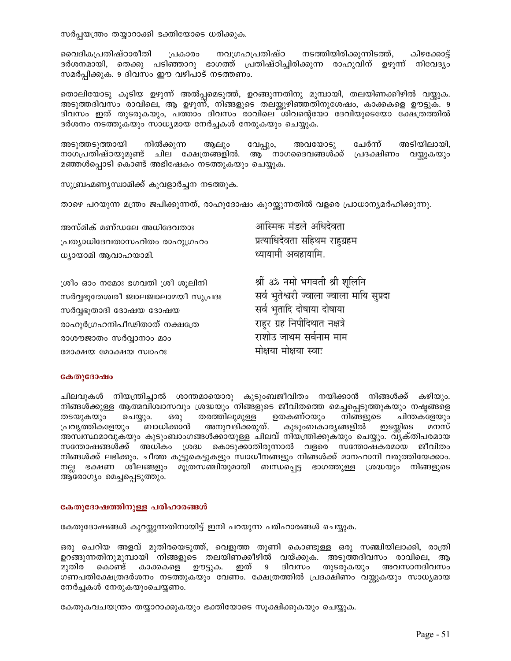സർപ്പയന്ത്രം തയ്യാറാക്കി ഭക്തിയോടെ ധരിക്കുക.

വൈദികപ്രതിഷ്ഠാരീതി നവഗ്രഹപ്രതിഷ്ഠ നടത്തിയിരിക്കുന്നിടത്ത്, കിഴക്കോട്ട് പ്രകാരം ദർശനമായി, തെക്കു പടിഞ്ഞാറു ഭാഗത്ത് പ്രതിഷ്ഠിച്ചിരിക്കുന്ന രാഹുവിന് ഉഴുന്ന് നിവേദ്യം സമർപ്പിക്കുക. 9 ദിവസം ഈ വഴിപാട് നടത്തണം.

തൊലിയോടു കൂടിയ ഉഴുന്ന് അൽപ്പമെടുത്ത്, ഉറങ്ങുന്നതിനു മുമ്പായി, തലയിണക്കീഴിൽ വയ്ക്കുക. അടുത്തദിവസം രാവിലെ, ആ ഉഴുന്ന്, നിങ്ങളുടെ തലയ്ക്കുഴിഞ്ഞതിനുശേഷം, കാക്കകളെ ഊട്ടുക. 9 ദിവസം ഇത് തുടരുകയും, പത്താം ദിവസം രാവിലെ ശിവന്റെയോ ദേവിയുടെയോ ക്ഷേത്രത്തിൽ ദർശനം നടത്തുകയും സാധ്യമായ നേർച്ചകൾ നേരുകയും ചെയ്യുക.

അടുത്തടുത്തായി നിൽക്കുന്ന വേപ്പും, അവയോടു ചേർന്ന് അടിയിലായി, ആലും നാഗപ്രതിഷ്ഠയുമുണ്ട് ചില ക്ഷേത്രങ്ങളിൽ. ആ നാഗദൈവങ്ങൾക്ക് പ്രദക്ഷിണം വയ്കുകയും മഞ്ഞൾപ്പൊടി കൊണ്ട് അഭിഷേകം നടത്തുകയും ചെയ്യുക.

സുബ്രഹ്മണ്യസ്വാമിക്ക് കൂവളാർച്ചന നടത്തുക.

താഴെ പറയുന്ന മന്ത്രം ജപിക്കുന്നത്, രാഹുദോഷം കുറയ്കുന്നതിൽ വളരെ പ്രാധാന്യമർഹിക്കുന്നു.

| അസ്മിക് മണ്ഡലേ അധിദേവതാഃ              | आस्मिक मंडले अधिदेवता                   |
|---------------------------------------|-----------------------------------------|
| പ്രത്യാധിദേവതാസഹിതം രാഹുഗ്രഹം         | प्रत्याधिदेवता सहिथम राहुग्रहम          |
| ധ്യായാമി ആവാഹയാമി.                    | ध्यायामी अवहायामि.                      |
|                                       |                                         |
| ശ്രീം ഓം നമോഃ ഭഗവതി ശ്രീ ശൂലിനി       | श्रीं ३% नमो भगवती श्री शूलिनि          |
| സർവ്വഭുതേശ്വരീ ജ്വാലജ്വാലാമയീ സുപ്രദഃ | सर्व भुतेश्वरी ज्वाला ज्वाला मायि सुप्र |
| സർവ്വഭൂതാദി ദോഷയ ദോഷയ                 | सर्व भुतादि दोषाया दोषाया               |
|                                       | $\pi$                                   |

രാഹുർഗ്രഹനിപീഢിതാത് നക്ഷത്രേ രാശൗജാതം സർവ്വാനാം മാം മോക്ഷയ മോക്ഷയ സ്വാഹഃ

दा राहुर ग्रह ानपाादथात नक्षत्र राशोउ जाथम सर्वनाम माम मोक्षया मोक्षया स्वाः

#### കേതുദോഷം

ചിലവുകൾ നിയന്ത്രിച്ചാൽ ശാന്തമായൊരു കുടുംബജീവിതം നയിക്കാൻ നിങ്ങൾക്ക് കഴിയും. നിങ്ങൾക്കുള്ള ആത്മവിശ്വാസവും ശ്രദ്ധയും നിങ്ങളുടെ ജീവിതത്തെ മെച്ചപ്പെടുത്തുകയും നഷ്ടങ്ങളെ ഉതകണ്ഠയും തടയുകയും ചെയ്യും. ഒരു തരത്തിലുമുള്ള നിങ്ങളുടെ ചിന്തകളേയും അനുവദിക്കരുത്. കുടുംബകാര്യങ്ങളിൽ പ്രവൃത്തികളേയും ബാധിക്കാൻ ഇടയ്കിടെ മനസ് അസ്വസ്ഥമാവുകയും കുടുംബാംഗങ്ങൾക്കായുള്ള ചിലവ് നിയന്ത്രിക്കുകയും ചെയ്യും. വൃക്തിപരമായ സന്തോഷങ്ങൾക്ക് അധികം ശ്രദ്ധ കൊടുക്കാതിരുന്നാൽ വളരെ സന്തോഷകരമായ ജീവിതം നിങ്ങൾക്ക് ലഭിക്കും. ചീത്ത കൂട്ടുകെട്ടുകളും സ്വാധീനങ്ങളും നിങ്ങൾക്ക് മാനഹാനി വരുത്തിയേക്കാം. നല്ല ഭക്ഷണ ശീലങ്ങളും മൂത്രസഞ്ചിയുമായി ബന്ധപ്പെട്ട ഭാഗത്തുള്ള ശ്രദ്ധയും നിങ്ങളുടെ ആരോഗ്യം മെച്ചപ്പെടുത്തും.

#### കേതുദോഷത്തിനുള്ള പരിഹാരങ്ങൾ

കേതുദോഷങ്ങൾ കുറയ്കുന്നതിനായിട്ട് ഇനി പറയുന്ന പരിഹാരങ്ങൾ ചെയ്യുക.

ഒരു ചെറിയ അളവ് മുതിരയെടുത്ത്, വെളുത്ത തുണി കൊണ്ടുള്ള ഒരു സഞ്ചിയിലാക്കി, രാത്രി ഉറങ്ങുന്നതിനുമുമ്പായി നിങ്ങളുടെ തലയിണക്കീഴിൽ വയ്ക്കുക. അടുത്തദിവസം രാവിലെ, ആ കാക്കകളെ ഊട്ടുക. ഇത് 9 ദിവസം തുടരുകയും മുതിര കൊണ്ട് അവസാനദിവസം ഗണപതിക്ഷേത്രദർശനം നടത്തുകയും വേണം. ക്ഷേത്രത്തിൽ പ്രദക്ഷിണം വയ്ക്കുകയും സാധ്യമായ നേർച്ചകൾ നേരുകയുംചെയ്യണം.

കേതുകവചയന്ത്രം തയ്യാറാക്കുകയും ഭക്തിയോടെ സൂക്ഷിക്കുകയും ചെയ്യുക.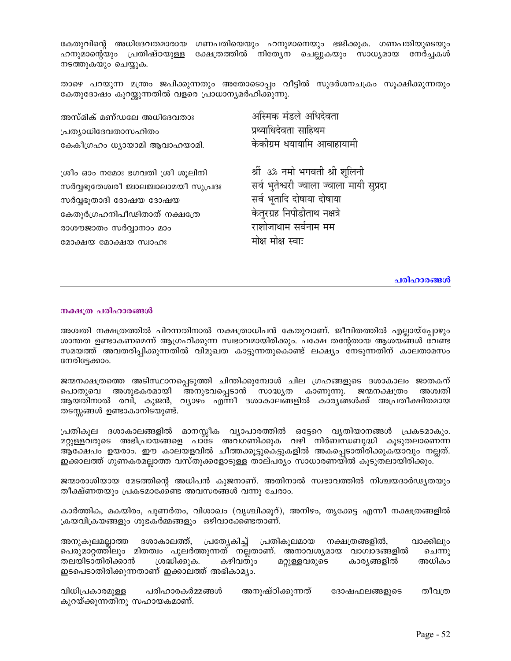കേതുവിന്റെ അധിദേവതമാരായ ഗണപതിയെയും ഹനുമാനെയും ഭജിക്കുക. ഗണപതിയുടെയും ഹനുമാന്റെയും പ്രതിഷ്ഠയുള്ള ക്ഷേത്രത്തിൽ നിത്യേന ചെല്ലുകയും സാധ്യമായ നേർച്ചകൾ നടത്തുകയും ചെയ്യുക.

താഴെ പറയുന്ന മന്ത്രം ജപിക്കുന്നതും അതോടൊപ്പം വീട്ടിൽ സുദർശനചക്രം സൂക്ഷിക്കുന്നതും കേതുദോഷം കുറയ്കുന്നതിൽ വളരെ പ്രാധാന്യമർഹിക്കുന്നു.

| അസ്മിക് മണ്ഡലേ അധിദേവതാഃ              | अस्मिक मंडले अधिदेवता                    |
|---------------------------------------|------------------------------------------|
| പ്രത്യാധിദേവതാസഹിതം                   | प्रथ्याधिदेवता साहिथम                    |
| കേകീഗ്രഹം ധ്യായാമി ആവാഹയാമി.          | केकीग्रम धयायामि आवाहायामी               |
|                                       |                                          |
| ശ്രീം ഓം നമോഃ ഭഗവതി ശ്രീ ശൂലിനി       | श्रीं ॐ नमो भगवती श्री शूलिनी            |
| സർവ്വഭുതേശ്വരീ ജ്വാലജ്വാലാമയീ സുപ്രദഃ | सर्व भुतेश्वरी ज्वाला ज्वाला मायी सप्रदा |
| സർവ്വഭൂതാദി ദോഷയ ദോഷയ                 | सर्व भूतादि दोषाया दोषाया                |
| കേതുർഗ്രഹനിപീഢിതാത് നക്ഷത്രേ          | केतुरग्रह निपीडीताथ नक्षत्रे             |
| രാശൗജാതം സർവ്വാനാം മാം                | राशोजाथाम सर्वनाम मम                     |
| മോക്ഷയ മോക്ഷയ സ്വാഹഃ                  | मोक्ष मोक्ष स्वाः                        |

#### പരിഹാരങ്ങൾ

#### നക്ഷത്ര പരിഹാരങ്ങൾ

അശ്വതി നക്ഷത്രത്തിൽ പിറന്നതിനാൽ നക്ഷത്രാധിപൻ കേതുവാണ്. ജീവിതത്തിൽ എല്ലായ്പ്പോഴും ശാന്തത ഉണ്ടാകണമെന്ന് ആഗ്രഹിക്കുന്ന സ്വഭാവമായിരിക്കും. പക്ഷേ തന്റേതായ ആശയങ്ങൾ വേണ്ട സമയത്ത് അവതരിപ്പിക്കുന്നതിൽ വിമുഖത കാട്ടുന്നതുകൊണ്ട് ലക്ഷ്യം നേടുന്നതിന് കാലതാമസം നേരിട്ടേക്കാം.

ജന്മനക്ഷത്രത്തെ അടിസ്ഥാനപ്പെടുത്തി ചിന്തിക്കുമ്പോൾ ചില ഗ്രഹങ്ങളുടെ ദശാകാലം ജാതകന് പൊതുവെ അശുഭകരമായി അനുഭവപ്പെടാൻ സാദ്ധ്യത കാണുന്നു. ജന്മനക്ഷത്രം അശ്വതി ആയതിനാൽ രവി, കുജൻ, വ്യാഴം എന്നീ ദശാകാലങ്ങളിൽ കാര്യങ്ങൾക്ക് അപ്രതീക്ഷിതമായ തടസ്സങ്ങൾ ഉണ്ടാകാനിടയുണ്ട്.

പ്രതികൂല ദശാകാലങ്ങളിൽ മാനസ്സീക വ്യാപാരത്തിൽ ഒട്ടേറെ വ്യതിയാനങ്ങൾ പ്രകടമാകും. മറ്റുള്ളവരുടെ അഭിപ്രായങ്ങളെ പാടേ അവഗണിക്കുക വഴി നിർബന്ധബുദ്ധി കൂടുതലാണെന്ന ആക്ഷേപം ഉയരാം. ഈ കാലയളവിൽ ചീത്തക്കൂട്ടുകെട്ടുകളിൽ അകപ്പെടാതിരിക്കുകയാവും നല്ലത്. ഇക്കാലത്ത് ഗുണകരമല്ലാത്ത വസ്തുക്കളോടുള്ള താല്പര്യം സാധാരണയിൽ കൂടുതലായിരിക്കും.

ജന്മാരാശിയായ മേടത്തിന്റെ അധിപൻ കുജനാണ്. അതിനാൽ സ്വഭാവത്തിൽ നിശ്ചയദാർഢ്യതയും തീക്ഷ്ണതയും പ്രകടമാക്കേണ്ട അവസരങ്ങൾ വന്നു ചേരാം.

കാർത്തിക, മകയിരം, പുണർതം, വിശാഖം (വൃശ്ചിക്കൂറ്), അനിഴം, തൃക്കേട്ട എന്നീ നക്ഷത്രങ്ങളിൽ ക്രയവിക്രയങ്ങളും ശുഭകർമ്മങ്ങളും ഒഴിവാക്കേണ്ടതാണ്.

അനുകൂലമല്ലാത്ത ദശാകാലത്ത്, പ്രത്യേകിച്ച് പ്രതികൂലമായ നക്ഷത്രങ്ങളിൽ, വാക്കിലും പെരുമാറ്റത്തിലും മിതത്വം പുലർത്തുന്നത് നല്ലതാണ്. അനാവശ്യമായ വാഗ്വാദങ്ങളിൽ ചെന്നു കഴിവതും അധികം തലയിടാതിരിക്കാൻ ശ്രദ്ധിക്കുക. മറ്റുള്ളവരുടെ കാര്യങ്ങളിൽ ഇടപെടാതിരിക്കുന്നതാണ് ഇക്കാലത്ത് അഭികാമ്യം.

പരിഹാരകർമ്മങ്ങൾ അനുഷ്ഠിക്കുന്നത് തീവത്ര വിധിപ്രകാരമുള്ള ദോഷഫലങ്ങളുടെ കുറയ്ക്കുന്നതിനു സഹായകമാണ്.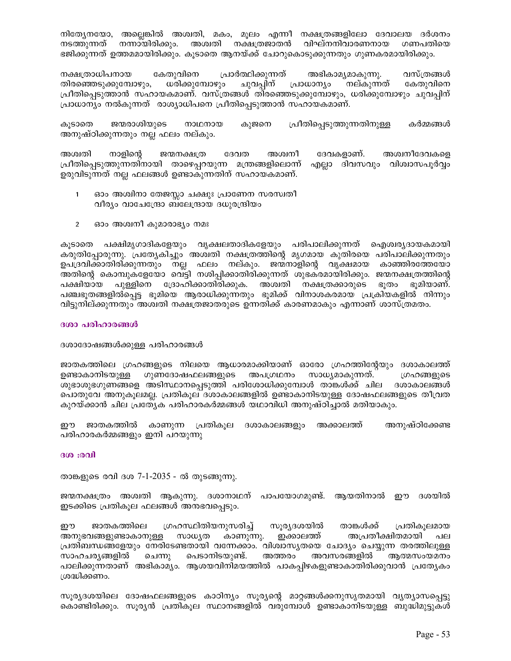നിത്യേനയോ, അല്ലെങ്കിൽ അശ്വതി, മകം, മൂലം എന്നീ നക്ഷത്രങ്ങളിലോ ദേവാലയ ദർശനം നടത്തുന്നത് നന്നായിരിക്കും. അശ്വതി നക്ഷത്രജാതൻ വിഘ്നനിവാരണനായ ഗണപതിയെ ഭജിക്കുന്നത് ഉത്തമമായിരിക്കും. കൂടാതെ ആനയ്ക്ക് ചോറുകൊടുക്കുന്നതും ഗുണകരമായിരിക്കും.

നക്ഷത്രാധിപനായ കേതുവിനെ പ്രാർത്ഥിക്കുന്നത് അഭികാമൃമാകുന്നു. വസ്ത്രങ്ങൾ തിരഞ്ഞെടുക്കുമ്പോഴും, ധരിക്കുമ്പോഴും ചുവപ്പിന് പ്രാധാന്യം നല്കുന്നത് കേതുവിനെ പ്രീതിപ്പെടുത്താൻ സഹായകമാണ്. വസ്ത്രങ്ങൾ തിരഞ്ഞെടുക്കുമ്പോഴും, ധരിക്കുമ്പോഴും ചുവപ്പിന് പ്രാധാന്യം നൽകുന്നത് രാശ്യാധിപനെ പ്രീതിപ്പെടുത്താൻ സഹായകമാണ്.

ജന്മരാശിയുടെ നാഥനായ കുജനെ പ്രീതിപ്പെടുത്തുന്നതിനുള്ള കർമ്മങ്ങൾ കൂടാതെ അനുഷ്ഠിക്കുന്നതും നല്ല ഫലം നല്കും.

അശ്വതി നാളിന്റെ ജന്മനക്ഷത്ര ദേവത അശ്വനീ ദേവകളാണ്. അശ്വനീദേവകളെ പ്രീതിപ്പെടുത്തുന്നതിനായി താഴെപ്പറയുന്ന മന്ത്രങ്ങളിലൊന്ന് എല്ലാ ദിവസവും വിശ്വാസപൂർവ്വം ഉരുവിടുന്നത് നല്ല ഫലങ്ങൾ ഉണ്ടാകുന്നതിന് സഹായകമാണ്.

- ഓം അശ്വിനാ തേജസ്സാ ചക്ഷുഃ പ്രാണേന സരസ്വതീ  $\mathbf{1}$ വീര്യം വാചേന്ദ്രോ ബലേന്ദ്രായ ദധുരന്ദ്രിയം
- $\overline{2}$ ഓം അശ്വനീ കുമാരാഭ്യം നമഃ

കൂടാതെ പക്ഷിമൃഗാദികളേയും വൃക്ഷലതാദികളേയും പരിപാലിക്കുന്നത് ഐശ്വരൃദായകമായി കരുതിപ്പോരുന്നു. പ്രത്യേകിച്ചും അശ്വതി നക്ഷത്രത്തിന്റെ മൃഗമായ കുതിരയെ പരിപാലിക്കുന്നതും ഉപദ്രവിക്കാതിരിക്കുന്നതും നല്ല ഫലം നല്കും. ജന്മനാളിന്റെ വൃക്ഷമായ കാഞ്ഞിരത്തേയോ അതിന്റെ കൊമ്പുകളേയോ വെ്ട്ടി നശിപ്പിക്കാതിരിക്കുന്നത് ശുഭക്രമായിരിക്കും. ജന്മനക്ഷത്രത്തിന്റെ പുള്ളിനെ ദ്രോഹിക്കാതിരിക്കുക. അശ്വതി നക്ഷത്രക്കാരുടെ ഭൂതം ഭൂമിയാണ്. പക്ഷിയായ പഞ്ചഭൂതങ്ങളിൽപ്പെട്ട ഭൂമിയെ ആരാധിക്കുന്നതും ഭൂമിക്ക് വിനാശകരമായ പ്രക്രിയകളിൽ നിന്നും വിട്ടുനില്ക്കുന്നതും അശ്വതി നക്ഷത്രജാതരുടെ ഉന്നതിക്ക് കാരണമാകും എന്നാണ് ശാസ്ത്രമതം.

### ദശാ പരിഹാരങ്ങൾ

ദശാദോഷങ്ങൾക്കുള്ള പരിഹാരങ്ങൾ

ജാതകത്തിലെ ഗ്രഹങ്ങളുടെ നിലയെ ആധാരമാക്കിയാണ് ഓരോ ഗ്രഹത്തിന്റേയും ദശാകാലത്ത് അപഗ്രഥനം ഉണ്ടാകാനിടയുള്ള ഗുണദോഷഫലങ്ങളുടെ സാധ്യമാകുന്നത്. ഗ്രഹങ്ങളുടെ ശുഭാശുഭഗുണങ്ങളെ അടിസ്ഥാനപ്പെടുത്തി പരിശോധിക്കുമ്പോൾ താങ്കൾക്ക് ചില ദശാകാലങ്ങൾ പൊതുവേ അനുകൂലമല്ല. പ്രതികൂല ദശാകാലങ്ങളിൽ ഉണ്ടാകാനിടയുള്ള ദോഷഫലങ്ങളുടെ തീവ്രത കുറയ്ക്കാൻ ചില പ്രത്യേക പരിഹാരകർമ്മങ്ങൾ യഥാവിധി അനുഷ്ഠിച്ചാൽ മതിയാകും.

ഈ ജാതകത്തിൽ കാണുന്ന പ്രതികൂല ദശാകാലങ്ങളും അക്കാലത്ത് അനുഷ്ഠിക്കേണ്ട പരിഹാരകർമ്മങ്ങളും ഇനി പറയുന്നു

### ദശ :രവി

താങ്കളുടെ രവി ദശ 7-1-2035 - ൽ തുടങ്ങുന്നു.

ജന്മനക്ഷത്രം അശ്വതി ആകുന്നു. ദശാനാഥന് പാപയോഗമുണ്ട്. ആയതിനാൽ ഈ ദശയിൽ ഇടക്കിടെ പ്രതികൂല ഫലങ്ങൾ അനുഭവപ്പെടും.

ശ്രഹസ്ഥിതിയനുസരിച്ച് ജാതകത്തിലെ സൂര്യദശയിൽ താങ്കൾക്ക് പ്രതികുലമായ ഈ ഇക്കാലത്ത് അനുഭവങ്ങളുണ്ടാകാനുള്ള സാധ്യത കാണുന്നു. അപ്രതീക്ഷിതമായി പല പ്രതിബന്ധങ്ങളേയും നേരിടേണ്ടതായി വന്നേക്കാം. വിശ്വാസൃതയെ ചോദ്യം ചെയ്യുന്ന തരത്തിലുള്ള സാഹചര്യങ്ങളിൽ ചെന്നു പെടാനിടയുണ്ട്. അത്തരം അവസരങ്ങളിൽ ആത്മസംയമനം പാലിക്കുന്നതാണ് അഭികാമ്യം. ആശയവിനിമയത്തിൽ പാകപ്പിഴകളുണ്ടാകാതിരിക്കുവാൻ പ്രത്യേകം ശ്രദ്ധിക്കണം.

സൂര്യദശയിലെ ദോഷഫലങ്ങളുടെ കാഠിന്യം സൂര്യന്റെ മാറ്റങ്ങൾക്കനുസൃതമായി വ്യത്യാസപ്പെട്ടു കൊണ്ടിരിക്കും. സൂര്യൻ പ്രതികൂല സ്ഥാനങ്ങളിൽ വരുമ്പോൾ ഉണ്ടാകാനിടയുള്ള ബുദ്ധിമുട്ടുകൾ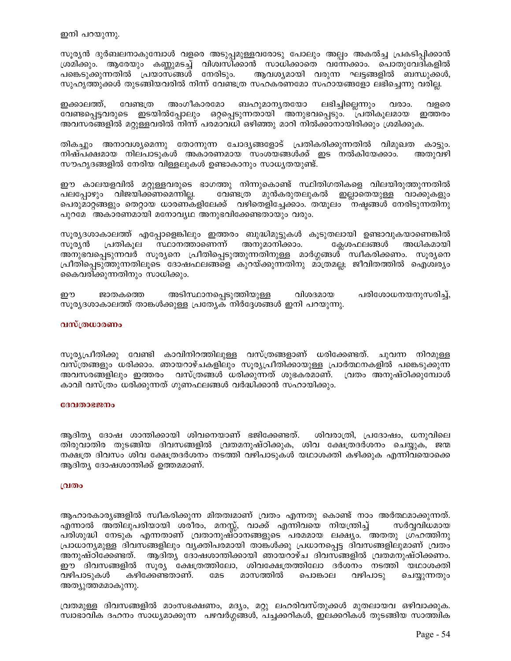ഇനി പറയുന്നു.

സൂര്യൻ ദുർബലനാകുമ്പോൾ വളരെ അടുപ്പമുള്ളവരോടു പോലും അല്പം അകൽച്ച പ്രകടിപ്പിക്കാൻ ശ്രമിക്കും. ആരേയും കണ്ണുമടച്ച് വിശ്വസിക്കാൻ സാധിക്കാതെ വന്നേക്കാം. പൊതുവേദികളിൽ പങ്കെടുക്കുന്നതിൽ പ്രയാസ്ങ്ങൾ നേരിടും. ആവശ്യമായി വരുന്ന ഘട്ടങ്ങളിൽ ബന്ധുക്കൾ, സുഹൃത്തുക്കൾ തുടങ്ങിയവരിൽ നിന്ന് വേണ്ടത്ര സഹകരണമോ സഹായങ്ങളോ ലഭിച്ചെന്നു വരില്ല.

ഇക്കാലത്ത്, വേണ്ടത്ര അംഗീകാരമോ ബഹുമാനൃതയോ ലഭിച്ചില്ലെന്നും വരാം. വളരെ വേണ്ടപ്പെട്ടവരുടെ ഇടയിൽപ്പോലും ഒറ്റപ്പെടുന്നതായി അനുഭവപ്പെടും. പ്രതികൂലമായ ഇത്തരം അവസരങ്ങളിൽ മറ്റുള്ളവരിൽ നിന്ന് പരമാവധി ഒഴിഞ്ഞു മാറി നിൽക്കാനായിരിക്കും ശ്രമിക്കുക.

തികച്ചും അനാവശ്യമെന്നു തോന്നുന്ന ചോദ്യങ്ങളോട് പ്രതികരിക്കുന്നതിൽ വിമുഖത കാട്ടും. നിഷ്പക്ഷമായ നിലപാടുകൾ അകാരണമായ സംശയങ്ങൾക്ക് ഇട നൽകിയേക്കാം. അതുവഴി സൗഹൃദങ്ങളിൽ നേരിയ വിള്ളലുകൾ ഉണ്ടാകാനും സാധ്യതയുണ്ട്.

ഈ കാലയളവിൽ മറ്റുള്ളവരുടെ ഭാഗത്തു നിന്നുകൊണ്ട് സ്ഥിതിഗതികളെ വിലയിരുത്തുന്നതിൽ ഇല്ലാതെയുള്ള വാക്കുകളും പലപ്പോഴും വിജയിക്കണമെന്നില്ല. വേണ്ടത്ര മുൻകരുതലുകൽ പെരുമാറ്റങ്ങളും തെറ്റായ ധാരണകളിലേക്ക് വഴിതെളിച്ചേക്കാം. തന്മൂലം നഷ്ടങ്ങൾ നേരിടുന്നതിനു പുറമേ അകാരണമായി മനോവ്യഥ അനുഭവിക്കേണ്ടതായും വരും.

സൂര്യദശാകാലത്ത് എപ്പോളെങ്കിലും ഇത്തരം ബുദ്ധിമുട്ടുകൾ കൂടുതലായി ഉണ്ടാവുകയാണെങ്കിൽ ക്ലേശഫലങ്ങൾ സുര്യൻ സ്ഥാനത്താണെന്ന് അനുമാനിക്കാം. അധികമായി പ്രതികുല അനുഭവപ്പെടുന്നവർ സൂര്യനെ പ്രീതിപ്പെടുത്തുന്നതിനുള്ള മാർഗ്ഗങ്ങൾ സ്വീകരിക്കണം. സൂര്യനെ പ്രീതിപ്പെടുത്തുന്നതിലൂടെ ദോഷഫലങ്ങളെ കുറയ്ക്കുന്നതിനു മാത്രമല്ല; ജീവിതത്തിൽ ഐശ്വര്യം കൈവരിക്കുന്നതിനും സാധിക്കും.

അടിസ്ഥാനപ്പെടുത്തിയുള്ള പരിശോധനയനുസരിച്ച്, ഈ ജാതകത്തെ വിശദമായ സൂര്യദശാകാലത്ത് താങ്കൾക്കുള്ള പ്രത്യേക നിർദ്ദേശങ്ങൾ ഇനി പറയുന്നു.

### വസ്ത്രധാരണം

സൂര്യപ്രീതിക്കു വേണ്ടി കാവിനിറത്തിലുള്ള വസ്ത്രങ്ങളാണ് ധരിക്കേണ്ടത്. ചുവന്ന നിറമുള്ള വസ്ത്രങ്ങളും ധരിക്കാം. ഞായറാഴ്ചകളിലും സൂര്യപ്രീതിക്കായുള്ള പ്രാർത്ഥനകളിൽ പങ്കെടുക്കുന്ന അവസരങ്ങളിലും ഇത്തരം വസ്ത്രങ്ങൾ ധരിക്കുന്നത് ശുഭകരമാണ്. വ്രതം അനുഷ്ഠിക്കുമ്പോൾ കാവി വസ്ത്രം ധരിക്കുന്നത് ഗുണഫലങ്ങൾ വർദ്ധിക്കാൻ സഹായിക്കും.

#### ദേവതാഭജനം

ആദിത്യ ദോഷ ശാന്തിക്കായി ശിവനെയാണ് ഭജിക്കേണ്ടത്. ശിവരാത്രി, പ്രദോഷം, ധനുവിലെ തിരുവാതിര തുടങ്ങിയ ദിവസങ്ങളിൽ വ്രതമനുഷ്ഠിക്കുക, ശിവ ക്ഷേത്രദർശനം ചെയ്യുക, ജന്മ നക്ഷത്ര ദിവസം ശിവ ക്ഷേത്രദർശനം നടത്തി വഴിപാടുകൾ യഥാശക്തി കഴിക്കുക എന്നിവയൊക്കെ ആദിത്യ ദോഷശാന്തിക്ക് ഉത്തമമാണ്.

#### വ്രതം

ആഹാരകാരൃങ്ങളിൽ സ്വീകരിക്കുന്ന മിതത്വമാണ് വ്രതം എന്നതു കൊണ്ട് നാം അർത്ഥമാക്കുന്നത്. എന്നാൽ അതിലുപരിയായി ശരീരം, മനസ്സ്, വാക്ക് എന്നിവയെ നിയന്ത്രിച്ച് സർവ്വവിധമായ പരിശുദ്ധി നേടുക എന്നതാണ് വ്രതാനുഷ്ഠാനങ്ങളുടെ പരമമായ ലക്ഷ്യം. അതതു ഗ്രഹത്തിനു പ്രാധാന്യമുള്ള ദിവസങ്ങളിലും വ്യക്തിപരമായി താങ്കൾക്കു പ്രധാനപ്പെട്ട ദിവസങ്ങളിലുമാണ് വ്രതം അനുഷ്ഠിക്കേണ്ടത്. ആദിത്യ ദോഷശാന്തിക്കായി ഞായറാഴ്ച ദിവസങ്ങളിൽ വ്രതമനുഷ്ഠിക്കണം. ഈ ദിവസങ്ങളിൽ സൂര്യ ക്ഷേത്രത്തിലോ, ശിവക്ഷേത്രത്തിലോ ദർശനം നടത്തി യഥാശക്തി കഴിക്കേണ്ടതാണ്. **COS** മാസത്തിൽ പൊങ്കാല വഴിപാടു ചെയ്യുന്നതും വഴിപാടുകൾ അത്യുത്തമമാകുന്നു.

വ്രതമുള്ള ദിവസങ്ങളിൽ മാംസഭക്ഷണം, മദ്യം, മറ്റു ലഹരിവസ്തുക്കൾ മുതലായവ ഒഴിവാക്കുക. സ്വാഭാവിക ദഹനം സാധ്യമാക്കുന്ന പഴവർഗ്ഗങ്ങൾ, പച്ചക്കറികൾ, ഇലക്കറികൾ തുടങ്ങിയ സാത്ത്വിക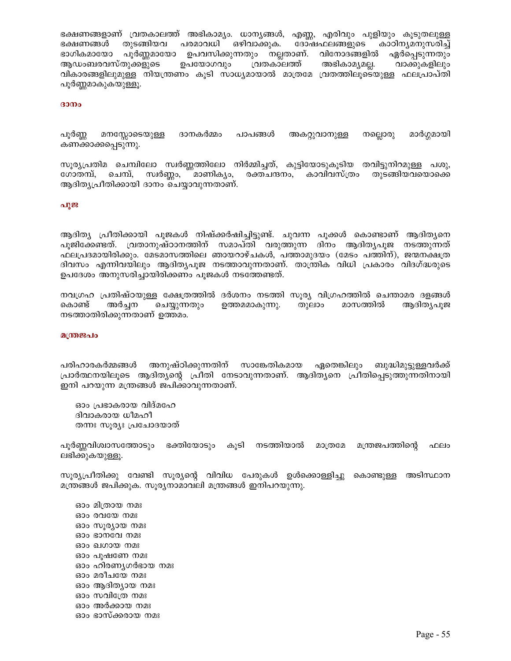ഭക്ഷണങ്ങളാണ് വ്രതകാലത്ത് അഭികാമ്യം. ധാന്യങ്ങൾ, എണ്ണ, എരിവും പുളിയും കൂടുതലുള്ള ഭക്ഷണങ്ങൾ തുടങ്ങിയവ പരമാവധി ഒഴിവാക്കുക. ദോഷഫലങ്ങളുടെ കാഠിന്യമനുസരിച്ച് പൂർണ്ണമായോ ഉപവസിക്കുന്നതും നല്ലതാണ്. വിനോദങ്ങളിൽ ഏർപ്പെടുന്നതും ഭാഗികമായോ ആഡംബരവസ്തുക്കളുടെ ഉപയോഗവും വ്രതകാലത്ത് അഭികാമൃമല്ല. വാക്കുകളിലും വികാരങ്ങളിലുമുള്ള നിയന്ത്രണം കൂടി സാധ്യമായാൽ മാത്രമേ വ്രതത്തിലൂടെയുള്ള ഫലപ്രാപ്തി പൂർണ്ണമാകുകയുള്ളൂ.

#### ദാനം

ദാനകർമ്മം മാർഗ്ഗമായി പൂർണ്ണ മനസ്സോടെയുള്ള പാപങ്ങൾ അകറ്റുവാനുള്ള നല്ലൊരു കണക്കാക്കപ്പെടുന്നു.

സൂര്യപ്രതിമ ചെമ്പിലോ സ്വർണ്ണത്തിലോ നിർമ്മിച്ചത്, കുട്ടിയോടുകൂടിയ തവിട്ടുനിറമുള്ള പശു, സ്വർണ്ണം, <sup>''''</sup>മാണികൃം, രക്തചന്ദനം, കാവിവസ്ത്രം തുടങ്ങിയവയൊക്കെ ഗോതമ്പ്, ചെമ്പ്, ആദിത്യപ്രീതിക്കായി ദാനം ചെയ്യാവുന്നതാണ്.

#### പൂജ

ആദിത്യ പ്രീതിക്കായി പുജകൾ നിഷ്ക്കർഷിച്ചിട്ടുണ്ട്. ചുവന്ന പൂക്കൾ കൊണ്ടാണ് ആദിത്യനെ പൂജിക്കേണ്ടത്. വ്രതാനുഷ്ഠാനത്തിന് സമാപ്തി വരുത്തുന്ന ദിനം ആദിതൃപുജ നടത്തുന്നത് ഫലപ്രദമായിരിക്കും. മേടമാസത്തിലെ ഞായറാഴ്ചകൾ, പത്താമുദയം (മേടം പത്തിന്), ജന്മനക്ഷത്ര ദിവസം എന്നിവയിലും ആദിത്യപുജ നടത്താവുന്നതാണ്. താന്ത്രിക വിധി പ്രകാരം വിദഗ്ദ്ധരുടെ ഉപദേശം അനുസരിച്ചായിരിക്കണം പൂജകൾ നടത്തേണ്ടത്.

നവഗ്രഹ പ്രതിഷ്ഠയുള്ള ക്ഷേത്രത്തിൽ ദർശനം നടത്തി സുര്യ വിഗ്രഹത്തിൽ ചെന്താമര ദളങ്ങൾ കൊണ്ട് അർച്ചന ചെയ്യുന്നതും ഉത്തമമാകുന്നു. തുലാം മാസത്തിൽ ആദിത്യപൂജ നടത്താതിരിക്കുന്നതാണ് ഉത്തമം.

#### മന്ത്രജപം

പരിഹാരകർമ്മങ്ങൾ അനുഷ്ഠിക്കുന്നതിന് സാങ്കേതികമായ ഏതെങ്കിലും ബുദ്ധിമുട്ടുള്ളവർക്ക് പ്രാർത്ഥനയിലൂടെ ആദിത്യന്റെ പ്രീതി നേടാവുന്നതാണ്. ആദിത്യനെ പ്രീതിപ്പെടുത്തുന്നതിനായി ഇനി പറയുന്ന മന്ത്രങ്ങൾ ജപിക്കാവുന്നതാണ്.

ഓം പ്രഭാകരായ വിദ്മഹേ ദിവാകരായ ധീമഹീ തന്നഃ സൂര്യഃ പ്രചോദയാത്

പൂർണ്ണവിശ്വാസത്തോടും ഭക്തിയോടും കൂടി നടത്തിയാൽ മാത്രമേ മന്ത്രജപത്തിന്റെ ഫലം ലഭിക്കുകയുള്ളൂ.

സൂര്യപ്രീതിക്കു വേണ്ടി സൂര്യന്റെ വിവിധ പേരുകൾ ഉൾക്കൊള്ളിച്ചു കൊണ്ടുള്ള അടിസ്ഥാന മന്ത്രങ്ങൾ ജപിക്കുക. സൂര്യനാമാവലി മന്ത്രങ്ങൾ ഇനിപറയുന്നു.

ഓം മിത്രായ നമഃ ഓം രവയേ നമഃ ഓം സൂര്യായ നമഃ ഓം ഭാനവേ നമഃ ഓം ഖഗായ നമഃ ഓം പൂഷണേ നമഃ ഓം ഹിരണ്യഗർഭായ നമഃ ഓം മരീചയേ നമഃ ഓം ആദിത്യായ നമഃ ഓം സവിത്രേ നമഃ ഓം അർക്കായ നമഃ ഓം ഭാസ്ക്കരായ നമഃ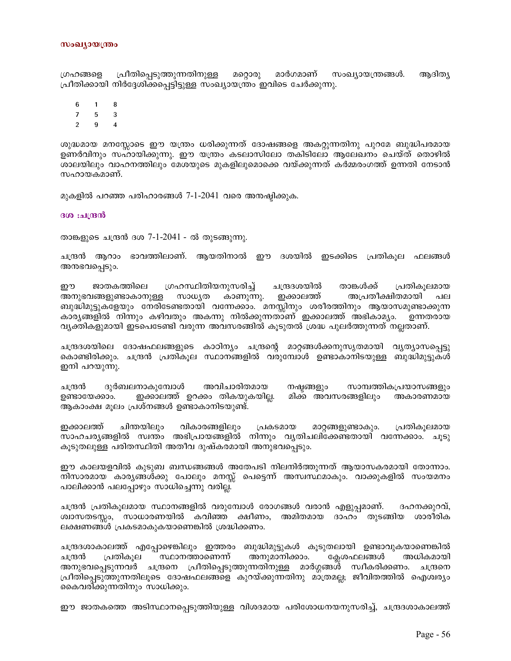ഗ്രഹങ്ങളെ പ്രീതിപ്പെടുത്തുന്നതിനുള്ള മറ്റൊരു മാർഗമാണ് സംഖ്യായന്ത്രങ്ങൾ. ആദിത്യ പ്രീതിക്കായി നിർദ്ദേശിക്കപ്പെട്ടിട്ടുള്ള സംഖ്യായന്ത്രം ഇവിടെ ചേർക്കുന്നു.

8 6  $\mathbf{1}$ 

 $\overline{7}$  $5\phantom{.0}$  $\mathcal{S}$ 

 $\overline{2}$  $\mathbf{Q}$  $\boldsymbol{\Lambda}$ 

ശുദ്ധമായ മനസ്സോടെ ഈ യന്ത്രം ധരിക്കുന്നത് ദോഷങ്ങളെ അകറ്റുന്നതിനു പുറമേ ബുദ്ധിപരമായ ഉണർവിനും സഹായിക്കുന്നു. ഈ യന്ത്രം കടലാസിലോ തകിടിലോ ആലേഖനം ചെയ്ത് തൊഴിൽ ശാലയിലും വാഹനത്തിലും മേശയുടെ മുകളിലുമൊക്കെ വയ്ക്കുന്നത് കർമ്മരംഗത്ത് ഉന്നതി നേടാൻ സഹായകമാണ്.

മുകളിൽ പറഞ്ഞ പരിഹാരങ്ങൾ 7-1-2041 വരെ അനഷ്ഠിക്കുക.

ദശ :ചന്ദ്രൻ

താങ്കളുടെ ചന്ദ്രൻ ദശ 7-1-2041 - ൽ തുടങ്ങുന്നു.

ചന്ദ്രൻ ആറാം ഭാവത്തിലാണ്. ആയതിനാൽ ഈ ദശയിൽ ഇടക്കിടെ പ്രതികൂല ഫലങ്ങൾ അനഭവപ്പെടും.

ശ്രഹസ്ഥിതിയനുസരിച്ച് ചന്ദ്രദശയിൽ താങ്കൾക്ക് ഈ ജാതകത്തിലെ പ്രതികൂലമായ അനുഭവങ്ങളുണ്ടാകാനുള്ള സാധ്യത കാണുന്നു. ഇക്കാലത്ത് അപ്രതീക്ഷിതമായി ബുദ്ധിമുട്ടുകളേയും നേരിടേണ്ടതായി വന്നേക്കാം. മനസ്സിനും ശരീരത്തിനും ആയാസമുണ്ടാക്കുന്ന കാരൃങ്ങളിൽ നിന്നും കഴിവതും അകന്നു നിൽക്കുന്നതാണ് ഇക്കാലത്ത് അഭികാമൃം. ഉന്നതരായ വ്യക്തികളുമായി ഇടപെടേണ്ടി വരുന്ന അവസരങ്ങിൽ കൂടുതൽ ശ്രദ്ധ പുലർത്തുന്നത് നല്ലതാണ്.

ചന്ദ്രദശയിലെ ദോഷഫലങ്ങളുടെ കാഠിന്യം ചന്ദ്രന്റെ മാറ്റങ്ങൾക്കനുസൃതമായി വ്യത്യാസപ്പെട്ടു കൊണ്ടിരിക്കും. ചന്ദ്രൻ പ്രതികൂല സ്ഥാനങ്ങളിൽ വരുമ്പോൾ ഉണ്ടാകാനിടയുള്ള ബുദ്ധിമുട്ടുകൾ ഇനി പറയുന്നു.

ചന്ദ്രൻ ദുർബലനാകുമ്പോൾ അവിചാരിതമായ നഷ്യങ്ങളും സാമ്പത്തികപ്രയാസങ്ങളും ഉണ്ടായേക്കാം. ഇക്കാലത്ത് ഉറക്കം തികയുകയില്ല. മിക്ക അവസരങ്ങളിലും അകാരണമായ ആകാംക്ഷ മൂലം പ്രശ്നങ്ങൾ ഉണ്ടാകാനിടയുണ്ട്.

ചിന്തയിലും ഇക്കാലത്ത് വികാരങ്ങളിലും പ്രകടമായ മാറ്റങ്ങളുണ്ടാകും. പ്രതികൂലമായ സാഹചര്യങ്ങളിൽ സ്വന്തം അഭിപ്രായങ്ങളിൽ നിന്നും വ്യതിചലിക്കേണ്ടതായി വന്നേക്കാം. ചൂടു കൂടുതലുള്ള പരിതസ്ഥിതി അതീവ ദുഷ്കരമായി അനുഭവപ്പെടും.

ഈ കാലയളവിൽ കുടുബ ബന്ധങ്ങങ്ങൾ അതേപടി നിലനിർത്തുന്നത് ആയാസകരമായി തോന്നാം. നിസാരമായ കാരൃങ്ങൾക്കു പോലും മനസ്സ് പെട്ടെന്ന് അസ്വസ്ഥമാകും. വാക്കുകളിൽ സംയമനം പാലിക്കാൻ പലപ്പോഴും സാധിച്ചെന്നു വരില്ല.

ചന്ദ്രൻ പ്രതികൂലമായ സ്ഥാനങ്ങളിൽ വരുമ്പോൾ രോഗങ്ങൾ വരാൻ എളുപ്പമാണ്. ദഹനക്കുറവ്, ശ്വാസതടസ്സം, സാധാരണയിൽ കവിഞ്ഞ ക്ഷീണം, അമിതമായ ദാഹം തുടങ്ങിയ ശാരീരിക ലക്ഷണങ്ങൾ പ്രകടമാകുകയാണെങ്കിൽ ശ്രദ്ധിക്കണം.

ചന്ദ്രദശാകാലത്ത് എപ്പോഴെങ്കിലും ഇത്തരം ബുദ്ധിമുട്ടുകൾ കൂടുതലായി ഉണ്ടാവുകയാണെങ്കിൽ ചന്ദ്രൻ പ്രതികൂല സ്ഥാനത്താണെന്ന് അനുമാനിക്കാം. ക്ലേശഫലങ്ങൾ അധികമായി അനുഭവപ്പെടുന്നവർ ചന്ദ്രനെ പ്രീതിപ്പെടുത്തുന്നതിനുള്ള മാർഗ്ഗങ്ങൾ സ്വീകരിക്കണം. ചന്ദ്രനെ പ്രീതിപ്പെടുത്തുന്നതിലൂടെ ദോഷഫലങ്ങളെ കുറയ്ക്കുന്നതിനു മാത്രമല്ല; ജീവിതത്തിൽ ഐശ്വര്യം കൈവരിക്കുന്നതിനും സാധിക്കും.

ഈ ജാതകത്തെ അടിസ്ഥാനപ്പെടുത്തിയുള്ള വിശദമായ പരിശോധനയനുസരിച്ച്, ചന്ദ്രദശാകാലത്ത്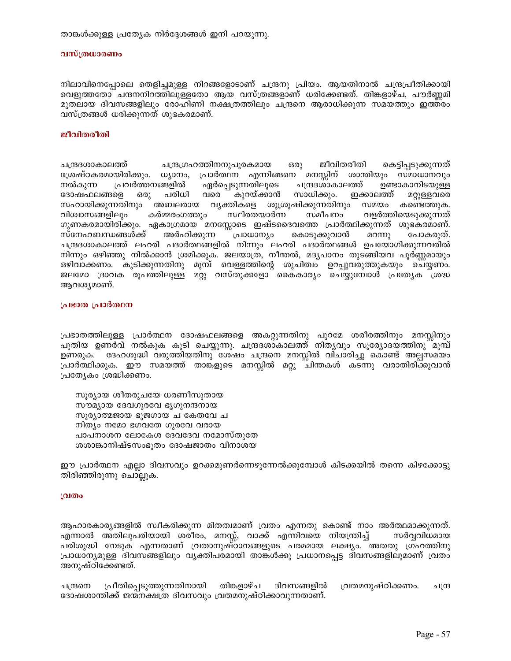താങ്കൾക്കുള്ള പ്രത്യേക നിർദ്ദേശങ്ങൾ ഇനി പറയുന്നു.

#### വസ്ത്രധാരണം

നിലാവിനെപ്പോലെ തെളിച്ചമുള്ള നിറങ്ങളോടാണ് ചന്ദ്രനു പ്രിയം. ആയതിനാൽ ചന്ദ്രപ്രീതിക്കായി വെളുത്തതോ ചന്ദനനിറത്തിലുള്ളതോ ആയ വസ്ത്രങ്ങളാണ് ധരിക്കേണ്ടത്. തിങ്കളാഴ്ച, പൗർണ്ണമി മുതലായ ദിവസങ്ങളിലും രോഹിണി നക്ഷത്രത്തിലും ചന്ദ്രനെ ആരാധിക്കുന്ന സമയത്തും ഇത്തരം വസ്ത്രങ്ങൾ ധരിക്കുന്നത് ശുഭകരമാണ്.

#### ജീവിതരീതി

ചന്ദ്രദശാകാലത്ത് ചന്ദ്രഗ്രഹത്തിനനുപൂരകമായ ജീവിതരീതി കെട്ടിപ്പടുക്കുന്നത് ഒരു ശ്രേഷ്ഠകരമായിരിക്കും. ധ്യാനം, പ്രാർത്ഥന എന്നിങ്ങനെ മനസ്സിന് ശാന്തിയും സ്മാധാനവും ഏർപ്പെടുന്നതിലൂടെ നൽകുന്ന പ്രവർത്തനങ്ങളിൽ ചന്ദ്രദശാകാലത്ത് ഉണ്ടാകാനിടയുള്ള പരിധി വരെ കുറയ്ക്കാൻ ദോഷഫലങ്ങളെ സാധിക്കും. ഇക്കാലത്ത് ഒരു മറ്റുള്ളവരെ സഹായിക്കുന്നതിനും അബലരായ വ്യക്തികളെ ശുശ്രൂഷിക്കുന്നതിനും സമയം കണ്ടെത്തുക. വിശ്വാസങ്ങളിലും കർമ്മരംഗത്തും സ്ഥിരതയാർന്ന സമീപനം വളർത്തിയെടുക്കുന്നത് ഗുണകരമായിരിക്കും. ഏകാഗ്രമായ മനസ്സോടെ ഇഷ്ടദൈവത്തെ പ്രാർത്ഥിക്കുന്നത് ശുഭകരമാണ്. സ്നേഹബന്ധങ്ങൾക്ക് അർഹിക്കുന്ന ്പ്രാധാന്യാ കൊടുക്കുവാൻ മറന്നു പോകരുത്. ചന്ദ്രദശാകാലത്ത് ലഹരി പദാർത്ഥങ്ങളിൽ നിന്നും ലഹരി പദാർത്ഥങ്ങൾ ഉപയോഗിക്കുന്നവരിൽ നിന്നും ഒഴിഞ്ഞു നിൽക്കാൻ ശ്രമിക്കുക. ജലയാത്ര, നീന്തൽ, മദ്യപാനം തുടങ്ങിയവ പൂർണ്ണമായും ഒഴിവാക്കണം. കുടിക്കുന്നതിനു മുമ്പ് വെള്ളത്തിന്റെ ശുചിത്വം ഉറപ്പുവരുത്തുകയും ചെയ്ണത. ജലമോ ദ്രാവക രൂപത്തിലുള്ള മറ്റു വസ്തുക്കളോ കൈകാര്യം ചെയ്യുമ്പോൾ പ്രത്യേക ശ്രദ്ധ ആവശ്യമാണ്.

### പ്രഭാത പ്രാർത്ഥന

പ്രഭാതത്തിലുള്ള പ്രാർത്ഥന ദോഷഫലങ്ങളെ അകറ്റുന്നതിനു പുറമേ ശരീരത്തിനും മനസ്സിനും പുതിയ ഉണർവ് നൽകുക കൂടി ചെയ്യുന്നു. ചന്ദ്രദശാകാലത്ത് നിതൃവും സൂര്യോദയത്തിനു മുമ്പ് ഉണരുക. ദേഹശുദ്ധി വരുത്തിയതിനു ശേഷം ചന്ദ്രനെ മനസ്സിൽ വിചാരിച്ചു കൊണ്ട് അല്പസമയം പ്രാർത്ഥിക്കുക. ഈ സമയത്ത് താങ്കളുടെ മനസ്സിൽ മറ്റു ചിന്തകൾ കടന്നു വരാതിരിക്കുവാൻ പ്രത്യേകം ശ്രദ്ധിക്കണം.

സൂര്യായ ശീതരുചയേ ധരണീസുതായ സൗമ്യായ ദേവഗുരവേ ഭൃഗുനന്ദനായ സൂര്യാത്മജായ ഭുജഗായ ച കേതവേ ച നിത്യം നമോ ഭഗവതേ ഗുരവേ വരായ പാപനാശന ലോകേശ ദേവദേവ നമോസ്തുതേ ശശാങ്കാനിഷ്ടസംഭൂതം ദോഷജാതം വിനാശയ

ഈ പ്രാർത്ഥന എല്ലാ ദിവസവും ഉറക്കമുണർന്നെഴുന്നേൽക്കുമ്പോൾ കിടക്കയിൽ തന്നെ കിഴക്കോട്ടു തിരിഞ്ഞിരുന്നു ചൊല്ലുക.

#### വ്രതം

ആഹാരകാര്യങ്ങളിൽ സ്വീകരിക്കുന്ന മിതത്വമാണ് വ്രതം എന്നതു കൊണ്ട് നാം അർത്ഥമാക്കുന്നത്. എന്നാൽ അതിലുപരിയായി ശരീരം, മനസ്സ്, വാക്ക് എന്നിവയെ നിയന്ത്രിച്ച് സർവവിധമായ പരിശുദ്ധി നേടുക എന്നതാണ് വ്രതാനുഷ്ഠാനങ്ങളുടെ പരമമായ ലക്ഷ്യം. അതതു ഗ്രഹത്തിനു പ്രാധാന്യമുള്ള ദിവസങ്ങളിലും വ്യക്തിപരമായി താങ്കൾക്കു പ്രധാനപ്പെട്ട ദിവസങ്ങളിലുമാണ് വ്രതം അനുഷ്ഠിക്കേണ്ടത്.

ദിവസങ്ങളിൽ ചന്ദ്രനെ പ്രീതിപ്പെടുത്തുന്നതിനായി തിങ്കളാഴ്ച വ്രതമനുഷ്ഠിക്കണം. ചന്ദ്ര ദോഷശാന്തിക്ക് ജന്മനക്ഷത്ര ദിവസവും വ്രതമനുഷ്ഠിക്കാവുന്നതാണ്.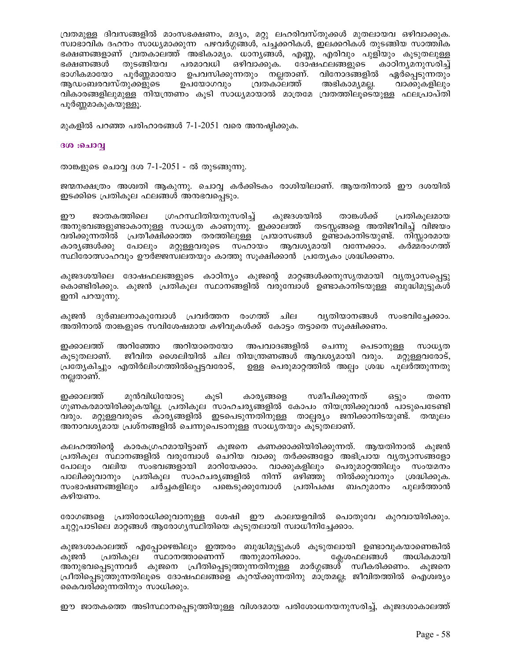വ്രതമുള്ള ദിവസങ്ങളിൽ മാംസഭക്ഷണം, മദ്യം, മറ്റു ലഹരിവസ്തുക്കൾ മുതലായവ ഒഴിവാക്കുക. സ്വാഭാവിക ദഹനം സാധ്യമാക്കുന്ന പഴവർഗ്ഗങ്ങൾ, പച്ചക്കറികൾ, ഇലക്കറികൾ തുടങ്ങിയ സാത്ത്വിക ഭക്ഷണങ്ങളാണ് വ്രതകാലത്ത് അഭികാമ്യം. ധാന്യങ്ങൾ, എണ്ണ, എരിവും പുളിയും കൂടുതലുള്ള തുടങ്ങിയവ പരമാവധി ഒഴിവാക്കുക. ദോഷഫലങ്ങളുടെ കാഠിനൃമനുസരിച്ച് ഭക്ഷണങ്ങൾ ഭാഗികമായോ പൂർണ്ണമായോ ഉപവസിക്കുന്നതും നല്ലതാണ്. വിനോദങ്ങളിൽ ഏർപ്പെടുന്നതും ആഡംബരവസ്തുക്കളുടെ ഉപയോഗവും വ്രതകാലത്ത് അഭികാമൃമല്ല. വാക്കുകളിലും വികാരങ്ങളിലുമുള്ള നിയന്ത്രണം കൂടി സാധ്യമായാൽ മാത്രമേ വ്രതത്തിലൂടെയുള്ള ഫലപ്രാപ്തി പൂർണ്ണമാകുകയുള്ളൂ.

മുകളിൽ പറഞ്ഞ പരിഹാരങ്ങൾ 7-1-2051 വരെ അനഷ്ഠിക്കുക.

#### ദശ :ചൊവ്വ

താങ്കളുടെ ചൊവ്വ ദശ 7-1-2051 - ൽ തുടങ്ങുന്നു.

ജന്മനക്ഷത്രം അശ്വതി ആകുന്നു. ചൊവ്വ കർക്കിടകം രാശിയിലാണ്. ആയതിനാൽ ഈ ദശയിൽ ഇടക്കിടെ പ്രതികുല ഫലങ്ങൾ അനഭവപ്പെടും.

ജാതകത്തിലെ ശ്രഹസ്ഥിതിയനുസരിച്ച് കുജദശയിൽ താങ്കൾക്ക് പ്രതികുലമായ ഈ അനുഭവങ്ങളുണ്ടാകാനുള്ള സാധ്യത കാണുന്നു. ഇക്കാലത്ത് തടസ്കങ്ങളെ അതിജീവിച്ച് വിജയം വരിക്കുന്നതിൽ പ്രതീക്ഷിക്കാത്ത തരത്തിലുള്ള പ്രയാസങ്ങൾ ഉണ്ടാകാനിടയുണ്ട്. നിസ്കാരമായ പോലും മറ്റുള്ളവരുടെ സഹായം ആവശ്യമായി വന്നേക്കാം. കാര്യങ്ങൾക്കു കർമ്മരംഗത്ത് സ്ഥിരോത്സാഹവും ഊർജ്ജസ്വലതയും കാത്തു സുക്ഷിക്കാൻ പ്രത്യേകം ശ്രദ്ധിക്കണം.

കുജദശയിലെ ദോഷഫലങ്ങളുടെ കാഠിന്യം കുജന്റെ മാറ്റങ്ങൾക്കനുസൃതമായി വ്യത്യാസപ്പെട്ടു കൊണ്ടിരിക്കും. കുജൻ പ്രതികുല സ്ഥാനങ്ങളിൽ വരുമ്പോൾ ഉണ്ടാകാനിടയുള്ള ബുദ്ധിമുട്ടുകൾ ഇനി പറയുന്നു.

കുജൻ ദുർബലനാകുമ്പോൾ പ്രവർത്തന രംഗത്ത് ചില വ്യതിയാനങ്ങൾ സംഭവിച്ചേക്കാം. അതിനാൽ താങ്കളുടെ സവിശേഷമായ കഴിവുകൾക്ക് കോട്ടം തട്ടാതെ സൂക്ഷിക്കണം.

ഇക്കാലത്ത് അറിഞ്ഞോ അറിയാതെയോ അപവാദങ്ങളിൽ ചെന്നു പെടാനുള്ള സാധ∖ത ജീവിത ശൈലിയിൽ ചില നിയന്ത്രണങ്ങൾ ആവശ്യമായി വരും. കുടുതലാണ്. മറ്റുള്ളവരോട്, പ്രത്യേകിച്ചും എതിർലിംഗത്തിൽപ്പെട്ടവരോട്, ഉള്ള പെരുമാറ്റത്തിൽ അല്പം ശ്രദ്ധ പൂലർത്തുന്നതു നല്ലതാണ്.

ഇക്കാലത്ത് മുൻവിധിയോടു കുടി കാര്യങ്ങളെ സമീപിക്കുന്നത് ങടും തന്നെ ഗുണകരമായിരിക്കുകയില്ല. പ്രതികൂല സാഹചര്യങ്ങളിൽ കോപം നിയന്ത്രിക്കുവാൻ പാടുപെടേണ്ടി വരും. മറ്റുള്ളവരുടെ കാര്യങ്ങളിൽ ഇടപെടുന്നതിനുള്ള താല്പര്യം ജനിക്കാനിടയുണ്ട്. തന്മൂലം അനാവശ്യമായ പ്രശ്നങ്ങളിൽ ചെന്നുപെടാനുള്ള സാധ്യതയും കൂടുതലാണ്.

കലഹത്തിന്റെ കാരകഗ്രഹമായിട്ടാണ് കുജനെ കണക്കാക്കിയിരിക്കുന്നത്. ആയതിനാൽ കുജൻ പ്രതികുല സ്ഥാനങ്ങളിൽ വരുമ്പോൾ ചെറിയ വാക്കു തർക്കങ്ങളോ അഭിപ്രായ വ്യത്യാസങ്ങളോ .<br>പോലും വലിയ സംഭവങ്ങളായി മാറിയേക്കാം. വാക്കുകളിലും പെരുമാറ്റത്തിലും സംയമനം<br>പാലിക്കുവാനും പ്രതികൂല സാഹചര്യങ്ങളിൽ നിന്ന് ഒഴിഞ്ഞു നിൽക്കുവാനും ശ്രദ്ധിക്കുക. സംഭാഷണങ്ങളിലും ചർച്ചകളിലും പങ്കെടുക്കുമ്പോൾ പ്രതിപക്ഷ ബഹുമാനം പുലർത്താൻ കഴിയണം.

രോഗങ്ങളെ പ്രതിരോധിക്കുവാനുള്ള ശേഷി ഈ കാലയളവിൽ പൊതുവേ കുറവായിരിക്കും. ചുറ്റുപാടിലെ മാറ്റങ്ങൾ ആരോഗ്യസ്ഥിതിയെ കുടുതലായി സ്വാധീനിച്ചേക്കാം.

കുജദശാകാലത്ത് എപ്പോഴെങ്കിലും ഇത്തരം ബുദ്ധിമുട്ടുകൾ കൂടുതലായി ഉണ്ടാവുകയാണെങ്കിൽ ഁ൩൧൦൩ഞാണെന്ന് അനുമാനിക്കാം. ക്ലേശഫലങ്ങൾ കുജൻ പ്രതികൂല അധികമായി അനുഭവപ്പെടുന്നവർ കുജനെ പ്രീതിപ്പെടുത്തുന്നതിനുള്ള മാർഗ്ഗങ്ങൾ് സ്വീകരിക്കണം. കുജനെ ഫ്രീതിപെടുത്തുന്നതിലൂടെ ദോഷഫലങ്ങളെ കുറയ്ക്കുന്നതിനു മാത്രമല്ല; ജീവിതത്തിൽ ഐശ്വര്യം കൈവരിക്കുന്നതിനും സാധിക്കും.

ഈ ജാതകത്തെ അടിസ്ഥാനപ്പെടുത്തിയുള്ള വിശദമായ പരിശോധനയനുസരിച്ച്, കുജദശാകാലത്ത്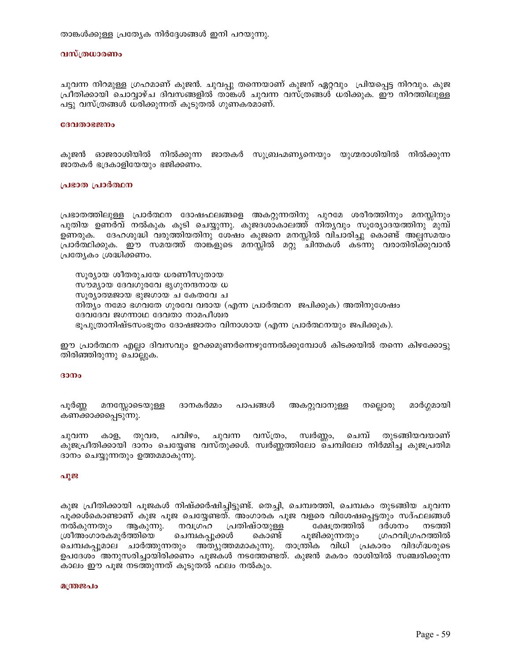താങ്കൾക്കുള്ള പ്രത്യേക നിർദ്ദേശങ്ങൾ ഇനി പറയുന്നു.

#### വസ്ത്രധാരണം

ചുവന്ന നിറമുള്ള ഗ്രഹമാണ് കുജൻ. ചുവപ്പു തന്നെയാണ് കുജന് ഏറ്റവും പ്രിയപ്പെട്ട നിറവും. കുജ പ്രീതിക്കായി ചൊവ്വാഴ്ച ദിവസങ്ങളിൽ താങ്കൾ ചുവന്ന വസ്ത്രങ്ങൾ ധരിക്കുക. ഈ നിറത്തിലുള്ള പട്ടു വസ്ത്രങ്ങൾ ധരിക്കുന്നത് കൂടുതൽ ഗുണകരമാണ്.

#### ദേവതാഭജനം

കുജൻ ഓജരാശിയിൽ നിൽക്കുന്ന ജാതകർ സുബ്രഹ്മണ്യനെയും യുഗ്മരാശിയിൽ നിൽക്കുന്ന ജാതകർ ഭദ്രകാളിയേയും ഭജിക്കണം.

#### പ്രഭാത പ്രാർത്ഥന

പ്രഭാതത്തിലുള്ള പ്രാർത്ഥന ദോഷഫലങ്ങളെ അകറ്റുന്നതിനു പുറമേ ശരീരത്തിനും മനസ്സിനും പുതിയ ഉണർവ് നൽകുക കൂടി ചെയ്യുന്നു. കുജദശാകാലത്ത് നിതൃവും സൂര്യോദയത്തിനു`്മുമ്പ് ഉണരുക. ദേഹശുദ്ധി വരുത്തിയതിനു ശേഷം കുജനെ മനസ്സിൽ വിചാരിച്ചു കൊണ്ട് അല്പസമയം പ്രാർത്ഥിക്കുക. ഈ സമയത്ത് താങ്കളുടെ മനസ്സിൽ മറ്റു ചിന്തകൾ കടന്നു വരാതിരിക്കുവാൻ പ്രത്യേകം ശ്രദ്ധിക്കണം.

സൂര്യായ ശീതരുചയേ ധരണീസുതായ സൗമ്യായ ദേവഗുരവേ ഭൃഗുനന്ദനായ ധ സൂര്യാത്മജായ ഭുജഗായ ച കേതവേ ച നിത്യം നമോ ഭഗവതേ ഗുരവേ വരായ (എന്ന പ്രാർത്ഥന ജപിക്കുക) അതിനുശേഷം ദേവദേവ ജഗന്നാഥ ദേവതാ നാമപീശ്വര ഭൂപുത്രാനിഷ്ടസംഭൂതം ദോഷജാതം വിനാശായ (എന്ന പ്രാർത്ഥനയും ജപിക്കുക).

ഈ പ്രാർത്ഥന എല്ലാ ദിവസവും ഉറക്കമുണർന്നെഴുന്നേൽക്കുമ്പോൾ കിടക്കയിൽ തന്നെ കിഴക്കോട്ടു തിരിഞ്ഞിരുന്നു ചൊല്ലുക.

#### ദാനം

മനസ്സോടെയുള്ള ദാനകർമ്മം പാപങ്ങൾ അകറ്റുവാനുള്ള നല്ലൊരു മാർഗ്ഗമായി പൂരണ്ണ കണക്കാക്കപ്പെടുന്നു.

ചുവന്ന വസ്ത്രം, സ്വർണ്ണം, ചെമ്പ് തുടങ്ങിയവയാണ് കാള, തുവര, പവിഴം, ചുവന്ന കുജപ്രീതിക്കായി ദാനം ചെയ്യേണ്ട വസ്തുക്കൾ. സ്വർണ്ണത്തിലോ ചെമ്പിലോ നിർമ്മിച്ച കുജപ്രതിമ ദാനം ചെയ്യുന്നതും ഉത്തമമാകുന്നു.

### പൂജ

കുജ പ്രീതിക്കായി പൂജകൾ നിഷ്ക്കർഷിച്ചിട്ടുണ്ട്. തെച്ചി, ചെമ്പരത്തി, ചെമ്പകം തുടങ്ങിയ ചുവന്ന പൂക്കൾകൊണ്ടാണ് കുജ പൂജ ചെയ്യേണ്ടത്. അംഗാരക പൂജ വളരെ വിശേഷപ്പെട്ടതും സദ്ഫലങ്ങൾ നൽകുന്നതും നവഗ്രഹ പ്രതിഷ്ഠയുള്ള ക്ഷേത്രത്തിൽ ദർശനം ആകുന്നു. നടത്തി ശ്രീഅംഗാരകമൂർത്തിയെ ചെമ്പകപ്പൂക്കൾ കൊണ്ട് പൂജിക്കുന്നതും ഗ്രഹവിഗ്രഹത്തിൽ ചെമ്പകപ്പൂമാല ചാർത്തുന്നതും അത്യുത്തമമാകുന്നു. താന്ത്രിക വിധി പ്രകാരം വിദഗ്ദ്ധരുടെ ഉപദേശം അനുസരിച്ചായിരിക്കണം പൂജകൾ നടത്തേണ്ടത്. കുജൻ മകരം രാശിയിൽ സഞ്ചരിക്കുന്ന കാലം ഈ പൂജ നടത്തുന്നത് കൂടുതൽ ഫലം നൽകും.

#### മന്ത്രജപം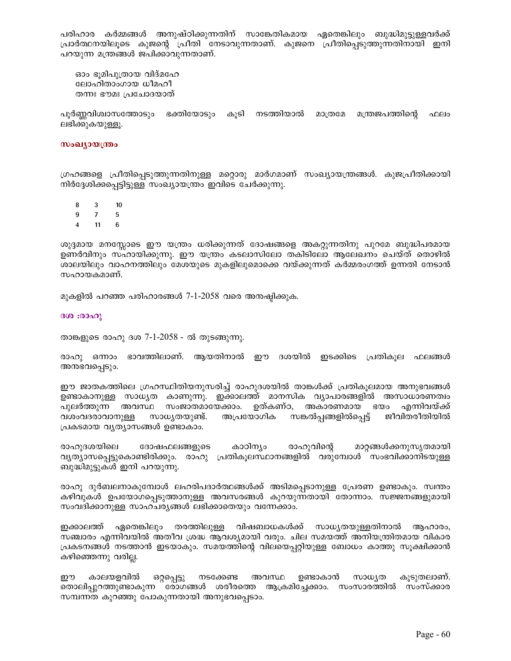പരിഹാര കർമ്മങ്ങൾ അനുഷ്ഠിക്കുന്നതിന് സാങ്കേതികമായ ഏതെങ്കിലും ബുദ്ധിമുട്ടുള്ളവർക്ക് പ്രാർത്ഥനയിലൂടെ കുജന്റെ പ്രീതി നേടാവുന്നതാണ്. കുജനെ പ്രീതിപ്പെടുത്തുന്നതിനായി ഇനി പറയുന്ന മന്ത്രങ്ങൾ ജപിക്കാവുന്നതാണ്.

ഓം ഭൂമിപുത്രായ വിദ്മഹേ ലോഹിതാംഗായ ധീമഹീ തന്നഃ ഭൗമഃ പ്രചോദയാത്

പൂർണ്ണവിശ്വാസത്തോടും ഭക്തിയോടും കൂടി നടത്തിയാൽ മാത്രമേ മന്ത്രജപത്തിന്റെ ഫലം ലഭിക്കുകയുള്ളൂ.

#### സംഖ്യായന്ത്രം

ഗ്രഹങ്ങളെ പ്രീതിപ്പെടുത്തുന്നതിനുള്ള മറ്റൊരു മാർഗമാണ് സംഖ്യായന്ത്രങ്ങൾ. കുജപ്രീതിക്കായി നിർദ്ദേശിക്കപ്പെട്ടിട്ടുള്ള സംഖ്യായന്ത്രം ഇവിടെ ചേർക്കുന്നു.

8 3  $10$ 

 $\bf{9}$  $7<sup>7</sup>$  $5\phantom{.0}$ 

 $\overline{\mathbf{4}}$  $11$ 

ശുദ്ദമായ മനസ്സോടെ ഈ യന്ത്രം ധരിക്കുന്നത് ദോഷങ്ങളെ അകറ്റുന്നതിനു പുറമേ ബുദ്ധിപരമായ ഉണർവിനും സഹായിക്കുന്നു. ഈ യന്ത്രം കടലാസിലോ തകിടിലോ ആലേഖനം ചെയ്ത് തൊഴിൽ ശാലയിലും വാഹനത്തിലും മേശയുടെ മുകളിലുമൊക്കെ വയ്ക്കുന്നത് കർമ്മരംഗത്ത് ഉന്നതി നേടാൻ സഹായകമാണ്.

മുകളിൽ പറഞ്ഞ പരിഹാരങ്ങൾ 7-1-2058 വരെ അനഷ്ഠിക്കുക.

ദശ: രാഹു

താങ്കളുടെ രാഹു ദശ 7-1-2058 - ൽ തുടങ്ങുന്നു.

രാഹു ഒന്നാം ഭാവത്തിലാണ്. ആയതിനാൽ ഈ ദശയിൽ ഇടക്കിടെ പ്രതികൂല ഫലങ്ങൾ അനഭവപ്പെടും.

ഈ ജാതകത്തിലെ ഗ്രഹസ്ഥിതിയനുസരിച്ച് രാഹുദശയിൽ താങ്കൾക്ക് പ്രതികൂലമായ അനുഭവങ്ങൾ ഉണ്ടാകാനുള്ള സാധൃത കാണുന്നു. ഇക്കാലത്ത് മാനസിക വ്യാപാരങ്ങളിൽ അസാധാരണത്വം പുലർത്തുന്ന അവസ്ഥ സംജാതമായേക്കാം. ഉത്കണ്ഠ, അകാരണമായ ഭയം എന്നിവയ്ക്ക് വശംവദരാവാനുള്ള സാധ്യതയുണ്ട്. അപ്രയോഗിക സങ്കൽപ്പങ്ങളിൽപ്പെട്ട് ജീവിതരീതിയിൽ പ്രകടമായ വൃത്യാസങ്ങൾ ഉണ്ടാകാം.

രാഹുദശയിലെ ദോഷഫലങ്ങളുടെ കാഠിന്യം രാഹുവിന്റെ മാറ്റങ്ങൾക്കനുസൃതമായി വൃത്യാസപ്പെട്ടുകൊണ്ടിരിക്കും. രാഹു പ്രതികൂലസ്ഥാനങ്ങളിൽ വരുമ്പോൾ സംഭവിക്കാനിടയുള്ള ബുദ്ധിമുട്ടുകൾ ഇനി പറയുന്നു.

രാഹു ദുർബലനാകുമ്പോൾ ലഹരിപദാർത്ഥങ്ങൾക്ക് അടിമപ്പെടാനുള്ള പ്രേരണ ഉണ്ടാകും. സ്വന്തം കഴിവുകൾ ഉപയോഗപ്പെടുത്താനുള്ള അവസരങ്ങൾ കുറയുന്നതായി തോന്നാം. സജ്ജനങ്ങളുമായി സംവദിക്കാനുള്ള സാഹചര്യങ്ങൾ ലഭിക്കാതെയും വന്നേക്കാം.

ഏതെങ്കിലും തരത്തിലുള്ള വിഷബാധകൾക്ക് സാധ്യതയുള്ളതിനാൽ ആഹാരം, ഇക്കാലത്ത് സഞ്ചാരം എന്നിവയിൽ അതീവ ശ്രദ്ധ ആവശ്യമായി വരും. ചില സമയത്ത് അനിയന്ത്രിതമായ വികാര പ്രകടനങ്ങൾ നടത്താൻ ഇടയാകും. സമയത്തിന്റെ വിലയെപ്പറ്റിയുള്ള ബോധം കാത്തു സൂക്ഷിക്കാൻ കഴിഞ്ഞെന്നു വരില്ല.

കാലയളവിൽ ഒറ്റപ്പെട്ടു നടക്കേണ്ട അവസ്ഥ ഉണ്ടാകാൻ സാധ്യത കൂടുതലാണ്. ഈ തൊലിപ്പുറത്തുണ്ടാകുന്ന ര്രാഗങ്ങൾ ശരീരത്തെ ആക്രമിച്ചേക്കാം. സംസാരത്തിൽ സംസ്ക്കാര സമ്പന്നത കുറഞ്ഞു പോകുന്നതായി അനുഭവപ്പെടാം.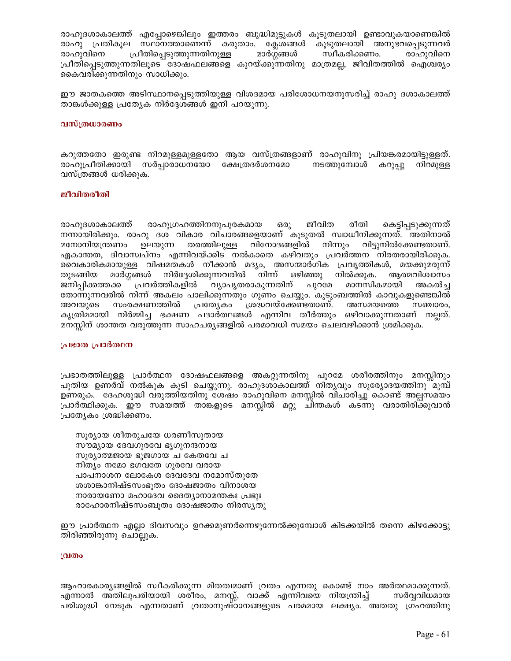രാഹുദശാകാലത്ത് എപ്പോഴെങ്കിലും ഇത്തരം ബുദ്ധിമുട്ടുകൾ കൂടുതലായി ഉണ്ടാവുകയാണെങ്കിൽ രാഹു പ്രതികൂല സ്ഥാനത്താണെന്ന് കരുതാം. ക്ലേശങ്ങൾ കൂടുതലായി അനുഭവപ്പെടുന്നവർ പ്രീതിപ്പെടുത്തുന്നതിനുള്ള മാർഗ്ഗങ്ങൾ സ്വീകരിക്കണം. രാഹുവിനെ രാഹുവിനെ പ്രീതിപ്പെടുത്തുന്നതിലൂടെ ദോഷഫലങ്ങളെ കുറയ്ക്കുന്നതിനു മാത്രമല്ല, ജീവിതത്തിൽ ഐശ്വര്യം കൈവരിക്കുന്നതിനും സാധിക്കും.

ഈ ജാതകത്തെ അടിസ്ഥാനപ്പെടുത്തിയുള്ള വിശദമായ പരിശോധനയനുസരിച്ച് രാഹു ദശാകാലത്ത് താങ്കൾക്കുള്ള പ്രത്യേക നിർദ്ദേശങ്ങൾ ഇനി പറയുന്നു.

### വസ്ത്രധാരണം

കറുത്തതോ ഇരുണ്ട നിറമുള്ളമുള്ളതോ ആയ വസ്ത്രങ്ങളാണ് രാഹുവിനു പ്രിയങ്കരമായിട്ടുള്ളത്. രാഹുപ്രീതിക്കായി സർപ്പാരാധനയോ ക്ഷേത്രദർശനമോ നടത്തുമ്പോൾ കറുപ്പു നിറമുള്ള വസ്ത്രങ്ങൾ ധരിക്കുക.

### ജീവിതരീതി

രാഹുദശാകാലത്ത് രാഹുഗ്രഹത്തിനനുപൂരകമായ ഒരു ജീവിത രീതി കെട്ടിപ്പടുക്കുന്നത് നന്നായിരിക്കും. രാഹു ദശ വികാര വിചാരങ്ങളെയാണ് കൂടുതൽ സ്വാധീനിക്കുന്നത്. അതിനാൽ മനോനിയന്ത്രണം ഉലയുന്ന തരത്തിലുള്ള വിനോദങ്ങളിൽ നിന്നും വിട്ടുനിൽക്കേണ്ടതാണ്. ഏകാന്തത, ദിവാസ്വപ്നം എന്നിവയ്ക്കിട നൽകാതെ കഴിവതും പ്രവർത്തന നിരതരായിരിക്കുക. വൈകാരികമായുള്ള വിഷമതകൾ നീക്കാൻ മദ്യം, അസന്മാർഗിക പ്രവൃത്തികൾ, മയക്കുമരുന്ന് മാർഗ്ഗങ്ങൾ നിർദ്ദേശിക്കുന്നവരിൽ നിന്ന് ഒഴിഞ്ഞു നിൽക്കുക. ആത്മവിശ്വാസം തുടങ്ങിയ ് പ്രവർത്തികളിൽ വ്യാപൃതരാകുന്നതിന് പുറമേ മാനസികമായി ജനിപ്പിക്കത്തക്ക അകൽച്ച തോന്നുന്നവരിൽ നിന്ന് അകലം പാലിക്കുന്നതും ഗുണം ചെയ്യും. കുടുംബത്തിൽ കാവുകളുണ്ടെങ്കിൽ ശ്രദ്ധവയ്ക്കേണ്ടതാണ്. അസമയത്തെ സംരക്ഷണത്തിൽ പ്രത്യേകാ അവയുടെ സഞ്ചാരം, കൃത്രിമമായി നിർമ്മിച്ച ഭക്ഷണ പദാർത്ഥങ്ങൾ എന്നിവ തീർത്തും ഒഴിവാക്കുന്നതാണ് നല്ലത്. മനസ്സിന് ശാന്തത വരുത്തുന്ന സാഹചര്യങ്ങളിൽ പരമാവധി സമയം ചെലവഴിക്കാൻ ശ്രമിക്കുക.

### പ്രഭാത പ്രാർത്ഥന

പ്രഭാതത്തിലുള്ള പ്രാർത്ഥന ദോഷഫലങ്ങളെ അകറ്റുന്നതിനു പുറമേ ശരീരത്തിനും മനസ്സിനും പുതിയ ഉണർവ് നൽകുക കൂടി ചെയ്യുന്നു. രാഹുദശാകാലത്ത് നിതൃവും സൂര്യോദയത്തിനു മുമ്പ് ഉണരുക. ദേഹശുദ്ധി വരുത്തിയതിനു ശേഷം രാഹുവിനെ മനസ്സിൽ വിചാരിച്ചു കൊണ്ട് അല്പസമയം പ്രാർത്ഥിക്കുക. ഈ സമയത്ത് താങ്കളുടെ മനസ്സിൽ മറ്റു ചിന്തകൾ കടന്നു വരാതിരിക്കുവാൻ പ്രത്യേകം ശ്രദ്ധിക്കണം.

സൂര്യായ ശീതരുചയേ ധരണീസുതായ സൗമ്യായ ദേവഗുരവേ ഭൃഗുനന്ദനായ സൂര്യാത്മജായ ഭുജഗായ ച കേതവേ ച നിത്യം നമോ ഭഗവതേ ഗുരവേ വരായ പാപനാശന ലോകേശ ദേവദേവ നമോസ്തുതേ ശശാങ്കാനിഷ്ടസംഭൂതം ദോഷജാതം വിനാശയ നാരായണോ മഹാദേവ ദൈത്യാനാമന്തകഃ പ്രഭുഃ രാഹോരനിഷ്ടസംബൂതം ദോഷജാതം നിരസൃതു

ഈ പ്രാർത്ഥന എല്ലാ ദിവസവും ഉറക്കമുണർന്നെഴുന്നേൽക്കുമ്പോൾ കിടക്കയിൽ തന്നെ കിഴക്കോട്ടു തിരിഞ്ഞിരുന്നു ചൊല്ലുക.

### വ്രതം

ആഹാരകാര്യങ്ങളിൽ സ്വീകരിക്കുന്ന മിതത്വമാണ് വ്രതം എന്നതു കൊണ്ട് നാം അർത്ഥമാക്കുന്നത്. എന്നാൽ അതിലുപരിയായി ശരീരം, മനസ്സ്, വാക്ക് എന്നിവയെ നിയന്ത്രിച്ച് സർവ്വവിധമായ പരിശുദ്ധി നേടുക എന്നതാണ് വ്രതാനുഷ്ഠാനങ്ങളുടെ പരമമായ ലക്ഷ്യം. അതതു ഗ്രഹത്തിനു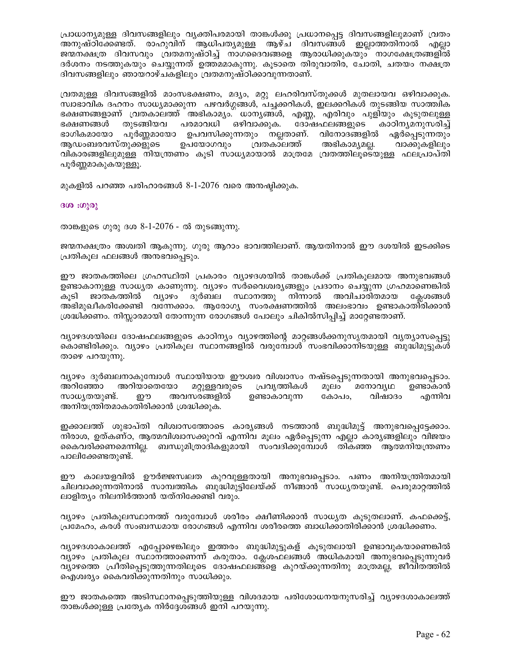പ്രാധാന്യമുള്ള ദിവസങ്ങളിലും വൃക്തിപരമായി താങ്കൾക്കു പ്രധാനപ്പെട്ട ദിവസങ്ങളിലുമാണ് വ്രതം അനുഷ്ഠിക്കേണ്ടത്. രാഹുവിന് ആധിപതൃമുള്ള ആഴ്ച ദിവസങ്ങൾ ഇല്ലാത്തതിനാൽ എല്ലാ ജന്മനക്ഷത്ര ദിവസവും വ്രതമനുഷ്ഠിച്ച് നാഗദൈവങ്ങളെ ആരാധിക്കുകയും നാഗക്ഷേത്രങ്ങളിൽ ദർശനം നടത്തുകയും ചെയ്യുന്നത് ഉത്തമമാകുന്നു. കൂടാതെ തിരുവാതിര, ചോതി, ചതയം നക്ഷത്ര ദിവസങ്ങളിലും ഞായറാഴ്ചകളിലും വ്രതമനുഷ്ഠിക്കാവുന്നതാണ്.

വ്രതമുള്ള ദിവസങ്ങളിൽ മാംസഭക്ഷണം, മദ്യം, മറ്റു ലഹരിവസ്തുക്കൾ മുതലായവ ഒഴിവാക്കുക. സ്വാഭാവിക ദഹനം സാധ്യമാക്കുന്ന പഴവർഗ്ഗങ്ങൾ, പച്ചക്കറികൾ, ഇലക്കറികൾ തുടങ്ങിയ സാത്ത്വിക ഭക്ഷണങ്ങളാണ് വ്രതകാലത്ത് അഭികാമ്യം. ധാന്യങ്ങൾ, എണ്ണ, എരിവും പുളിയും കൂടുതലുള്ള ഭക്ഷണങ്ങൾ തുടങ്ങിയവ പരമാവധി ഒഴിവാക്കുക. ദോഷഫലങ്ങളുടെ കാഠിനൃമനുസരിച്ച് ഭാഗികമായോ പൂർണ്ണമായോ ഉപവസിക്കുന്നതും നല്ലതാണ്. വിനോദങ്ങളിൽ ഏർപ്പെടുന്നതും അഭികാമൃമല്ല. ആഡംബരവസ്തുക്കളുടെ ഉപയോഗവും വ്രതകാലത്ത് വാക്കുകളിലും വികാരങ്ങളിലുമുള്ള നിയന്ത്രണം കൂടി സാധ്യമായാൽ മാത്രമേ വ്രതത്തിലൂടെയുള്ള ഫലപ്രാപ്തി പൂർണ്ണമാകുകയുള്ളൂ.

മുകളിൽ പറഞ്ഞ പരിഹാരങ്ങൾ 8-1-2076 വരെ അനഷ്ഠിക്കുക.

ദശ: ശുരു

താങ്കളുടെ ഗുരു ദശ 8-1-2076 - ൽ തുടങ്ങുന്നു.

ജന്മനക്ഷത്രം അശ്വതി ആകുന്നു. ഗുരു ആറാം ഭാവത്തിലാണ്. ആയതിനാൽ ഈ ദശയിൽ ഇടക്കിടെ പ്രതികുല ഫലങ്ങൾ അനുഭവപ്പെടും.

ഈ ജാതകത്തിലെ ഗ്രഹസ്ഥിതി പ്രകാരം വ്യാഴദശയിൽ താങ്കൾക്ക് പ്രതികുലമായ അനുഭവങ്ങൾ ഉണ്ടാകാനുള്ള സാധ്യത കാണുന്നു. വ്യാഴം സർവൈശ്വങ്ങളും പ്രദാനം ചെയ്യുന്ന ഗ്രഹമാണെങ്കിൽ വ്യാഴം ദുർബല സ്ഥാനത്തു നിന്നാൽ അവിചാരിതമായ കൂടി ജാതകത്തിൽ കേശങ്ങൾ അഭിമുഖീകരിക്കേണ്ടി വന്നേക്കാം. ആരോഗ്യ സംരക്ഷണത്തിൽ അലംഭാവം ഉണ്ടാകാതിരിക്കാൻ ശ്രദ്ധിക്കണം. നിസ്സാരമായി തോന്നുന്ന രോഗങ്ങൾ പോലും ചികിൽസിപ്പിച്ച് മാറ്റേണ്ടതാണ്.

വ്യാഴദശയിലെ ദോഷഫലങ്ങളുടെ കാഠിന്യം വ്യാഴത്തിന്റെ മാറ്റങ്ങൾക്കനുസൃതമായി വ്യത്യാസപ്പെട്ടു കൊണ്ടിരിക്കും. വ്യാഴം പ്രതികുല സ്ഥാനങ്ങളിൽ വരുമ്പോൾ സംഭവിക്കാനിടയുള്ള ബുദ്ധിമുട്ടുകൾ താഴെ പറയുന്നു.

വ്യാഴം ദുർബലനാകുമ്പോൾ സ്ഥായിയായ ഈശ്വര വിശ്വാസം നഷ്ടപ്പെടുന്നതായി അനുഭവപ്പെടാം. അറിഞ്ഞോ അറിയാതെയോ മറ്റുള്ളവരുടെ പ്രവൃത്തികൾ മൂലം മനോവൃഥ ഉണ്ടാകാൻ ഉണ്ടാകാവുന്ന സാധ്യതയുണ്ട്. ഈ അവസരങ്ങളിൽ കോപം. വിഷാദം എന്നിവ അനിയന്ത്രിതമാകാതിരിക്കാൻ ശ്രദ്ധിക്കുക.

ഇക്കാലത്ത് ശുഭാപ്തി വിശ്വാസത്തോടെ കാര്യങ്ങൾ നടത്താൻ ബുദ്ധിമുട്ട് അനുഭവപ്പെട്ടേക്കാം. നിരാശ, ഉത്കണ്ഠ, ആത്മവിശ്വാസക്കുറവ് എന്നിവ മൂലം ഏർപ്പെടുന്ന എല്ലാ കാര്യങ്ങളിലും വിജയം കൈവരിക്കണമെന്നില്ല. ബന്ധുമിത്രാദികളുമായി സംവദിക്കുമ്പോൾ തികഞ്ഞ ആത്മനിയന്ത്രണം പാലിക്കേണ്ടതുണ്ട്.

ഈ കാലയളവിൽ ഊർജ്ജസ്വലത കുറവുള്ളതായി അനുഭവപ്പെടാം. പണം അനിയന്ത്രിതമായി ചിലവാക്കുന്നതിനാൽ സാമ്പത്തിക ബുദ്ധിമുട്ടിലേയ്ക്ക് നീങ്ങാൻ സാധ്യതയുണ്ട്. പെരുമാറ്റത്തിൽ ലാളിത്യം നിലനിർത്താൻ യത്നിക്കേണ്ടി വരും.

വ്യാഴം പ്രതികൂലസ്ഥാനത്ത് വരുമ്പോൾ ശരീരം ക്ഷീണിക്കാൻ സാധ്യത കൂടുതലാണ്. കഫക്കെട്ട്, പ്രമേഹം, കരൾ സംബന്ധമായ രോഗങ്ങൾ എന്നിവ ശരീരത്തെ ബാധിക്കാതിരിക്കാൻ ശ്രദ്ധിക്കണം.

വ്യാഴദശാകാലത്ത് എപ്പോഴെങ്കിലും ഇത്തരം ബുദ്ധിമുട്ടുകള് കൂടുതലായി ഉണ്ടാവുകയാണെങ്കിൽ വ്യാഴം പ്രതികുല സ്ഥാനത്താണെന്ന് കരുതാം. കേശഫലങ്ങൾ അധികമായി അനുഭവപ്പെടുന്നുവർ വ്യാഴത്തെ പ്രീതിപെടുത്തുന്നതിലൂടെ ദോഷഫലങ്ങളെ കുറയ്ക്കുന്നതിനു മാത്രമല്ല, ജീവിതത്തിൽ ഐശ്വര്യം കൈവരിക്കുന്നതിനും സാധിക്കും.

ഈ ജാതകത്തെ അടിസ്ഥാനപ്പെടുത്തിയുള്ള വിശദമായ പരിശോധനയനുസരിച്ച് വ്യാഴദശാകാലത്ത് താങ്കൾക്കുള്ള പ്രത്യേക നിർദ്ദേശങ്ങൾ ഇനി പറയുന്നു.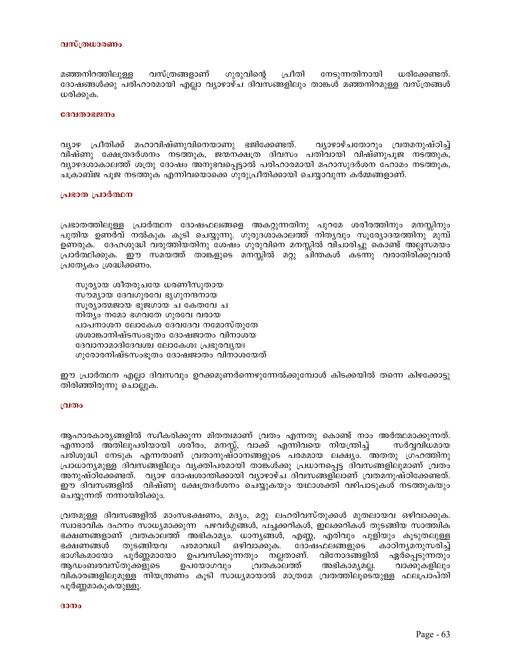#### വസ്ത്രധാരണം

മഞ്ഞനിറത്തിലുള്ള വസ്ത്രങ്ങളാണ് ഗുരുവിന്റെ പ്രീതി നേടുന്നതിനായി ധരിക്കേണ്ടത്. ദോഷങ്ങൾക്കു പരിഹാരമായി എല്ലാ വ്യാഴാഴ്ച ദിവസങ്ങളിലും താങ്കൾ മഞ്ഞനിറമുള്ള വസ്ത്രങ്ങൾ ധരിക്കുക.

#### ദേവതാഭജനം

വ്യാഴ പ്രീതിക്ക് മഹാവിഷ്ണുവിനെയാണു ഭജിക്കേണ്ടത്. വ്യാഴാഴ്ചതോറും വ്രതമനുഷ്ഠിച്ച് വിഷ്ണു ക്ഷേത്രദർശനം നടത്തുക, ജന്മനക്ഷത്ര ദിവസം പതിവായി വിഷ്ണുപൂജ നടത്തുക, വ്യാഴദശാകാലത്ത് ശത്രു ദോഷം അനുഭവപ്പെട്ടാൽ പരിഹാരമായി മഹാസുദർശന ഹോമം നടത്തുക, ചക്രാബ്ജ പൂജ നടത്തുക എന്നിവയൊക്കെ ഗുരുപ്രീതിക്കായി ചെയ്യാവുന്ന കർമ്മങ്ങളാണ്.

#### പ്രഭാത പ്രാർത്ഥന

പ്രഭാതത്തിലുള്ള പ്രാർത്ഥന ദോഷഫലങ്ങളെ അകറ്റുന്നതിനു പുറമേ ശരീരത്തിനും മനസ്സിനും പുതിയ ഉണർവ് നൽകുക കൂടി ചെയ്യുന്നു. ഗുരുദശാകാലത്ത് നിതൃവും സൂര്യോദയത്തിനു മുമ്പ് ഉണരുക. ദേഹശുദ്ധി വരുത്തിയതിനു ശേഷം ഗുരുവിനെ മനസ്സിൽ വിചാരിച്ചു കൊണ്ട് അല്പസമയം പ്രാർത്ഥിക്കുക. ഈ സമയത്ത് താങ്കളുടെ മനസ്സിൽ മറ്റു ചിന്തകൾ കടന്നു വരാതിരിക്കുവാൻ പ്രത്യേകം ശ്രദ്ധിക്കണം.

സൂര്യായ ശീതരുചയേ ധരണീസുതായ സൗമൃായ ദേവഗുരവേ ഭൃഗുനന്ദനായ സൂര്യാത്മജായ ഭുജഗായ ച കേതവേ ച നിത്യം നമോ ഭഗവതേ ഗുരവേ വരായ പാപനാശന ലോകേശ ദേവദേവ നമോസ്തുതേ ശശാങ്കാനിഷ്ടസംഭൂതം ദോഷജാതം വിനാശയ ദേവാനാമാദിദേവശ്ച ലോകേശഃ പ്രഭുരവൃയഃ ഗുരോരനിഷ്ടസംഭൂതം ദോഷജാതം വിനാശയേത്

ഈ പ്രാർത്ഥന എല്ലാ ദിവസവും ഉറക്കമുണർന്നെഴുന്നേൽക്കുമ്പോൾ കിടക്കയിൽ തന്നെ കിഴക്കോട്ടു തിരിഞ്ഞിരുന്നു ചൊല്ലുക.

#### വ്രതം

ആഹാരകാര്യങ്ങളിൽ സ്വീകരിക്കുന്ന മിതത്വമാണ് വ്രതം എന്നതു കൊണ്ട് നാം അർത്ഥമാക്കുന്നത്. എന്നാൽ അതിലുപരിയായി ശരീരം, മനസ്സ്, വാക്ക് എന്നിവയെ നിയന്ത്രിച്ച് സർവ്വവിധമായ പരിശുദ്ധി നേടുക എന്നതാണ് വ്രതാനുഷ്ഠാനങ്ങളുടെ പരമമായ ലക്ഷ്യം. അതതു ഗ്രഹത്തിനു പ്രാധാന്യമുള്ള ദിവസങ്ങളിലും വ്യക്തിപരമായി താങ്കൾക്കു പ്രധാനപ്പെട്ട ദിവസങ്ങളിലുമാണ് വ്രതം അനുഷ്ഠിക്കേണ്ടത്. വ്യാഴ ദോഷശാന്തിക്കായി വ്യാഴാഴ്ച ദിവസങ്ങളിലാണ് വ്രതമനുഷ്ഠിക്കേണ്ടത്. ഈ ദിവസങ്ങളിൽ വിഷ്ണു ക്ഷേത്രദർശനം ചെയ്യുകയും യഥാശക്തി വഴിപാടുകൾ നടത്തുകയും ചെയ്യുന്നത് നന്നായിരിക്കും.

വ്രതമുള്ള ദിവസങ്ങളിൽ മാംസഭക്ഷണം, മദ്യം, മറ്റു ലഹരിവസ്തുക്കൾ മുതലായവ ഒഴിവാക്കുക. സ്വാഭാവിക ദഹനം സാധ്യമാക്കുന്ന പഴവർഗ്ഗങ്ങൾ, പച്ചക്കറികൾ, ഇലക്കറികൾ തുടങ്ങിയ സാത്ത്വിക ഭക്ഷണങ്ങളാണ് വ്രതകാലത്ത് അഭികാമ്യം. ധാനൃങ്ങൾ, എണ്ണ, എരിവും പുളിയും കൂടുതലുള്ള പരമാവധി ഒഴിവാക്കുക. കാഠിനൃമനുസരിച്ച് ഭക്ഷണങ്ങൾ തുടങ്ങിയവ ദോഷഫലങ്ങളുടെ പൂർണ്ണമായോ ഉപവസിക്കുന്നതും നല്ലതാണ്. വിനോദങ്ങളിൽ ഏർപ്പെടുന്നതും ഭാഗികമായോ ആഡംബരവസ്തുക്കളുടെ ഉപയോഗവും വ്രതകാലത്ത് അഭികാമ്യമല്ല. വാക്കുകളിലും വികാരങ്ങളിലുമുള്ള നിയന്ത്രണം കൂടി സാധ്യമായാൽ മാത്രമേ വ്രതത്തിലൂടെയുള്ള ഫലപ്രാപ്തി പൂർണ്ണമാകുകയുള്ളൂ.

#### $3000$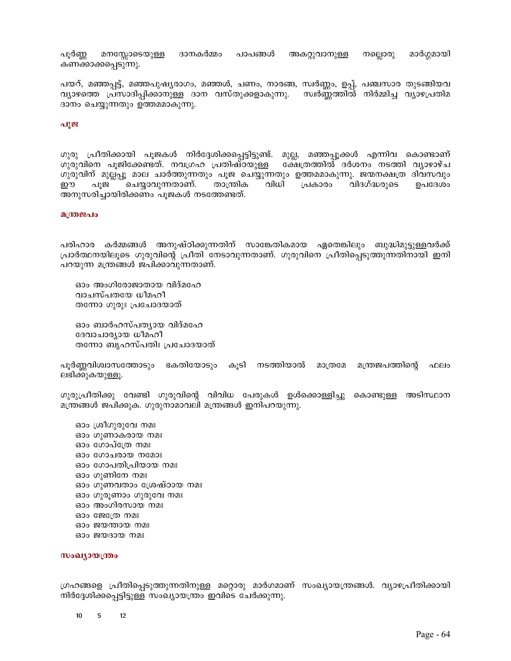മാർഗ്ഗമായി പൂർണ്ണ മനസ്സോടെയുള്ള ദാനകർമ്മം പാപങ്ങൾ അകറ്റുവാനുള്ള നല്ലൊരു കണക്കാക്കപ്പെടുന്നു.

പയറ്, മഞ്ഞപ്പട്ട്, മഞ്ഞപുഷ്യരാഗം, മഞ്ഞൾ, ചണം, നാരങ്ങ, സ്വർണ്ണം, ഉപ്പ്, പഞ്ചസാര തുടങ്ങിയവ വ്യാഴത്തെ പ്രസാദിപ്പിക്കാനുള്ള ദാന വസ്തുക്കളാകുന്നു. സ്വർണ്ണത്തിൽ നിർമ്മിച്ച വ്യാഴപ്രതിമ ദാനം ചെയ്യുന്നതും ഉത്തമമാകുന്നു.

### പൂജ

ഗുരു പ്രീതിക്കായി പൂജകൾ നിർദ്ദേശിക്കപ്പെട്ടിട്ടുണ്ട്. മുല്ല, മഞ്ഞപ്പൂക്കൾ എന്നിവ കൊണ്ടാണ് ഗുരുവിനെ പൂജിക്കേണ്ടത്. നവഗ്രഹ പ്രതിഷ്ഠയുള്ള ക്ഷേത്രത്തിൽ ദർശനം നടത്തി വ്യാഴാഴ്ച ഗുരുവിന് മുല്ലപ്പൂ മാല ചാർത്തുന്നതും പൂജ ചെയ്യുന്നതും ഉത്തമമാകുന്നു. ജന്മനക്ഷത്ര ദിവസവും താന്ത്രിക വിധി ഈ പുജ ചെയ്യാവുന്നതാണ്. പ്രകാരം വിദഗ്ദ്ധരുടെ ഉപദേശം അനുസരിച്ചായിരിക്കണം പൂജകൾ നടത്തേണ്ടത്.

#### മന്ത്രജപം

പരിഹാര കർമ്മങ്ങൾ അനുഷ്ഠിക്കുന്നതിന് സാങ്കേതികമായ ഏതെങ്കിലും ബുദ്ധിമുട്ടുള്ളവർക്ക് പ്രാർത്ഥനയിലൂടെ ഗുരുവിന്റെ പ്രീതി നേടാവുന്നതാണ്. ഗുരുവിനെ പ്രീതിപ്പെടുത്തുന്നതിനായി ഇനി പറയുന്ന മന്ത്രങ്ങൾ ജപിക്കാവുന്നതാണ്.

ഓം അംഗിരോജാതായ വിദ്മഹേ വാചസ്പതയേ ധീമഹീ തന്നോ ഗുരുഃ പ്രചോദയാത്

ഓം ബാർഹസ്പത്യായ വിദ്മഹേ ദേവാചാര്യായ ധീമഹീ തന്നോ ബൃഹസ്പതിഃ പ്രചോദയാത്

പൂർണ്ണവിശ്വാസത്തോടും ഭകതിയോടും കൂടി നടത്തിയാൽ മാത്രമേ മന്ത്രജപത്തിന്റെ ഫലം ലഭിക്കുകയുള്ളൂ.

ഗുരുപ്രീതിക്കു വേണ്ടി ഗുരുവിന്റെ വിവിധ പേരുകൾ ഉൾക്കൊള്ളിച്ചു കൊണ്ടുള്ള അടിസ്ഥാന മന്ത്രങ്ങൾ ജപിക്കുക. ഗുരുനാമാവലി മന്ത്രങ്ങൾ ഇനിപറയുന്നു.

ഓം ശ്രീഗുരുവേ നമഃ ഓം ഗുണാകരായ നമഃ ഓം ഗോപ്ത്രേ നമഃ ഓം ഗോചരായ നമോഃ ഓം ഗോപതിപ്രിയായ നമഃ ഓം ഗുണിനേ നമഃ ഓം ഗുണവതാം ശ്രേഷ്ഠായ നമഃ ഓം ഗുരുണാം ഗുരുവേ നമഃ ഓം അംഗിരസായ നമഃ ഓം ജേത്രേ നമഃ ഓം ജയന്തായ നമഃ ഓം ജയദായ നമഃ

#### സംഖ്യായന്ത്രം

ഗ്രഹങ്ങളെ പ്രീതിപ്പെടുത്തുന്നതിനുള്ള മറ്റൊരു മാർഗമാണ് സംഖ്യായന്ത്രങ്ങൾ. വ്യാഴപ്രീതിക്കായി നിർദ്ദേശിക്കപ്പെട്ടിട്ടുള്ള സംഖ്യായന്ത്രം ഇവിടെ ചേർക്കുന്നു.

 $\sqrt{5}$ 10  $12$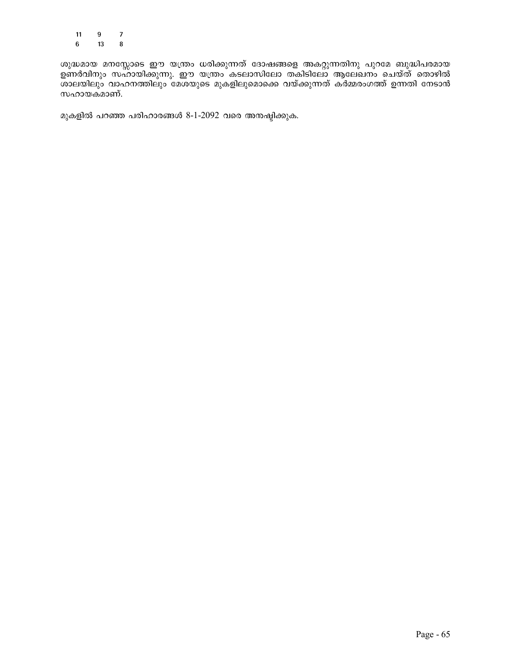$\overline{\mathbf{9}}$  $\boldsymbol{7}$  $11$  $6\phantom{.}$ 13  ${\bf 8}$ 

ശുദ്ധമായ മനസ്സോടെ ഈ യന്ത്രം ധരിക്കുന്നത് ദോഷങ്ങളെ അകറ്റുന്നതിനു പുറമേ ബുദ്ധിപരമായ ഉണർവിനും സഹായിക്കുന്നു. ഈ യന്ത്രം കടലാസിലോ തകിടിലോ ആലേഖനം ചെയ്ത് തൊഴിൽ<br>ശാലയിലും വാഹനത്തിലും മേശയുടെ മുകളിലുമൊക്കെ വയ്ക്കുന്നത് കർമ്മരംഗത്ത് ഉന്നതി നേടാൻ സഹായകമാണ്.

മുകളിൽ പറഞ്ഞ പരിഹാരങ്ങൾ 8-1-2092 വരെ അനഷ്ടിക്കുക.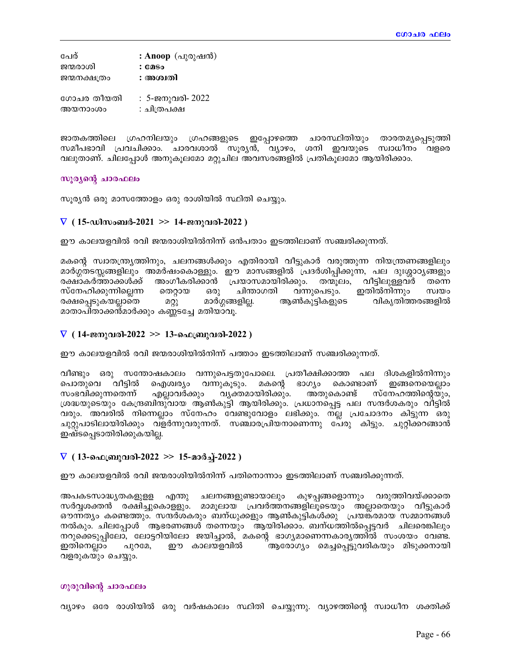| പേര്         | : Anoop $(\Delta\mathfrak{g})\otimes(\Delta\mathfrak{g})$ |
|--------------|-----------------------------------------------------------|
| ജന്മരാശി     | : caso                                                    |
| ജന്മനക്ഷത്രം | : അശ്വതി                                                  |
| ഗോചര തീയതി   | : 5-ജനുവരി- 2022                                          |
|              |                                                           |
| അയനാംശം      | : ചിത്രപക്ഷ                                               |

ജാതകത്തിലെ ഗ്രഹനിലയും ഗ്രഹങ്ങളുടെ ഇപ്പോഴത്തെ ചാരസ്ഥിതിയും താരതമൃപ്പെടുത്തി സമീപഭാവി പ്രവചിക്കാം. ചാരവശാൽ സൂര്യൻ, വ്യാഴം, ശനി ഇവയുടെ സ്വാധീനം വളരെ വലുതാണ്. ചിലപ്പോൾ അനുകൂലമോ മറ്റുചില അവസരങ്ങളിൽ പ്രതികൂലമോ ആയിരിക്കാം.

### സൂര്യന്റെ ചാരഫലം

സൂര്യൻ ഒരു മാസത്തോളം ഒരു രാശിയിൽ സ്ഥിതി ചെയ്യും.

# $\nabla$  ( 15-ഡിസംബർ-2021 >> 14-ജനുവരി-2022 )

ഈ കാലയളവിൽ രവി ജന്മരാശിയിൽനിന്ന് ഒൻപതാം ഇടത്തിലാണ് സഞ്ചരിക്കുന്നത്.

മകന്റെ സ്വാതന്ത്ര്യത്തിനും, ചലനങ്ങൾക്കും എതിരായി വീട്ടുകാർ വരുത്തുന്ന നിയന്ത്രണങ്ങളിലും മാർഗ്ഗതടസ്സങ്ങളിലും അമർഷംകൊള്ളും. ഈ മാസങ്ങളിൽ പ്രദർശിപ്പിക്കുന്ന, പല ദുഃശ്ശാഠ്യങ്ങളും അംഗീകരിക്കാൻ പ്രയാസമായിരിക്കും. തന്മുലം, വീട്ടിലുള്ളവർ രക്ഷാകർത്താക്കൾക്ക് തന്നെ ഒരു ചിന്താഗതി സ്നേഹിക്കുന്നില്ലെന്ന തെറ്റായ വന്നുപെടും. ഇതിൽനിന്നും സ്വയം രക്ഷപ്പെടുകയല്ലാതെ മറ്റു മാർഗ്ഗങ്ങളില്ല. ആൺകുട്ടികളുടെ വികൃതിത്തരങ്ങളിൽ മാതാപിതാക്കൻമാർക്കും കണ്ണടച്ചേ മതിയാവൂ.

# $\nabla$  ( 14-ജനുവരി-2022 >> 13-ഫെബ്രുവരി-2022 )

ഈ കാലയളവിൽ രവി ജന്മരാശിയിൽനിന്ന് പത്താം ഇടത്തിലാണ് സഞ്ചരിക്കുന്നത്.

വീണ്ടും ഒരു സന്തോഷകാലം വന്നുപെട്ടതുപോലെ. പ്രതീക്ഷിക്കാത്ത പല ദിശകളിൽനിന്നും പൊതുവെ വീട്ടിൽ ഐശ്വര്യം വന്നുകൂടും. മകന്റെ ഭാഗ്യം കൊണ്ടാണ് ഇങ്ങനെയെല്ലാം സംഭവിക്കുന്നതെന്ന് എല്ലാവർക്കും വൃക്തമായിരിക്കും. അതുകൊണ്ട് സ്നേഹത്തിന്റെയും, ശ്രദ്ധയുടെയും കേന്ദ്രബിന്ദുവായ ആൺകുട്ടി ആയിരിക്കും. പ്രധാനപ്പെട്ട പല സന്ദർശകരും വീട്ടിൽ വരും. അവരിൽ നിന്നെല്ലാം സ്നേഹം വേണ്ടുവോളം ലഭിക്കും. നല്ല പ്രചോദനം കിട്ടുന്ന ഒരു ചുറ്റുപാടിലായിരിക്കും വ്ളർന്നുവരുന്നത്. സഞ്ചാരപ്രിയനാണെന്നു പേരു കിട്ടും. ചുറ്റിക്കറങ്ങാൻ ഇഷ്ടപ്പെടാതിരിക്കുകയില്ല.

# $\nabla$  ( 13-ഫെബ്രുവരി-2022 >> 15-മാർച്ച്-2022 )

ഈ കാലയളവിൽ രവി ജന്മരാശിയിൽനിന്ന് പതിനൊന്നാം ഇടത്തിലാണ് സഞ്ചരിക്കുന്നത്.

അപകടസാദ്ധ്യതകളുളള എന്തു ചലനങ്ങളുണ്ടായാലും കുഴപ്പങ്ങളൊന്നും വരുത്തിവയ്ക്കാതെ സർവ്വശക്തൻ രക്ഷിച്ചുകൊളളും. മാമൂലായ പ്രവർത്തനങ്ങളിലൂടെയും അല്ലാതെയും വീട്ടുകാർ ഔന്നത്യം കണ്ടെത്തും. സന്ദർശകരും ബന്ധുക്കളും ആൺകുട്ടികൾക്കു പ്രയങ്കരമായ സമ്മാനങ്ങൾ നൽകും. ചിലപ്പോൾ ആഭരണങ്ങൾ തന്നെയും ആയിരിക്കാം. ബന്ധത്തിൽപ്പെട്ടവർ ചിലരെങ്കിലും നറുക്കെടുപ്പിലോ, ലോട്ടറിയിലോ ജയിച്ചാൽ, മകന്റെ ഭാഗ്യമാണെന്നകാര്യത്തിൽ സംശയം വേണ്ട. ്ആരോഗ്യം മെച്ചപ്പെട്ടുവരികയും മിടുക്കനായി ഇതിനെല്ലാം പുറമേ, ഈ കാലയളവിൽ വളരുകയും ചെയ്യും.

### ഗുരുവിന്റെ ചാരഫലം

വ്യാഴം ഒരേ രാശിയിൽ ഒരു വർഷകാലം സ്ഥിതി ചെയ്യുന്നു. വ്യാഴത്തിന്റെ സ്വാധീന ശക്തിക്ക്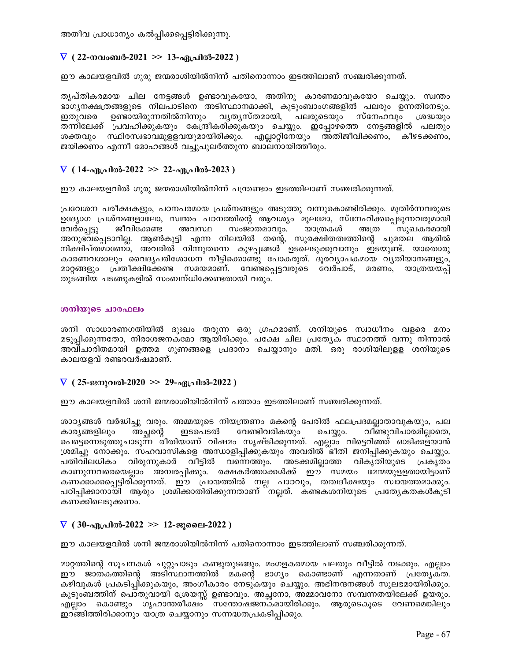അതീവ പ്രാധാന്യം കൽപ്പിക്കപ്പെട്ടിരിക്കുന്നു.

# $\nabla$  ( 22-നവംബർ-2021 >> 13-ഏപ്രിൽ-2022 )

ഈ കാലയളവിൽ ഗുരു ജന്മരാശിയിൽനിന്ന് പതിനൊന്നാം ഇടത്തിലാണ് സഞ്ചരിക്കുന്നത്.

തൃപ്തികരമായ ചില നേട്ടങ്ങൾ ഉണ്ടാവുകയോ, അതിനു കാരണമാവുകയോ ചെയ്യും. സ്വന്തം ഭാഗൃനക്ഷത്രങ്ങളുടെ നിലപാടിനെ അടിസ്ഥാനമാക്കി, കുടുംബാംഗങ്ങളിൽ പലരും ഉന്നതിനേടും. ഇതുവരെ ഉണ്ടായിരുന്നതിൽനിന്നും വ്യത്യസ്തമായി, പലരുടെയും സ്നേഹവും ശ്രദ്ധയും തന്നിലേക്ക് പ്രവഹിക്കുകയും കേന്ദ്രീകരിക്കുകയും ചെയ്യും. ഇപ്പോഴത്തെ നേട്ടങ്ങളിൽ പലതും ശക്തവും സ്ഥിരസ്വഭാവമുളളവയുമായിരിക്കും. എല്ലാറ്റിനേയും അതിജീവിക്കണം, കീഴടക്കണം, ജയിക്കണം എന്നീ മോഹങ്ങൾ വച്ചുപുലർത്തുന്ന ബാലനായിത്തീരും.

# $\nabla$  ( 14-ഏപ്രിൽ-2022 >> 22-ഏപ്രിൽ-2023 )

ഈ കാലയളവിൽ ഗുരു ജന്മരാശിയിൽനിന്ന് പന്ത്രണ്ടാം ഇടത്തിലാണ് സഞ്ചരിക്കുന്നത്.

പ്രവേശന പരീക്ഷകളും, പഠനപരമായ പ്രശ്നങ്ങളും അടുത്തു വന്നുകൊണ്ടിരിക്കും. മുതിർന്നവരുടെ ഉദ്യോഗ പ്രശ്നങ്ങളാലോ, സ്വന്തം പഠനത്തിന്റെ ആവശ്യം മൂലമോ, സ്നേഹിക്കപ്പെടുന്നവരുമായി വേർപ്പെട്ടു ജീവിക്കേണ്ട സംജാതമാവും. യാത്രകൾ അവസ്ഥ അത്ര സുഖകരമായി അനുഭവപ്പെടാറില്ല. ആൺകുട്ടി എന്ന നിലയിൽ തന്റെ, സുരക്ഷിതത്വത്തിന്റെ ചുമതല ആരിൽ നിക്ഷിപ്തമാണോ, അവരിൽ നിന്നുതന്നെ കുഴപ്പങ്ങൾ ഉടലെടുക്കുവാനും ഇടയുണ്ട്. യാതൊരു കാരണവശാലും വൈദ്യപരിശോധന നീട്ടിക്കൊണ്ടു പോകരുത്. ദൂരവ്യാപകമായ വ്യതിയാനങ്ങളും, മാറ്റങ്ങളും പ്രതീക്ഷിക്കേണ്ട സമയമാണ്. വേണ്ടപ്പെട്ടവരുടെ വേർപാട്, മരണം, യാത്രയയപ്പ് തുടങ്ങിയ ചടങ്ങുകളിൽ സംബന്ധിക്കേണ്ടതായി വരും.

## ശനിയുടെ ചാരഫലം

ശനി സാധാരണഗതിയിൽ ദുഃഖം തരുന്ന ഒരു ഗ്രഹമാണ്. ശനിയുടെ സ്വാധീനം വളരെ മനം മടുപ്പിക്കുന്നതോ, നിരാശജനകമോ ആയിരിക്കും. പക്ഷേ ചില പ്രത്യേക സ്ഥാനത്ത് വന്നു നിന്നാൽ അവിചാരിതമായി ഉത്തമ ഗുണങ്ങളെ പ്രദാനം ചെയ്യാനും മതി. ഒരു രാശിയിലുള്ള ശനിയുടെ കാലയളവ് രണ്ടരവർഷമാണ്.

# $\nabla$  ( 25-ജനുവരി-2020 >> 29-ഏപ്രിൽ-2022 )

ഈ കാലയളവിൽ ശനി ജന്മരാശിയിൽനിന്ന് പത്താം ഇടത്തിലാണ് സഞ്ചരിക്കുന്നത്.

ശാഠ്യങ്ങൾ വർദ്ധിച്ചു വരും. അമ്മയുടെ നിയന്ത്രണം മകന്റെ പേരിൽ ഫലപ്രദമല്ലാതാവുകയും, പല കാര്യങ്ങളിലും അച്ഛന്റ ഇടപെടൽ വേണ്ടിവരികയും ചെയ്യും. വീണ്ടുവിചാരമില്ലാതെ, പെട്ടെന്നെടുത്തുചാടുന്ന രീതിയാണ് വിഷമം സൃഷ്ടിക്കുന്നത്. എല്ലാം വിട്ടെറിഞ്ഞ് ഓടിക്കള്യാൻ ശ്രമിച്ചു നോക്കും. സഹവാസികളെ അന്ധാളിപ്പിക്കുകയും അവരിൽ ഭീതി ജനിപ്പിക്കുകയും ചെയ്യും. പതിവിലധികം വിരുന്നുകാർ വീട്ടിൽ വന്നെത്തും. അടക്കമില്ലാത്ത വികൃതിയുടെ പ്രകൃതം കാണുന്നവരെയെല്ലാം അമ്പരപ്പിക്കും. രക്ഷകർത്താക്കൾക്ക് ഈ സമയം മേന്മയുളളതായിട്ടാണ് കണക്കാക്കപ്പെട്ടിരി്ക്കുന്നത്. ഈ പ്രായത്തിൽ നല്ല പാഠവും, തത്വദീക്ഷയും സ്വായത്തമാക്കും. പഠിപ്പിക്കാനായി ആരും ശ്രമിക്കാതിരിക്കുന്നതാണ് നല്ലത്. കണ്ടകശനിയുടെ പ്രത്യേകതകൾകുടി കണക്കിലെടുക്കണം.

# $\nabla$  ( 30-ഏപ്രിൽ-2022 >> 12-ജൂലൈ-2022 )

ഈ കാലയളവിൽ ശനി ജന്മരാശിയിൽനിന്ന് പതിനൊന്നാം ഇടത്തിലാണ് സഞ്ചരിക്കുന്നത്.

മാറ്റത്തിന്റെ സൂചനകൾ ചുറ്റുപാടും കണ്ടുതുടങ്ങും. മംഗളകരമായ പലതും വീട്ടിൽ നടക്കും. എല്ലാം ഈ ജാത്കത്തിന്റെ അടിസ്ഥാനത്തിൽ മകന്റെ ഭാഗ്യം കൊണ്ടാണ് എന്നതാണ് പ്രത്യേക്ത. കഴിവുകൾ പ്രകടിപ്പിക്കുകയും, അംഗീകാരം നേടുകയും ചെയ്യും. അഭിനന്ദനങ്ങൾ സുലഭമായിരിക്കും. കുടുംബത്തിന് പൊതുവായി ശ്രേയസ്സ് ഉണ്ടാവും. അച്ഛനോ, അമ്മാവനോ സമ്പന്നതയിലേക്ക് ഉയരും. എല്ലാം കൊണ്ടും ഗൃഹാന്തരീക്ഷം സന്തോഷജനകമായിരിക്കും. ആരുടെകൂടെ വേണമെങ്കിലും ഇറങ്ങിത്തിരിക്കാനും യാത്ര ചെയ്യാനും സന്നദ്ധതപ്രകടിപ്പിക്കും.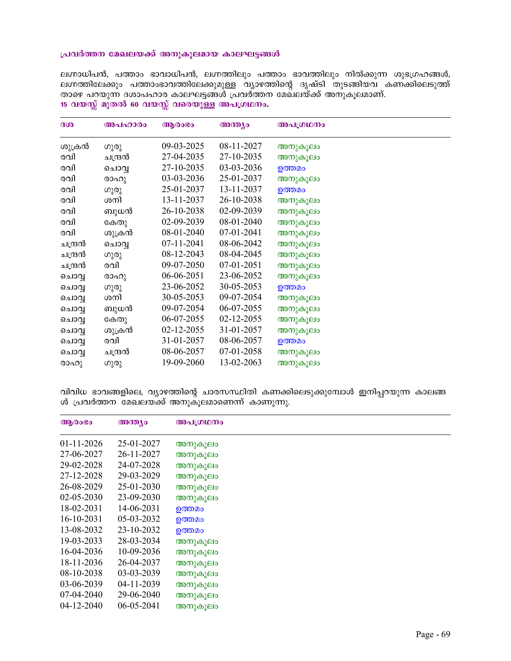#### പ്രവർത്തന മേഖലയക്ക് അനുകൂലമായ കാലഘട്ടങ്ങൾ

ലഗ്നാധിപൻ, പത്താം ഭാവാധിപൻ, ലഗ്നത്തിലും പത്താം ഭാവത്തിലും നിൽക്കുന്ന ശുഭഗ്രഹങ്ങൾ, ലഗ്നത്തിലേക്കും പത്താംഭാവത്തിലേക്കുമുള്ള വ്യാഴത്തിന്റെ ദൃഷ്ടി തുടങ്ങിയവ കണ്ക്കിലെടുത്ത് താഴെ പറയുന്ന ദശാപഹാര കാലഘട്ടങ്ങൾ പ്രവര്ത്തന മേഖലയ്ക്ക് അനുകൂലമാണ്. 15 വയസ്സ് മുതൽ 60 വയസ്സ് വരെയുള്ള അപഗ്രഥനം.

| 300     | അപഹാരം  | ആരാഭാ      | അന്ത്യം    | അപഗ്രഥനം |
|---------|---------|------------|------------|----------|
| ശുക്രൻ  | ഗുരു    | 09-03-2025 | 08-11-2027 | അനുകൂലം  |
| രവി     | ചന്ദ്രൻ | 27-04-2035 | 27-10-2035 | അനുകൂലം  |
| രവി     | ചൊവൃ    | 27-10-2035 | 03-03-2036 | ഉത്തമം   |
| രവി     | രാഹു    | 03-03-2036 | 25-01-2037 | അനുകൂലം  |
| രവി     | ഗുരു    | 25-01-2037 | 13-11-2037 | ഉത്തമം   |
| രവി     | ശനി     | 13-11-2037 | 26-10-2038 | അനുകൂലം  |
| രവി     | ബുധൻ    | 26-10-2038 | 02-09-2039 | അനുകൂലം  |
| രവി     | കേതു    | 02-09-2039 | 08-01-2040 | അനുകൂലം  |
| രവി     | ശുക്രൻ  | 08-01-2040 | 07-01-2041 | അനുകൂലം  |
| ചന്ദ്രൻ | ചൊവൃ    | 07-11-2041 | 08-06-2042 | അനുകൂലം  |
| ചന്ദ്രൻ | ഗുരു    | 08-12-2043 | 08-04-2045 | അനുകൂലം  |
| ചന്ദ്രൻ | രവി     | 09-07-2050 | 07-01-2051 | അനുകൂലം  |
| ചൊവൃ    | രാഹു    | 06-06-2051 | 23-06-2052 | അനുകൂലം  |
| ചൊവ്വ   | ഗുരു    | 23-06-2052 | 30-05-2053 | ഉത്തമം   |
| ചൊവൃ    | ശനി     | 30-05-2053 | 09-07-2054 | അനുകൂലം  |
| ചൊവൃ    | ബുധൻ    | 09-07-2054 | 06-07-2055 | അനുകൂലം  |
| ചൊവ്വ   | കേതു    | 06-07-2055 | 02-12-2055 | അനുകൂലം  |
| ചൊവൃ    | ശുക്രൻ  | 02-12-2055 | 31-01-2057 | അനുകൂലം  |
| ചൊവ്വ   | രവി     | 31-01-2057 | 08-06-2057 | ഉത്തമം   |
| ചൊവൃ    | ചന്ദ്രൻ | 08-06-2057 | 07-01-2058 | അനുകൂലം  |
| രാഹു    | ഗുരു    | 19-09-2060 | 13-02-2063 | അനുകൂലം  |

വിവിധ ഭാവങ്ങളിലെ, വ്യാഴത്തിന്റെ ചാരസസ്ഥിതി കണക്കിലെടുക്കുമ്പോൾ ഇനിപ്പറയുന്ന കാലങ്ങ ൾ പ്രവർത്തന മേഖലയ്ക്ക് അനുകൂലമാണെന്ന് കാണുന്നു.

| ആരംഭം            | അന്ത്യം          | അപഗ്രഥനം |
|------------------|------------------|----------|
| $01-11-2026$     | 25-01-2027       | അനുകൂലം  |
| 27-06-2027       | 26-11-2027       | അനുകൂലം  |
| 29-02-2028       | 24-07-2028       | അനുകൂലം  |
| 27-12-2028       | 29-03-2029       | അനുകൂലം  |
| 26-08-2029       | 25-01-2030       | അനുകൂലം  |
| $02 - 05 - 2030$ | 23-09-2030       | അനുകൂലം  |
| 18-02-2031       | 14-06-2031       | ഉത്തമം   |
| 16-10-2031       | 05-03-2032       | ഉത്തമം   |
| 13-08-2032       | 23-10-2032       | ഉത്തമം   |
| 19-03-2033       | 28-03-2034       | അനുകൂലം  |
| 16-04-2036       | 10-09-2036       | അനുകൂലം  |
| 18-11-2036       | 26-04-2037       | അനുകൂലം  |
| 08-10-2038       | 03-03-2039       | അനുകൂലം  |
| 03-06-2039       | 04-11-2039       | അനുകൂലം  |
| 07-04-2040       | 29-06-2040       | അനുകൂലം  |
| $04 - 12 - 2040$ | $06 - 05 - 2041$ | അനുകൂലം  |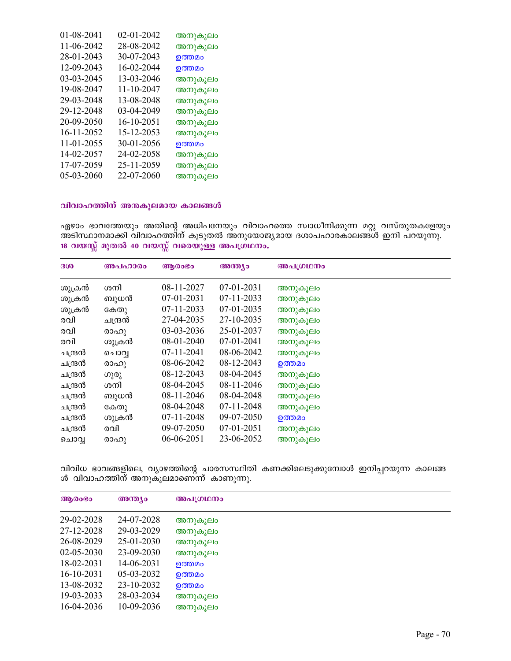| 01-08-2041 | 02-01-2042 | അനുകൂലം |
|------------|------------|---------|
| 11-06-2042 | 28-08-2042 | അനുകൂലം |
| 28-01-2043 | 30-07-2043 | ഉത്തമം  |
| 12-09-2043 | 16-02-2044 | ഉത്തമം  |
| 03-03-2045 | 13-03-2046 | അനുകൂലം |
| 19-08-2047 | 11-10-2047 | അനുകൂലം |
| 29-03-2048 | 13-08-2048 | അനുകൂലം |
| 29-12-2048 | 03-04-2049 | അനുകൂലം |
| 20-09-2050 | 16-10-2051 | അനുകൂലം |
| 16-11-2052 | 15-12-2053 | അനുകൂലം |
| 11-01-2055 | 30-01-2056 | ഉത്തമം  |
| 14-02-2057 | 24-02-2058 | അനുകൂലം |
| 17-07-2059 | 25-11-2059 | അനുകൂലം |
| 05-03-2060 | 22-07-2060 | അനുകൂലം |
|            |            |         |

### വിവാഹത്തിന് അനകൂലമായ കാലങ്ങൾ

ഏഴാം ഭാവത്തേയും അതിന്റെ അധിപനേയും വിവാഹത്തെ സ്വാധീനിക്കുന്ന മറ്റു വസ്തുതകളേയും അടിസ്ഥാനമാക്കി വിവാഹത്തിന് കൂടുതൽ അനുയോജ്യമായ ദശാപഹാരകാലങ്ങൾ ഇനി പറയുന്നു.  $18$  വയസ്സ് മുതൽ 40 വയസ്സ് വരെയുള്ള അപഗ്രഥനം.

| 300     | അപഹാരം  | ആരാഭാ        | അന്ത്യം      | അപഗ്രഥനം |
|---------|---------|--------------|--------------|----------|
| ശുക്രൻ  | ശനി     | 08-11-2027   | 07-01-2031   | അനുകൂലം  |
| ശുക്രൻ  | ബുധൻ    | 07-01-2031   | 07-11-2033   | അനുകൂലം  |
| ശുക്രൻ  | കേതു    | 07-11-2033   | 07-01-2035   | അനുകൂലം  |
| രവി     | ചന്ദ്രൻ | 27-04-2035   | 27-10-2035   | അനുകൂലം  |
| രവി     | രാഹു    | 03-03-2036   | 25-01-2037   | അനുകൂലം  |
| രവി     | ശുക്രൻ  | 08-01-2040   | $07-01-2041$ | അനുകൂലം  |
| ചന്ദ്രൻ | ചൊവ്    | $07-11-2041$ | 08-06-2042   | അനുകൂലം  |
| ചന്ദ്രൻ | രാഹു    | 08-06-2042   | 08-12-2043   | ഉത്തമം   |
| ചന്ദ്രൻ | ഗുരു    | 08-12-2043   | 08-04-2045   | അനുകൂലം  |
| ചന്ദ്രൻ | ശനി     | 08-04-2045   | 08-11-2046   | അനുകൂലം  |
| ചന്ദ്രൻ | ബുധൻ    | 08-11-2046   | 08-04-2048   | അനുകൂലം  |
| ചന്ദ്രൻ | കേതു    | 08-04-2048   | $07-11-2048$ | അനുകൂലം  |
| ചന്ദ്രൻ | ശുക്രൻ  | 07-11-2048   | 09-07-2050   | ഉത്തമം   |
| ചന്ദ്രൻ | രവി     | 09-07-2050   | 07-01-2051   | അനുകൂലം  |
| ചൊവ്    | രാഹു    | 06-06-2051   | 23-06-2052   | അനുകൂലം  |

വിവിധ ഭാവങ്ങളിലെ, വ്യാഴത്തിന്റെ ചാരസസ്ഥിതി കണക്കിലെടുക്കുമ്പോൾ ഇനിപ്പറയുന്ന കാലങ്ങ ൾ വിവാഹത്തിന് അനുകൂലമാണെന്ന് കാണുന്നു.

| ആരാഭാ            | അന്ത്യം      | അപഗ്രഥനം |
|------------------|--------------|----------|
| 29-02-2028       | 24-07-2028   | അനുകൂലം  |
| 27-12-2028       | 29-03-2029   | അനുകൂലം  |
| 26-08-2029       | $25-01-2030$ | അനുകൂലം  |
| $02 - 05 - 2030$ | 23-09-2030   | അനുകൂലം  |
| 18-02-2031       | 14-06-2031   | ഉത്തമം   |
| 16-10-2031       | $05-03-2032$ | ഉത്തമം   |
| 13-08-2032       | 23-10-2032   | ഉത്തമം   |
| 19-03-2033       | 28-03-2034   | അനുകൂലം  |
| 16-04-2036       | 10-09-2036   | അനുകൂലം  |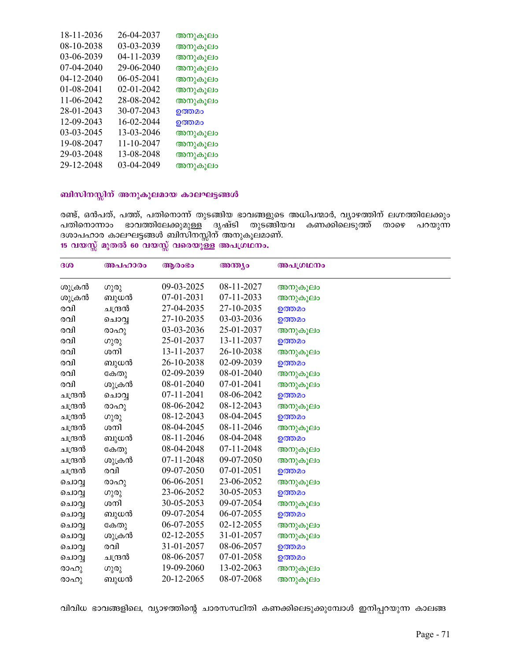|  |  |  |  | വിവിധ ഭാവങ്ങളിലെ, വ്യാഴത്തിന്റെ ചാരസസ്ഥിതി കണക്കിലെടുക്കുമ്പോൾ ഇനിപ്പറയുന്ന കാലങ്ങ |  |  |
|--|--|--|--|------------------------------------------------------------------------------------|--|--|
|--|--|--|--|------------------------------------------------------------------------------------|--|--|

| ചന്ദ്രൻ | 27-04-2035 | 27-10-2035 | ഉത്തമം  |
|---------|------------|------------|---------|
| ചൊവൃ    | 27-10-2035 | 03-03-2036 | ഉത്തമം  |
| രാഹു    | 03-03-2036 | 25-01-2037 | അനുകൂലം |
| ഗുരു    | 25-01-2037 | 13-11-2037 | ഉത്തമം  |
| ശനി     | 13-11-2037 | 26-10-2038 | അനുകൂലം |
| ബുധൻ    | 26-10-2038 | 02-09-2039 | ഉത്തമം  |
| കേതു    | 02-09-2039 | 08-01-2040 | അനുകൂലം |
| ശുക്രൻ  | 08-01-2040 | 07-01-2041 | അനുകൂലം |
| ചൊവൃ    | 07-11-2041 | 08-06-2042 | ഉത്തമം  |
| രാഹു    | 08-06-2042 | 08-12-2043 | അനുകൂലം |
| ഗുരു    | 08-12-2043 | 08-04-2045 | ഉത്തമം  |
| ശനി     | 08-04-2045 | 08-11-2046 | അനുകൂലം |
| ബുധൻ    | 08-11-2046 | 08-04-2048 | ഉത്തമം  |
| കേതു    | 08-04-2048 | 07-11-2048 | അനുകൂലം |
| ശുക്രൻ  | 07-11-2048 | 09-07-2050 | അനുകൂലം |
| രവി     | 09-07-2050 | 07-01-2051 | ഉത്തമം  |
| രാഹു    | 06-06-2051 | 23-06-2052 | അനുകൂലം |
| ഗുരു    | 23-06-2052 | 30-05-2053 | ഉത്തമം  |
| ശനി     | 30-05-2053 | 09-07-2054 | അനുകൂലം |
| ബുധൻ    | 09-07-2054 | 06-07-2055 | ഉത്തമം  |
| കേതു    | 06-07-2055 | 02-12-2055 | അനുകൂലം |
| ശുക്രൻ  | 02-12-2055 | 31-01-2057 | അനുകൂലം |
| രവി     | 31-01-2057 | 08-06-2057 | ഉത്തമം  |
| ചന്ദ്രൻ | 08-06-2057 | 07-01-2058 | ഉത്തമം  |
| ഗുരു    | 19-09-2060 | 13-02-2063 | അനുകൂലം |
| ബുധൻ    | 20-12-2065 | 08-07-2068 | അനുകൂലം |
|         |            |            |         |

 $15$  വയസ്സ് മുതൽ 60 വയസ്സ് വരെയുള്ള അപഗ്രഥനം.

ദശാപഹാര കാലഘട്ടങ്ങൾ ബിസിനസ്സിന് അനുകൂലമാണ്.

ദശ അപഹാരം ആരംഭം അന്ത്യം അപഗ്രഥനം

ശുക്രൻ ഗുരു 09-03-2025 08-11-2027 അനുകൂലം<br>ശുക്രൻ ബുധൻ 07-01-2031 07-11-2033 അനുകൂലം ബുധൻ 07-01-2031 07-11-2033<br>ചന്ദ്രൻ 27-04-2035 27-10-2035

രണ്ട്, ഒൻപത്, പത്ത്, പതിനൊന്ന് തുടങ്ങിയ ഭാവങ്ങളുടെ അധിപന്മാർ, വ്യാഴത്തിന് ലഗ്നത്തിലേക്കും പതിനൊന്നാം ഭാവത്തിലേക്കുമുള്ള ദൃഷ്ടി തുടങ്ങിയവ കണക്കിലെടുത്ത് താഴെ പറയുന്ന

# $n$ വിസിനസ്സിന് അനുകൂലമായ കാലഘട്ടങ്ങൾ

| 18-11-2036 | 26-04-2037 | അനുകൂലം |
|------------|------------|---------|
| 08-10-2038 | 03-03-2039 | അനുകൂലം |
| 03-06-2039 | 04-11-2039 | അനുകൂലം |
| 07-04-2040 | 29-06-2040 | അനുകൂലം |
| 04-12-2040 | 06-05-2041 | അനുകൂലം |
| 01-08-2041 | 02-01-2042 | അനുകൂലം |
| 11-06-2042 | 28-08-2042 | അനുകൂലം |
| 28-01-2043 | 30-07-2043 | ഉത്തമം  |
| 12-09-2043 | 16-02-2044 | ഉത്തമം  |
| 03-03-2045 | 13-03-2046 | അനുകൂലം |
| 19-08-2047 | 11-10-2047 | അനുകൂലം |
| 29-03-2048 | 13-08-2048 | അനുകൂലം |
| 29-12-2048 | 03-04-2049 | അനുകൂലം |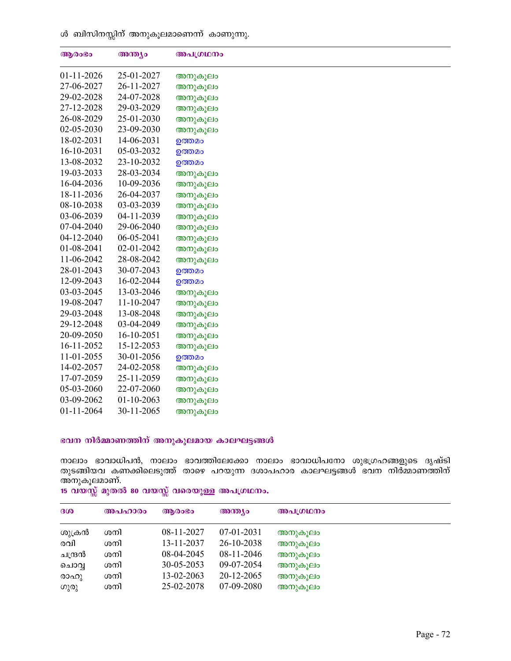ൾ ബിസിനസ്സിന് അനുകൂലമാണെന്ന് കാണുന്നു.

| ആരംഭം      | അന്ത്യം    | അപഗ്രഥനം |
|------------|------------|----------|
| 01-11-2026 | 25-01-2027 | അനുകൂലം  |
| 27-06-2027 | 26-11-2027 | അനുകൂലം  |
| 29-02-2028 | 24-07-2028 | അനുകൂലം  |
| 27-12-2028 | 29-03-2029 | അനുകൂലം  |
| 26-08-2029 | 25-01-2030 | അനുകൂലം  |
| 02-05-2030 | 23-09-2030 | അനുകൂലം  |
| 18-02-2031 | 14-06-2031 | ഉത്തമം   |
| 16-10-2031 | 05-03-2032 | ഉത്തമം   |
| 13-08-2032 | 23-10-2032 | ഉത്തമം   |
| 19-03-2033 | 28-03-2034 | അനുകൂലം  |
| 16-04-2036 | 10-09-2036 | അനുകൂലം  |
| 18-11-2036 | 26-04-2037 | അനുകൂലം  |
| 08-10-2038 | 03-03-2039 | അനുകൂലം  |
| 03-06-2039 | 04-11-2039 | അനുകൂലം  |
| 07-04-2040 | 29-06-2040 | അനുകൂലം  |
| 04-12-2040 | 06-05-2041 | അനുകൂലം  |
| 01-08-2041 | 02-01-2042 | അനുകൂലം  |
| 11-06-2042 | 28-08-2042 | അനുകൂലം  |
| 28-01-2043 | 30-07-2043 | ഉത്തമം   |
| 12-09-2043 | 16-02-2044 | ഉത്തമം   |
| 03-03-2045 | 13-03-2046 | അനുകൂലം  |
| 19-08-2047 | 11-10-2047 | അനുകൂലം  |
| 29-03-2048 | 13-08-2048 | അനുകൂലം  |
| 29-12-2048 | 03-04-2049 | അനുകൂലം  |
| 20-09-2050 | 16-10-2051 | അനുകൂലം  |
| 16-11-2052 | 15-12-2053 | അനുകൂലം  |
| 11-01-2055 | 30-01-2056 | ഉത്തമം   |
| 14-02-2057 | 24-02-2058 | അനുകൂലം  |
| 17-07-2059 | 25-11-2059 | അനുകൂലം  |
| 05-03-2060 | 22-07-2060 | അനുകൂലം  |
| 03-09-2062 | 01-10-2063 | അനുകൂലം  |
| 01-11-2064 | 30-11-2065 | അനുകൂലം  |

### ഭവന നിർമ്മാണത്തിന് അനുകൂലമായ കാലഘട്ടങ്ങൾ

നാലാം ഭാവാധിപൻ, നാലാം ഭാവത്തിലേക്കോ നാലാം ഭാവാധിപനോ ശുഭഗ്രഹങ്ങളുടെ ദൃഷ്ടി തുടങ്ങിയവ കണക്കിലെടുത്ത് താഴെ പറയുന്ന ദശാപഹാര കാലഘട്ടങ്ങൾ ഭവന നിര്മ്മാണത്തിന് അനുകൂലമാണ്.

 $15$  വയസ്സ് മുതൽ 80 വയസ്സ് വരെയുള്ള അപഗ്രഥനം.

| 300     | അപഹാരം | ആരാഭാ      | അന്ത്യം      | അപഗ്രഥനം |
|---------|--------|------------|--------------|----------|
| ശുക്രൻ  | ശനി    | 08-11-2027 | $07-01-2031$ | അനുകൂലം  |
| രവി     | ശനി    | 13-11-2037 | 26-10-2038   | അനുകൂലം  |
| ചന്ദ്രൻ | ശനി    | 08-04-2045 | 08-11-2046   | അനുകൂലം  |
| ചൊവൃ    | ശനി    | 30-05-2053 | 09-07-2054   | അനുകൂലം  |
| രാഹു    | ശനി    | 13-02-2063 | 20-12-2065   | അനുകൂലം  |
| ഗുരു    | ശനി    | 25-02-2078 | 07-09-2080   | അനുകൂലം  |
|         |        |            |              |          |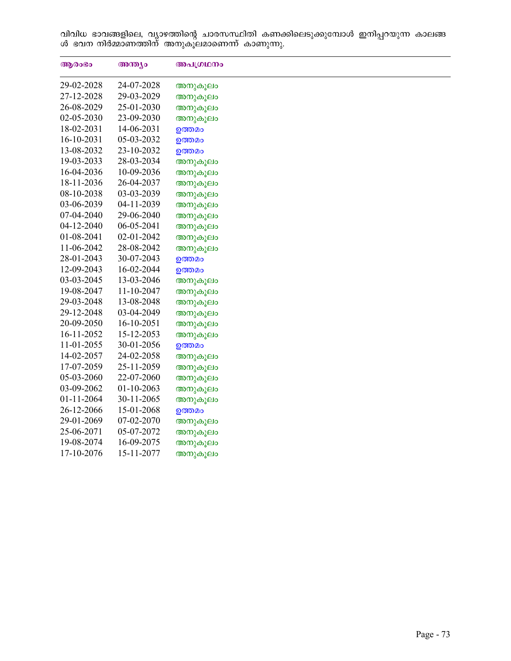വിവിധ ഭാവങ്ങളിലെ, വ്യാഴത്തിന്റെ ചാരസസ്ഥിതി കണക്കിലെടുക്കുമ്പോൾ ഇനിപ്പറയുന്ന കാലങ്ങ ൾ ഭവന നിർമ്മാണത്തിന് അനുകൂലമാണെന്ന് കാണുന്നു.

| ആരംഭം      | അന്ത്യം    | അപഗ്രഥനം |
|------------|------------|----------|
| 29-02-2028 | 24-07-2028 | അനുകൂലം  |
| 27-12-2028 | 29-03-2029 | അനുകൂലം  |
| 26-08-2029 | 25-01-2030 | അനുകൂലം  |
| 02-05-2030 | 23-09-2030 | അനുകൂലം  |
| 18-02-2031 | 14-06-2031 | ഉത്തമം   |
| 16-10-2031 | 05-03-2032 | ഉത്തമം   |
| 13-08-2032 | 23-10-2032 | ഉത്തമം   |
| 19-03-2033 | 28-03-2034 | അനുകൂലം  |
| 16-04-2036 | 10-09-2036 | അനുകൂലം  |
| 18-11-2036 | 26-04-2037 | അനുകൂലം  |
| 08-10-2038 | 03-03-2039 | അനുകൂലം  |
| 03-06-2039 | 04-11-2039 | അനുകൂലം  |
| 07-04-2040 | 29-06-2040 | അനുകൂലം  |
| 04-12-2040 | 06-05-2041 | അനുകൂലം  |
| 01-08-2041 | 02-01-2042 | അനുകൂലം  |
| 11-06-2042 | 28-08-2042 | അനുകൂലം  |
| 28-01-2043 | 30-07-2043 | ഉത്തമം   |
| 12-09-2043 | 16-02-2044 | ഉത്തമം   |
| 03-03-2045 | 13-03-2046 | അനുകൂലം  |
| 19-08-2047 | 11-10-2047 | അനുകൂലം  |
| 29-03-2048 | 13-08-2048 | അനുകൂലം  |
| 29-12-2048 | 03-04-2049 | അനുകൂലം  |
| 20-09-2050 | 16-10-2051 | അനുകൂലം  |
| 16-11-2052 | 15-12-2053 | അനുകൂലം  |
| 11-01-2055 | 30-01-2056 | ഉത്തമം   |
| 14-02-2057 | 24-02-2058 | അനുകൂലം  |
| 17-07-2059 | 25-11-2059 | അനുകൂലം  |
| 05-03-2060 | 22-07-2060 | അനുകൂലം  |
| 03-09-2062 | 01-10-2063 | അനുകൂലം  |
| 01-11-2064 | 30-11-2065 | അനുകൂലം  |
| 26-12-2066 | 15-01-2068 | ഉത്തമം   |
| 29-01-2069 | 07-02-2070 | അനുകൂലം  |
| 25-06-2071 | 05-07-2072 | അനുകൂലം  |
| 19-08-2074 | 16-09-2075 | അനുകൂലം  |
| 17-10-2076 | 15-11-2077 | അനുകൂലം  |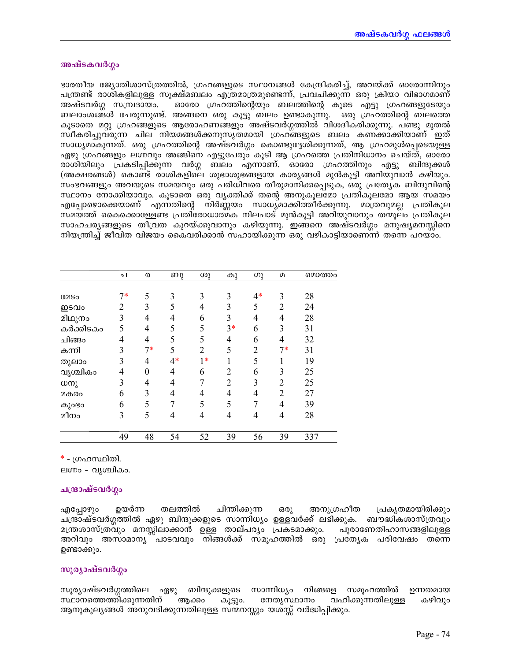## അഷ്ടകവർഗ്ഗം

ഭാരതീയ ജ്യോതിശാസ്ത്രത്തിൽ, ഗ്രഹങ്ങളുടെ സ്ഥാനങ്ങൾ കേന്ദ്രീകരിച്ച്, അവയ്ക്ക് ഓരോന്നിനും പന്ത്രണ്ട് രാശികളിലുള്ള സൂക്ഷ്മബലം എത്രമാത്രമുണ്ടെന്ന്, പ്രവചിക്കുന്ന ഒരു ക്രിയാ വിഭാഗമാണ് അഷ്ടവർഗ്ഗ സമ്പ്രദായം. ഓരോ ഗ്രഹത്തിന്റെയും ബലത്തിന്റെ കൂടെ എട്ടു ഗ്രഹങ്ങളുടേയും ബലാംശങ്ങൾ ചേരുന്നുണ്ട്. അങ്ങനെ ഒരു കൂട്ടു ബലം ഉണ്ടാകുന്നു. ഒരു ഗ്രഹത്തിന്റെ ബലത്തെ കൂടാതെ മറ്റു ഗ്രഹങ്ങളുടെ ആരോഹണങ്ങളും അഷ്ടവർഗ്ഗത്തിൽ വിശദീകരിക്കുന്നു. പണ്ടു മുതൽ സ്വീകരിച്ചുവരുന്ന ചില നിയമങ്ങൾക്കനുസൃതമായി ഗ്രഹങ്ങളുടെ ബലം കണക്കാക്കിയാണ് ഇത് സാധ്യമാകുന്നത്. ഒരു ഗ്രഹത്തിന്റെ അഷ്ടവർഗ്ഗം കൊണ്ടുദ്ദേശിക്കുന്നത്, ആ ഗ്രഹമുൾപ്പെടെയുള്ള ഏഴു ഗ്രഹങ്ങളും ലഗ്നവും അങ്ങിനെ എട്ടുപേരും കൂടി ആ ഗ്രഹത്തെ പ്രതിനിധാനം ചെയ്ത്, ഓരോ രാശിയിലും പ്രകടിപ്പിക്കുന്ന വർഗ്ഗ ബലം എന്നാണ്. ഓരോ ഗ്രഹത്തിനും എട്ടു ബിന്ദുക്കൾ (അക്ഷരങ്ങൾ) കൊണ്ട് രാശികളിലെ ശുഭാശുഭങ്ങളായ കാര്യങ്ങൾ മുൻകൂട്ടി അറിയുവാൻ കഴിയും. സംഭവങ്ങളും അവയുടെ സമയവും ഒരു പരിധിവരെ തീരുമാനിക്കപ്പെടുക, ഒരു പ്രത്യേക ബിന്ദുവിന്റെ സ്ഥാനം നോക്കിയാവും. കൂടാതെ ഒരു വൃക്തിക്ക് തന്റെ അനുകൂലമോ പ്രതികൂലമോ ആയ സമയം എപ്പോഴൊക്കെയാണ് എന്നതിന്റെ നിർണ്ണയം സാധ്യമാക്കിത്തീർക്കുന്നു. മാത്രവുമല്ല പ്രതികൂല സമയത്ത് കൈക്കൊള്ളേണ്ട പ്രതിരോധാത്മക നിലപാട് മുൻകൂട്ടി അറിയുവാനും തന്മൂലം പ്രതികൂല സാഹചര്യങ്ങളുടെ തീവ്രത കുറയ്ക്കുവാനും കഴിയുന്നു. ഇങ്ങനെ അഷ്ടവർഗ്ഗം മനുഷ്യമനസ്സിനെ നിയന്ത്രിച്ച് ജീവിത വിജയം കൈവരിക്കാൻ സഹായിക്കുന്ന ഒരു വഴികാട്ടിയാണെന്ന് തന്നെ പറയാം.

|             | ച              | ര        | ബു             | ശു             | കു             | ഗു   | $\Omega$       | മൊത്തം |
|-------------|----------------|----------|----------------|----------------|----------------|------|----------------|--------|
|             |                |          |                |                |                |      |                |        |
| <b>COSO</b> | $7*$           | 5        | 3              | 3              | 3              | $4*$ | 3              | 28     |
| ഇടവം        | $\overline{2}$ | 3        | 5              | $\overline{4}$ | 3              | 5    | $\overline{2}$ | 24     |
| മിഥുനം      | 3              | 4        | 4              | 6              | 3              | 4    | 4              | 28     |
| കർക്കിടകം   | 5              | 4        | 5              | 5              | $3*$           | 6    | 3              | 31     |
| ചിങ്ങം      | 4              | 4        | 5              | 5              | 4              | 6    | 4              | 32     |
| കന്നി       | 3              | $7*$     | 5              | $\overline{2}$ | 5              | 2    | $7*$           | 31     |
| തുലാം       | 3              | 4        | $4*$           | $1*$           |                | 5    |                | 19     |
| വൃശ്ചികം    | 4              | $\theta$ | $\overline{4}$ | 6              | $\overline{2}$ | 6    | 3              | 25     |
| ധനു         | 3              | 4        | 4              | 7              | 2              | 3    | $\overline{2}$ | 25     |
| മകരം        | 6              | 3        | 4              | 4              | 4              | 4    | 2              | 27     |
| കുാഭാ       | 6              | 5        |                | 5              | 5              | 7    | 4              | 39     |
| മീനം        | 3              | 5        | 4              | 4              | 4              | 4    | 4              | 28     |
|             | 49             | 48       | 54             | 52             | 39             | 56   | 39             | 337    |

\* - ഗ്രഹസ്ഥിതി.

ലഗ്നം - വൃശ്ചികം.

# ചന്ദ്രാഷ്ടവർഗ്ഗം

ഉയർന്ന തലത്തിൽ ചിന്തിക്കുന്ന ഒരു അനുഗ്രഹീത പ്രകൃതമായിരിക്കും എപ്പോഴും ചന്ദ്രാഷ്ടവർഗ്ഗത്തിൽ ഏഴു ബിന്ദുക്കളുടെ സാന്നിധ്യം ഉള്ളവർക്ക് ലഭിക്കുക. ബൗദ്ധികശാസ്ത്രവും മന്ത്രശാസ്ത്രവും മനസ്സിലാക്കാൻ ഉള്ള താല്പര്യം പ്രകടമാക്കും. പുരാണേതിഹാസങ്ങളിലുള്ള അറിവും അസാമാന്യ പാടവവും നിങ്ങൾക്ക് സമൂഹത്തിൽ ഒരു പ്രത്യേക പരിവേഷം തന്നെ ഉണ്ടാക്കും.

# സുര്യാഷ്ടവർഗ്ഗം

സൂര്യാഷ്ടവർഗ്ഗത്തിലെ ഏഴു ബിന്ദുക്കളുടെ സാന്നിധ്യം നിങ്ങളെ സമൂഹത്തിൽ ഉന്നതമായ സ്ഥാനത്തെത്തിക്കുന്നതിന് ആക്കാ കൂട്ടും. നേതൃസ്ഥാനം വഹിക്കുന്നതിലുള്ള കഴിവും ആനുകൂല്യങ്ങൾ അനുവദിക്കുന്നതിലുള്ള സന്മനസ്സും യശസ്സ് വർദ്ധിപ്പിക്കും.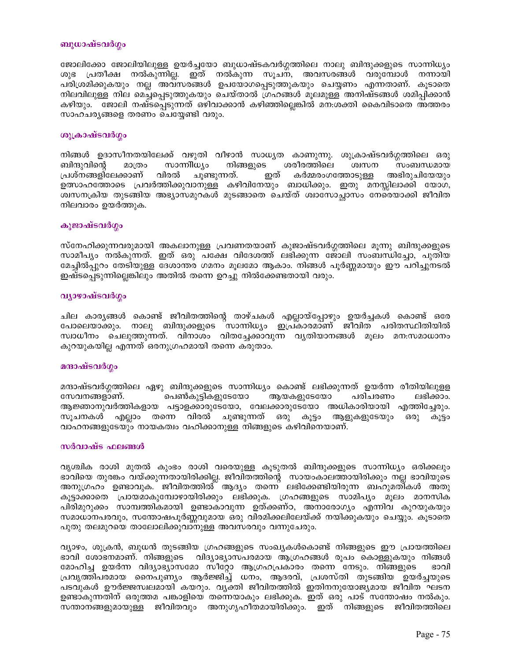#### ബുധാഷ്ടവർഗ്ഗം

ജോലിക്കോ ജോലിയിലുള്ള ഉയർച്ചയോ ബുധാഷ്ടകവർഗ്ഗത്തിലെ നാലു ബിന്ദുക്കളുടെ സാന്നിധ്യം ശുഭ പ്രതീക്ഷ നൽകുന്നില്ല. ഇത് നൽകുന്ന സൂചന, അവസരങ്ങൾ വരുമ്പോൾ നന്നായി പരിശ്രമിക്കുകയും നല്ല അവസരങ്ങൾ ഉപയോഗപ്പെടുത്തുകയും ചെയ്യണം എന്നതാണ്. കൂടാതെ നിലവിലുള്ള നില മെച്ചപ്പെടുത്തുകയും ചെയ്താൽ ഗ്രഹങ്ങൾ മൂലമുള്ള അനിഷ്ടങ്ങൾ ശമിപ്പിക്കാൻ കഴിയും. ജോലി നഷ്ടപ്പെടുന്നത് ഒഴിവാക്കാൻ കഴിഞ്ഞില്ലെങ്കിൽ മന:ശക്തി കൈവിടാതെ അത്തരം സാഹചര്യങ്ങളെ തരണം ചെയ്യേണ്ടി വരും.

### ശുക്രാഷ്ടവർഗ്ഗം

നിങ്ങൾ ഉദാസീനതയിലേക്ക് വഴുതി വീഴാൻ സാധ്യത കാണുന്നു. ശുക്രാഷ്ടവർഗ്ഗത്തിലെ ഒരു ബിന്ദുവിന്റെ മാത്രം സാന്നീധ്യം നിങ്ങളുടെ ശരീരത്തിലെ ശ്വസന സംബന്ധമായ പ്രശ്നങ്ങളിലേക്കാണ് വിരൽ ചൂണ്ടുന്നത്. ഇത് കർമ്മരംഗത്തോടുള്ള അഭിരുചിയേയും ഉത്സാഹത്തോടെ പ്രവർത്തിക്കുവാനുള്ള കഴിവിനേയും ബാധിക്കും. ഇതു മനസ്സിലാക്കി യോഗ, ശ്വസനക്രിയ തുടങ്ങിയ അഭ്യാസമുറകൾ മുടങ്ങാതെ ചെയ്ത് ശ്വാസോച്ഛാസം നേരെയാക്കി ജീവിത നിലവാരം ഉയർത്തുക.

## കുജാഷ്ടവർഗ്ഗം

സ്നേഹിക്കുന്നവരുമായി അകലാനുള്ള പ്രവണതയാണ് കുജാഷ്ടവർഗ്ഗത്തിലെ മൂന്നു ബിന്ദുക്കളുടെ സാമീപ്യം നൽകുന്നത്. ഇത് ഒരു പക്ഷേ വിദേശത്ത് ലഭിക്കുന്ന ജോലി സംബന്ധിച്ചോ, പുതിയ മേച്ചിൽപ്പുറം തേടിയുള്ള ദേശാന്തര ഗമനം മൂലമോ ആകാം. നിങ്ങൾ പൂർണ്ണമായും ഈ പറിച്ചുനടൽ ഇഷ്ടപ്പെടുന്നില്ലെങ്കിലും അതിൽ തന്നെ ഉറച്ചു നിൽക്കേണ്ടതായി വരും.

## വ്യാഴാഷ്ടവർഗ്ഗം

ചില കാര്യങ്ങൾ കൊണ്ട് ജീവിതത്തിന്റെ താഴ്ചകൾ എല്ലായ്പ്പോഴും ഉയർച്ചകൾ കൊണ്ട് ഒരേ പോലെയാക്കും. നാലു ബിന്ദുക്കളുടെ സാന്നിധ്യം ഇപ്രകാരമാണ് ജീവിത പരിതസ്ഥിതിയിൽ സ്വാധീനം ചെലുത്തുന്നത്. വിനാശം വിതച്ചേക്കാവുന്ന വൃതിയാനങ്ങൾ മൂലം മന:സമാധാനം കുറയുകയില്ല എന്നത് ഒരനുഗ്രഹമായി തന്നെ കരുതാം.

## മന്ദാഷ്ടവർഗ്ഗം

മന്ദാഷ്ടവർഗ്ഗത്തിലെ ഏഴു ബിന്ദുക്കളുടെ സാന്നിധ്യം കൊണ്ട് ലഭിക്കുന്നത് ഉയർന്ന രീതിയിലുളള സേവനങ്ങളാണ്. പെൺകുട്ടികളുടേയോ ആയകളുടേയോ പരിചരണം ലഭിക്കാം. ആജ്ഞാനുവർത്തികളായ പട്ടാളക്കാരുടേയോ, വേലക്കാരുടേയോ അധികാരിയായി എത്തിച്ചേരും. സൂചനകൾ എല്ലാം തന്നെ വിരൽ ചൂണ്ടുന്നത് ഒരു ആളുകളുടേയും ഒരു കൂട്ടം കൂട്ടാ വാഹനങ്ങളുടേയും നായകത്വം വഹിക്കാനുള്ള നിങ്ങളുടെ കഴിവിനെയാണ്.

## സർവാഷ്ട ഫലങ്ങൾ

വൃശ്ചിക രാശി മുതൽ കുംഭം രാശി വരെയുള്ള കൂടുതൽ ബിന്ദുക്കളുടെ സാന്നിധ്യം ഒരിക്കലും ഭാവിയെ തുരങ്കം വയ്ക്കുന്നതായിരിക്കില്ല. ജീവിതത്തിന്റെ സായംകാലത്തായിരിക്കും നല്ല ഭാവിയുടെ അനുഗ്രഹം ഉണ്ടാവുക. ജീവിതത്തിൽ ആദ്യം തന്നെ ലഭിക്കേണ്ടിയിരുന്ന ബഹുമതികൾ അതു കൂട്ടാക്കാതെ പ്രായമാകുമ്പോഴായിരിക്കും ലഭിക്കുക. ഗ്രഹങ്ങളുടെ സാമിപ്യം മൂലം മാനസിക പിരിമുറുക്കം സാമ്പത്തികമായി ഉണ്ടാകാവുന്ന ഉത്ക്കണ്ഠ, അനാരോഗ്യം എന്നിവ കുറയുകയും സമാധാനപരവും, സന്തോഷപൂർണ്ണവുമായ ഒരു വിരമിക്കലിലേയ്ക്ക് നയിക്കുകയും ചെയ്യും. കൂടാതെ പുതു തലമുറയെ താലോലിക്കുവാനുള്ള അവസരവും വന്നുചേരും.

വ്യാഴം, ശുക്രൻ, ബുധൻ തുടങ്ങിയ ഗ്രഹങ്ങളുടെ സംഖ്യകൾകൊണ്ട് നിങ്ങളുടെ ഈ പ്രായത്തിലെ ഭാവി ശോഭനമാണ്. നിങ്ങളുടെ വിദ്യാഭ്യാസപരമായ ആഗ്രഹങ്ങൾ രൂപം കൊള്ളുകയും നിങ്ങൾ മോഹിച്ച ഉയർന്ന വിദ്യാഭ്യാസമോ സീറ്റോ ആഗ്രഹപ്രകാരം തന്നെ നേടും. നിങ്ങളുടെ ഭാവി പ്രവൃത്തിപരമായ നൈപുണ്യം ആർജ്ജിച്ച് ധനം, ആദരവ്, പ്രശസ്തി തുടങ്ങിയ ഉയർച്ചയുടെ പടവുകൾ ഊർജ്ജസ്വലമായി കയറും. വ്യക്തി ജീവിതത്തിൽ ഇതിനനുയോജ്യമായ ജീവിത ഘടന ഉണ്ടാകുന്നതിന് ഒരുത്തമ പങ്കാളിയെ തന്നെയാകും ലഭിക്കുക. ഇത് ഒരു പാട് സന്തോഷം നൽകും. സന്താനങ്ങളുമായുള്ള ജീവിതവും അനുഗൃഹീതമായിരിക്കും. ഇത് നിങ്ങളുടെ ജീവിതത്തിലെ